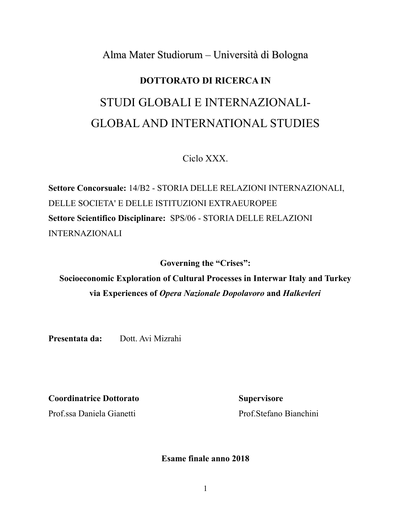### Alma Mater Studiorum – Università di Bologna

# **DOTTORATO DI RICERCA IN** STUDI GLOBALI E INTERNAZIONALI-GLOBAL AND INTERNATIONAL STUDIES

Ciclo XXX.

**Settore Concorsuale:** 14/B2 - STORIA DELLE RELAZIONI INTERNAZIONALI, DELLE SOCIETA' E DELLE ISTITUZIONI EXTRAEUROPEE **Settore Scientifico Disciplinare:** SPS/06 - STORIA DELLE RELAZIONI INTERNAZIONALI

**Governing the "Crises":**

**Socioeconomic Exploration of Cultural Processes in Interwar Italy and Turkey via Experiences of** *Opera Nazionale Dopolavoro* **and** *Halkevleri*

**Presentata da:** Dott. Avi Mizrahi

**Coordinatrice Dottorato Supervisore** 

Prof.ssa Daniela Gianetti Prof.Stefano Bianchini

**Esame finale anno 2018**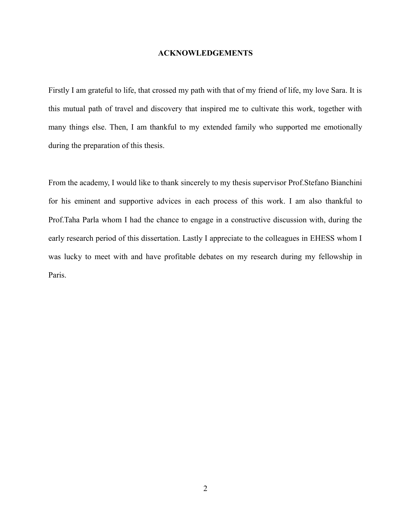#### **ACKNOWLEDGEMENTS**

Firstly I am grateful to life, that crossed my path with that of my friend of life, my love Sara. It is this mutual path of travel and discovery that inspired me to cultivate this work, together with many things else. Then, I am thankful to my extended family who supported me emotionally during the preparation of this thesis.

From the academy, I would like to thank sincerely to my thesis supervisor Prof.Stefano Bianchini for his eminent and supportive advices in each process of this work. I am also thankful to Prof.Taha Parla whom I had the chance to engage in a constructive discussion with, during the early research period of this dissertation. Lastly I appreciate to the colleagues in EHESS whom I was lucky to meet with and have profitable debates on my research during my fellowship in Paris.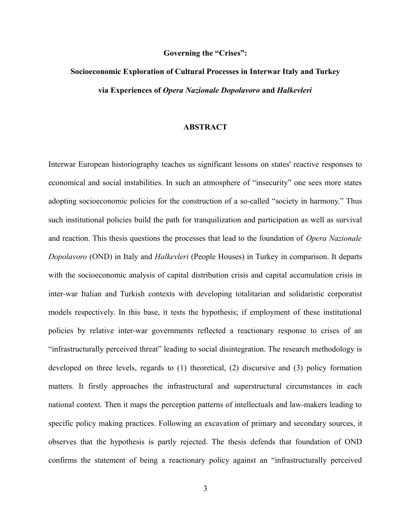#### **Governing the "Crises":**

## **Socioeconomic Exploration of Cultural Processes in Interwar Italy and Turkey via Experiences of** *Opera Nazionale Dopolavoro* **and** *Halkevleri*

#### **ABSTRACT**

Interwar European historiography teaches us significant lessons on states' reactive responses to economical and social instabilities. In such an atmosphere of "insecurity" one sees more states adopting socioeconomic policies for the construction of a so-called "society in harmony." Thus such institutional policies build the path for tranquilization and participation as well as survival and reaction. This thesis questions the processes that lead to the foundation of *Opera Nazionale Dopolavoro* (OND) in Italy and *Halkevleri* (People Houses) in Turkey in comparison. It departs with the socioeconomic analysis of capital distribution crisis and capital accumulation crisis in inter-war Italian and Turkish contexts with developing totalitarian and solidaristic corporatist models respectively. In this base, it tests the hypothesis; if employment of these institutional policies by relative inter-war governments reflected a reactionary response to crises of an "infrastructurally perceived threat" leading to social disintegration. The research methodology is developed on three levels, regards to (1) theoretical, (2) discursive and (3) policy formation matters. It firstly approaches the infrastructural and superstructural circumstances in each national context. Then it maps the perception patterns of intellectuals and law-makers leading to specific policy making practices. Following an excavation of primary and secondary sources, it observes that the hypothesis is partly rejected. The thesis defends that foundation of OND confirms the statement of being a reactionary policy against an "infrastructurally perceived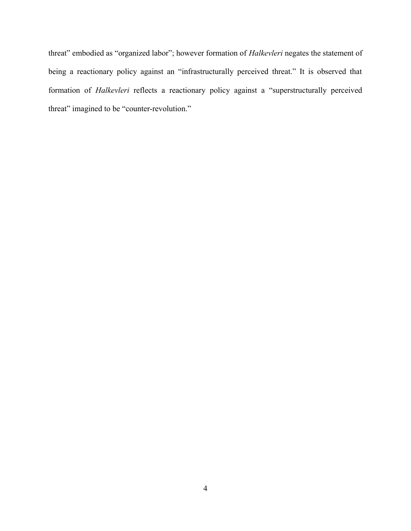threat" embodied as "organized labor"; however formation of *Halkevleri* negates the statement of being a reactionary policy against an "infrastructurally perceived threat." It is observed that formation of *Halkevleri* reflects a reactionary policy against a "superstructurally perceived threat" imagined to be "counter-revolution."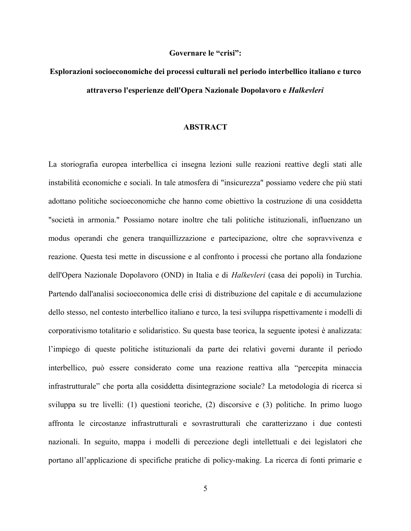#### **Governare le "crisi":**

# **Esplorazioni socioeconomiche dei processi culturali nel periodo interbellico italiano e turco attraverso l'esperienze dell'Opera Nazionale Dopolavoro e** *Halkevleri*

#### **ABSTRACT**

La storiografia europea interbellica ci insegna lezioni sulle reazioni reattive degli stati alle instabilità economiche e sociali. In tale atmosfera di "insicurezza" possiamo vedere che più stati adottano politiche socioeconomiche che hanno come obiettivo la costruzione di una cosiddetta "società in armonia." Possiamo notare inoltre che tali politiche istituzionali, influenzano un modus operandi che genera tranquillizzazione e partecipazione, oltre che sopravvivenza e reazione. Questa tesi mette in discussione e al confronto i processi che portano alla fondazione dell'Opera Nazionale Dopolavoro (OND) in Italia e di *Halkevleri* (casa dei popoli) in Turchia. Partendo dall'analisi socioeconomica delle crisi di distribuzione del capitale e di accumulazione dello stesso, nel contesto interbellico italiano e turco, la tesi sviluppa rispettivamente i modelli di corporativismo totalitario e solidaristico. Su questa base teorica, la seguente ipotesi è analizzata: l'impiego di queste politiche istituzionali da parte dei relativi governi durante il periodo interbellico, può essere considerato come una reazione reattiva alla "percepita minaccia infrastrutturale" che porta alla cosiddetta disintegrazione sociale? La metodologia di ricerca si sviluppa su tre livelli: (1) questioni teoriche, (2) discorsive e (3) politiche. In primo luogo affronta le circostanze infrastrutturali e sovrastrutturali che caratterizzano i due contesti nazionali. In seguito, mappa i modelli di percezione degli intellettuali e dei legislatori che portano all'applicazione di specifiche pratiche di policy-making. La ricerca di fonti primarie e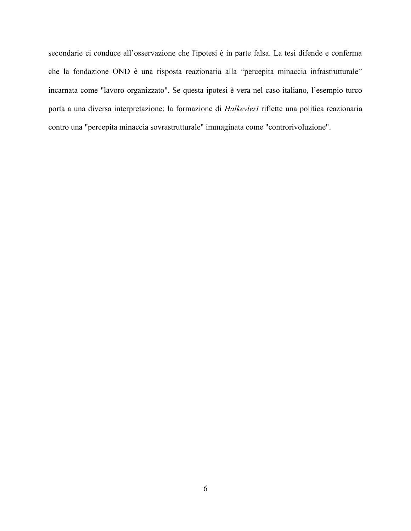secondarie ci conduce all'osservazione che l'ipotesi è in parte falsa. La tesi difende e conferma che la fondazione OND è una risposta reazionaria alla "percepita minaccia infrastrutturale" incarnata come "lavoro organizzato". Se questa ipotesi è vera nel caso italiano, l'esempio turco porta a una diversa interpretazione: la formazione di *Halkevleri* riflette una politica reazionaria contro una "percepita minaccia sovrastrutturale" immaginata come "controrivoluzione".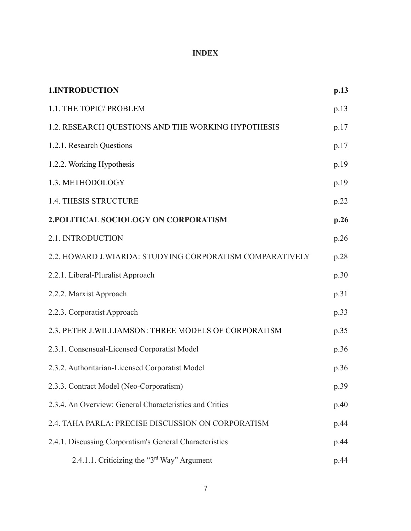### **INDEX**

| <b>1.INTRODUCTION</b>                                    | p.13 |
|----------------------------------------------------------|------|
| 1.1. THE TOPIC/ PROBLEM                                  | p.13 |
| 1.2. RESEARCH QUESTIONS AND THE WORKING HYPOTHESIS       | p.17 |
| 1.2.1. Research Questions                                | p.17 |
| 1.2.2. Working Hypothesis                                | p.19 |
| 1.3. METHODOLOGY                                         | p.19 |
| 1.4. THESIS STRUCTURE                                    | p.22 |
| 2. POLITICAL SOCIOLOGY ON CORPORATISM                    | p.26 |
| 2.1. INTRODUCTION                                        | p.26 |
| 2.2. HOWARD J.WIARDA: STUDYING CORPORATISM COMPARATIVELY | p.28 |
| 2.2.1. Liberal-Pluralist Approach                        | p.30 |
| 2.2.2. Marxist Approach                                  | p.31 |
| 2.2.3. Corporatist Approach                              | p.33 |
| 2.3. PETER J.WILLIAMSON: THREE MODELS OF CORPORATISM     | p.35 |
| 2.3.1. Consensual-Licensed Corporatist Model             | p.36 |
| 2.3.2. Authoritarian-Licensed Corporatist Model          | p.36 |
| 2.3.3. Contract Model (Neo-Corporatism)                  | p.39 |
| 2.3.4. An Overview: General Characteristics and Critics  | p.40 |
| 2.4. TAHA PARLA: PRECISE DISCUSSION ON CORPORATISM       | p.44 |
| 2.4.1. Discussing Corporatism's General Characteristics  | p.44 |
| 2.4.1.1. Criticizing the "3 <sup>rd</sup> Way" Argument  | p.44 |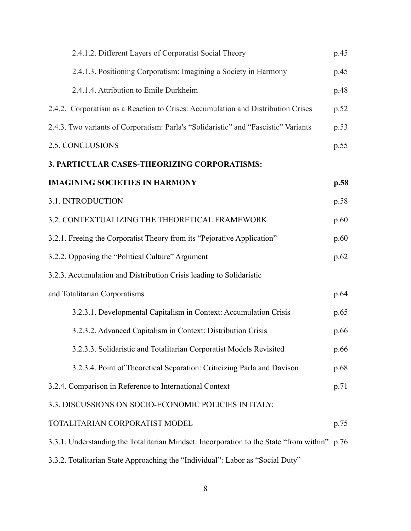| 2.4.1.2. Different Layers of Corporatist Social Theory                                       | p.45 |
|----------------------------------------------------------------------------------------------|------|
| 2.4.1.3. Positioning Corporatism: Imagining a Society in Harmony                             | p.45 |
| 2.4.1.4. Attribution to Emile Durkheim                                                       | p.48 |
| 2.4.2. Corporatism as a Reaction to Crises: Accumulation and Distribution Crises             | p.52 |
| 2.4.3. Two variants of Corporatism: Parla's "Solidaristic" and "Fascistic" Variants          | p.53 |
| 2.5. CONCLUSIONS                                                                             | p.55 |
| 3. PARTICULAR CASES-THEORIZING CORPORATISMS:                                                 |      |
| <b>IMAGINING SOCIETIES IN HARMONY</b>                                                        | p.58 |
| 3.1. INTRODUCTION                                                                            | p.58 |
| 3.2. CONTEXTUALIZING THE THEORETICAL FRAMEWORK                                               | p.60 |
| 3.2.1. Freeing the Corporatist Theory from its "Pejorative Application"                      | p.60 |
| 3.2.2. Opposing the "Political Culture" Argument                                             | p.62 |
| 3.2.3. Accumulation and Distribution Crisis leading to Solidaristic                          |      |
| and Totalitarian Corporatisms                                                                | p.64 |
| 3.2.3.1. Developmental Capitalism in Context: Accumulation Crisis                            | p.65 |
| 3.2.3.2. Advanced Capitalism in Context: Distribution Crisis                                 | p.66 |
| 3.2.3.3. Solidaristic and Totalitarian Corporatist Models Revisited                          | p.66 |
| 3.2.3.4. Point of Theoretical Separation: Criticizing Parla and Davison                      | p.68 |
| 3.2.4. Comparison in Reference to International Context                                      | p.71 |
| 3.3. DISCUSSIONS ON SOCIO-ECONOMIC POLICIES IN ITALY:                                        |      |
| TOTALITARIAN CORPORATIST MODEL                                                               | p.75 |
| 3.3.1. Understanding the Totalitarian Mindset: Incorporation to the State "from within" p.76 |      |
| 3.3.2. Totalitarian State Approaching the "Individual": Labor as "Social Duty"               |      |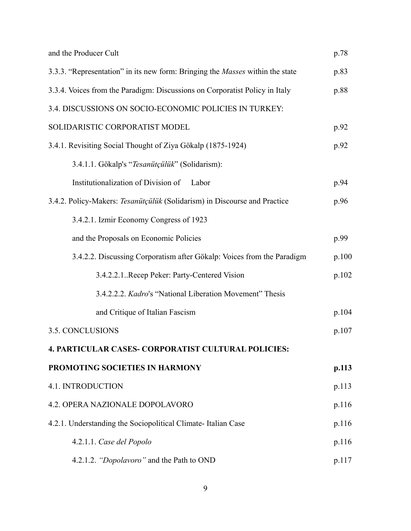| and the Producer Cult                                                                | p.78  |
|--------------------------------------------------------------------------------------|-------|
| 3.3.3. "Representation" in its new form: Bringing the <i>Masses</i> within the state | p.83  |
| 3.3.4. Voices from the Paradigm: Discussions on Corporatist Policy in Italy          | p.88  |
| 3.4. DISCUSSIONS ON SOCIO-ECONOMIC POLICIES IN TURKEY:                               |       |
| SOLIDARISTIC CORPORATIST MODEL                                                       | p.92  |
| 3.4.1. Revisiting Social Thought of Ziya Gökalp (1875-1924)                          | p.92  |
| 3.4.1.1. Gökalp's "Tesanütçülük" (Solidarism):                                       |       |
| Institutionalization of Division of Labor                                            | p.94  |
| 3.4.2. Policy-Makers: Tesanütçülük (Solidarism) in Discourse and Practice            | p.96  |
| 3.4.2.1. Izmir Economy Congress of 1923                                              |       |
| and the Proposals on Economic Policies                                               | p.99  |
| 3.4.2.2. Discussing Corporatism after Gökalp: Voices from the Paradigm               | p.100 |
| 3.4.2.2.1. Recep Peker: Party-Centered Vision                                        | p.102 |
| 3.4.2.2.2. Kadro's "National Liberation Movement" Thesis                             |       |
| and Critique of Italian Fascism                                                      | p.104 |
| 3.5. CONCLUSIONS                                                                     | p.107 |
| 4. PARTICULAR CASES- CORPORATIST CULTURAL POLICIES:                                  |       |
| PROMOTING SOCIETIES IN HARMONY                                                       | p.113 |
| <b>4.1. INTRODUCTION</b>                                                             | p.113 |
| <b>4.2. OPERA NAZIONALE DOPOLAVORO</b>                                               | p.116 |
| 4.2.1. Understanding the Sociopolitical Climate- Italian Case                        | p.116 |
| 4.2.1.1. Case del Popolo                                                             | p.116 |
| 4.2.1.2. "Dopolavoro" and the Path to OND                                            | p.117 |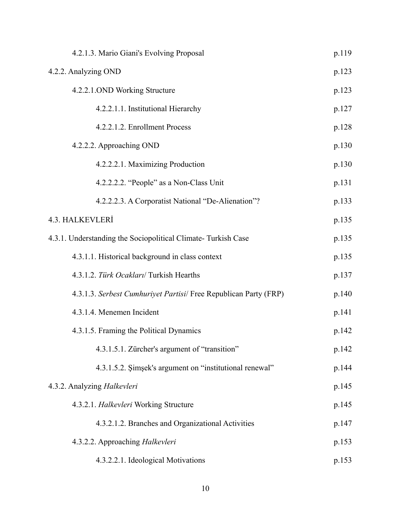| 4.2.1.3. Mario Giani's Evolving Proposal                         | p.119 |
|------------------------------------------------------------------|-------|
| 4.2.2. Analyzing OND                                             | p.123 |
| 4.2.2.1. OND Working Structure                                   | p.123 |
| 4.2.2.1.1. Institutional Hierarchy                               | p.127 |
| 4.2.2.1.2. Enrollment Process                                    | p.128 |
| 4.2.2.2. Approaching OND                                         | p.130 |
| 4.2.2.2.1. Maximizing Production                                 | p.130 |
| 4.2.2.2.2. "People" as a Non-Class Unit                          | p.131 |
| 4.2.2.2.3. A Corporatist National "De-Alienation"?               | p.133 |
| 4.3. HALKEVLERI                                                  | p.135 |
| 4.3.1. Understanding the Sociopolitical Climate-Turkish Case     | p.135 |
| 4.3.1.1. Historical background in class context                  | p.135 |
| 4.3.1.2. Türk Ocakları/ Turkish Hearths                          | p.137 |
| 4.3.1.3. Serbest Cumhuriyet Partisi/ Free Republican Party (FRP) | p.140 |
| 4.3.1.4. Menemen Incident                                        | p.141 |
| 4.3.1.5. Framing the Political Dynamics                          | p.142 |
| 4.3.1.5.1. Zürcher's argument of "transition"                    | p.142 |
| 4.3.1.5.2. Şimşek's argument on "institutional renewal"          | p.144 |
| 4.3.2. Analyzing Halkevleri                                      | p.145 |
| 4.3.2.1. Halkevleri Working Structure                            | p.145 |
| 4.3.2.1.2. Branches and Organizational Activities                | p.147 |
| 4.3.2.2. Approaching Halkevleri                                  | p.153 |
| 4.3.2.2.1. Ideological Motivations                               | p.153 |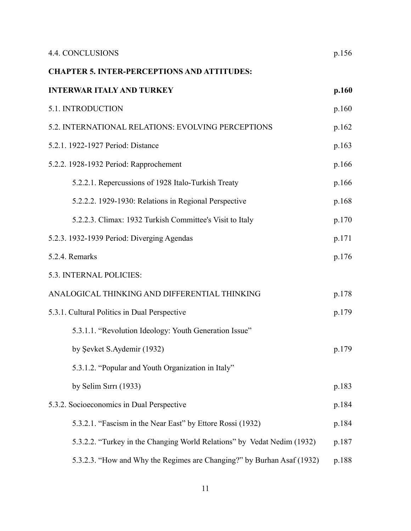| <b>4.4. CONCLUSIONS</b>                                                 | p.156 |
|-------------------------------------------------------------------------|-------|
| <b>CHAPTER 5. INTER-PERCEPTIONS AND ATTITUDES:</b>                      |       |
| <b>INTERWAR ITALY AND TURKEY</b>                                        | p.160 |
| 5.1. INTRODUCTION                                                       | p.160 |
| 5.2. INTERNATIONAL RELATIONS: EVOLVING PERCEPTIONS                      | p.162 |
| 5.2.1. 1922-1927 Period: Distance                                       | p.163 |
| 5.2.2. 1928-1932 Period: Rapprochement                                  | p.166 |
| 5.2.2.1. Repercussions of 1928 Italo-Turkish Treaty                     | p.166 |
| 5.2.2.2. 1929-1930: Relations in Regional Perspective                   | p.168 |
| 5.2.2.3. Climax: 1932 Turkish Committee's Visit to Italy                | p.170 |
| 5.2.3. 1932-1939 Period: Diverging Agendas                              | p.171 |
| 5.2.4. Remarks                                                          | p.176 |
| 5.3. INTERNAL POLICIES:                                                 |       |
| ANALOGICAL THINKING AND DIFFERENTIAL THINKING                           | p.178 |
| 5.3.1. Cultural Politics in Dual Perspective                            | p.179 |
| 5.3.1.1. "Revolution Ideology: Youth Generation Issue"                  |       |
| by Şevket S.Aydemir (1932)                                              | p.179 |
| 5.3.1.2. "Popular and Youth Organization in Italy"                      |       |
| by Selim Sırrı (1933)                                                   | p.183 |
| 5.3.2. Socioeconomics in Dual Perspective                               | p.184 |
| 5.3.2.1. "Fascism in the Near East" by Ettore Rossi (1932)              | p.184 |
| 5.3.2.2. "Turkey in the Changing World Relations" by Vedat Nedim (1932) | p.187 |
| 5.3.2.3. "How and Why the Regimes are Changing?" by Burhan Asaf (1932)  | p.188 |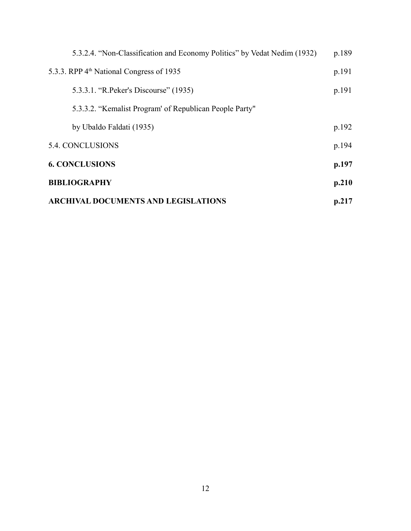| <b>ARCHIVAL DOCUMENTS AND LEGISLATIONS</b>                               | p.217 |
|--------------------------------------------------------------------------|-------|
| <b>BIBLIOGRAPHY</b>                                                      | p.210 |
| <b>6. CONCLUSIONS</b>                                                    | p.197 |
| 5.4. CONCLUSIONS                                                         | p.194 |
| by Ubaldo Faldati (1935)                                                 | p.192 |
| 5.3.3.2. "Kemalist Program' of Republican People Party"                  |       |
| 5.3.3.1. "R. Peker's Discourse" (1935)                                   | p.191 |
| 5.3.3. RPP 4 <sup>th</sup> National Congress of 1935                     | p.191 |
| 5.3.2.4. "Non-Classification and Economy Politics" by Vedat Nedim (1932) | p.189 |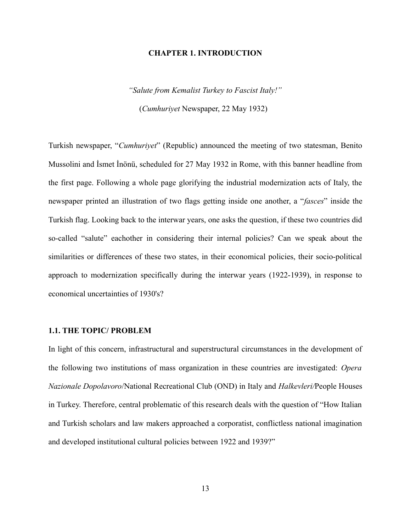#### **CHAPTER 1. INTRODUCTION**

*"Salute from Kemalist Turkey to Fascist Italy!"* (*Cumhuriyet* Newspaper, 22 May 1932)

Turkish newspaper, "*Cumhuriyet*" (Republic) announced the meeting of two statesman, Benito Mussolini and İsmet İnönü, scheduled for 27 May 1932 in Rome, with this banner headline from the first page. Following a whole page glorifying the industrial modernization acts of Italy, the newspaper printed an illustration of two flags getting inside one another, a "*fasces*" inside the Turkish flag. Looking back to the interwar years, one asks the question, if these two countries did so-called "salute" eachother in considering their internal policies? Can we speak about the similarities or differences of these two states, in their economical policies, their socio-political approach to modernization specifically during the interwar years (1922-1939), in response to economical uncertainties of 1930's?

#### **1.1. THE TOPIC/ PROBLEM**

In light of this concern, infrastructural and superstructural circumstances in the development of the following two institutions of mass organization in these countries are investigated: *Opera Nazionale Dopolavoro*/National Recreational Club (OND) in Italy and *Halkevleri/*People Houses in Turkey. Therefore, central problematic of this research deals with the question of "How Italian and Turkish scholars and law makers approached a corporatist, conflictless national imagination and developed institutional cultural policies between 1922 and 1939?"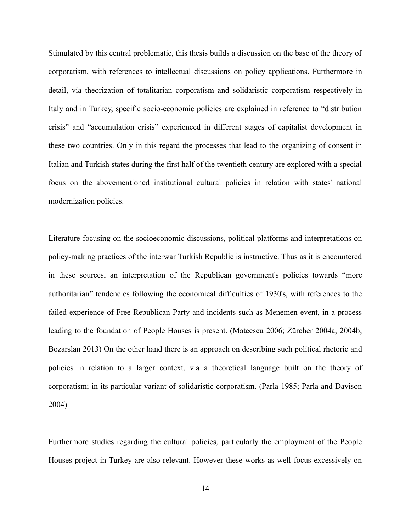Stimulated by this central problematic, this thesis builds a discussion on the base of the theory of corporatism, with references to intellectual discussions on policy applications. Furthermore in detail, via theorization of totalitarian corporatism and solidaristic corporatism respectively in Italy and in Turkey, specific socio-economic policies are explained in reference to "distribution crisis" and "accumulation crisis" experienced in different stages of capitalist development in these two countries. Only in this regard the processes that lead to the organizing of consent in Italian and Turkish states during the first half of the twentieth century are explored with a special focus on the abovementioned institutional cultural policies in relation with states' national modernization policies.

Literature focusing on the socioeconomic discussions, political platforms and interpretations on policy-making practices of the interwar Turkish Republic is instructive. Thus as it is encountered in these sources, an interpretation of the Republican government's policies towards "more authoritarian" tendencies following the economical difficulties of 1930's, with references to the failed experience of Free Republican Party and incidents such as Menemen event, in a process leading to the foundation of People Houses is present. (Mateescu 2006; Zürcher 2004a, 2004b; Bozarslan 2013) On the other hand there is an approach on describing such political rhetoric and policies in relation to a larger context, via a theoretical language built on the theory of corporatism; in its particular variant of solidaristic corporatism. (Parla 1985; Parla and Davison 2004)

Furthermore studies regarding the cultural policies, particularly the employment of the People Houses project in Turkey are also relevant. However these works as well focus excessively on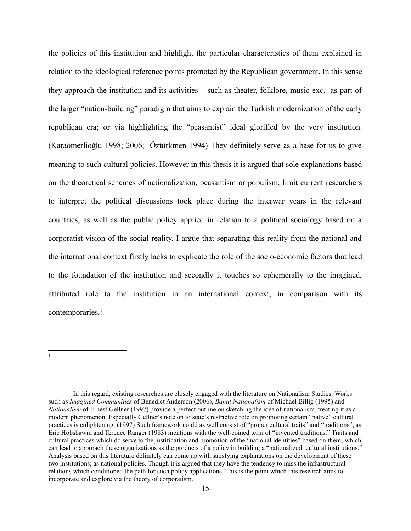the policies of this institution and highlight the particular characteristics of them explained in relation to the ideological reference points promoted by the Republican government. In this sense they approach the institution and its activities – such as theater, folklore, music exc.- as part of the larger "nation-building" paradigm that aims to explain the Turkish modernization of the early republican era; or via highlighting the "peasantist" ideal glorified by the very institution. (Karaömerlioğlu 1998; 2006; Öztürkmen 1994) They definitely serve as a base for us to give meaning to such cultural policies. However in this thesis it is argued that sole explanations based on the theoretical schemes of nationalization, peasantism or populism, limit current researchers to interpret the political discussions took place during the interwar years in the relevant countries; as well as the public policy applied in relation to a political sociology based on a corporatist vision of the social reality. I argue that separating this reality from the national and the international context firstly lacks to explicate the role of the socio-economic factors that lead to the foundation of the institution and secondly it touches so ephemerally to the imagined, attributed role to the institution in an international context, in comparison with its contemporaries.<sup>[1](#page-14-0)</sup>

<span id="page-14-0"></span>1

In this regard, existing researches are closely engaged with the literature on Nationalism Studies. Works such as *Imagined Communities* of Benedict Anderson (2006), *Banal Nationalism* of Michael Billig (1995) and *Nationalism* of Ernest Gellner (1997) provide a perfect outline on sketching the idea of nationalism, treating it as a modern phenomenon. Especially Gellner's note on to state's restrictive role on promoting certain "native" cultural practices is enlightening. (1997) Such framework could as well consist of "proper cultural traits" and "traditions", as Eric Hobsbawm and Terence Ranger (1983) mentions with the well-coined term of "invented traditions." Traits and cultural practices which do serve to the justification and promotion of the "national identities" based on them; which can lead to approach these organizations as the products of a policy in building a "nationalized cultural institutions." Analysis based on this literature definitely can come up with satisfying explanations on the development of these two institutions; as national policies. Though it is argued that they have the tendency to miss the infrastructural relations which conditioned the path for such policy applications. This is the point which this research aims to incorporate and explore via the theory of corporatism.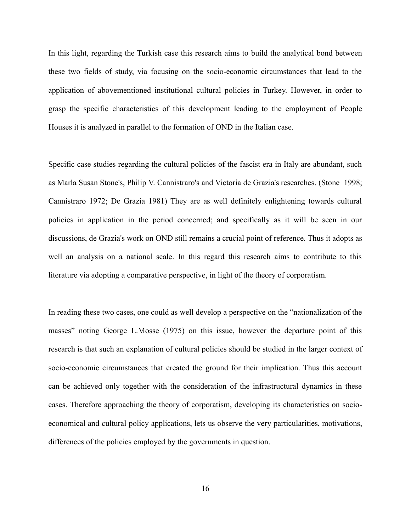In this light, regarding the Turkish case this research aims to build the analytical bond between these two fields of study, via focusing on the socio-economic circumstances that lead to the application of abovementioned institutional cultural policies in Turkey. However, in order to grasp the specific characteristics of this development leading to the employment of People Houses it is analyzed in parallel to the formation of OND in the Italian case.

Specific case studies regarding the cultural policies of the fascist era in Italy are abundant, such as Marla Susan Stone's, Philip V. Cannistraro's and Victoria de Grazia's researches. (Stone 1998; Cannistraro 1972; De Grazia 1981) They are as well definitely enlightening towards cultural policies in application in the period concerned; and specifically as it will be seen in our discussions, de Grazia's work on OND still remains a crucial point of reference. Thus it adopts as well an analysis on a national scale. In this regard this research aims to contribute to this literature via adopting a comparative perspective, in light of the theory of corporatism.

In reading these two cases, one could as well develop a perspective on the "nationalization of the masses" noting George L.Mosse (1975) on this issue, however the departure point of this research is that such an explanation of cultural policies should be studied in the larger context of socio-economic circumstances that created the ground for their implication. Thus this account can be achieved only together with the consideration of the infrastructural dynamics in these cases. Therefore approaching the theory of corporatism, developing its characteristics on socioeconomical and cultural policy applications, lets us observe the very particularities, motivations, differences of the policies employed by the governments in question.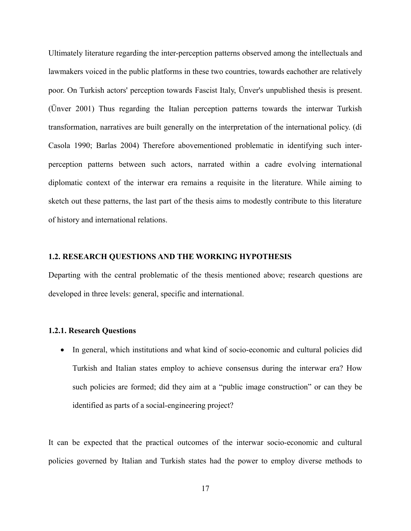Ultimately literature regarding the inter-perception patterns observed among the intellectuals and lawmakers voiced in the public platforms in these two countries, towards eachother are relatively poor. On Turkish actors' perception towards Fascist Italy, Ünver's unpublished thesis is present. (Ünver 2001) Thus regarding the Italian perception patterns towards the interwar Turkish transformation, narratives are built generally on the interpretation of the international policy. (di Casola 1990; Barlas 2004) Therefore abovementioned problematic in identifying such interperception patterns between such actors, narrated within a cadre evolving international diplomatic context of the interwar era remains a requisite in the literature. While aiming to sketch out these patterns, the last part of the thesis aims to modestly contribute to this literature of history and international relations.

#### **1.2. RESEARCH QUESTIONS AND THE WORKING HYPOTHESIS**

Departing with the central problematic of the thesis mentioned above; research questions are developed in three levels: general, specific and international.

#### **1.2.1. Research Questions**

• In general, which institutions and what kind of socio-economic and cultural policies did Turkish and Italian states employ to achieve consensus during the interwar era? How such policies are formed; did they aim at a "public image construction" or can they be identified as parts of a social-engineering project?

It can be expected that the practical outcomes of the interwar socio-economic and cultural policies governed by Italian and Turkish states had the power to employ diverse methods to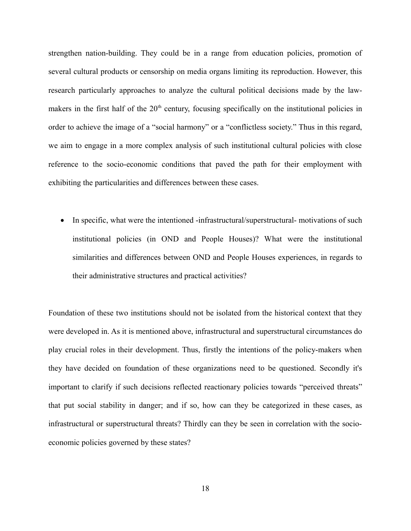strengthen nation-building. They could be in a range from education policies, promotion of several cultural products or censorship on media organs limiting its reproduction. However, this research particularly approaches to analyze the cultural political decisions made by the lawmakers in the first half of the  $20<sup>th</sup>$  century, focusing specifically on the institutional policies in order to achieve the image of a "social harmony" or a "conflictless society." Thus in this regard, we aim to engage in a more complex analysis of such institutional cultural policies with close reference to the socio-economic conditions that paved the path for their employment with exhibiting the particularities and differences between these cases.

• In specific, what were the intentioned -infrastructural/superstructural- motivations of such institutional policies (in OND and People Houses)? What were the institutional similarities and differences between OND and People Houses experiences, in regards to their administrative structures and practical activities?

Foundation of these two institutions should not be isolated from the historical context that they were developed in. As it is mentioned above, infrastructural and superstructural circumstances do play crucial roles in their development. Thus, firstly the intentions of the policy-makers when they have decided on foundation of these organizations need to be questioned. Secondly it's important to clarify if such decisions reflected reactionary policies towards "perceived threats" that put social stability in danger; and if so, how can they be categorized in these cases, as infrastructural or superstructural threats? Thirdly can they be seen in correlation with the socioeconomic policies governed by these states?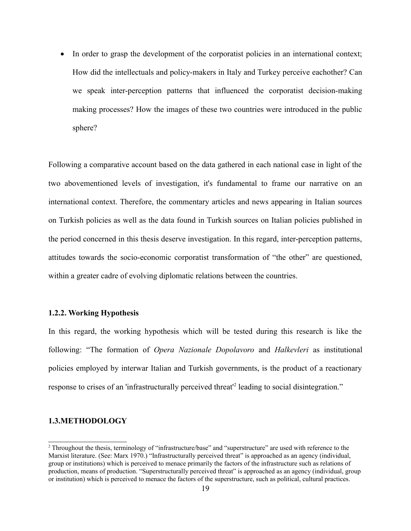• In order to grasp the development of the corporatist policies in an international context; How did the intellectuals and policy-makers in Italy and Turkey perceive eachother? Can we speak inter-perception patterns that influenced the corporatist decision-making making processes? How the images of these two countries were introduced in the public sphere?

Following a comparative account based on the data gathered in each national case in light of the two abovementioned levels of investigation, it's fundamental to frame our narrative on an international context. Therefore, the commentary articles and news appearing in Italian sources on Turkish policies as well as the data found in Turkish sources on Italian policies published in the period concerned in this thesis deserve investigation. In this regard, inter-perception patterns, attitudes towards the socio-economic corporatist transformation of "the other" are questioned, within a greater cadre of evolving diplomatic relations between the countries.

#### **1.2.2. Working Hypothesis**

In this regard, the working hypothesis which will be tested during this research is like the following: "The formation of *Opera Nazionale Dopolavoro* and *Halkevleri* as institutional policies employed by interwar Italian and Turkish governments, is the product of a reactionary response to crises of an 'infrastructurally perceived threat<sup>1[2](#page-18-0)</sup> leading to social disintegration."

#### **1.3.METHODOLOGY**

<span id="page-18-0"></span><sup>&</sup>lt;sup>2</sup> Throughout the thesis, terminology of "infrastructure/base" and "superstructure" are used with reference to the Marxist literature. (See: Marx 1970.) "Infrastructurally perceived threat" is approached as an agency (individual, group or institutions) which is perceived to menace primarily the factors of the infrastructure such as relations of production, means of production. "Superstructurally perceived threat" is approached as an agency (individual, group or institution) which is perceived to menace the factors of the superstructure, such as political, cultural practices.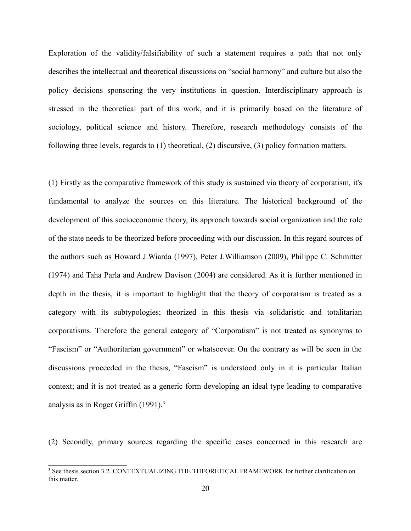Exploration of the validity/falsifiability of such a statement requires a path that not only describes the intellectual and theoretical discussions on "social harmony" and culture but also the policy decisions sponsoring the very institutions in question. Interdisciplinary approach is stressed in the theoretical part of this work, and it is primarily based on the literature of sociology, political science and history. Therefore, research methodology consists of the following three levels, regards to (1) theoretical, (2) discursive, (3) policy formation matters.

(1) Firstly as the comparative framework of this study is sustained via theory of corporatism, it's fundamental to analyze the sources on this literature. The historical background of the development of this socioeconomic theory, its approach towards social organization and the role of the state needs to be theorized before proceeding with our discussion. In this regard sources of the authors such as Howard J.Wiarda (1997), Peter J.Williamson (2009), Philippe C. Schmitter (1974) and Taha Parla and Andrew Davison (2004) are considered. As it is further mentioned in depth in the thesis, it is important to highlight that the theory of corporatism is treated as a category with its subtypologies; theorized in this thesis via solidaristic and totalitarian corporatisms. Therefore the general category of "Corporatism" is not treated as synonyms to "Fascism" or "Authoritarian government" or whatsoever. On the contrary as will be seen in the discussions proceeded in the thesis, "Fascism" is understood only in it is particular Italian context; and it is not treated as a generic form developing an ideal type leading to comparative analysis as in Roger Griffin  $(1991)$ .<sup>[3](#page-19-0)</sup>

(2) Secondly, primary sources regarding the specific cases concerned in this research are

<span id="page-19-0"></span><sup>&</sup>lt;sup>3</sup> See thesis section 3.2. CONTEXTUALIZING THE THEORETICAL FRAMEWORK for further clarification on this matter.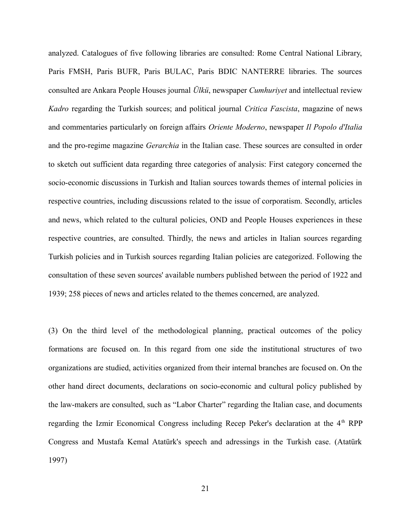analyzed. Catalogues of five following libraries are consulted: Rome Central National Library, Paris FMSH, Paris BUFR, Paris BULAC, Paris BDIC NANTERRE libraries. The sources consulted are Ankara People Houses journal *Ülkü*, newspaper *Cumhuriyet* and intellectual review *Kadro* regarding the Turkish sources; and political journal *Critica Fascista*, magazine of news and commentaries particularly on foreign affairs *Oriente Moderno*, newspaper *Il Popolo d'Italia* and the pro-regime magazine *Gerarchia* in the Italian case. These sources are consulted in order to sketch out sufficient data regarding three categories of analysis: First category concerned the socio-economic discussions in Turkish and Italian sources towards themes of internal policies in respective countries, including discussions related to the issue of corporatism. Secondly, articles and news, which related to the cultural policies, OND and People Houses experiences in these respective countries, are consulted. Thirdly, the news and articles in Italian sources regarding Turkish policies and in Turkish sources regarding Italian policies are categorized. Following the consultation of these seven sources' available numbers published between the period of 1922 and 1939; 258 pieces of news and articles related to the themes concerned, are analyzed.

(3) On the third level of the methodological planning, practical outcomes of the policy formations are focused on. In this regard from one side the institutional structures of two organizations are studied, activities organized from their internal branches are focused on. On the other hand direct documents, declarations on socio-economic and cultural policy published by the law-makers are consulted, such as "Labor Charter" regarding the Italian case, and documents regarding the Izmir Economical Congress including Recep Peker's declaration at the 4<sup>th</sup> RPP Congress and Mustafa Kemal Atatürk's speech and adressings in the Turkish case. (Atatürk 1997)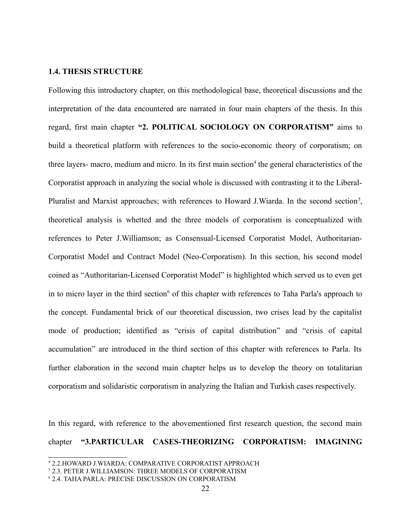#### **1.4. THESIS STRUCTURE**

Following this introductory chapter, on this methodological base, theoretical discussions and the interpretation of the data encountered are narrated in four main chapters of the thesis. In this regard, first main chapter **"2. POLITICAL SOCIOLOGY ON CORPORATISM"** aims to build a theoretical platform with references to the socio-economic theory of corporatism; on three layers- macro, medium and micro. In its first main section<sup>[4](#page-21-0)</sup> the general characteristics of the Corporatist approach in analyzing the social whole is discussed with contrasting it to the Liberal-Pluralist and Marxist approaches; with references to Howard J.Wiarda. In the second section<sup>[5](#page-21-1)</sup>, theoretical analysis is whetted and the three models of corporatism is conceptualized with references to Peter J.Williamson; as Consensual-Licensed Corporatist Model, Authoritarian-Corporatist Model and Contract Model (Neo-Corporatism). In this section, his second model coined as "Authoritarian-Licensed Corporatist Model" is highlighted which served us to even get in to micro layer in the third section<sup>[6](#page-21-2)</sup> of this chapter with references to Taha Parla's approach to the concept. Fundamental brick of our theoretical discussion, two crises lead by the capitalist mode of production; identified as "crisis of capital distribution" and "crisis of capital accumulation" are introduced in the third section of this chapter with references to Parla. Its further elaboration in the second main chapter helps us to develop the theory on totalitarian corporatism and solidaristic corporatism in analyzing the Italian and Turkish cases respectively.

In this regard, with reference to the abovementioned first research question, the second main chapter **"3.PARTICULAR CASES-THEORIZING CORPORATISM: IMAGINING**

<span id="page-21-0"></span><sup>4</sup> 2.2.HOWARD J.WIARDA: COMPARATIVE CORPORATIST APPROACH

<span id="page-21-1"></span><sup>5</sup> 2.3. PETER J.WILLIAMSON: THREE MODELS OF CORPORATISM

<span id="page-21-2"></span><sup>6</sup> 2.4. TAHA PARLA: PRECISE DISCUSSION ON CORPORATISM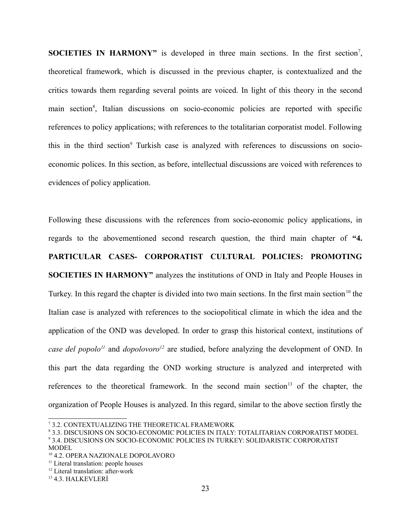**SOCIETIES IN HARMONY"** is developed in three main sections. In the first section<sup>[7](#page-22-0)</sup>, theoretical framework, which is discussed in the previous chapter, is contextualized and the critics towards them regarding several points are voiced. In light of this theory in the second main section<sup>[8](#page-22-1)</sup>, Italian discussions on socio-economic policies are reported with specific references to policy applications; with references to the totalitarian corporatist model. Following this in the third section<sup>[9](#page-22-2)</sup> Turkish case is analyzed with references to discussions on socioeconomic polices. In this section, as before, intellectual discussions are voiced with references to evidences of policy application.

Following these discussions with the references from socio-economic policy applications, in regards to the abovementioned second research question, the third main chapter of **"4. PARTICULAR CASES- CORPORATIST CULTURAL POLICIES: PROMOTING SOCIETIES IN HARMONY"** analyzes the institutions of OND in Italy and People Houses in Turkey. In this regard the chapter is divided into two main sections. In the first main section<sup>[10](#page-22-3)</sup> the Italian case is analyzed with references to the sociopolitical climate in which the idea and the application of the OND was developed. In order to grasp this historical context, institutions of *case del popolo[11](#page-22-4)* and *dopolovoro[12](#page-22-5)* are studied, before analyzing the development of OND. In this part the data regarding the OND working structure is analyzed and interpreted with references to the theoretical framework. In the second main section<sup>[13](#page-22-6)</sup> of the chapter, the organization of People Houses is analyzed. In this regard, similar to the above section firstly the

<span id="page-22-0"></span><sup>7</sup> 3.2. CONTEXTUALIZING THE THEORETICAL FRAMEWORK

<span id="page-22-1"></span><sup>8</sup> 3.3. DISCUSIONS ON SOCIO-ECONOMIC POLICIES IN ITALY: TOTALITARIAN CORPORATIST MODEL

<span id="page-22-2"></span><sup>9</sup> 3.4. DISCUSIONS ON SOCIO-ECONOMIC POLICIES IN TURKEY: SOLIDARISTIC CORPORATIST **MODEL** 

<span id="page-22-3"></span><sup>10</sup> 4.2. OPERA NAZIONALE DOPOLAVORO

<span id="page-22-4"></span> $11$  Literal translation: people houses

<span id="page-22-5"></span><sup>&</sup>lt;sup>12</sup> Literal translation: after-work

<span id="page-22-6"></span><sup>13</sup> 4.3. HALKEVLERİ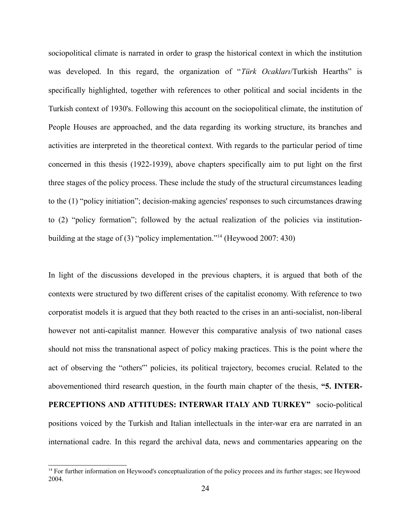sociopolitical climate is narrated in order to grasp the historical context in which the institution was developed. In this regard, the organization of "*Türk Ocakları*/Turkish Hearths" is specifically highlighted, together with references to other political and social incidents in the Turkish context of 1930's. Following this account on the sociopolitical climate, the institution of People Houses are approached, and the data regarding its working structure, its branches and activities are interpreted in the theoretical context. With regards to the particular period of time concerned in this thesis (1922-1939), above chapters specifically aim to put light on the first three stages of the policy process. These include the study of the structural circumstances leading to the (1) "policy initiation"; decision-making agencies' responses to such circumstances drawing to (2) "policy formation"; followed by the actual realization of the policies via institutionbuilding at the stage of (3) "policy implementation."[14](#page-23-0) (Heywood 2007: 430)

In light of the discussions developed in the previous chapters, it is argued that both of the contexts were structured by two different crises of the capitalist economy. With reference to two corporatist models it is argued that they both reacted to the crises in an anti-socialist, non-liberal however not anti-capitalist manner. However this comparative analysis of two national cases should not miss the transnational aspect of policy making practices. This is the point where the act of observing the "others'" policies, its political trajectory, becomes crucial. Related to the abovementioned third research question, in the fourth main chapter of the thesis, **"5. INTER-PERCEPTIONS AND ATTITUDES: INTERWAR ITALY AND TURKEY"** socio-political positions voiced by the Turkish and Italian intellectuals in the inter-war era are narrated in an international cadre. In this regard the archival data, news and commentaries appearing on the

<span id="page-23-0"></span><sup>&</sup>lt;sup>14</sup> For further information on Heywood's conceptualization of the policy procees and its further stages; see Heywood 2004.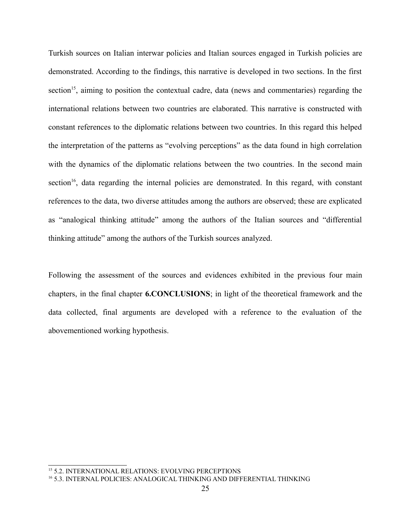Turkish sources on Italian interwar policies and Italian sources engaged in Turkish policies are demonstrated. According to the findings, this narrative is developed in two sections. In the first section<sup>[15](#page-24-0)</sup>, aiming to position the contextual cadre, data (news and commentaries) regarding the international relations between two countries are elaborated. This narrative is constructed with constant references to the diplomatic relations between two countries. In this regard this helped the interpretation of the patterns as "evolving perceptions" as the data found in high correlation with the dynamics of the diplomatic relations between the two countries. In the second main section<sup>[16](#page-24-1)</sup>, data regarding the internal policies are demonstrated. In this regard, with constant references to the data, two diverse attitudes among the authors are observed; these are explicated as "analogical thinking attitude" among the authors of the Italian sources and "differential thinking attitude" among the authors of the Turkish sources analyzed.

Following the assessment of the sources and evidences exhibited in the previous four main chapters, in the final chapter **6.CONCLUSIONS**; in light of the theoretical framework and the data collected, final arguments are developed with a reference to the evaluation of the abovementioned working hypothesis.

<span id="page-24-0"></span><sup>15</sup> 5.2. INTERNATIONAL RELATIONS: EVOLVING PERCEPTIONS

<span id="page-24-1"></span><sup>&</sup>lt;sup>16</sup> 5.3. INTERNAL POLICIES: ANALOGICAL THINKING AND DIFFERENTIAL THINKING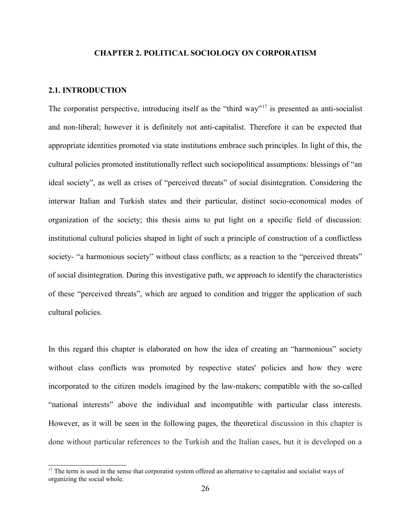#### **CHAPTER 2. POLITICAL SOCIOLOGY ON CORPORATISM**

#### **2.1. INTRODUCTION**

The corporatist perspective, introducing itself as the "third way"<sup>[17](#page-25-0)</sup> is presented as anti-socialist and non-liberal; however it is definitely not anti-capitalist. Therefore it can be expected that appropriate identities promoted via state institutions embrace such principles. In light of this, the cultural policies promoted institutionally reflect such sociopolitical assumptions: blessings of "an ideal society", as well as crises of "perceived threats" of social disintegration. Considering the interwar Italian and Turkish states and their particular, distinct socio-economical modes of organization of the society; this thesis aims to put light on a specific field of discussion: institutional cultural policies shaped in light of such a principle of construction of a conflictless society- "a harmonious society" without class conflicts; as a reaction to the "perceived threats" of social disintegration. During this investigative path, we approach to identify the characteristics of these "perceived threats", which are argued to condition and trigger the application of such cultural policies.

In this regard this chapter is elaborated on how the idea of creating an "harmonious" society without class conflicts was promoted by respective states' policies and how they were incorporated to the citizen models imagined by the law-makers; compatible with the so-called "national interests" above the individual and incompatible with particular class interests. However, as it will be seen in the following pages, the theoretical discussion in this chapter is done without particular references to the Turkish and the Italian cases, but it is developed on a

<span id="page-25-0"></span> $17$  The term is used in the sense that corporatist system offered an alternative to capitalist and socialist ways of organizing the social whole.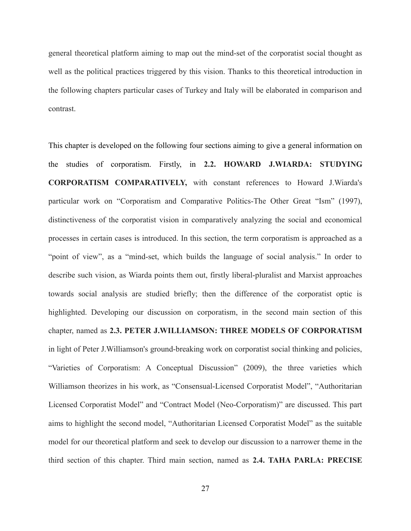general theoretical platform aiming to map out the mind-set of the corporatist social thought as well as the political practices triggered by this vision. Thanks to this theoretical introduction in the following chapters particular cases of Turkey and Italy will be elaborated in comparison and contrast.

This chapter is developed on the following four sections aiming to give a general information on the studies of corporatism. Firstly, in **2.2. HOWARD J.WIARDA: STUDYING CORPORATISM COMPARATIVELY,** with constant references to Howard J.Wiarda's particular work on "Corporatism and Comparative Politics-The Other Great "Ism" (1997), distinctiveness of the corporatist vision in comparatively analyzing the social and economical processes in certain cases is introduced. In this section, the term corporatism is approached as a "point of view", as a "mind-set, which builds the language of social analysis." In order to describe such vision, as Wiarda points them out, firstly liberal-pluralist and Marxist approaches towards social analysis are studied briefly; then the difference of the corporatist optic is highlighted. Developing our discussion on corporatism, in the second main section of this chapter, named as **2.3. PETER J.WILLIAMSON: THREE MODELS OF CORPORATISM** in light of Peter J.Williamson's ground-breaking work on corporatist social thinking and policies, "Varieties of Corporatism: A Conceptual Discussion" (2009), the three varieties which Williamson theorizes in his work, as "Consensual-Licensed Corporatist Model", "Authoritarian Licensed Corporatist Model" and "Contract Model (Neo-Corporatism)" are discussed. This part aims to highlight the second model, "Authoritarian Licensed Corporatist Model" as the suitable model for our theoretical platform and seek to develop our discussion to a narrower theme in the third section of this chapter. Third main section, named as **2.4. TAHA PARLA: PRECISE**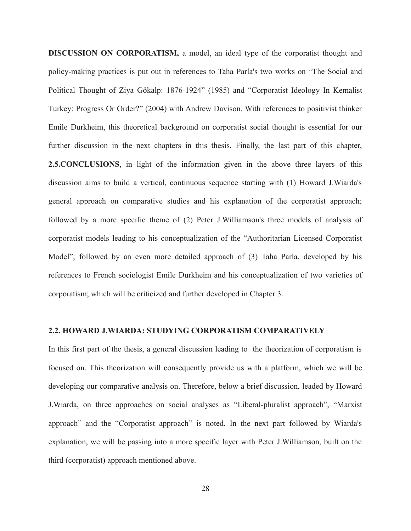**DISCUSSION ON CORPORATISM,** a model, an ideal type of the corporatist thought and policy-making practices is put out in references to Taha Parla's two works on "The Social and Political Thought of Ziya Gökalp: 1876-1924" (1985) and "Corporatist Ideology In Kemalist Turkey: Progress Or Order?" (2004) with Andrew Davison. With references to positivist thinker Emile Durkheim, this theoretical background on corporatist social thought is essential for our further discussion in the next chapters in this thesis. Finally, the last part of this chapter, **2.5.CONCLUSIONS**, in light of the information given in the above three layers of this discussion aims to build a vertical, continuous sequence starting with (1) Howard J.Wiarda's general approach on comparative studies and his explanation of the corporatist approach; followed by a more specific theme of (2) Peter J.Williamson's three models of analysis of corporatist models leading to his conceptualization of the "Authoritarian Licensed Corporatist Model"; followed by an even more detailed approach of (3) Taha Parla, developed by his references to French sociologist Emile Durkheim and his conceptualization of two varieties of corporatism; which will be criticized and further developed in Chapter 3.

#### **2.2. HOWARD J.WIARDA: STUDYING CORPORATISM COMPARATIVELY**

In this first part of the thesis, a general discussion leading to the theorization of corporatism is focused on. This theorization will consequently provide us with a platform, which we will be developing our comparative analysis on. Therefore, below a brief discussion, leaded by Howard J.Wiarda, on three approaches on social analyses as "Liberal-pluralist approach", "Marxist approach" and the "Corporatist approach" is noted. In the next part followed by Wiarda's explanation, we will be passing into a more specific layer with Peter J.Williamson, built on the third (corporatist) approach mentioned above.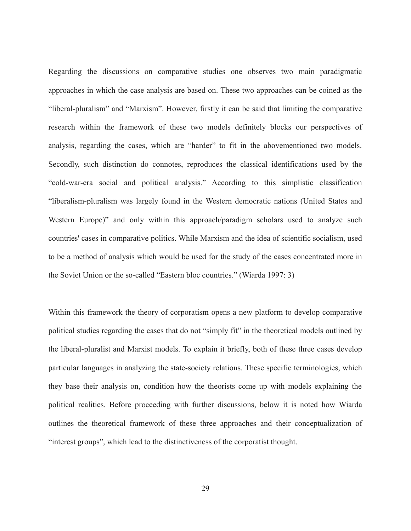Regarding the discussions on comparative studies one observes two main paradigmatic approaches in which the case analysis are based on. These two approaches can be coined as the "liberal-pluralism" and "Marxism". However, firstly it can be said that limiting the comparative research within the framework of these two models definitely blocks our perspectives of analysis, regarding the cases, which are "harder" to fit in the abovementioned two models. Secondly, such distinction do connotes, reproduces the classical identifications used by the "cold-war-era social and political analysis." According to this simplistic classification "liberalism-pluralism was largely found in the Western democratic nations (United States and Western Europe)" and only within this approach/paradigm scholars used to analyze such countries' cases in comparative politics. While Marxism and the idea of scientific socialism, used to be a method of analysis which would be used for the study of the cases concentrated more in the Soviet Union or the so-called "Eastern bloc countries." (Wiarda 1997: 3)

Within this framework the theory of corporatism opens a new platform to develop comparative political studies regarding the cases that do not "simply fit" in the theoretical models outlined by the liberal-pluralist and Marxist models. To explain it briefly, both of these three cases develop particular languages in analyzing the state-society relations. These specific terminologies, which they base their analysis on, condition how the theorists come up with models explaining the political realities. Before proceeding with further discussions, below it is noted how Wiarda outlines the theoretical framework of these three approaches and their conceptualization of "interest groups", which lead to the distinctiveness of the corporatist thought.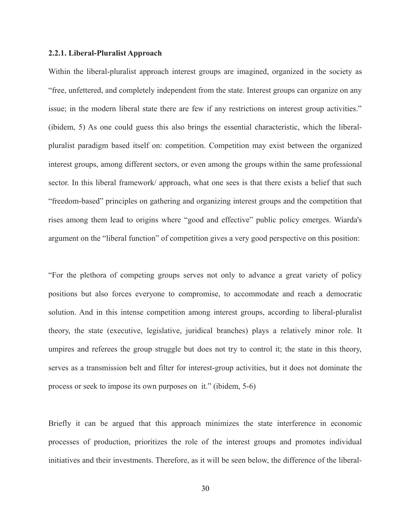#### **2.2.1. Liberal-Pluralist Approach**

Within the liberal-pluralist approach interest groups are imagined, organized in the society as "free, unfettered, and completely independent from the state. Interest groups can organize on any issue; in the modern liberal state there are few if any restrictions on interest group activities." (ibidem, 5) As one could guess this also brings the essential characteristic, which the liberalpluralist paradigm based itself on: competition. Competition may exist between the organized interest groups, among different sectors, or even among the groups within the same professional sector. In this liberal framework/ approach, what one sees is that there exists a belief that such "freedom-based" principles on gathering and organizing interest groups and the competition that rises among them lead to origins where "good and effective" public policy emerges. Wiarda's argument on the "liberal function" of competition gives a very good perspective on this position:

"For the plethora of competing groups serves not only to advance a great variety of policy positions but also forces everyone to compromise, to accommodate and reach a democratic solution. And in this intense competition among interest groups, according to liberal-pluralist theory, the state (executive, legislative, juridical branches) plays a relatively minor role. It umpires and referees the group struggle but does not try to control it; the state in this theory, serves as a transmission belt and filter for interest-group activities, but it does not dominate the process or seek to impose its own purposes on it." (ibidem, 5-6)

Briefly it can be argued that this approach minimizes the state interference in economic processes of production, prioritizes the role of the interest groups and promotes individual initiatives and their investments. Therefore, as it will be seen below, the difference of the liberal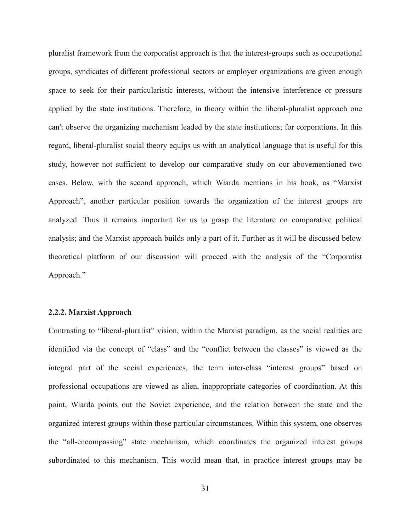pluralist framework from the corporatist approach is that the interest-groups such as occupational groups, syndicates of different professional sectors or employer organizations are given enough space to seek for their particularistic interests, without the intensive interference or pressure applied by the state institutions. Therefore, in theory within the liberal-pluralist approach one can't observe the organizing mechanism leaded by the state institutions; for corporations. In this regard, liberal-pluralist social theory equips us with an analytical language that is useful for this study, however not sufficient to develop our comparative study on our abovementioned two cases. Below, with the second approach, which Wiarda mentions in his book, as "Marxist Approach", another particular position towards the organization of the interest groups are analyzed. Thus it remains important for us to grasp the literature on comparative political analysis; and the Marxist approach builds only a part of it. Further as it will be discussed below theoretical platform of our discussion will proceed with the analysis of the "Corporatist Approach."

#### **2.2.2. Marxist Approach**

Contrasting to "liberal-pluralist" vision, within the Marxist paradigm, as the social realities are identified via the concept of "class" and the "conflict between the classes" is viewed as the integral part of the social experiences, the term inter-class "interest groups" based on professional occupations are viewed as alien, inappropriate categories of coordination. At this point, Wiarda points out the Soviet experience, and the relation between the state and the organized interest groups within those particular circumstances. Within this system, one observes the "all-encompassing" state mechanism, which coordinates the organized interest groups subordinated to this mechanism. This would mean that, in practice interest groups may be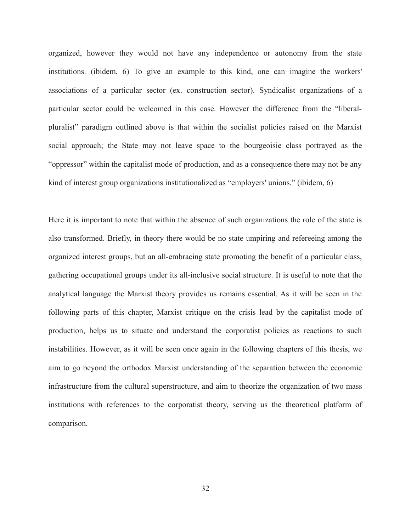organized, however they would not have any independence or autonomy from the state institutions. (ibidem, 6) To give an example to this kind, one can imagine the workers' associations of a particular sector (ex. construction sector). Syndicalist organizations of a particular sector could be welcomed in this case. However the difference from the "liberalpluralist" paradigm outlined above is that within the socialist policies raised on the Marxist social approach; the State may not leave space to the bourgeoisie class portrayed as the "oppressor" within the capitalist mode of production, and as a consequence there may not be any kind of interest group organizations institutionalized as "employers' unions." (ibidem, 6)

Here it is important to note that within the absence of such organizations the role of the state is also transformed. Briefly, in theory there would be no state umpiring and refereeing among the organized interest groups, but an all-embracing state promoting the benefit of a particular class, gathering occupational groups under its all-inclusive social structure. It is useful to note that the analytical language the Marxist theory provides us remains essential. As it will be seen in the following parts of this chapter, Marxist critique on the crisis lead by the capitalist mode of production, helps us to situate and understand the corporatist policies as reactions to such instabilities. However, as it will be seen once again in the following chapters of this thesis, we aim to go beyond the orthodox Marxist understanding of the separation between the economic infrastructure from the cultural superstructure, and aim to theorize the organization of two mass institutions with references to the corporatist theory, serving us the theoretical platform of comparison.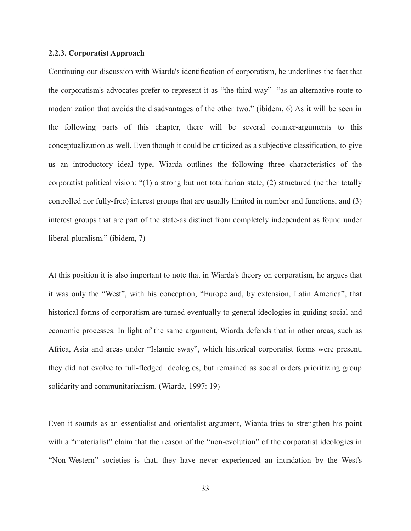#### **2.2.3. Corporatist Approach**

Continuing our discussion with Wiarda's identification of corporatism, he underlines the fact that the corporatism's advocates prefer to represent it as "the third way"- "as an alternative route to modernization that avoids the disadvantages of the other two." (ibidem, 6) As it will be seen in the following parts of this chapter, there will be several counter-arguments to this conceptualization as well. Even though it could be criticized as a subjective classification, to give us an introductory ideal type, Wiarda outlines the following three characteristics of the corporatist political vision: "(1) a strong but not totalitarian state, (2) structured (neither totally controlled nor fully-free) interest groups that are usually limited in number and functions, and (3) interest groups that are part of the state-as distinct from completely independent as found under liberal-pluralism." (ibidem, 7)

At this position it is also important to note that in Wiarda's theory on corporatism, he argues that it was only the "West", with his conception, "Europe and, by extension, Latin America", that historical forms of corporatism are turned eventually to general ideologies in guiding social and economic processes. In light of the same argument, Wiarda defends that in other areas, such as Africa, Asia and areas under "Islamic sway", which historical corporatist forms were present, they did not evolve to full-fledged ideologies, but remained as social orders prioritizing group solidarity and communitarianism. (Wiarda, 1997: 19)

Even it sounds as an essentialist and orientalist argument, Wiarda tries to strengthen his point with a "materialist" claim that the reason of the "non-evolution" of the corporatist ideologies in "Non-Western" societies is that, they have never experienced an inundation by the West's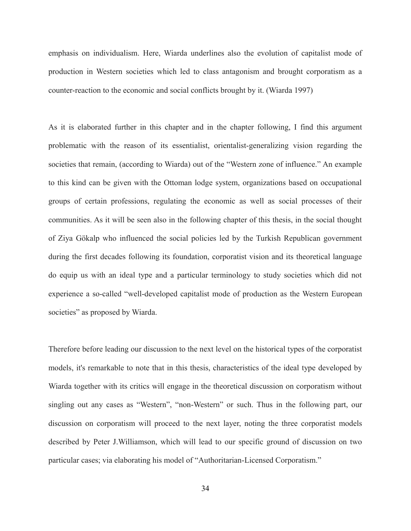emphasis on individualism. Here, Wiarda underlines also the evolution of capitalist mode of production in Western societies which led to class antagonism and brought corporatism as a counter-reaction to the economic and social conflicts brought by it. (Wiarda 1997)

As it is elaborated further in this chapter and in the chapter following, I find this argument problematic with the reason of its essentialist, orientalist-generalizing vision regarding the societies that remain, (according to Wiarda) out of the "Western zone of influence." An example to this kind can be given with the Ottoman lodge system, organizations based on occupational groups of certain professions, regulating the economic as well as social processes of their communities. As it will be seen also in the following chapter of this thesis, in the social thought of Ziya Gökalp who influenced the social policies led by the Turkish Republican government during the first decades following its foundation, corporatist vision and its theoretical language do equip us with an ideal type and a particular terminology to study societies which did not experience a so-called "well-developed capitalist mode of production as the Western European societies" as proposed by Wiarda.

Therefore before leading our discussion to the next level on the historical types of the corporatist models, it's remarkable to note that in this thesis, characteristics of the ideal type developed by Wiarda together with its critics will engage in the theoretical discussion on corporatism without singling out any cases as "Western", "non-Western" or such. Thus in the following part, our discussion on corporatism will proceed to the next layer, noting the three corporatist models described by Peter J.Williamson, which will lead to our specific ground of discussion on two particular cases; via elaborating his model of "Authoritarian-Licensed Corporatism."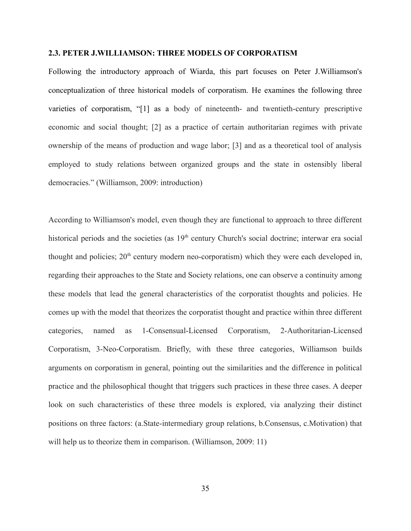#### **2.3. PETER J.WILLIAMSON: THREE MODELS OF CORPORATISM**

Following the introductory approach of Wiarda, this part focuses on Peter J.Williamson's conceptualization of three historical models of corporatism. He examines the following three varieties of corporatism, "[1] as a body of nineteenth- and twentieth-century prescriptive economic and social thought; [2] as a practice of certain authoritarian regimes with private ownership of the means of production and wage labor; [3] and as a theoretical tool of analysis employed to study relations between organized groups and the state in ostensibly liberal democracies." (Williamson, 2009: introduction)

According to Williamson's model, even though they are functional to approach to three different historical periods and the societies (as 19<sup>th</sup> century Church's social doctrine; interwar era social thought and policies;  $20<sup>th</sup>$  century modern neo-corporatism) which they were each developed in, regarding their approaches to the State and Society relations, one can observe a continuity among these models that lead the general characteristics of the corporatist thoughts and policies. He comes up with the model that theorizes the corporatist thought and practice within three different categories, named as 1-Consensual-Licensed Corporatism, 2-Authoritarian-Licensed Corporatism, 3-Neo-Corporatism. Briefly, with these three categories, Williamson builds arguments on corporatism in general, pointing out the similarities and the difference in political practice and the philosophical thought that triggers such practices in these three cases. A deeper look on such characteristics of these three models is explored, via analyzing their distinct positions on three factors: (a.State-intermediary group relations, b.Consensus, c.Motivation) that will help us to theorize them in comparison. (Williamson, 2009: 11)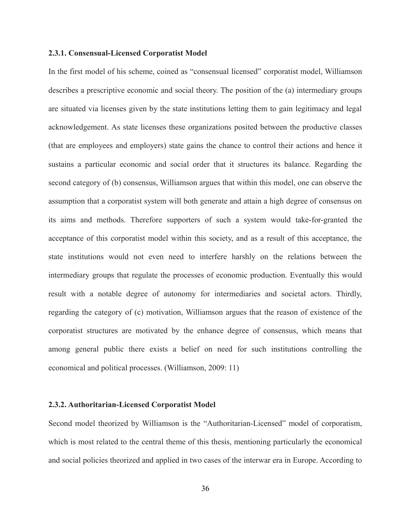#### **2.3.1. Consensual-Licensed Corporatist Model**

In the first model of his scheme, coined as "consensual licensed" corporatist model, Williamson describes a prescriptive economic and social theory. The position of the (a) intermediary groups are situated via licenses given by the state institutions letting them to gain legitimacy and legal acknowledgement. As state licenses these organizations posited between the productive classes (that are employees and employers) state gains the chance to control their actions and hence it sustains a particular economic and social order that it structures its balance. Regarding the second category of (b) consensus, Williamson argues that within this model, one can observe the assumption that a corporatist system will both generate and attain a high degree of consensus on its aims and methods. Therefore supporters of such a system would take-for-granted the acceptance of this corporatist model within this society, and as a result of this acceptance, the state institutions would not even need to interfere harshly on the relations between the intermediary groups that regulate the processes of economic production. Eventually this would result with a notable degree of autonomy for intermediaries and societal actors. Thirdly, regarding the category of (c) motivation, Williamson argues that the reason of existence of the corporatist structures are motivated by the enhance degree of consensus, which means that among general public there exists a belief on need for such institutions controlling the economical and political processes. (Williamson, 2009: 11)

#### **2.3.2. Authoritarian-Licensed Corporatist Model**

Second model theorized by Williamson is the "Authoritarian-Licensed" model of corporatism, which is most related to the central theme of this thesis, mentioning particularly the economical and social policies theorized and applied in two cases of the interwar era in Europe. According to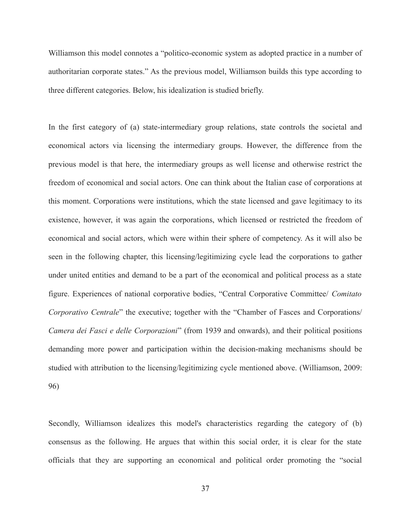Williamson this model connotes a "politico-economic system as adopted practice in a number of authoritarian corporate states." As the previous model, Williamson builds this type according to three different categories. Below, his idealization is studied briefly.

In the first category of (a) state-intermediary group relations, state controls the societal and economical actors via licensing the intermediary groups. However, the difference from the previous model is that here, the intermediary groups as well license and otherwise restrict the freedom of economical and social actors. One can think about the Italian case of corporations at this moment. Corporations were institutions, which the state licensed and gave legitimacy to its existence, however, it was again the corporations, which licensed or restricted the freedom of economical and social actors, which were within their sphere of competency. As it will also be seen in the following chapter, this licensing/legitimizing cycle lead the corporations to gather under united entities and demand to be a part of the economical and political process as a state figure. Experiences of national corporative bodies, "Central Corporative Committee/ *Comitato Corporativo Centrale*" the executive; together with the "Chamber of Fasces and Corporations/ *Camera dei Fasci e delle Corporazioni*" (from 1939 and onwards), and their political positions demanding more power and participation within the decision-making mechanisms should be studied with attribution to the licensing/legitimizing cycle mentioned above. (Williamson, 2009: 96)

Secondly, Williamson idealizes this model's characteristics regarding the category of (b) consensus as the following. He argues that within this social order, it is clear for the state officials that they are supporting an economical and political order promoting the "social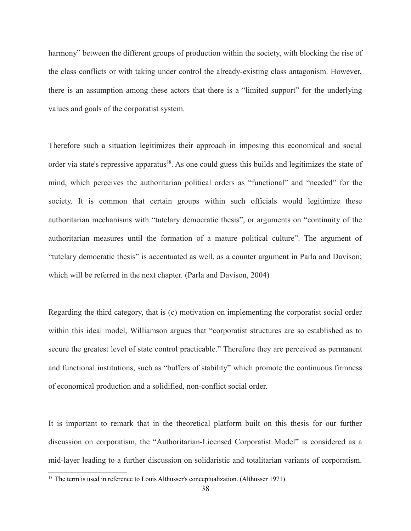harmony" between the different groups of production within the society, with blocking the rise of the class conflicts or with taking under control the already-existing class antagonism. However, there is an assumption among these actors that there is a "limited support" for the underlying values and goals of the corporatist system.

Therefore such a situation legitimizes their approach in imposing this economical and social order via state's repressive apparatus<sup>[18](#page-37-0)</sup>. As one could guess this builds and legitimizes the state of mind, which perceives the authoritarian political orders as "functional" and "needed" for the society. It is common that certain groups within such officials would legitimize these authoritarian mechanisms with "tutelary democratic thesis", or arguments on "continuity of the authoritarian measures until the formation of a mature political culture". The argument of "tutelary democratic thesis" is accentuated as well, as a counter argument in Parla and Davison; which will be referred in the next chapter. (Parla and Davison, 2004)

Regarding the third category, that is (c) motivation on implementing the corporatist social order within this ideal model, Williamson argues that "corporatist structures are so established as to secure the greatest level of state control practicable." Therefore they are perceived as permanent and functional institutions, such as "buffers of stability" which promote the continuous firmness of economical production and a solidified, non-conflict social order.

It is important to remark that in the theoretical platform built on this thesis for our further discussion on corporatism, the "Authoritarian-Licensed Corporatist Model" is considered as a mid-layer leading to a further discussion on solidaristic and totalitarian variants of corporatism.

<span id="page-37-0"></span><sup>&</sup>lt;sup>18</sup> The term is used in reference to Louis Althusser's conceptualization. (Althusser 1971)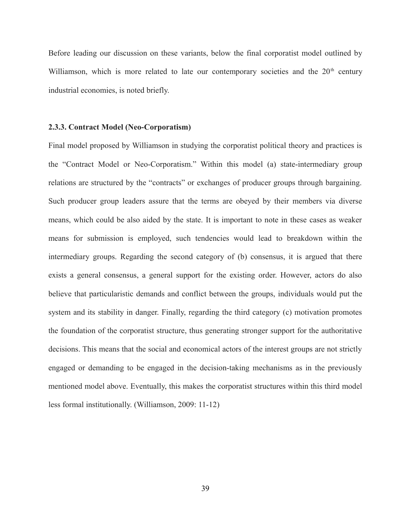Before leading our discussion on these variants, below the final corporatist model outlined by Williamson, which is more related to late our contemporary societies and the  $20<sup>th</sup>$  century industrial economies, is noted briefly.

#### **2.3.3. Contract Model (Neo-Corporatism)**

Final model proposed by Williamson in studying the corporatist political theory and practices is the "Contract Model or Neo-Corporatism." Within this model (a) state-intermediary group relations are structured by the "contracts" or exchanges of producer groups through bargaining. Such producer group leaders assure that the terms are obeyed by their members via diverse means, which could be also aided by the state. It is important to note in these cases as weaker means for submission is employed, such tendencies would lead to breakdown within the intermediary groups. Regarding the second category of (b) consensus, it is argued that there exists a general consensus, a general support for the existing order. However, actors do also believe that particularistic demands and conflict between the groups, individuals would put the system and its stability in danger. Finally, regarding the third category (c) motivation promotes the foundation of the corporatist structure, thus generating stronger support for the authoritative decisions. This means that the social and economical actors of the interest groups are not strictly engaged or demanding to be engaged in the decision-taking mechanisms as in the previously mentioned model above. Eventually, this makes the corporatist structures within this third model less formal institutionally. (Williamson, 2009: 11-12)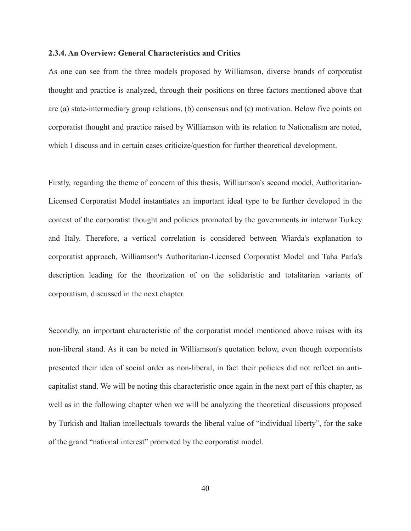## **2.3.4. An Overview: General Characteristics and Critics**

As one can see from the three models proposed by Williamson, diverse brands of corporatist thought and practice is analyzed, through their positions on three factors mentioned above that are (a) state-intermediary group relations, (b) consensus and (c) motivation. Below five points on corporatist thought and practice raised by Williamson with its relation to Nationalism are noted, which I discuss and in certain cases criticize/question for further theoretical development.

Firstly, regarding the theme of concern of this thesis, Williamson's second model, Authoritarian-Licensed Corporatist Model instantiates an important ideal type to be further developed in the context of the corporatist thought and policies promoted by the governments in interwar Turkey and Italy. Therefore, a vertical correlation is considered between Wiarda's explanation to corporatist approach, Williamson's Authoritarian-Licensed Corporatist Model and Taha Parla's description leading for the theorization of on the solidaristic and totalitarian variants of corporatism, discussed in the next chapter.

Secondly, an important characteristic of the corporatist model mentioned above raises with its non-liberal stand. As it can be noted in Williamson's quotation below, even though corporatists presented their idea of social order as non-liberal, in fact their policies did not reflect an anticapitalist stand. We will be noting this characteristic once again in the next part of this chapter, as well as in the following chapter when we will be analyzing the theoretical discussions proposed by Turkish and Italian intellectuals towards the liberal value of "individual liberty", for the sake of the grand "national interest" promoted by the corporatist model.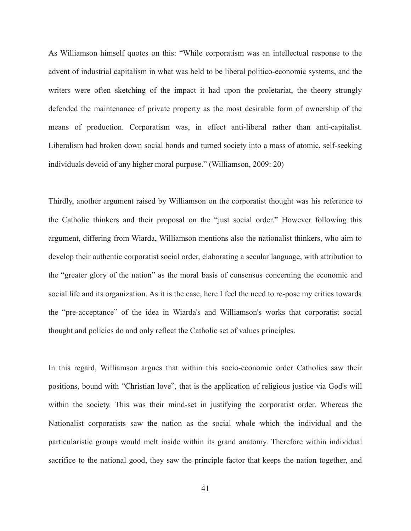As Williamson himself quotes on this: "While corporatism was an intellectual response to the advent of industrial capitalism in what was held to be liberal politico-economic systems, and the writers were often sketching of the impact it had upon the proletariat, the theory strongly defended the maintenance of private property as the most desirable form of ownership of the means of production. Corporatism was, in effect anti-liberal rather than anti-capitalist. Liberalism had broken down social bonds and turned society into a mass of atomic, self-seeking individuals devoid of any higher moral purpose." (Williamson, 2009: 20)

Thirdly, another argument raised by Williamson on the corporatist thought was his reference to the Catholic thinkers and their proposal on the "just social order." However following this argument, differing from Wiarda, Williamson mentions also the nationalist thinkers, who aim to develop their authentic corporatist social order, elaborating a secular language, with attribution to the "greater glory of the nation" as the moral basis of consensus concerning the economic and social life and its organization. As it is the case, here I feel the need to re-pose my critics towards the "pre-acceptance" of the idea in Wiarda's and Williamson's works that corporatist social thought and policies do and only reflect the Catholic set of values principles.

In this regard, Williamson argues that within this socio-economic order Catholics saw their positions, bound with "Christian love", that is the application of religious justice via God's will within the society. This was their mind-set in justifying the corporatist order. Whereas the Nationalist corporatists saw the nation as the social whole which the individual and the particularistic groups would melt inside within its grand anatomy. Therefore within individual sacrifice to the national good, they saw the principle factor that keeps the nation together, and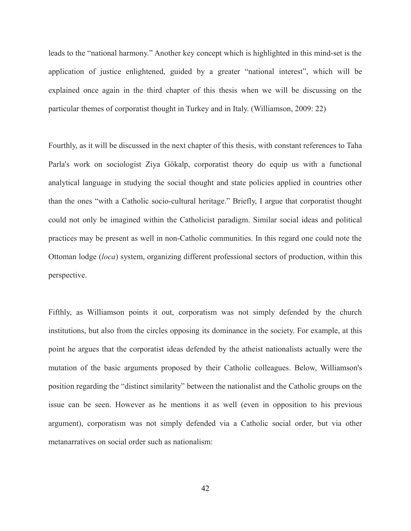leads to the "national harmony." Another key concept which is highlighted in this mind-set is the application of justice enlightened, guided by a greater "national interest", which will be explained once again in the third chapter of this thesis when we will be discussing on the particular themes of corporatist thought in Turkey and in Italy. (Williamson, 2009: 22)

Fourthly, as it will be discussed in the next chapter of this thesis, with constant references to Taha Parla's work on sociologist Ziya Gökalp, corporatist theory do equip us with a functional analytical language in studying the social thought and state policies applied in countries other than the ones "with a Catholic socio-cultural heritage." Briefly, I argue that corporatist thought could not only be imagined within the Catholicist paradigm. Similar social ideas and political practices may be present as well in non-Catholic communities. In this regard one could note the Ottoman lodge (*loca*) system, organizing different professional sectors of production, within this perspective.

Fifthly, as Williamson points it out, corporatism was not simply defended by the church institutions, but also from the circles opposing its dominance in the society. For example, at this point he argues that the corporatist ideas defended by the atheist nationalists actually were the mutation of the basic arguments proposed by their Catholic colleagues. Below, Williamson's position regarding the "distinct similarity" between the nationalist and the Catholic groups on the issue can be seen. However as he mentions it as well (even in opposition to his previous argument), corporatism was not simply defended via a Catholic social order, but via other metanarratives on social order such as nationalism: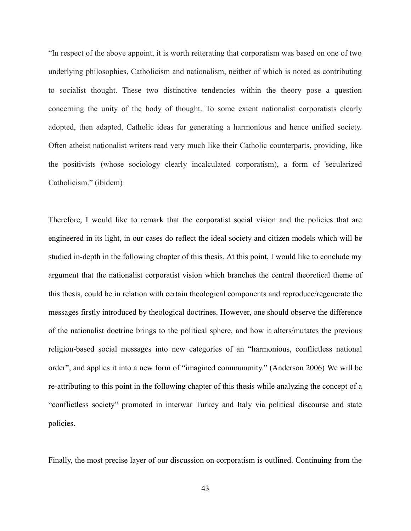"In respect of the above appoint, it is worth reiterating that corporatism was based on one of two underlying philosophies, Catholicism and nationalism, neither of which is noted as contributing to socialist thought. These two distinctive tendencies within the theory pose a question concerning the unity of the body of thought. To some extent nationalist corporatists clearly adopted, then adapted, Catholic ideas for generating a harmonious and hence unified society. Often atheist nationalist writers read very much like their Catholic counterparts, providing, like the positivists (whose sociology clearly incalculated corporatism), a form of 'secularized Catholicism." (ibidem)

Therefore, I would like to remark that the corporatist social vision and the policies that are engineered in its light, in our cases do reflect the ideal society and citizen models which will be studied in-depth in the following chapter of this thesis. At this point, I would like to conclude my argument that the nationalist corporatist vision which branches the central theoretical theme of this thesis, could be in relation with certain theological components and reproduce/regenerate the messages firstly introduced by theological doctrines. However, one should observe the difference of the nationalist doctrine brings to the political sphere, and how it alters/mutates the previous religion-based social messages into new categories of an "harmonious, conflictless national order", and applies it into a new form of "imagined commununity." (Anderson 2006) We will be re-attributing to this point in the following chapter of this thesis while analyzing the concept of a "conflictless society" promoted in interwar Turkey and Italy via political discourse and state policies.

Finally, the most precise layer of our discussion on corporatism is outlined. Continuing from the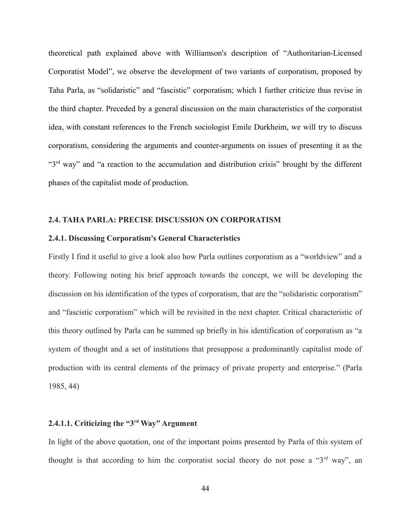theoretical path explained above with Williamson's description of "Authoritarian-Licensed Corporatist Model", we observe the development of two variants of corporatism, proposed by Taha Parla, as "solidaristic" and "fascistic" corporatism; which I further criticize thus revise in the third chapter. Preceded by a general discussion on the main characteristics of the corporatist idea, with constant references to the French sociologist Emile Durkheim, we will try to discuss corporatism, considering the arguments and counter-arguments on issues of presenting it as the "3<sup>rd</sup> way" and "a reaction to the accumulation and distribution crisis" brought by the different phases of the capitalist mode of production.

#### **2.4. TAHA PARLA: PRECISE DISCUSSION ON CORPORATISM**

## **2.4.1. Discussing Corporatism's General Characteristics**

Firstly I find it useful to give a look also how Parla outlines corporatism as a "worldview" and a theory. Following noting his brief approach towards the concept, we will be developing the discussion on his identification of the types of corporatism, that are the "solidaristic corporatism" and "fascistic corporatism" which will be revisited in the next chapter. Critical characteristic of this theory outlined by Parla can be summed up briefly in his identification of corporatism as "a system of thought and a set of institutions that presuppose a predominantly capitalist mode of production with its central elements of the primacy of private property and enterprise." (Parla 1985, 44)

## **2.4.1.1. Criticizing the "3rd Way" Argument**

In light of the above quotation, one of the important points presented by Parla of this system of thought is that according to him the corporatist social theory do not pose a "3rd way", an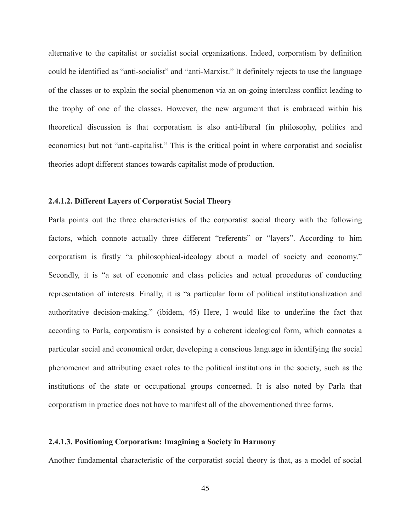alternative to the capitalist or socialist social organizations. Indeed, corporatism by definition could be identified as "anti-socialist" and "anti-Marxist." It definitely rejects to use the language of the classes or to explain the social phenomenon via an on-going interclass conflict leading to the trophy of one of the classes. However, the new argument that is embraced within his theoretical discussion is that corporatism is also anti-liberal (in philosophy, politics and economics) but not "anti-capitalist." This is the critical point in where corporatist and socialist theories adopt different stances towards capitalist mode of production.

## **2.4.1.2. Different Layers of Corporatist Social Theory**

Parla points out the three characteristics of the corporatist social theory with the following factors, which connote actually three different "referents" or "layers". According to him corporatism is firstly "a philosophical-ideology about a model of society and economy." Secondly, it is "a set of economic and class policies and actual procedures of conducting representation of interests. Finally, it is "a particular form of political institutionalization and authoritative decision-making." (ibidem, 45) Here, I would like to underline the fact that according to Parla, corporatism is consisted by a coherent ideological form, which connotes a particular social and economical order, developing a conscious language in identifying the social phenomenon and attributing exact roles to the political institutions in the society, such as the institutions of the state or occupational groups concerned. It is also noted by Parla that corporatism in practice does not have to manifest all of the abovementioned three forms.

## **2.4.1.3. Positioning Corporatism: Imagining a Society in Harmony**

Another fundamental characteristic of the corporatist social theory is that, as a model of social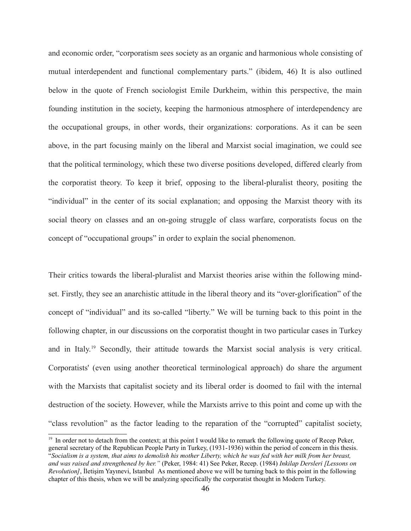and economic order, "corporatism sees society as an organic and harmonious whole consisting of mutual interdependent and functional complementary parts." (ibidem, 46) It is also outlined below in the quote of French sociologist Emile Durkheim, within this perspective, the main founding institution in the society, keeping the harmonious atmosphere of interdependency are the occupational groups, in other words, their organizations: corporations. As it can be seen above, in the part focusing mainly on the liberal and Marxist social imagination, we could see that the political terminology, which these two diverse positions developed, differed clearly from the corporatist theory. To keep it brief, opposing to the liberal-pluralist theory, positing the "individual" in the center of its social explanation; and opposing the Marxist theory with its social theory on classes and an on-going struggle of class warfare, corporatists focus on the concept of "occupational groups" in order to explain the social phenomenon.

Their critics towards the liberal-pluralist and Marxist theories arise within the following mindset. Firstly, they see an anarchistic attitude in the liberal theory and its "over-glorification" of the concept of "individual" and its so-called "liberty." We will be turning back to this point in the following chapter, in our discussions on the corporatist thought in two particular cases in Turkey and in Italy.<sup>[19](#page-45-0)</sup> Secondly, their attitude towards the Marxist social analysis is very critical. Corporatists' (even using another theoretical terminological approach) do share the argument with the Marxists that capitalist society and its liberal order is doomed to fail with the internal destruction of the society. However, while the Marxists arrive to this point and come up with the "class revolution" as the factor leading to the reparation of the "corrupted" capitalist society,

<span id="page-45-0"></span> $19$  In order not to detach from the context; at this point I would like to remark the following quote of Recep Peker, general secretary of the Republican People Party in Turkey, (1931-1936) within the period of concern in this thesis. "*Socialism is a system, that aims to demolish his mother Liberty, which he was fed with her milk from her breast, and was raised and strengthened by her."* (Peker, 1984: 41) See Peker, Recep. (1984) *Inkilap Dersleri [Lessons on Revolution]*, İletişim Yayınevi, Istanbul As mentioned above we will be turning back to this point in the following chapter of this thesis, when we will be analyzing specifically the corporatist thought in Modern Turkey.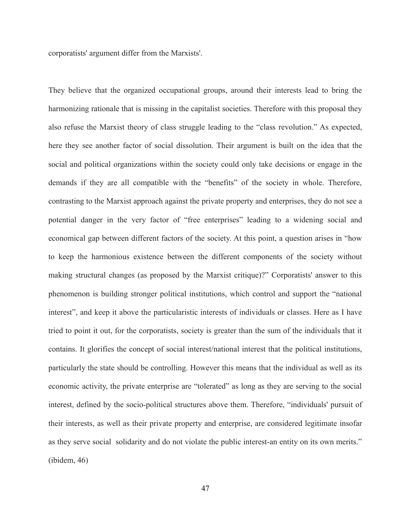corporatists' argument differ from the Marxists'.

They believe that the organized occupational groups, around their interests lead to bring the harmonizing rationale that is missing in the capitalist societies. Therefore with this proposal they also refuse the Marxist theory of class struggle leading to the "class revolution." As expected, here they see another factor of social dissolution. Their argument is built on the idea that the social and political organizations within the society could only take decisions or engage in the demands if they are all compatible with the "benefits" of the society in whole. Therefore, contrasting to the Marxist approach against the private property and enterprises, they do not see a potential danger in the very factor of "free enterprises" leading to a widening social and economical gap between different factors of the society. At this point, a question arises in "how to keep the harmonious existence between the different components of the society without making structural changes (as proposed by the Marxist critique)?" Corporatists' answer to this phenomenon is building stronger political institutions, which control and support the "national interest", and keep it above the particularistic interests of individuals or classes. Here as I have tried to point it out, for the corporatists, society is greater than the sum of the individuals that it contains. It glorifies the concept of social interest/national interest that the political institutions, particularly the state should be controlling. However this means that the individual as well as its economic activity, the private enterprise are "tolerated" as long as they are serving to the social interest, defined by the socio-political structures above them. Therefore, "individuals' pursuit of their interests, as well as their private property and enterprise, are considered legitimate insofar as they serve social solidarity and do not violate the public interest-an entity on its own merits." (ibidem, 46)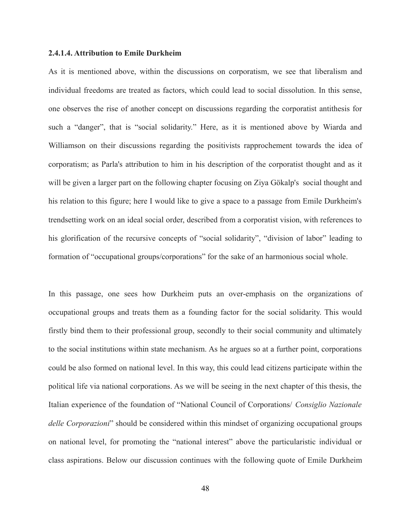## **2.4.1.4. Attribution to Emile Durkheim**

As it is mentioned above, within the discussions on corporatism, we see that liberalism and individual freedoms are treated as factors, which could lead to social dissolution. In this sense, one observes the rise of another concept on discussions regarding the corporatist antithesis for such a "danger", that is "social solidarity." Here, as it is mentioned above by Wiarda and Williamson on their discussions regarding the positivists rapprochement towards the idea of corporatism; as Parla's attribution to him in his description of the corporatist thought and as it will be given a larger part on the following chapter focusing on Ziya Gökalp's social thought and his relation to this figure; here I would like to give a space to a passage from Emile Durkheim's trendsetting work on an ideal social order, described from a corporatist vision, with references to his glorification of the recursive concepts of "social solidarity", "division of labor" leading to formation of "occupational groups/corporations" for the sake of an harmonious social whole.

In this passage, one sees how Durkheim puts an over-emphasis on the organizations of occupational groups and treats them as a founding factor for the social solidarity. This would firstly bind them to their professional group, secondly to their social community and ultimately to the social institutions within state mechanism. As he argues so at a further point, corporations could be also formed on national level. In this way, this could lead citizens participate within the political life via national corporations. As we will be seeing in the next chapter of this thesis, the Italian experience of the foundation of "National Council of Corporations/ *Consiglio Nazionale delle Corporazioni*" should be considered within this mindset of organizing occupational groups on national level, for promoting the "national interest" above the particularistic individual or class aspirations. Below our discussion continues with the following quote of Emile Durkheim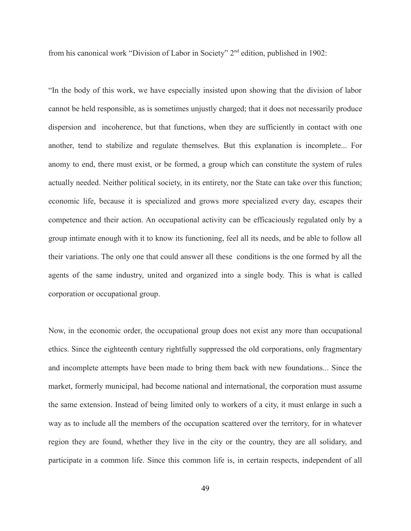from his canonical work "Division of Labor in Society" 2<sup>nd</sup> edition, published in 1902:

"In the body of this work, we have especially insisted upon showing that the division of labor cannot be held responsible, as is sometimes unjustly charged; that it does not necessarily produce dispersion and incoherence, but that functions, when they are sufficiently in contact with one another, tend to stabilize and regulate themselves. But this explanation is incomplete... For anomy to end, there must exist, or be formed, a group which can constitute the system of rules actually needed. Neither political society, in its entirety, nor the State can take over this function; economic life, because it is specialized and grows more specialized every day, escapes their competence and their action. An occupational activity can be efficaciously regulated only by a group intimate enough with it to know its functioning, feel all its needs, and be able to follow all their variations. The only one that could answer all these conditions is the one formed by all the agents of the same industry, united and organized into a single body. This is what is called corporation or occupational group.

Now, in the economic order, the occupational group does not exist any more than occupational ethics. Since the eighteenth century rightfully suppressed the old corporations, only fragmentary and incomplete attempts have been made to bring them back with new foundations... Since the market, formerly municipal, had become national and international, the corporation must assume the same extension. Instead of being limited only to workers of a city, it must enlarge in such a way as to include all the members of the occupation scattered over the territory, for in whatever region they are found, whether they live in the city or the country, they are all solidary, and participate in a common life. Since this common life is, in certain respects, independent of all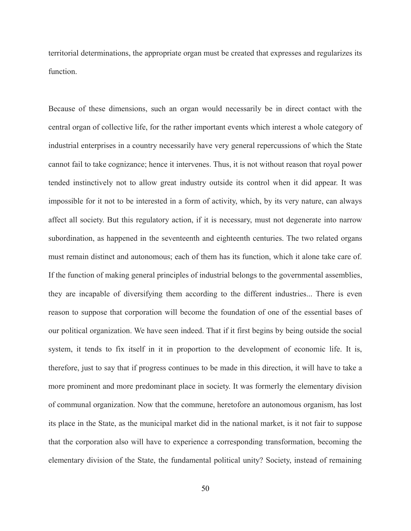territorial determinations, the appropriate organ must be created that expresses and regularizes its function.

Because of these dimensions, such an organ would necessarily be in direct contact with the central organ of collective life, for the rather important events which interest a whole category of industrial enterprises in a country necessarily have very general repercussions of which the State cannot fail to take cognizance; hence it intervenes. Thus, it is not without reason that royal power tended instinctively not to allow great industry outside its control when it did appear. It was impossible for it not to be interested in a form of activity, which, by its very nature, can always affect all society. But this regulatory action, if it is necessary, must not degenerate into narrow subordination, as happened in the seventeenth and eighteenth centuries. The two related organs must remain distinct and autonomous; each of them has its function, which it alone take care of. If the function of making general principles of industrial belongs to the governmental assemblies, they are incapable of diversifying them according to the different industries... There is even reason to suppose that corporation will become the foundation of one of the essential bases of our political organization. We have seen indeed. That if it first begins by being outside the social system, it tends to fix itself in it in proportion to the development of economic life. It is, therefore, just to say that if progress continues to be made in this direction, it will have to take a more prominent and more predominant place in society. It was formerly the elementary division of communal organization. Now that the commune, heretofore an autonomous organism, has lost its place in the State, as the municipal market did in the national market, is it not fair to suppose that the corporation also will have to experience a corresponding transformation, becoming the elementary division of the State, the fundamental political unity? Society, instead of remaining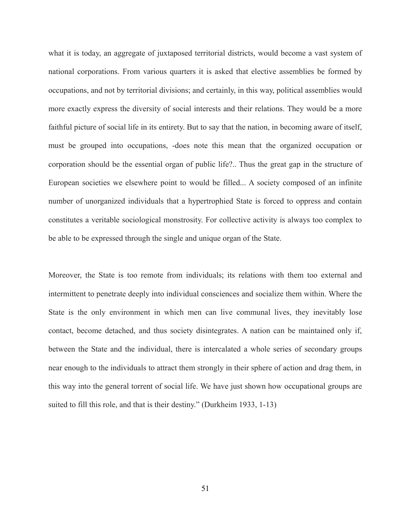what it is today, an aggregate of juxtaposed territorial districts, would become a vast system of national corporations. From various quarters it is asked that elective assemblies be formed by occupations, and not by territorial divisions; and certainly, in this way, political assemblies would more exactly express the diversity of social interests and their relations. They would be a more faithful picture of social life in its entirety. But to say that the nation, in becoming aware of itself, must be grouped into occupations, -does note this mean that the organized occupation or corporation should be the essential organ of public life?.. Thus the great gap in the structure of European societies we elsewhere point to would be filled... A society composed of an infinite number of unorganized individuals that a hypertrophied State is forced to oppress and contain constitutes a veritable sociological monstrosity. For collective activity is always too complex to be able to be expressed through the single and unique organ of the State.

Moreover, the State is too remote from individuals; its relations with them too external and intermittent to penetrate deeply into individual consciences and socialize them within. Where the State is the only environment in which men can live communal lives, they inevitably lose contact, become detached, and thus society disintegrates. A nation can be maintained only if, between the State and the individual, there is intercalated a whole series of secondary groups near enough to the individuals to attract them strongly in their sphere of action and drag them, in this way into the general torrent of social life. We have just shown how occupational groups are suited to fill this role, and that is their destiny." (Durkheim 1933, 1-13)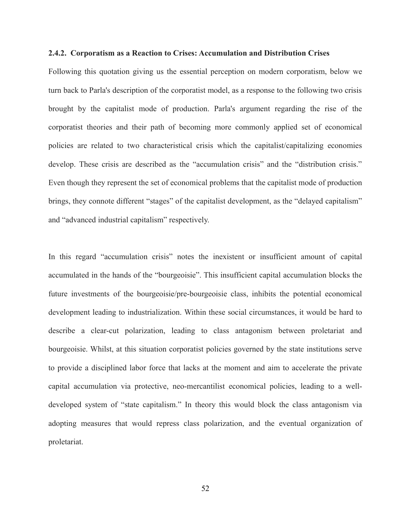## **2.4.2. Corporatism as a Reaction to Crises: Accumulation and Distribution Crises**

Following this quotation giving us the essential perception on modern corporatism, below we turn back to Parla's description of the corporatist model, as a response to the following two crisis brought by the capitalist mode of production. Parla's argument regarding the rise of the corporatist theories and their path of becoming more commonly applied set of economical policies are related to two characteristical crisis which the capitalist/capitalizing economies develop. These crisis are described as the "accumulation crisis" and the "distribution crisis." Even though they represent the set of economical problems that the capitalist mode of production brings, they connote different "stages" of the capitalist development, as the "delayed capitalism" and "advanced industrial capitalism" respectively.

In this regard "accumulation crisis" notes the inexistent or insufficient amount of capital accumulated in the hands of the "bourgeoisie". This insufficient capital accumulation blocks the future investments of the bourgeoisie/pre-bourgeoisie class, inhibits the potential economical development leading to industrialization. Within these social circumstances, it would be hard to describe a clear-cut polarization, leading to class antagonism between proletariat and bourgeoisie. Whilst, at this situation corporatist policies governed by the state institutions serve to provide a disciplined labor force that lacks at the moment and aim to accelerate the private capital accumulation via protective, neo-mercantilist economical policies, leading to a welldeveloped system of "state capitalism." In theory this would block the class antagonism via adopting measures that would repress class polarization, and the eventual organization of proletariat.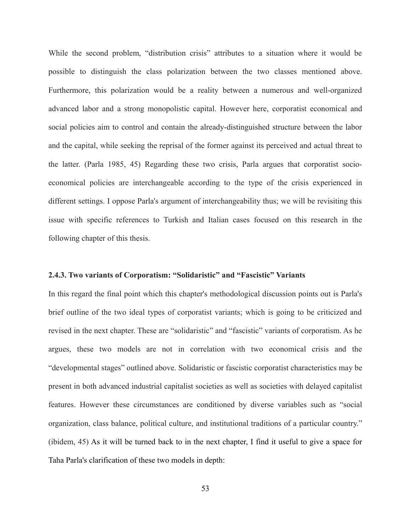While the second problem, "distribution crisis" attributes to a situation where it would be possible to distinguish the class polarization between the two classes mentioned above. Furthermore, this polarization would be a reality between a numerous and well-organized advanced labor and a strong monopolistic capital. However here, corporatist economical and social policies aim to control and contain the already-distinguished structure between the labor and the capital, while seeking the reprisal of the former against its perceived and actual threat to the latter. (Parla 1985, 45) Regarding these two crisis, Parla argues that corporatist socioeconomical policies are interchangeable according to the type of the crisis experienced in different settings. I oppose Parla's argument of interchangeability thus; we will be revisiting this issue with specific references to Turkish and Italian cases focused on this research in the following chapter of this thesis.

## **2.4.3. Two variants of Corporatism: "Solidaristic" and "Fascistic" Variants**

In this regard the final point which this chapter's methodological discussion points out is Parla's brief outline of the two ideal types of corporatist variants; which is going to be criticized and revised in the next chapter. These are "solidaristic" and "fascistic" variants of corporatism. As he argues, these two models are not in correlation with two economical crisis and the "developmental stages" outlined above. Solidaristic or fascistic corporatist characteristics may be present in both advanced industrial capitalist societies as well as societies with delayed capitalist features. However these circumstances are conditioned by diverse variables such as "social organization, class balance, political culture, and institutional traditions of a particular country." (ibidem, 45) As it will be turned back to in the next chapter, I find it useful to give a space for Taha Parla's clarification of these two models in depth: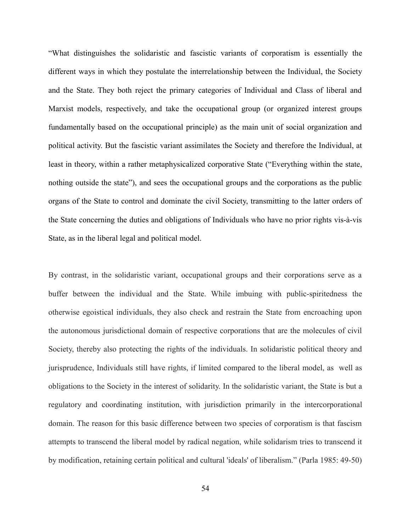"What distinguishes the solidaristic and fascistic variants of corporatism is essentially the different ways in which they postulate the interrelationship between the Individual, the Society and the State. They both reject the primary categories of Individual and Class of liberal and Marxist models, respectively, and take the occupational group (or organized interest groups fundamentally based on the occupational principle) as the main unit of social organization and political activity. But the fascistic variant assimilates the Society and therefore the Individual, at least in theory, within a rather metaphysicalized corporative State ("Everything within the state, nothing outside the state"), and sees the occupational groups and the corporations as the public organs of the State to control and dominate the civil Society, transmitting to the latter orders of the State concerning the duties and obligations of Individuals who have no prior rights vis-à-vis State, as in the liberal legal and political model.

By contrast, in the solidaristic variant, occupational groups and their corporations serve as a buffer between the individual and the State. While imbuing with public-spiritedness the otherwise egoistical individuals, they also check and restrain the State from encroaching upon the autonomous jurisdictional domain of respective corporations that are the molecules of civil Society, thereby also protecting the rights of the individuals. In solidaristic political theory and jurisprudence, Individuals still have rights, if limited compared to the liberal model, as well as obligations to the Society in the interest of solidarity. In the solidaristic variant, the State is but a regulatory and coordinating institution, with jurisdiction primarily in the intercorporational domain. The reason for this basic difference between two species of corporatism is that fascism attempts to transcend the liberal model by radical negation, while solidarism tries to transcend it by modification, retaining certain political and cultural 'ideals' of liberalism." (Parla 1985: 49-50)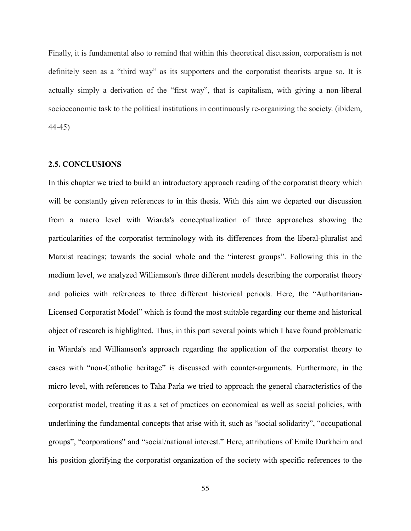Finally, it is fundamental also to remind that within this theoretical discussion, corporatism is not definitely seen as a "third way" as its supporters and the corporatist theorists argue so. It is actually simply a derivation of the "first way", that is capitalism, with giving a non-liberal socioeconomic task to the political institutions in continuously re-organizing the society. (ibidem, 44-45)

## **2.5. CONCLUSIONS**

In this chapter we tried to build an introductory approach reading of the corporatist theory which will be constantly given references to in this thesis. With this aim we departed our discussion from a macro level with Wiarda's conceptualization of three approaches showing the particularities of the corporatist terminology with its differences from the liberal-pluralist and Marxist readings; towards the social whole and the "interest groups". Following this in the medium level, we analyzed Williamson's three different models describing the corporatist theory and policies with references to three different historical periods. Here, the "Authoritarian-Licensed Corporatist Model" which is found the most suitable regarding our theme and historical object of research is highlighted. Thus, in this part several points which I have found problematic in Wiarda's and Williamson's approach regarding the application of the corporatist theory to cases with "non-Catholic heritage" is discussed with counter-arguments. Furthermore, in the micro level, with references to Taha Parla we tried to approach the general characteristics of the corporatist model, treating it as a set of practices on economical as well as social policies, with underlining the fundamental concepts that arise with it, such as "social solidarity", "occupational groups", "corporations" and "social/national interest." Here, attributions of Emile Durkheim and his position glorifying the corporatist organization of the society with specific references to the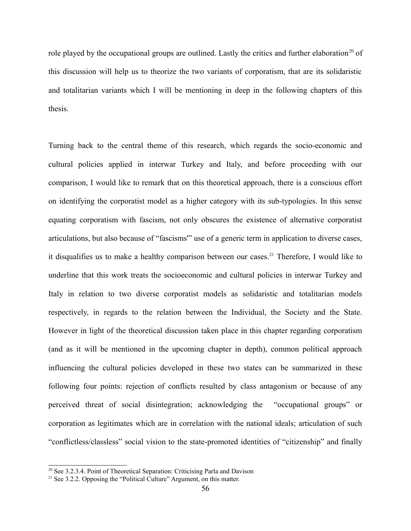role played by the occupational groups are outlined. Lastly the critics and further elaboration<sup>[20](#page-55-0)</sup> of this discussion will help us to theorize the two variants of corporatism, that are its solidaristic and totalitarian variants which I will be mentioning in deep in the following chapters of this thesis.

Turning back to the central theme of this research, which regards the socio-economic and cultural policies applied in interwar Turkey and Italy, and before proceeding with our comparison, I would like to remark that on this theoretical approach, there is a conscious effort on identifying the corporatist model as a higher category with its sub-typologies. In this sense equating corporatism with fascism, not only obscures the existence of alternative corporatist articulations, but also because of "fascisms'" use of a generic term in application to diverse cases, it disqualifies us to make a healthy comparison between our cases.<sup>[21](#page-55-1)</sup> Therefore, I would like to underline that this work treats the socioeconomic and cultural policies in interwar Turkey and Italy in relation to two diverse corporatist models as solidaristic and totalitarian models respectively, in regards to the relation between the Individual, the Society and the State. However in light of the theoretical discussion taken place in this chapter regarding corporatism (and as it will be mentioned in the upcoming chapter in depth), common political approach influencing the cultural policies developed in these two states can be summarized in these following four points: rejection of conflicts resulted by class antagonism or because of any perceived threat of social disintegration; acknowledging the "occupational groups" or corporation as legitimates which are in correlation with the national ideals; articulation of such "conflictless/classless" social vision to the state-promoted identities of "citizenship" and finally

<span id="page-55-0"></span><sup>&</sup>lt;sup>20</sup> See 3.2.3.4. Point of Theoretical Separation: Criticising Parla and Davison

<span id="page-55-1"></span><sup>&</sup>lt;sup>21</sup> See 3.2.2. Opposing the "Political Culture" Argument, on this matter.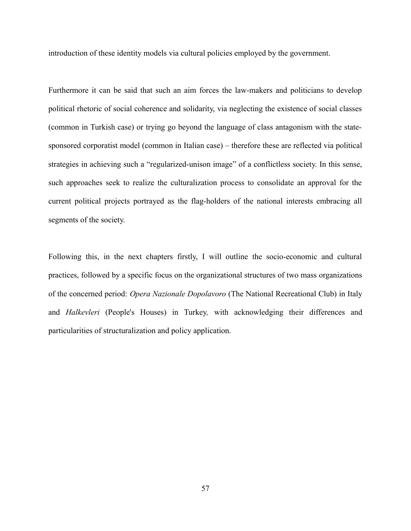introduction of these identity models via cultural policies employed by the government.

Furthermore it can be said that such an aim forces the law-makers and politicians to develop political rhetoric of social coherence and solidarity, via neglecting the existence of social classes (common in Turkish case) or trying go beyond the language of class antagonism with the statesponsored corporatist model (common in Italian case) – therefore these are reflected via political strategies in achieving such a "regularized-unison image" of a conflictless society. In this sense, such approaches seek to realize the culturalization process to consolidate an approval for the current political projects portrayed as the flag-holders of the national interests embracing all segments of the society.

Following this, in the next chapters firstly, I will outline the socio-economic and cultural practices, followed by a specific focus on the organizational structures of two mass organizations of the concerned period: *Opera Nazionale Dopolavoro* (The National Recreational Club) in Italy and *Halkevleri* (People's Houses) in Turkey*,* with acknowledging their differences and particularities of structuralization and policy application.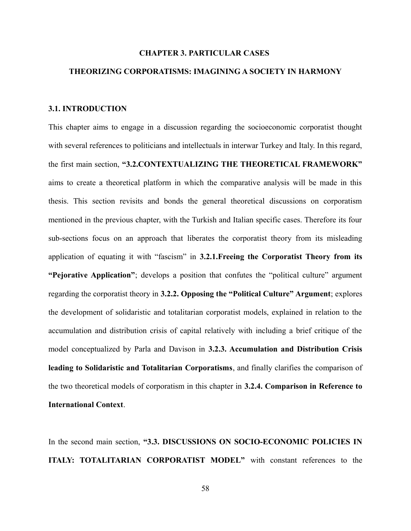## **CHAPTER 3. PARTICULAR CASES**

## **THEORIZING CORPORATISMS: IMAGINING A SOCIETY IN HARMONY**

## **3.1. INTRODUCTION**

This chapter aims to engage in a discussion regarding the socioeconomic corporatist thought with several references to politicians and intellectuals in interwar Turkey and Italy. In this regard, the first main section, **"3.2.CONTEXTUALIZING THE THEORETICAL FRAMEWORK"** aims to create a theoretical platform in which the comparative analysis will be made in this thesis. This section revisits and bonds the general theoretical discussions on corporatism mentioned in the previous chapter, with the Turkish and Italian specific cases. Therefore its four sub-sections focus on an approach that liberates the corporatist theory from its misleading application of equating it with "fascism" in **3.2.1.Freeing the Corporatist Theory from its "Pejorative Application"**; develops a position that confutes the "political culture" argument regarding the corporatist theory in **3.2.2. Opposing the "Political Culture" Argument**; explores the development of solidaristic and totalitarian corporatist models, explained in relation to the accumulation and distribution crisis of capital relatively with including a brief critique of the model conceptualized by Parla and Davison in **3.2.3. Accumulation and Distribution Crisis leading to Solidaristic and Totalitarian Corporatisms**, and finally clarifies the comparison of the two theoretical models of corporatism in this chapter in **3.2.4. Comparison in Reference to International Context**.

In the second main section, **"3.3. DISCUSSIONS ON SOCIO-ECONOMIC POLICIES IN ITALY: TOTALITARIAN CORPORATIST MODEL"** with constant references to the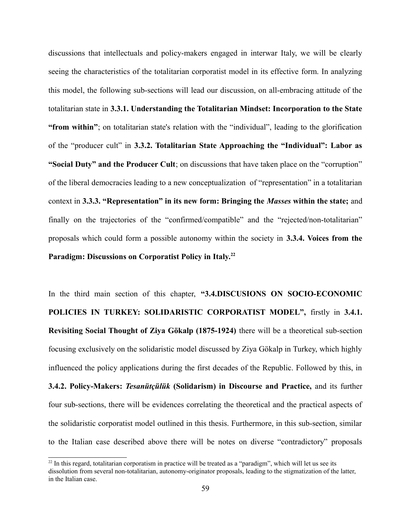discussions that intellectuals and policy-makers engaged in interwar Italy, we will be clearly seeing the characteristics of the totalitarian corporatist model in its effective form. In analyzing this model, the following sub-sections will lead our discussion, on all-embracing attitude of the totalitarian state in **3.3.1. Understanding the Totalitarian Mindset: Incorporation to the State "from within"**; on totalitarian state's relation with the "individual", leading to the glorification of the "producer cult" in **3.3.2. Totalitarian State Approaching the "Individual": Labor as "Social Duty" and the Producer Cult**; on discussions that have taken place on the "corruption" of the liberal democracies leading to a new conceptualization of "representation" in a totalitarian context in **3.3.3. "Representation" in its new form: Bringing the** *Masses* **within the state;** and finally on the trajectories of the "confirmed/compatible" and the "rejected/non-totalitarian" proposals which could form a possible autonomy within the society in **3.3.4. Voices from the Paradigm: Discussions on Corporatist Policy in Italy.[22](#page-58-0)**

In the third main section of this chapter, **"3.4.DISCUSIONS ON SOCIO-ECONOMIC POLICIES IN TURKEY: SOLIDARISTIC CORPORATIST MODEL",** firstly in **3.4.1. Revisiting Social Thought of Ziya Gökalp (1875-1924)** there will be a theoretical sub-section focusing exclusively on the solidaristic model discussed by Ziya Gökalp in Turkey, which highly influenced the policy applications during the first decades of the Republic. Followed by this, in **3.4.2. Policy-Makers:** *Tesanütçülük* **(Solidarism) in Discourse and Practice,** and its further four sub-sections, there will be evidences correlating the theoretical and the practical aspects of the solidaristic corporatist model outlined in this thesis. Furthermore, in this sub-section, similar to the Italian case described above there will be notes on diverse "contradictory" proposals

<span id="page-58-0"></span> $^{22}$  In this regard, totalitarian corporatism in practice will be treated as a "paradigm", which will let us see its dissolution from several non-totalitarian, autonomy-originator proposals, leading to the stigmatization of the latter, in the Italian case.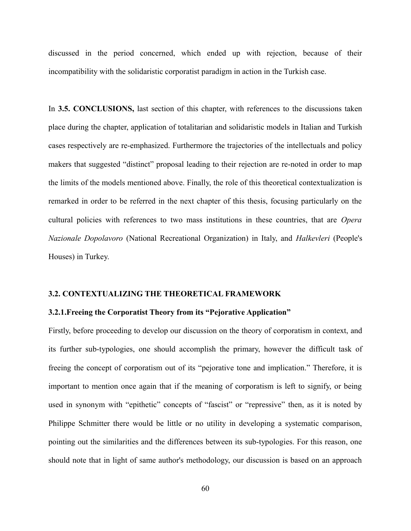discussed in the period concerned, which ended up with rejection, because of their incompatibility with the solidaristic corporatist paradigm in action in the Turkish case.

In **3.5. CONCLUSIONS,** last section of this chapter, with references to the discussions taken place during the chapter, application of totalitarian and solidaristic models in Italian and Turkish cases respectively are re-emphasized. Furthermore the trajectories of the intellectuals and policy makers that suggested "distinct" proposal leading to their rejection are re-noted in order to map the limits of the models mentioned above. Finally, the role of this theoretical contextualization is remarked in order to be referred in the next chapter of this thesis, focusing particularly on the cultural policies with references to two mass institutions in these countries, that are *Opera Nazionale Dopolavoro* (National Recreational Organization) in Italy, and *Halkevleri* (People's Houses) in Turkey.

## **3.2. CONTEXTUALIZING THE THEORETICAL FRAMEWORK**

## **3.2.1.Freeing the Corporatist Theory from its "Pejorative Application"**

Firstly, before proceeding to develop our discussion on the theory of corporatism in context, and its further sub-typologies, one should accomplish the primary, however the difficult task of freeing the concept of corporatism out of its "pejorative tone and implication." Therefore, it is important to mention once again that if the meaning of corporatism is left to signify, or being used in synonym with "epithetic" concepts of "fascist" or "repressive" then, as it is noted by Philippe Schmitter there would be little or no utility in developing a systematic comparison, pointing out the similarities and the differences between its sub-typologies. For this reason, one should note that in light of same author's methodology, our discussion is based on an approach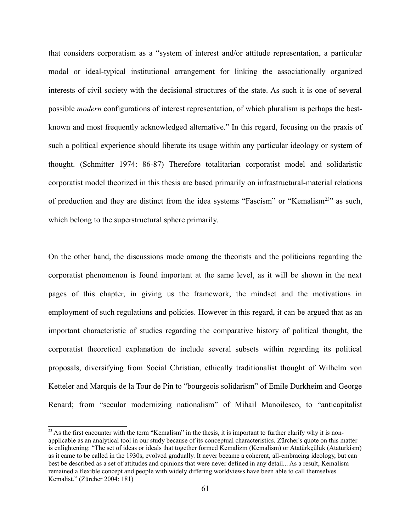that considers corporatism as a "system of interest and/or attitude representation, a particular modal or ideal-typical institutional arrangement for linking the associationally organized interests of civil society with the decisional structures of the state. As such it is one of several possible *modern* configurations of interest representation, of which pluralism is perhaps the bestknown and most frequently acknowledged alternative." In this regard, focusing on the praxis of such a political experience should liberate its usage within any particular ideology or system of thought. (Schmitter 1974: 86-87) Therefore totalitarian corporatist model and solidaristic corporatist model theorized in this thesis are based primarily on infrastructural-material relations of production and they are distinct from the idea systems "Fascism" or "Kemalism<sup>[23](#page-60-0)</sup>" as such, which belong to the superstructural sphere primarily.

On the other hand, the discussions made among the theorists and the politicians regarding the corporatist phenomenon is found important at the same level, as it will be shown in the next pages of this chapter, in giving us the framework, the mindset and the motivations in employment of such regulations and policies. However in this regard, it can be argued that as an important characteristic of studies regarding the comparative history of political thought, the corporatist theoretical explanation do include several subsets within regarding its political proposals, diversifying from Social Christian, ethically traditionalist thought of Wilhelm von Ketteler and Marquis de la Tour de Pin to "bourgeois solidarism" of Emile Durkheim and George Renard; from "secular modernizing nationalism" of Mihail Manoilesco, to "anticapitalist

<span id="page-60-0"></span><sup>&</sup>lt;sup>23</sup> As the first encounter with the term "Kemalism" in the thesis, it is important to further clarify why it is nonapplicable as an analytical tool in our study because of its conceptual characteristics. Zürcher's quote on this matter is enlightening: "The set of ideas or ideals that together formed Kemalizm (Kemalism) or Atatürkçülük (Ataturkism) as it came to be called in the 1930s, evolved gradually. It never became a coherent, all-embracing ideology, but can best be described as a set of attitudes and opinions that were never defined in any detail... As a result, Kemalism remained a flexible concept and people with widely differing worldviews have been able to call themselves Kemalist." (Zürcher 2004: 181)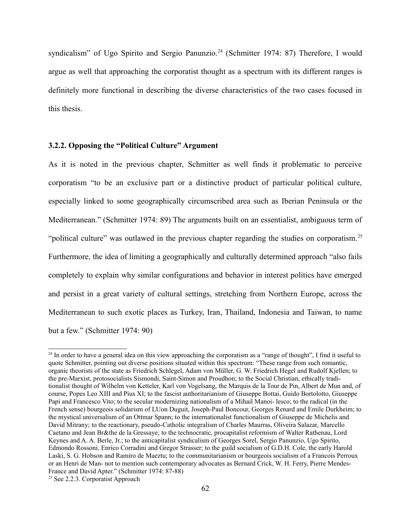syndicalism" of Ugo Spirito and Sergio Panunzio.<sup>[24](#page-61-0)</sup> (Schmitter 1974: 87) Therefore, I would argue as well that approaching the corporatist thought as a spectrum with its different ranges is definitely more functional in describing the diverse characteristics of the two cases focused in this thesis.

## **3.2.2. Opposing the "Political Culture" Argument**

As it is noted in the previous chapter, Schmitter as well finds it problematic to perceive corporatism "to be an exclusive part or a distinctive product of particular political culture, especially linked to some geographically circumscribed area such as Iberian Peninsula or the Mediterranean." (Schmitter 1974: 89) The arguments built on an essentialist, ambiguous term of "political culture" was outlawed in the previous chapter regarding the studies on corporatism.<sup>[25](#page-61-1)</sup> Furthermore, the idea of limiting a geographically and culturally determined approach "also fails completely to explain why similar configurations and behavior in interest politics have emerged and persist in a great variety of cultural settings, stretching from Northern Europe, across the Mediterranean to such exotic places as Turkey, Iran, Thailand, Indonesia and Taiwan, to name but a few." (Schmitter 1974: 90)

<span id="page-61-0"></span><sup>&</sup>lt;sup>24</sup> In order to have a general idea on this view approaching the corporatism as a "range of thought", I find it useful to quote Schmitter, pointing out diverse positions situated within this spectrum: "These range from such romantic, organic theorists of the state as Friedrich Schlegel, Adam von Müller, G. W. Friedrich Hegel and Rudolf Kjellen; to the pre-Marxist, protosocialists Sismondi, Saint-Simon and Proudhon; to the Social Christian, ethically traditionalist thought of Wilhelm von Ketteler, Karl von Vogelsang, the Marquis de la Tour de Pin, Albert de Mun and, of course, Popes Leo XIII and Pius XI; to the fascist authoritarianism of Giuseppe Bottai, Guido Bortolotto, Giuseppe Papi and Francesco Vito; to the secular modernizing nationalism of a Mihail Manoi- lesco; to the radical (in the French sense) bourgeois solidarism of LUon Duguit, Joseph-Paul Boncour, Georges Renard and Emile Durkheim; to the mystical universalism of an Ottmar Spann; to the internationalist functionalism of Giuseppe de Michelis and David Mitrany; to the reactionary, pseudo-Catholic integralism of Charles Maurras, Oliveira Salazar, Marcello Caetano and Jean Br&the de la Gressaye; to the technocratic, procapitalist reformism of Walter Rathenau, Lord Keynes and A. A. Berle, Jr.; to the anticapitalist syndicalism of Georges Sorel, Sergio Panunzio, Ugo Spirito, Edmondo Rossoni, Enrico Corradini and Gregor Strasser; to the guild socialism of G.D.H. Cole, the early Harold Laski, S. G. Hobson and Ramiro de Maeztu; to the communitarianism or bourgeois socialism of a Francois Perroux or an Henri de Man- not to mention such contemporary advocates as Bernard Crick, W. H. Ferry, Pierre Mendes-France and David Apter." (Schmitter 1974: 87-88)

<span id="page-61-1"></span><sup>&</sup>lt;sup>25</sup> See 2.2.3. Corporatist Approach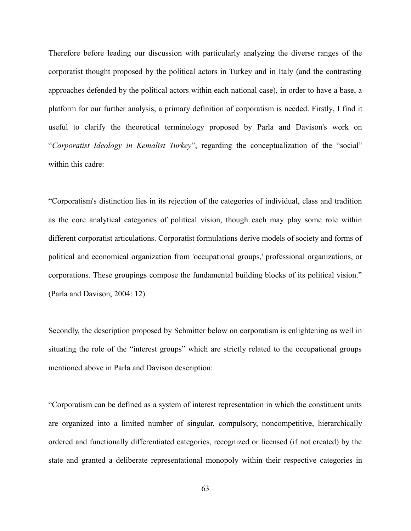Therefore before leading our discussion with particularly analyzing the diverse ranges of the corporatist thought proposed by the political actors in Turkey and in Italy (and the contrasting approaches defended by the political actors within each national case), in order to have a base, a platform for our further analysis, a primary definition of corporatism is needed. Firstly, I find it useful to clarify the theoretical terminology proposed by Parla and Davison's work on "*Corporatist Ideology in Kemalist Turkey*", regarding the conceptualization of the "social" within this cadre:

"Corporatism's distinction lies in its rejection of the categories of individual, class and tradition as the core analytical categories of political vision, though each may play some role within different corporatist articulations. Corporatist formulations derive models of society and forms of political and economical organization from 'occupational groups,' professional organizations, or corporations. These groupings compose the fundamental building blocks of its political vision." (Parla and Davison, 2004: 12)

Secondly, the description proposed by Schmitter below on corporatism is enlightening as well in situating the role of the "interest groups" which are strictly related to the occupational groups mentioned above in Parla and Davison description:

"Corporatism can be defined as a system of interest representation in which the constituent units are organized into a limited number of singular, compulsory, noncompetitive, hierarchically ordered and functionally differentiated categories, recognized or licensed (if not created) by the state and granted a deliberate representational monopoly within their respective categories in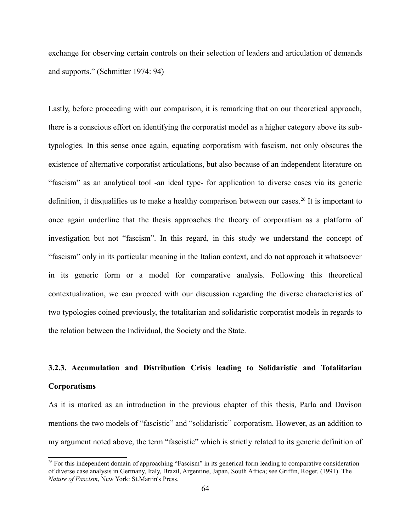exchange for observing certain controls on their selection of leaders and articulation of demands and supports." (Schmitter 1974: 94)

Lastly, before proceeding with our comparison, it is remarking that on our theoretical approach, there is a conscious effort on identifying the corporatist model as a higher category above its subtypologies. In this sense once again, equating corporatism with fascism, not only obscures the existence of alternative corporatist articulations, but also because of an independent literature on "fascism" as an analytical tool -an ideal type- for application to diverse cases via its generic definition, it disqualifies us to make a healthy comparison between our cases.<sup>[26](#page-63-0)</sup> It is important to once again underline that the thesis approaches the theory of corporatism as a platform of investigation but not "fascism". In this regard, in this study we understand the concept of "fascism" only in its particular meaning in the Italian context, and do not approach it whatsoever in its generic form or a model for comparative analysis. Following this theoretical contextualization, we can proceed with our discussion regarding the diverse characteristics of two typologies coined previously, the totalitarian and solidaristic corporatist models in regards to the relation between the Individual, the Society and the State.

# **3.2.3. Accumulation and Distribution Crisis leading to Solidaristic and Totalitarian Corporatisms**

As it is marked as an introduction in the previous chapter of this thesis, Parla and Davison mentions the two models of "fascistic" and "solidaristic" corporatism. However, as an addition to my argument noted above, the term "fascistic" which is strictly related to its generic definition of

<span id="page-63-0"></span><sup>&</sup>lt;sup>26</sup> For this independent domain of approaching "Fascism" in its generical form leading to comparative consideration of diverse case analysis in Germany, Italy, Brazil, Argentine, Japan, South Africa; see Griffin, Roger. (1991). The *Nature of Fascism*, New York: St.Martin's Press.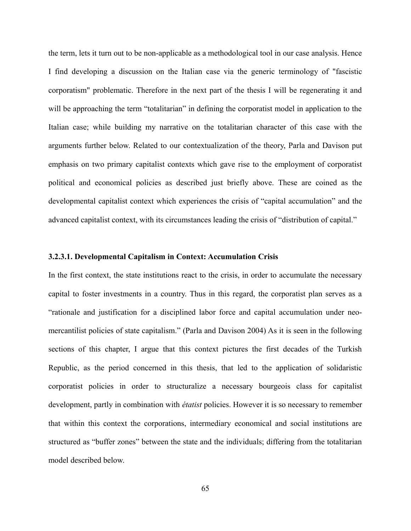the term, lets it turn out to be non-applicable as a methodological tool in our case analysis. Hence I find developing a discussion on the Italian case via the generic terminology of "fascistic corporatism" problematic. Therefore in the next part of the thesis I will be regenerating it and will be approaching the term "totalitarian" in defining the corporatist model in application to the Italian case; while building my narrative on the totalitarian character of this case with the arguments further below. Related to our contextualization of the theory, Parla and Davison put emphasis on two primary capitalist contexts which gave rise to the employment of corporatist political and economical policies as described just briefly above. These are coined as the developmental capitalist context which experiences the crisis of "capital accumulation" and the advanced capitalist context, with its circumstances leading the crisis of "distribution of capital."

## **3.2.3.1. Developmental Capitalism in Context: Accumulation Crisis**

In the first context, the state institutions react to the crisis, in order to accumulate the necessary capital to foster investments in a country. Thus in this regard, the corporatist plan serves as a "rationale and justification for a disciplined labor force and capital accumulation under neomercantilist policies of state capitalism." (Parla and Davison 2004) As it is seen in the following sections of this chapter, I argue that this context pictures the first decades of the Turkish Republic, as the period concerned in this thesis, that led to the application of solidaristic corporatist policies in order to structuralize a necessary bourgeois class for capitalist development, partly in combination with *étatist* policies. However it is so necessary to remember that within this context the corporations, intermediary economical and social institutions are structured as "buffer zones" between the state and the individuals; differing from the totalitarian model described below.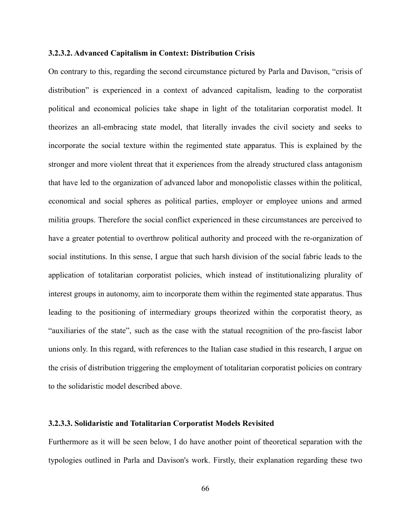## **3.2.3.2. Advanced Capitalism in Context: Distribution Crisis**

On contrary to this, regarding the second circumstance pictured by Parla and Davison, "crisis of distribution" is experienced in a context of advanced capitalism, leading to the corporatist political and economical policies take shape in light of the totalitarian corporatist model. It theorizes an all-embracing state model, that literally invades the civil society and seeks to incorporate the social texture within the regimented state apparatus. This is explained by the stronger and more violent threat that it experiences from the already structured class antagonism that have led to the organization of advanced labor and monopolistic classes within the political, economical and social spheres as political parties, employer or employee unions and armed militia groups. Therefore the social conflict experienced in these circumstances are perceived to have a greater potential to overthrow political authority and proceed with the re-organization of social institutions. In this sense, I argue that such harsh division of the social fabric leads to the application of totalitarian corporatist policies, which instead of institutionalizing plurality of interest groups in autonomy, aim to incorporate them within the regimented state apparatus. Thus leading to the positioning of intermediary groups theorized within the corporatist theory, as "auxiliaries of the state", such as the case with the statual recognition of the pro-fascist labor unions only. In this regard, with references to the Italian case studied in this research, I argue on the crisis of distribution triggering the employment of totalitarian corporatist policies on contrary to the solidaristic model described above.

## **3.2.3.3. Solidaristic and Totalitarian Corporatist Models Revisited**

Furthermore as it will be seen below, I do have another point of theoretical separation with the typologies outlined in Parla and Davison's work. Firstly, their explanation regarding these two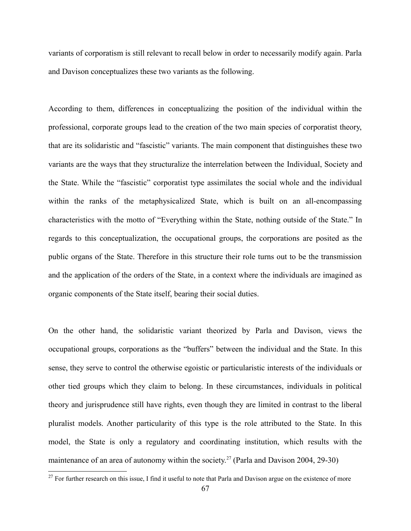variants of corporatism is still relevant to recall below in order to necessarily modify again. Parla and Davison conceptualizes these two variants as the following.

According to them, differences in conceptualizing the position of the individual within the professional, corporate groups lead to the creation of the two main species of corporatist theory, that are its solidaristic and "fascistic" variants. The main component that distinguishes these two variants are the ways that they structuralize the interrelation between the Individual, Society and the State. While the "fascistic" corporatist type assimilates the social whole and the individual within the ranks of the metaphysicalized State, which is built on an all-encompassing characteristics with the motto of "Everything within the State, nothing outside of the State." In regards to this conceptualization, the occupational groups, the corporations are posited as the public organs of the State. Therefore in this structure their role turns out to be the transmission and the application of the orders of the State, in a context where the individuals are imagined as organic components of the State itself, bearing their social duties.

On the other hand, the solidaristic variant theorized by Parla and Davison, views the occupational groups, corporations as the "buffers" between the individual and the State. In this sense, they serve to control the otherwise egoistic or particularistic interests of the individuals or other tied groups which they claim to belong. In these circumstances, individuals in political theory and jurisprudence still have rights, even though they are limited in contrast to the liberal pluralist models. Another particularity of this type is the role attributed to the State. In this model, the State is only a regulatory and coordinating institution, which results with the maintenance of an area of autonomy within the society.<sup>[27](#page-66-0)</sup> (Parla and Davison 2004, 29-30)

<span id="page-66-0"></span> $27$  For further research on this issue, I find it useful to note that Parla and Davison argue on the existence of more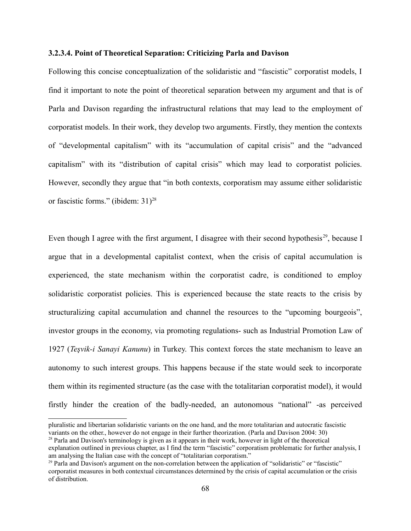## **3.2.3.4. Point of Theoretical Separation: Criticizing Parla and Davison**

Following this concise conceptualization of the solidaristic and "fascistic" corporatist models, I find it important to note the point of theoretical separation between my argument and that is of Parla and Davison regarding the infrastructural relations that may lead to the employment of corporatist models. In their work, they develop two arguments. Firstly, they mention the contexts of "developmental capitalism" with its "accumulation of capital crisis" and the "advanced capitalism" with its "distribution of capital crisis" which may lead to corporatist policies. However, secondly they argue that "in both contexts, corporatism may assume either solidaristic or fascistic forms." (ibidem:  $31$ )<sup>[28](#page-67-0)</sup>

Even though I agree with the first argument, I disagree with their second hypothesis<sup>[29](#page-67-1)</sup>, because I argue that in a developmental capitalist context, when the crisis of capital accumulation is experienced, the state mechanism within the corporatist cadre, is conditioned to employ solidaristic corporatist policies. This is experienced because the state reacts to the crisis by structuralizing capital accumulation and channel the resources to the "upcoming bourgeois", investor groups in the economy, via promoting regulations- such as Industrial Promotion Law of 1927 (*Teşvik-i Sanayi Kanunu*) in Turkey. This context forces the state mechanism to leave an autonomy to such interest groups. This happens because if the state would seek to incorporate them within its regimented structure (as the case with the totalitarian corporatist model), it would firstly hinder the creation of the badly-needed, an autonomous "national" -as perceived

pluralistic and libertarian solidaristic variants on the one hand, and the more totalitarian and autocratic fascistic variants on the other., however do not engage in their further theorization. (Parla and Davison 2004: 30)

<span id="page-67-0"></span><sup>&</sup>lt;sup>28</sup> Parla and Davison's terminology is given as it appears in their work, however in light of the theoretical explanation outlined in previous chapter, as I find the term "fascistic" corporatism problematic for further analysis, I am analysing the Italian case with the concept of "totalitarian corporatism."

<span id="page-67-1"></span> $29$  Parla and Davison's argument on the non-correlation between the application of "solidaristic" or "fascistic" corporatist measures in both contextual circumstances determined by the crisis of capital accumulation or the crisis of distribution.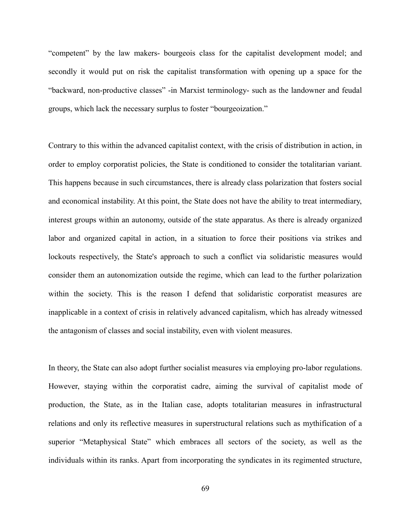"competent" by the law makers- bourgeois class for the capitalist development model; and secondly it would put on risk the capitalist transformation with opening up a space for the "backward, non-productive classes" -in Marxist terminology- such as the landowner and feudal groups, which lack the necessary surplus to foster "bourgeoization."

Contrary to this within the advanced capitalist context, with the crisis of distribution in action, in order to employ corporatist policies, the State is conditioned to consider the totalitarian variant. This happens because in such circumstances, there is already class polarization that fosters social and economical instability. At this point, the State does not have the ability to treat intermediary, interest groups within an autonomy, outside of the state apparatus. As there is already organized labor and organized capital in action, in a situation to force their positions via strikes and lockouts respectively, the State's approach to such a conflict via solidaristic measures would consider them an autonomization outside the regime, which can lead to the further polarization within the society. This is the reason I defend that solidaristic corporatist measures are inapplicable in a context of crisis in relatively advanced capitalism, which has already witnessed the antagonism of classes and social instability, even with violent measures.

In theory, the State can also adopt further socialist measures via employing pro-labor regulations. However, staying within the corporatist cadre, aiming the survival of capitalist mode of production, the State, as in the Italian case, adopts totalitarian measures in infrastructural relations and only its reflective measures in superstructural relations such as mythification of a superior "Metaphysical State" which embraces all sectors of the society, as well as the individuals within its ranks. Apart from incorporating the syndicates in its regimented structure,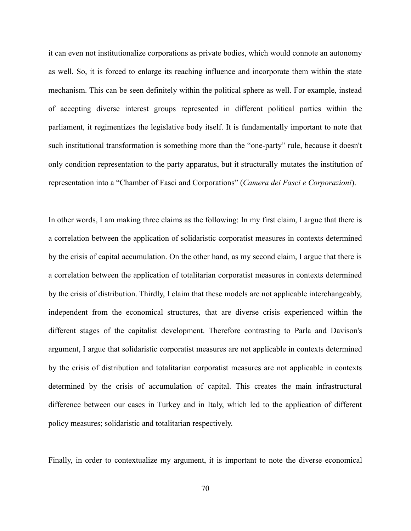it can even not institutionalize corporations as private bodies, which would connote an autonomy as well. So, it is forced to enlarge its reaching influence and incorporate them within the state mechanism. This can be seen definitely within the political sphere as well. For example, instead of accepting diverse interest groups represented in different political parties within the parliament, it regimentizes the legislative body itself. It is fundamentally important to note that such institutional transformation is something more than the "one-party" rule, because it doesn't only condition representation to the party apparatus, but it structurally mutates the institution of representation into a "Chamber of Fasci and Corporations" (*Camera dei Fasci e Corporazioni*).

In other words, I am making three claims as the following: In my first claim, I argue that there is a correlation between the application of solidaristic corporatist measures in contexts determined by the crisis of capital accumulation. On the other hand, as my second claim, I argue that there is a correlation between the application of totalitarian corporatist measures in contexts determined by the crisis of distribution. Thirdly, I claim that these models are not applicable interchangeably, independent from the economical structures, that are diverse crisis experienced within the different stages of the capitalist development. Therefore contrasting to Parla and Davison's argument, I argue that solidaristic corporatist measures are not applicable in contexts determined by the crisis of distribution and totalitarian corporatist measures are not applicable in contexts determined by the crisis of accumulation of capital. This creates the main infrastructural difference between our cases in Turkey and in Italy, which led to the application of different policy measures; solidaristic and totalitarian respectively.

Finally, in order to contextualize my argument, it is important to note the diverse economical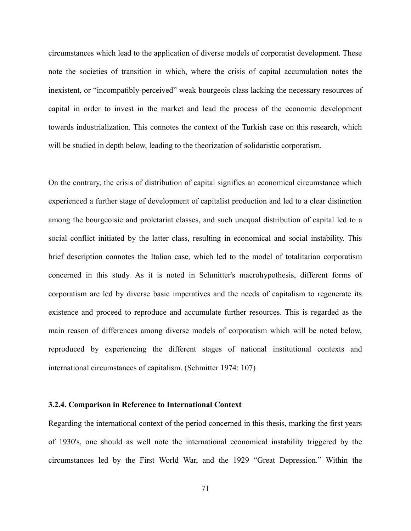circumstances which lead to the application of diverse models of corporatist development. These note the societies of transition in which, where the crisis of capital accumulation notes the inexistent, or "incompatibly-perceived" weak bourgeois class lacking the necessary resources of capital in order to invest in the market and lead the process of the economic development towards industrialization. This connotes the context of the Turkish case on this research, which will be studied in depth below, leading to the theorization of solidaristic corporatism.

On the contrary, the crisis of distribution of capital signifies an economical circumstance which experienced a further stage of development of capitalist production and led to a clear distinction among the bourgeoisie and proletariat classes, and such unequal distribution of capital led to a social conflict initiated by the latter class, resulting in economical and social instability. This brief description connotes the Italian case, which led to the model of totalitarian corporatism concerned in this study. As it is noted in Schmitter's macrohypothesis, different forms of corporatism are led by diverse basic imperatives and the needs of capitalism to regenerate its existence and proceed to reproduce and accumulate further resources. This is regarded as the main reason of differences among diverse models of corporatism which will be noted below, reproduced by experiencing the different stages of national institutional contexts and international circumstances of capitalism. (Schmitter 1974: 107)

#### **3.2.4. Comparison in Reference to International Context**

Regarding the international context of the period concerned in this thesis, marking the first years of 1930's, one should as well note the international economical instability triggered by the circumstances led by the First World War, and the 1929 "Great Depression." Within the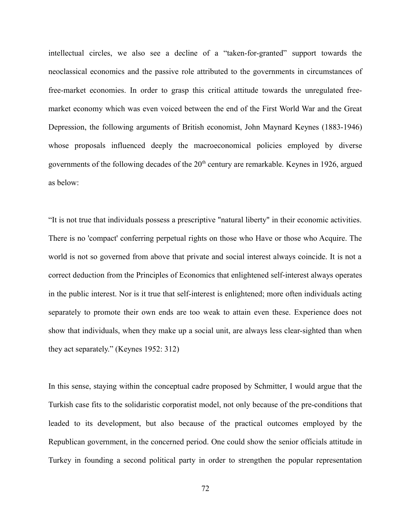intellectual circles, we also see a decline of a "taken-for-granted" support towards the neoclassical economics and the passive role attributed to the governments in circumstances of free-market economies. In order to grasp this critical attitude towards the unregulated freemarket economy which was even voiced between the end of the First World War and the Great Depression, the following arguments of British economist, John Maynard Keynes (1883-1946) whose proposals influenced deeply the macroeconomical policies employed by diverse governments of the following decades of the  $20<sup>th</sup>$  century are remarkable. Keynes in 1926, argued as below:

"It is not true that individuals possess a prescriptive "natural liberty" in their economic activities. There is no 'compact' conferring perpetual rights on those who Have or those who Acquire. The world is not so governed from above that private and social interest always coincide. It is not a correct deduction from the Principles of Economics that enlightened self-interest always operates in the public interest. Nor is it true that self-interest is enlightened; more often individuals acting separately to promote their own ends are too weak to attain even these. Experience does not show that individuals, when they make up a social unit, are always less clear-sighted than when they act separately." (Keynes 1952: 312)

In this sense, staying within the conceptual cadre proposed by Schmitter, I would argue that the Turkish case fits to the solidaristic corporatist model, not only because of the pre-conditions that leaded to its development, but also because of the practical outcomes employed by the Republican government, in the concerned period. One could show the senior officials attitude in Turkey in founding a second political party in order to strengthen the popular representation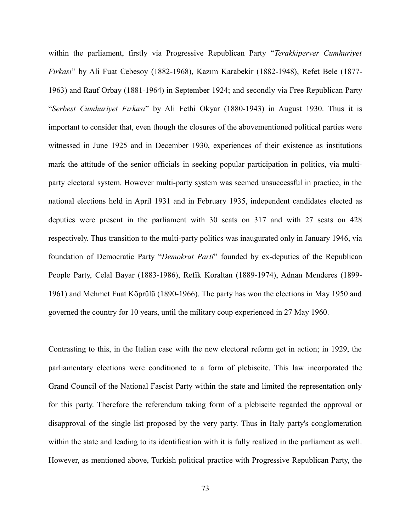within the parliament, firstly via Progressive Republican Party "*Terakkiperver Cumhuriyet Fırkası*" by Ali Fuat Cebesoy (1882-1968), Kazım Karabekir (1882-1948), Refet Bele (1877- 1963) and Rauf Orbay (1881-1964) in September 1924; and secondly via Free Republican Party "*Serbest Cumhuriyet Fırkası*" by Ali Fethi Okyar (1880-1943) in August 1930. Thus it is important to consider that, even though the closures of the abovementioned political parties were witnessed in June 1925 and in December 1930, experiences of their existence as institutions mark the attitude of the senior officials in seeking popular participation in politics, via multiparty electoral system. However multi-party system was seemed unsuccessful in practice, in the national elections held in April 1931 and in February 1935, independent candidates elected as deputies were present in the parliament with 30 seats on 317 and with 27 seats on 428 respectively. Thus transition to the multi-party politics was inaugurated only in January 1946, via foundation of Democratic Party "*Demokrat Parti*" founded by ex-deputies of the Republican People Party, Celal Bayar (1883-1986), Refik Koraltan (1889-1974), Adnan Menderes (1899- 1961) and Mehmet Fuat Köprülü (1890-1966). The party has won the elections in May 1950 and governed the country for 10 years, until the military coup experienced in 27 May 1960.

Contrasting to this, in the Italian case with the new electoral reform get in action; in 1929, the parliamentary elections were conditioned to a form of plebiscite. This law incorporated the Grand Council of the National Fascist Party within the state and limited the representation only for this party. Therefore the referendum taking form of a plebiscite regarded the approval or disapproval of the single list proposed by the very party. Thus in Italy party's conglomeration within the state and leading to its identification with it is fully realized in the parliament as well. However, as mentioned above, Turkish political practice with Progressive Republican Party, the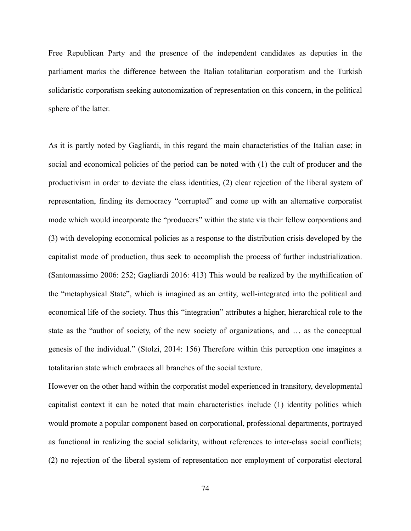Free Republican Party and the presence of the independent candidates as deputies in the parliament marks the difference between the Italian totalitarian corporatism and the Turkish solidaristic corporatism seeking autonomization of representation on this concern, in the political sphere of the latter.

As it is partly noted by Gagliardi, in this regard the main characteristics of the Italian case; in social and economical policies of the period can be noted with (1) the cult of producer and the productivism in order to deviate the class identities, (2) clear rejection of the liberal system of representation, finding its democracy "corrupted" and come up with an alternative corporatist mode which would incorporate the "producers" within the state via their fellow corporations and (3) with developing economical policies as a response to the distribution crisis developed by the capitalist mode of production, thus seek to accomplish the process of further industrialization. (Santomassimo 2006: 252; Gagliardi 2016: 413) This would be realized by the mythification of the "metaphysical State", which is imagined as an entity, well-integrated into the political and economical life of the society. Thus this "integration" attributes a higher, hierarchical role to the state as the "author of society, of the new society of organizations, and … as the conceptual genesis of the individual." (Stolzi, 2014: 156) Therefore within this perception one imagines a totalitarian state which embraces all branches of the social texture.

However on the other hand within the corporatist model experienced in transitory, developmental capitalist context it can be noted that main characteristics include (1) identity politics which would promote a popular component based on corporational, professional departments, portrayed as functional in realizing the social solidarity, without references to inter-class social conflicts; (2) no rejection of the liberal system of representation nor employment of corporatist electoral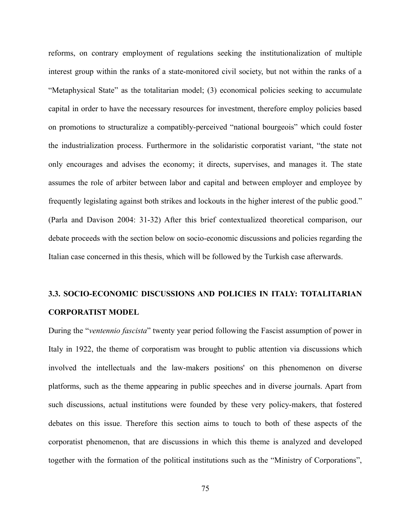reforms, on contrary employment of regulations seeking the institutionalization of multiple interest group within the ranks of a state-monitored civil society, but not within the ranks of a "Metaphysical State" as the totalitarian model; (3) economical policies seeking to accumulate capital in order to have the necessary resources for investment, therefore employ policies based on promotions to structuralize a compatibly-perceived "national bourgeois" which could foster the industrialization process. Furthermore in the solidaristic corporatist variant, "the state not only encourages and advises the economy; it directs, supervises, and manages it. The state assumes the role of arbiter between labor and capital and between employer and employee by frequently legislating against both strikes and lockouts in the higher interest of the public good." (Parla and Davison 2004: 31-32) After this brief contextualized theoretical comparison, our debate proceeds with the section below on socio-economic discussions and policies regarding the Italian case concerned in this thesis, which will be followed by the Turkish case afterwards.

# **3.3. SOCIO-ECONOMIC DISCUSSIONS AND POLICIES IN ITALY: TOTALITARIAN CORPORATIST MODEL**

During the "*ventennio fascista*" twenty year period following the Fascist assumption of power in Italy in 1922, the theme of corporatism was brought to public attention via discussions which involved the intellectuals and the law-makers positions' on this phenomenon on diverse platforms, such as the theme appearing in public speeches and in diverse journals. Apart from such discussions, actual institutions were founded by these very policy-makers, that fostered debates on this issue. Therefore this section aims to touch to both of these aspects of the corporatist phenomenon, that are discussions in which this theme is analyzed and developed together with the formation of the political institutions such as the "Ministry of Corporations",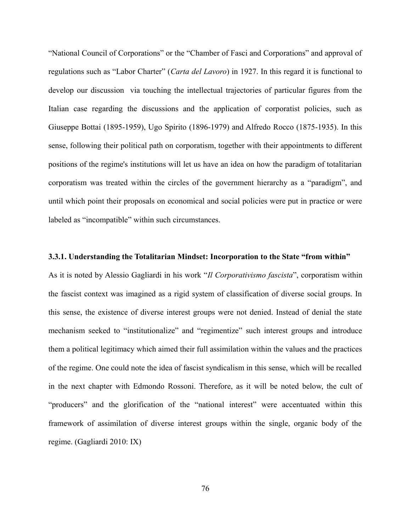"National Council of Corporations" or the "Chamber of Fasci and Corporations" and approval of regulations such as "Labor Charter" (*Carta del Lavoro*) in 1927. In this regard it is functional to develop our discussion via touching the intellectual trajectories of particular figures from the Italian case regarding the discussions and the application of corporatist policies, such as Giuseppe Bottai (1895-1959), Ugo Spirito (1896-1979) and Alfredo Rocco (1875-1935). In this sense, following their political path on corporatism, together with their appointments to different positions of the regime's institutions will let us have an idea on how the paradigm of totalitarian corporatism was treated within the circles of the government hierarchy as a "paradigm", and until which point their proposals on economical and social policies were put in practice or were labeled as "incompatible" within such circumstances.

## **3.3.1. Understanding the Totalitarian Mindset: Incorporation to the State "from within"**

As it is noted by Alessio Gagliardi in his work "*Il Corporativismo fascista*", corporatism within the fascist context was imagined as a rigid system of classification of diverse social groups. In this sense, the existence of diverse interest groups were not denied. Instead of denial the state mechanism seeked to "institutionalize" and "regimentize" such interest groups and introduce them a political legitimacy which aimed their full assimilation within the values and the practices of the regime. One could note the idea of fascist syndicalism in this sense, which will be recalled in the next chapter with Edmondo Rossoni. Therefore, as it will be noted below, the cult of "producers" and the glorification of the "national interest" were accentuated within this framework of assimilation of diverse interest groups within the single, organic body of the regime. (Gagliardi 2010: IX)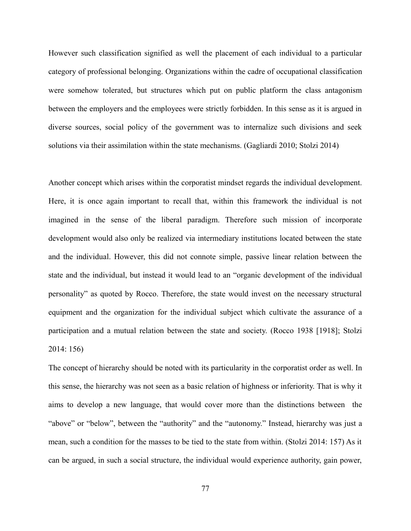However such classification signified as well the placement of each individual to a particular category of professional belonging. Organizations within the cadre of occupational classification were somehow tolerated, but structures which put on public platform the class antagonism between the employers and the employees were strictly forbidden. In this sense as it is argued in diverse sources, social policy of the government was to internalize such divisions and seek solutions via their assimilation within the state mechanisms. (Gagliardi 2010; Stolzi 2014)

Another concept which arises within the corporatist mindset regards the individual development. Here, it is once again important to recall that, within this framework the individual is not imagined in the sense of the liberal paradigm. Therefore such mission of incorporate development would also only be realized via intermediary institutions located between the state and the individual. However, this did not connote simple, passive linear relation between the state and the individual, but instead it would lead to an "organic development of the individual personality" as quoted by Rocco. Therefore, the state would invest on the necessary structural equipment and the organization for the individual subject which cultivate the assurance of a participation and a mutual relation between the state and society. (Rocco 1938 [1918]; Stolzi 2014: 156)

The concept of hierarchy should be noted with its particularity in the corporatist order as well. In this sense, the hierarchy was not seen as a basic relation of highness or inferiority. That is why it aims to develop a new language, that would cover more than the distinctions between the "above" or "below", between the "authority" and the "autonomy." Instead, hierarchy was just a mean, such a condition for the masses to be tied to the state from within. (Stolzi 2014: 157) As it can be argued, in such a social structure, the individual would experience authority, gain power,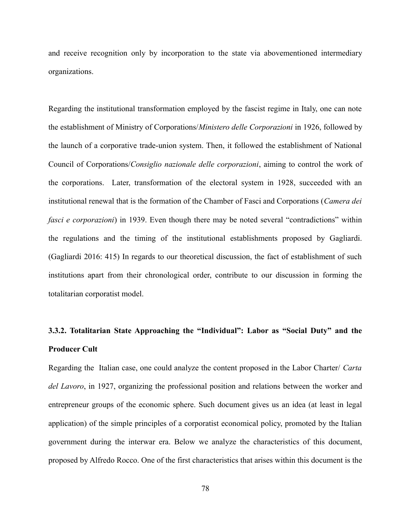and receive recognition only by incorporation to the state via abovementioned intermediary organizations.

Regarding the institutional transformation employed by the fascist regime in Italy, one can note the establishment of Ministry of Corporations/*Ministero delle Corporazioni* in 1926, followed by the launch of a corporative trade-union system. Then, it followed the establishment of National Council of Corporations/*Consiglio nazionale delle corporazioni*, aiming to control the work of the corporations. Later, transformation of the electoral system in 1928, succeeded with an institutional renewal that is the formation of the Chamber of Fasci and Corporations (*Camera dei fasci e corporazioni*) in 1939. Even though there may be noted several "contradictions" within the regulations and the timing of the institutional establishments proposed by Gagliardi. (Gagliardi 2016: 415) In regards to our theoretical discussion, the fact of establishment of such institutions apart from their chronological order, contribute to our discussion in forming the totalitarian corporatist model.

# **3.3.2. Totalitarian State Approaching the "Individual": Labor as "Social Duty" and the Producer Cult**

Regarding the Italian case, one could analyze the content proposed in the Labor Charter/ *Carta del Lavoro*, in 1927, organizing the professional position and relations between the worker and entrepreneur groups of the economic sphere. Such document gives us an idea (at least in legal application) of the simple principles of a corporatist economical policy, promoted by the Italian government during the interwar era. Below we analyze the characteristics of this document, proposed by Alfredo Rocco. One of the first characteristics that arises within this document is the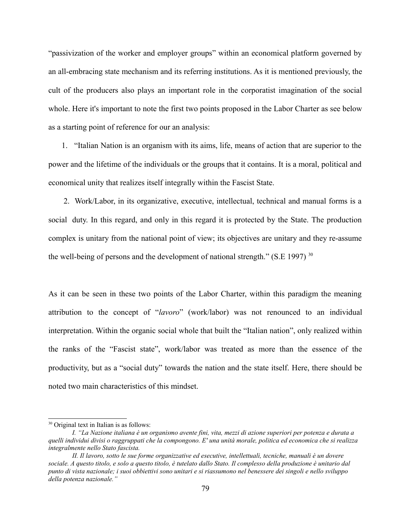"passivization of the worker and employer groups" within an economical platform governed by an all-embracing state mechanism and its referring institutions. As it is mentioned previously, the cult of the producers also plays an important role in the corporatist imagination of the social whole. Here it's important to note the first two points proposed in the Labor Charter as see below as a starting point of reference for our an analysis:

 1. "Italian Nation is an organism with its aims, life, means of action that are superior to the power and the lifetime of the individuals or the groups that it contains. It is a moral, political and economical unity that realizes itself integrally within the Fascist State.

 2. Work/Labor, in its organizative, executive, intellectual, technical and manual forms is a social duty. In this regard, and only in this regard it is protected by the State. The production complex is unitary from the national point of view; its objectives are unitary and they re-assume the well-being of persons and the development of national strength." (S.E 1997)<sup>[30](#page-78-0)</sup>

As it can be seen in these two points of the Labor Charter, within this paradigm the meaning attribution to the concept of "*lavoro*" (work/labor) was not renounced to an individual interpretation. Within the organic social whole that built the "Italian nation", only realized within the ranks of the "Fascist state", work/labor was treated as more than the essence of the productivity, but as a "social duty" towards the nation and the state itself. Here, there should be noted two main characteristics of this mindset.

<span id="page-78-0"></span><sup>30</sup> Original text in Italian is as follows:

*I. "La Nazione italiana è un organismo avente fini, vita, mezzi di azione superiori per potenza e durata a quelli individui divisi o raggruppati che la compongono. E' una unità morale, politica ed economica che si realizza integralmente nello Stato fascista.*

*II. Il lavoro, sotto le sue forme organizzative ed esecutive, intellettuali, tecniche, manuali è un dovere sociale. A questo titolo, e solo a questo titolo, è tutelato dallo Stato. Il complesso della produzione è unitario dal punto di vista nazionale; i suoi obbiettivi sono unitari e si riassumono nel benessere dei singoli e nello sviluppo della potenza nazionale."*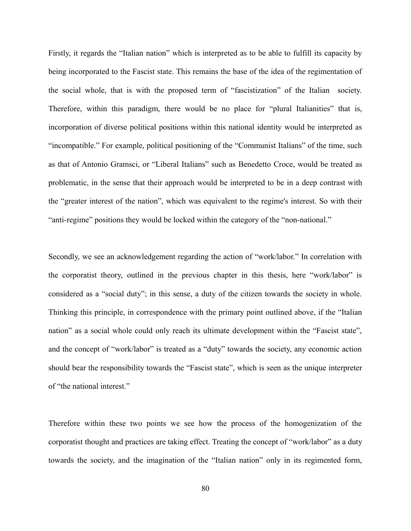Firstly, it regards the "Italian nation" which is interpreted as to be able to fulfill its capacity by being incorporated to the Fascist state. This remains the base of the idea of the regimentation of the social whole, that is with the proposed term of "fascistization" of the Italian society. Therefore, within this paradigm, there would be no place for "plural Italianities" that is, incorporation of diverse political positions within this national identity would be interpreted as "incompatible." For example, political positioning of the "Communist Italians" of the time, such as that of Antonio Gramsci, or "Liberal Italians" such as Benedetto Croce, would be treated as problematic, in the sense that their approach would be interpreted to be in a deep contrast with the "greater interest of the nation", which was equivalent to the regime's interest. So with their "anti-regime" positions they would be locked within the category of the "non-national."

Secondly, we see an acknowledgement regarding the action of "work/labor." In correlation with the corporatist theory, outlined in the previous chapter in this thesis, here "work/labor" is considered as a "social duty"; in this sense, a duty of the citizen towards the society in whole. Thinking this principle, in correspondence with the primary point outlined above, if the "Italian nation" as a social whole could only reach its ultimate development within the "Fascist state", and the concept of "work/labor" is treated as a "duty" towards the society, any economic action should bear the responsibility towards the "Fascist state", which is seen as the unique interpreter of "the national interest."

Therefore within these two points we see how the process of the homogenization of the corporatist thought and practices are taking effect. Treating the concept of "work/labor" as a duty towards the society, and the imagination of the "Italian nation" only in its regimented form,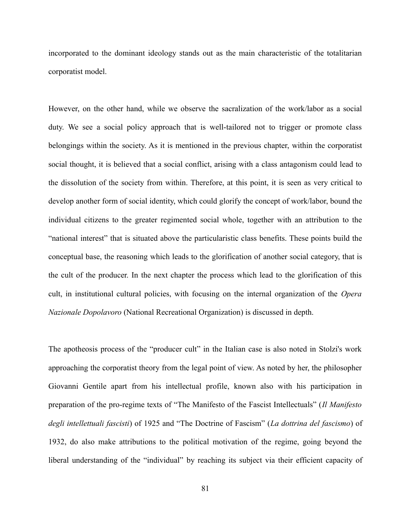incorporated to the dominant ideology stands out as the main characteristic of the totalitarian corporatist model.

However, on the other hand, while we observe the sacralization of the work/labor as a social duty. We see a social policy approach that is well-tailored not to trigger or promote class belongings within the society. As it is mentioned in the previous chapter, within the corporatist social thought, it is believed that a social conflict, arising with a class antagonism could lead to the dissolution of the society from within. Therefore, at this point, it is seen as very critical to develop another form of social identity, which could glorify the concept of work/labor, bound the individual citizens to the greater regimented social whole, together with an attribution to the "national interest" that is situated above the particularistic class benefits. These points build the conceptual base, the reasoning which leads to the glorification of another social category, that is the cult of the producer. In the next chapter the process which lead to the glorification of this cult, in institutional cultural policies, with focusing on the internal organization of the *Opera Nazionale Dopolavoro* (National Recreational Organization) is discussed in depth.

The apotheosis process of the "producer cult" in the Italian case is also noted in Stolzi's work approaching the corporatist theory from the legal point of view. As noted by her, the philosopher Giovanni Gentile apart from his intellectual profile, known also with his participation in preparation of the pro-regime texts of "The Manifesto of the Fascist Intellectuals" (*Il Manifesto degli intellettuali fascisti*) of 1925 and "The Doctrine of Fascism" (*La dottrina del fascismo*) of 1932, do also make attributions to the political motivation of the regime, going beyond the liberal understanding of the "individual" by reaching its subject via their efficient capacity of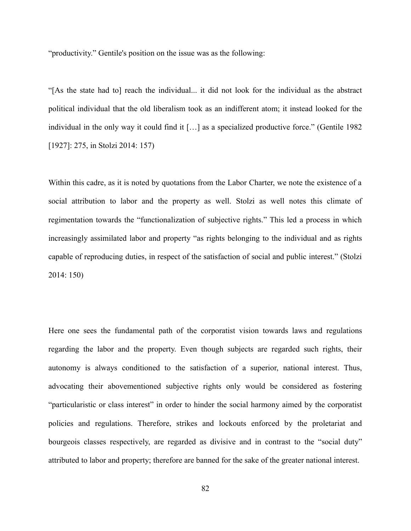"productivity." Gentile's position on the issue was as the following:

"[As the state had to] reach the individual... it did not look for the individual as the abstract political individual that the old liberalism took as an indifferent atom; it instead looked for the individual in the only way it could find it […] as a specialized productive force." (Gentile 1982 [1927]: 275, in Stolzi 2014: 157)

Within this cadre, as it is noted by quotations from the Labor Charter, we note the existence of a social attribution to labor and the property as well. Stolzi as well notes this climate of regimentation towards the "functionalization of subjective rights." This led a process in which increasingly assimilated labor and property "as rights belonging to the individual and as rights capable of reproducing duties, in respect of the satisfaction of social and public interest." (Stolzi 2014: 150)

Here one sees the fundamental path of the corporatist vision towards laws and regulations regarding the labor and the property. Even though subjects are regarded such rights, their autonomy is always conditioned to the satisfaction of a superior, national interest. Thus, advocating their abovementioned subjective rights only would be considered as fostering "particularistic or class interest" in order to hinder the social harmony aimed by the corporatist policies and regulations. Therefore, strikes and lockouts enforced by the proletariat and bourgeois classes respectively, are regarded as divisive and in contrast to the "social duty" attributed to labor and property; therefore are banned for the sake of the greater national interest.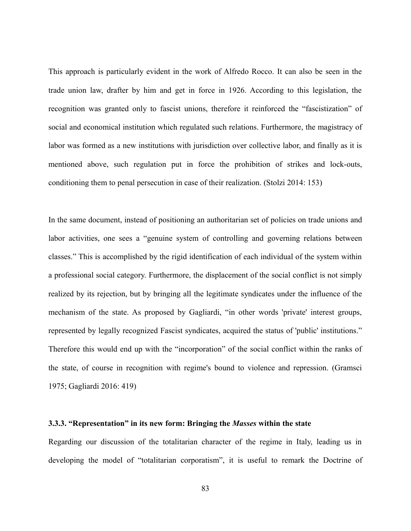This approach is particularly evident in the work of Alfredo Rocco. It can also be seen in the trade union law, drafter by him and get in force in 1926. According to this legislation, the recognition was granted only to fascist unions, therefore it reinforced the "fascistization" of social and economical institution which regulated such relations. Furthermore, the magistracy of labor was formed as a new institutions with jurisdiction over collective labor, and finally as it is mentioned above, such regulation put in force the prohibition of strikes and lock-outs, conditioning them to penal persecution in case of their realization. (Stolzi 2014: 153)

In the same document, instead of positioning an authoritarian set of policies on trade unions and labor activities, one sees a "genuine system of controlling and governing relations between classes." This is accomplished by the rigid identification of each individual of the system within a professional social category. Furthermore, the displacement of the social conflict is not simply realized by its rejection, but by bringing all the legitimate syndicates under the influence of the mechanism of the state. As proposed by Gagliardi, "in other words 'private' interest groups, represented by legally recognized Fascist syndicates, acquired the status of 'public' institutions." Therefore this would end up with the "incorporation" of the social conflict within the ranks of the state, of course in recognition with regime's bound to violence and repression. (Gramsci 1975; Gagliardi 2016: 419)

### **3.3.3. "Representation" in its new form: Bringing the** *Masses* **within the state**

Regarding our discussion of the totalitarian character of the regime in Italy, leading us in developing the model of "totalitarian corporatism", it is useful to remark the Doctrine of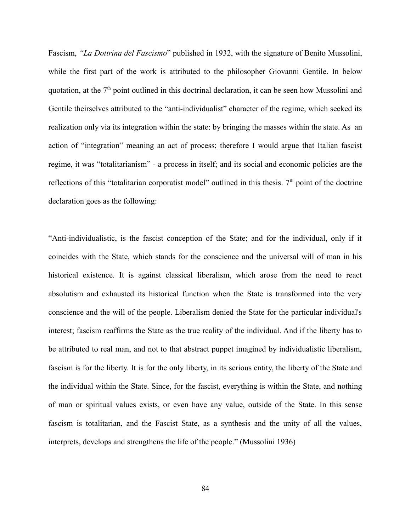Fascism, *"La Dottrina del Fascismo*" published in 1932, with the signature of Benito Mussolini, while the first part of the work is attributed to the philosopher Giovanni Gentile. In below quotation, at the  $7<sup>th</sup>$  point outlined in this doctrinal declaration, it can be seen how Mussolini and Gentile theirselves attributed to the "anti-individualist" character of the regime, which seeked its realization only via its integration within the state: by bringing the masses within the state. As an action of "integration" meaning an act of process; therefore I would argue that Italian fascist regime, it was "totalitarianism" - a process in itself; and its social and economic policies are the reflections of this "totalitarian corporatist model" outlined in this thesis.  $7<sup>th</sup>$  point of the doctrine declaration goes as the following:

"Anti-individualistic, is the fascist conception of the State; and for the individual, only if it coincides with the State, which stands for the conscience and the universal will of man in his historical existence. It is against classical liberalism, which arose from the need to react absolutism and exhausted its historical function when the State is transformed into the very conscience and the will of the people. Liberalism denied the State for the particular individual's interest; fascism reaffirms the State as the true reality of the individual. And if the liberty has to be attributed to real man, and not to that abstract puppet imagined by individualistic liberalism, fascism is for the liberty. It is for the only liberty, in its serious entity, the liberty of the State and the individual within the State. Since, for the fascist, everything is within the State, and nothing of man or spiritual values exists, or even have any value, outside of the State. In this sense fascism is totalitarian, and the Fascist State, as a synthesis and the unity of all the values, interprets, develops and strengthens the life of the people." (Mussolini 1936)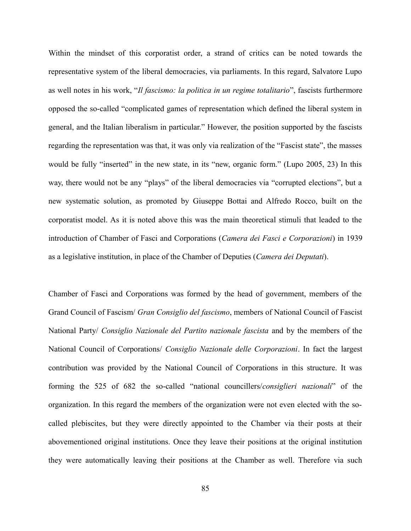Within the mindset of this corporatist order, a strand of critics can be noted towards the representative system of the liberal democracies, via parliaments. In this regard, Salvatore Lupo as well notes in his work, "*Il fascismo: la politica in un regime totalitario*", fascists furthermore opposed the so-called "complicated games of representation which defined the liberal system in general, and the Italian liberalism in particular." However, the position supported by the fascists regarding the representation was that, it was only via realization of the "Fascist state", the masses would be fully "inserted" in the new state, in its "new, organic form." (Lupo 2005, 23) In this way, there would not be any "plays" of the liberal democracies via "corrupted elections", but a new systematic solution, as promoted by Giuseppe Bottai and Alfredo Rocco, built on the corporatist model. As it is noted above this was the main theoretical stimuli that leaded to the introduction of Chamber of Fasci and Corporations (*Camera dei Fasci e Corporazioni*) in 1939 as a legislative institution, in place of the Chamber of Deputies (*Camera dei Deputati*).

Chamber of Fasci and Corporations was formed by the head of government, members of the Grand Council of Fascism/ *Gran Consiglio del fascismo*, members of National Council of Fascist National Party/ *Consiglio Nazionale del Partito nazionale fascista* and by the members of the National Council of Corporations/ *Consiglio Nazionale delle Corporazioni*. In fact the largest contribution was provided by the National Council of Corporations in this structure. It was forming the 525 of 682 the so-called "national councillers/*consiglieri nazionali*" of the organization. In this regard the members of the organization were not even elected with the socalled plebiscites, but they were directly appointed to the Chamber via their posts at their abovementioned original institutions. Once they leave their positions at the original institution they were automatically leaving their positions at the Chamber as well. Therefore via such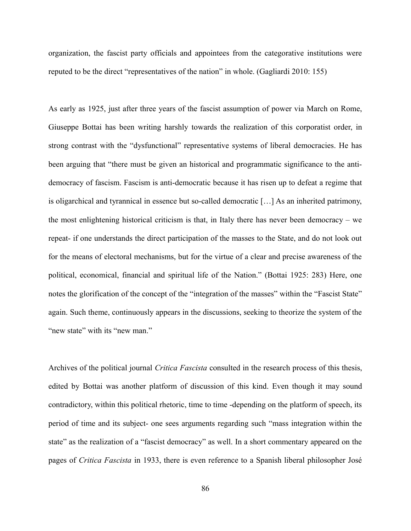organization, the fascist party officials and appointees from the categorative institutions were reputed to be the direct "representatives of the nation" in whole. (Gagliardi 2010: 155)

As early as 1925, just after three years of the fascist assumption of power via March on Rome, Giuseppe Bottai has been writing harshly towards the realization of this corporatist order, in strong contrast with the "dysfunctional" representative systems of liberal democracies. He has been arguing that "there must be given an historical and programmatic significance to the antidemocracy of fascism. Fascism is anti-democratic because it has risen up to defeat a regime that is oligarchical and tyrannical in essence but so-called democratic […] As an inherited patrimony, the most enlightening historical criticism is that, in Italy there has never been democracy – we repeat- if one understands the direct participation of the masses to the State, and do not look out for the means of electoral mechanisms, but for the virtue of a clear and precise awareness of the political, economical, financial and spiritual life of the Nation." (Bottai 1925: 283) Here, one notes the glorification of the concept of the "integration of the masses" within the "Fascist State" again. Such theme, continuously appears in the discussions, seeking to theorize the system of the "new state" with its "new man."

Archives of the political journal *Critica Fascista* consulted in the research process of this thesis, edited by Bottai was another platform of discussion of this kind. Even though it may sound contradictory, within this political rhetoric, time to time -depending on the platform of speech, its period of time and its subject- one sees arguments regarding such "mass integration within the state" as the realization of a "fascist democracy" as well. In a short commentary appeared on the pages of *Critica Fascista* in 1933, there is even reference to a Spanish liberal philosopher José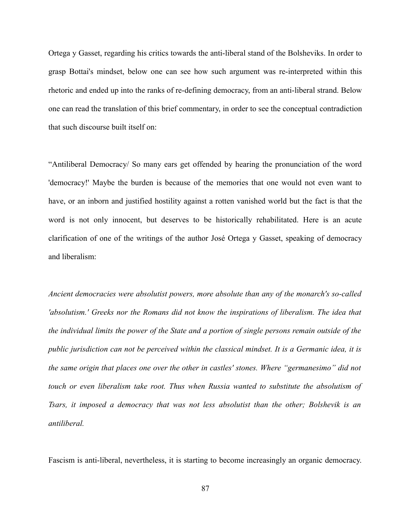Ortega y Gasset, regarding his critics towards the anti-liberal stand of the Bolsheviks. In order to grasp Bottai's mindset, below one can see how such argument was re-interpreted within this rhetoric and ended up into the ranks of re-defining democracy, from an anti-liberal strand. Below one can read the translation of this brief commentary, in order to see the conceptual contradiction that such discourse built itself on:

"Antiliberal Democracy/ So many ears get offended by hearing the pronunciation of the word 'democracy!' Maybe the burden is because of the memories that one would not even want to have, or an inborn and justified hostility against a rotten vanished world but the fact is that the word is not only innocent, but deserves to be historically rehabilitated. Here is an acute clarification of one of the writings of the author José Ortega y Gasset, speaking of democracy and liberalism:

*Ancient democracies were absolutist powers, more absolute than any of the monarch's so-called 'absolutism.' Greeks nor the Romans did not know the inspirations of liberalism. The idea that the individual limits the power of the State and a portion of single persons remain outside of the public jurisdiction can not be perceived within the classical mindset. It is a Germanic idea, it is the same origin that places one over the other in castles' stones. Where "germanesimo" did not touch or even liberalism take root. Thus when Russia wanted to substitute the absolutism of Tsars, it imposed a democracy that was not less absolutist than the other; Bolshevik is an antiliberal.*

Fascism is anti-liberal, nevertheless, it is starting to become increasingly an organic democracy.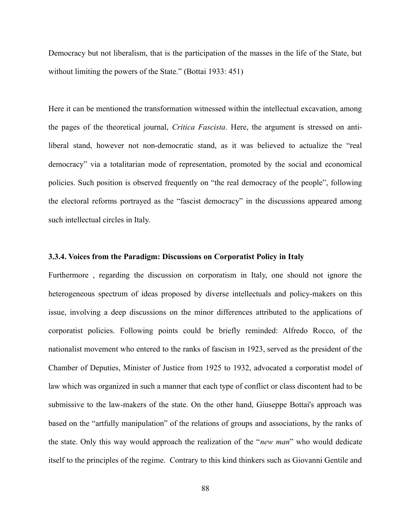Democracy but not liberalism, that is the participation of the masses in the life of the State, but without limiting the powers of the State." (Bottai 1933: 451)

Here it can be mentioned the transformation witnessed within the intellectual excavation, among the pages of the theoretical journal, *Critica Fascista*. Here, the argument is stressed on antiliberal stand, however not non-democratic stand, as it was believed to actualize the "real democracy" via a totalitarian mode of representation, promoted by the social and economical policies. Such position is observed frequently on "the real democracy of the people", following the electoral reforms portrayed as the "fascist democracy" in the discussions appeared among such intellectual circles in Italy.

## **3.3.4. Voices from the Paradigm: Discussions on Corporatist Policy in Italy**

Furthermore , regarding the discussion on corporatism in Italy, one should not ignore the heterogeneous spectrum of ideas proposed by diverse intellectuals and policy-makers on this issue, involving a deep discussions on the minor differences attributed to the applications of corporatist policies. Following points could be briefly reminded: Alfredo Rocco, of the nationalist movement who entered to the ranks of fascism in 1923, served as the president of the Chamber of Deputies, Minister of Justice from 1925 to 1932, advocated a corporatist model of law which was organized in such a manner that each type of conflict or class discontent had to be submissive to the law-makers of the state. On the other hand, Giuseppe Bottai's approach was based on the "artfully manipulation" of the relations of groups and associations, by the ranks of the state. Only this way would approach the realization of the "*new man*" who would dedicate itself to the principles of the regime. Contrary to this kind thinkers such as Giovanni Gentile and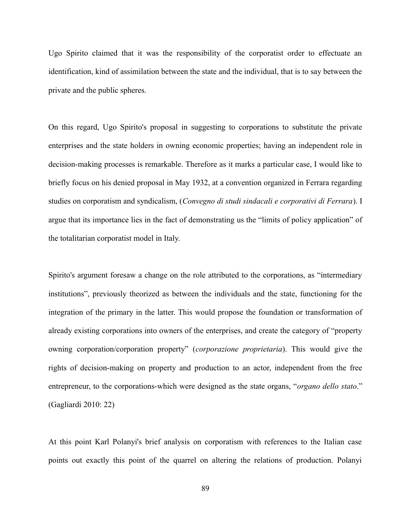Ugo Spirito claimed that it was the responsibility of the corporatist order to effectuate an identification, kind of assimilation between the state and the individual, that is to say between the private and the public spheres.

On this regard, Ugo Spirito's proposal in suggesting to corporations to substitute the private enterprises and the state holders in owning economic properties; having an independent role in decision-making processes is remarkable. Therefore as it marks a particular case, I would like to briefly focus on his denied proposal in May 1932, at a convention organized in Ferrara regarding studies on corporatism and syndicalism, (*Convegno di studi sindacali e corporativi di Ferrara*). I argue that its importance lies in the fact of demonstrating us the "limits of policy application" of the totalitarian corporatist model in Italy.

Spirito's argument foresaw a change on the role attributed to the corporations, as "intermediary institutions", previously theorized as between the individuals and the state, functioning for the integration of the primary in the latter. This would propose the foundation or transformation of already existing corporations into owners of the enterprises, and create the category of "property owning corporation/corporation property" (*corporazione proprietaria*). This would give the rights of decision-making on property and production to an actor, independent from the free entrepreneur, to the corporations-which were designed as the state organs, "*organo dello stato*." (Gagliardi 2010: 22)

At this point Karl Polanyi's brief analysis on corporatism with references to the Italian case points out exactly this point of the quarrel on altering the relations of production. Polanyi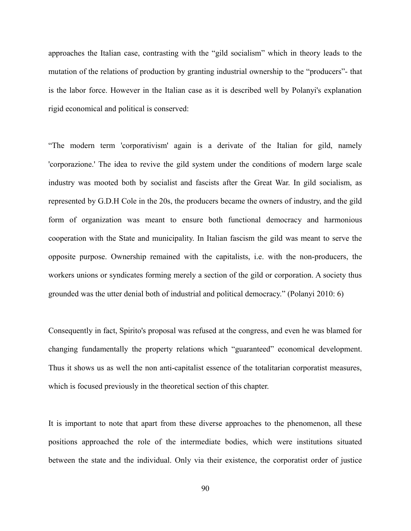approaches the Italian case, contrasting with the "gild socialism" which in theory leads to the mutation of the relations of production by granting industrial ownership to the "producers"- that is the labor force. However in the Italian case as it is described well by Polanyi's explanation rigid economical and political is conserved:

"The modern term 'corporativism' again is a derivate of the Italian for gild, namely 'corporazione.' The idea to revive the gild system under the conditions of modern large scale industry was mooted both by socialist and fascists after the Great War. In gild socialism, as represented by G.D.H Cole in the 20s, the producers became the owners of industry, and the gild form of organization was meant to ensure both functional democracy and harmonious cooperation with the State and municipality. In Italian fascism the gild was meant to serve the opposite purpose. Ownership remained with the capitalists, i.e. with the non-producers, the workers unions or syndicates forming merely a section of the gild or corporation. A society thus grounded was the utter denial both of industrial and political democracy." (Polanyi 2010: 6)

Consequently in fact, Spirito's proposal was refused at the congress, and even he was blamed for changing fundamentally the property relations which "guaranteed" economical development. Thus it shows us as well the non anti-capitalist essence of the totalitarian corporatist measures, which is focused previously in the theoretical section of this chapter.

It is important to note that apart from these diverse approaches to the phenomenon, all these positions approached the role of the intermediate bodies, which were institutions situated between the state and the individual. Only via their existence, the corporatist order of justice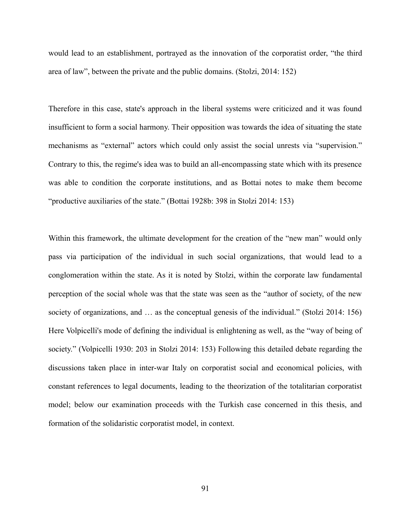would lead to an establishment, portrayed as the innovation of the corporatist order, "the third area of law", between the private and the public domains. (Stolzi, 2014: 152)

Therefore in this case, state's approach in the liberal systems were criticized and it was found insufficient to form a social harmony. Their opposition was towards the idea of situating the state mechanisms as "external" actors which could only assist the social unrests via "supervision." Contrary to this, the regime's idea was to build an all-encompassing state which with its presence was able to condition the corporate institutions, and as Bottai notes to make them become "productive auxiliaries of the state." (Bottai 1928b: 398 in Stolzi 2014: 153)

Within this framework, the ultimate development for the creation of the "new man" would only pass via participation of the individual in such social organizations, that would lead to a conglomeration within the state. As it is noted by Stolzi, within the corporate law fundamental perception of the social whole was that the state was seen as the "author of society, of the new society of organizations, and ... as the conceptual genesis of the individual." (Stolzi 2014: 156) Here Volpicelli's mode of defining the individual is enlightening as well, as the "way of being of society." (Volpicelli 1930: 203 in Stolzi 2014: 153) Following this detailed debate regarding the discussions taken place in inter-war Italy on corporatist social and economical policies, with constant references to legal documents, leading to the theorization of the totalitarian corporatist model; below our examination proceeds with the Turkish case concerned in this thesis, and formation of the solidaristic corporatist model, in context.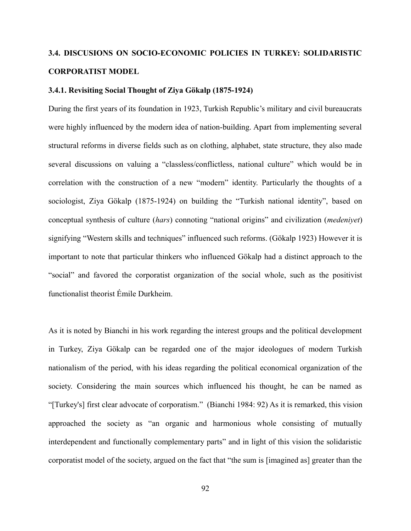# **3.4. DISCUSIONS ON SOCIO-ECONOMIC POLICIES IN TURKEY: SOLIDARISTIC CORPORATIST MODEL**

### **3.4.1. Revisiting Social Thought of Ziya Gökalp (1875-1924)**

During the first years of its foundation in 1923, Turkish Republic's military and civil bureaucrats were highly influenced by the modern idea of nation-building. Apart from implementing several structural reforms in diverse fields such as on clothing, alphabet, state structure, they also made several discussions on valuing a "classless/conflictless, national culture" which would be in correlation with the construction of a new "modern" identity. Particularly the thoughts of a sociologist, Ziya Gökalp (1875-1924) on building the "Turkish national identity", based on conceptual synthesis of culture (*hars*) connoting "national origins" and civilization (*medeniyet*) signifying "Western skills and techniques" influenced such reforms. (Gökalp 1923) However it is important to note that particular thinkers who influenced Gökalp had a distinct approach to the "social" and favored the corporatist organization of the social whole, such as the positivist functionalist theorist Émile Durkheim.

As it is noted by Bianchi in his work regarding the interest groups and the political development in Turkey, Ziya Gökalp can be regarded one of the major ideologues of modern Turkish nationalism of the period, with his ideas regarding the political economical organization of the society. Considering the main sources which influenced his thought, he can be named as "[Turkey's] first clear advocate of corporatism." (Bianchi 1984: 92) As it is remarked, this vision approached the society as "an organic and harmonious whole consisting of mutually interdependent and functionally complementary parts" and in light of this vision the solidaristic corporatist model of the society, argued on the fact that "the sum is [imagined as] greater than the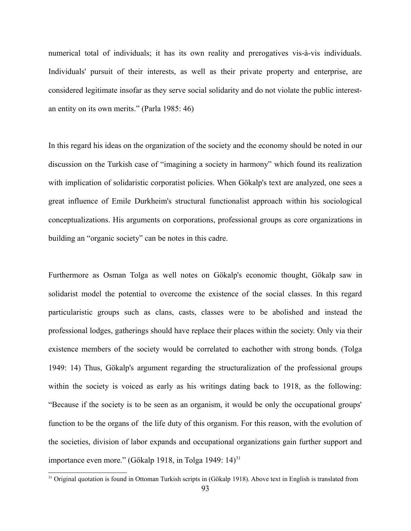numerical total of individuals; it has its own reality and prerogatives vis-à-vis individuals. Individuals' pursuit of their interests, as well as their private property and enterprise, are considered legitimate insofar as they serve social solidarity and do not violate the public interestan entity on its own merits." (Parla 1985: 46)

In this regard his ideas on the organization of the society and the economy should be noted in our discussion on the Turkish case of "imagining a society in harmony" which found its realization with implication of solidaristic corporatist policies. When Gökalp's text are analyzed, one sees a great influence of Emile Durkheim's structural functionalist approach within his sociological conceptualizations. His arguments on corporations, professional groups as core organizations in building an "organic society" can be notes in this cadre.

Furthermore as Osman Tolga as well notes on Gökalp's economic thought, Gökalp saw in solidarist model the potential to overcome the existence of the social classes. In this regard particularistic groups such as clans, casts, classes were to be abolished and instead the professional lodges, gatherings should have replace their places within the society. Only via their existence members of the society would be correlated to eachother with strong bonds. (Tolga 1949: 14) Thus, Gökalp's argument regarding the structuralization of the professional groups within the society is voiced as early as his writings dating back to 1918, as the following: "Because if the society is to be seen as an organism, it would be only the occupational groups' function to be the organs of the life duty of this organism. For this reason, with the evolution of the societies, division of labor expands and occupational organizations gain further support and importance even more." (Gökalp 1918, in Tolga 1949: 14)<sup>[31](#page-92-0)</sup>

<span id="page-92-0"></span><sup>&</sup>lt;sup>31</sup> Original quotation is found in Ottoman Turkish scripts in (Gökalp 1918). Above text in English is translated from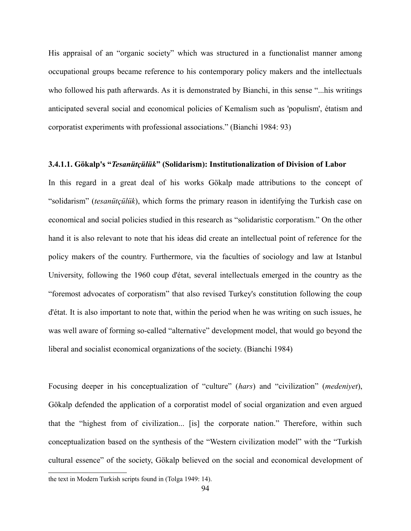His appraisal of an "organic society" which was structured in a functionalist manner among occupational groups became reference to his contemporary policy makers and the intellectuals who followed his path afterwards. As it is demonstrated by Bianchi, in this sense "...his writings anticipated several social and economical policies of Kemalism such as 'populism', étatism and corporatist experiments with professional associations." (Bianchi 1984: 93)

# **3.4.1.1. Gökalp's "***Tesanütçülük***" (Solidarism): Institutionalization of Division of Labor**

In this regard in a great deal of his works Gökalp made attributions to the concept of "solidarism" (*tesanütçülük*), which forms the primary reason in identifying the Turkish case on economical and social policies studied in this research as "solidaristic corporatism." On the other hand it is also relevant to note that his ideas did create an intellectual point of reference for the policy makers of the country. Furthermore, via the faculties of sociology and law at Istanbul University, following the 1960 coup d'état, several intellectuals emerged in the country as the "foremost advocates of corporatism" that also revised Turkey's constitution following the coup d'état. It is also important to note that, within the period when he was writing on such issues, he was well aware of forming so-called "alternative" development model, that would go beyond the liberal and socialist economical organizations of the society. (Bianchi 1984)

Focusing deeper in his conceptualization of "culture" (*hars*) and "civilization" (*medeniyet*), Gökalp defended the application of a corporatist model of social organization and even argued that the "highest from of civilization... [is] the corporate nation." Therefore, within such conceptualization based on the synthesis of the "Western civilization model" with the "Turkish cultural essence" of the society, Gökalp believed on the social and economical development of

the text in Modern Turkish scripts found in (Tolga 1949: 14).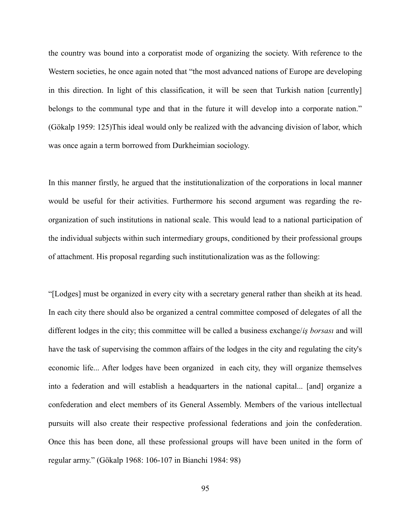the country was bound into a corporatist mode of organizing the society. With reference to the Western societies, he once again noted that "the most advanced nations of Europe are developing in this direction. In light of this classification, it will be seen that Turkish nation [currently] belongs to the communal type and that in the future it will develop into a corporate nation." (Gökalp 1959: 125)This ideal would only be realized with the advancing division of labor, which was once again a term borrowed from Durkheimian sociology.

In this manner firstly, he argued that the institutionalization of the corporations in local manner would be useful for their activities. Furthermore his second argument was regarding the reorganization of such institutions in national scale. This would lead to a national participation of the individual subjects within such intermediary groups, conditioned by their professional groups of attachment. His proposal regarding such institutionalization was as the following:

"[Lodges] must be organized in every city with a secretary general rather than sheikh at its head. In each city there should also be organized a central committee composed of delegates of all the different lodges in the city; this committee will be called a business exchange/*iş borsası* and will have the task of supervising the common affairs of the lodges in the city and regulating the city's economic life... After lodges have been organized in each city, they will organize themselves into a federation and will establish a headquarters in the national capital... [and] organize a confederation and elect members of its General Assembly. Members of the various intellectual pursuits will also create their respective professional federations and join the confederation. Once this has been done, all these professional groups will have been united in the form of regular army." (Gökalp 1968: 106-107 in Bianchi 1984: 98)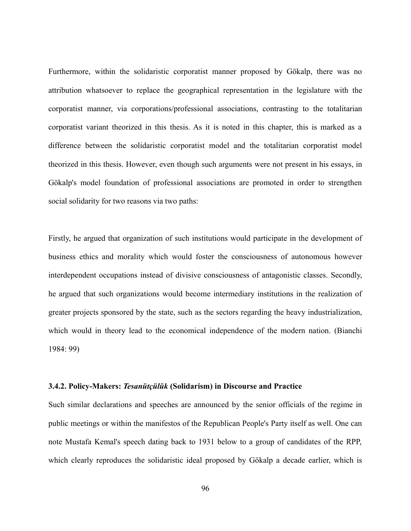Furthermore, within the solidaristic corporatist manner proposed by Gökalp, there was no attribution whatsoever to replace the geographical representation in the legislature with the corporatist manner, via corporations/professional associations, contrasting to the totalitarian corporatist variant theorized in this thesis. As it is noted in this chapter, this is marked as a difference between the solidaristic corporatist model and the totalitarian corporatist model theorized in this thesis. However, even though such arguments were not present in his essays, in Gökalp's model foundation of professional associations are promoted in order to strengthen social solidarity for two reasons via two paths:

Firstly, he argued that organization of such institutions would participate in the development of business ethics and morality which would foster the consciousness of autonomous however interdependent occupations instead of divisive consciousness of antagonistic classes. Secondly, he argued that such organizations would become intermediary institutions in the realization of greater projects sponsored by the state, such as the sectors regarding the heavy industrialization, which would in theory lead to the economical independence of the modern nation. (Bianchi 1984: 99)

## **3.4.2. Policy-Makers:** *Tesanütçülük* **(Solidarism) in Discourse and Practice**

Such similar declarations and speeches are announced by the senior officials of the regime in public meetings or within the manifestos of the Republican People's Party itself as well. One can note Mustafa Kemal's speech dating back to 1931 below to a group of candidates of the RPP, which clearly reproduces the solidaristic ideal proposed by Gökalp a decade earlier, which is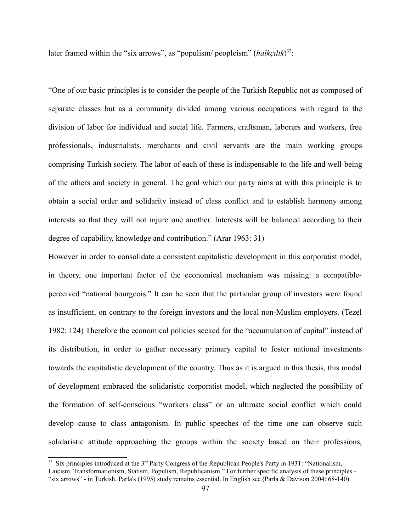later framed within the "six arrows", as "populism/ peopleism" (*halkçılık*) [32](#page-96-0):

"One of our basic principles is to consider the people of the Turkish Republic not as composed of separate classes but as a community divided among various occupations with regard to the division of labor for individual and social life. Farmers, craftsman, laborers and workers, free professionals, industrialists, merchants and civil servants are the main working groups comprising Turkish society. The labor of each of these is indispensable to the life and well-being of the others and society in general. The goal which our party aims at with this principle is to obtain a social order and solidarity instead of class conflict and to establish harmony among interests so that they will not injure one another. Interests will be balanced according to their degree of capability, knowledge and contribution." (Arar 1963: 31)

However in order to consolidate a consistent capitalistic development in this corporatist model, in theory, one important factor of the economical mechanism was missing: a compatibleperceived "national bourgeois." It can be seen that the particular group of investors were found as insufficient, on contrary to the foreign investors and the local non-Muslim employers. (Tezel 1982: 124) Therefore the economical policies seeked for the "accumulation of capital" instead of its distribution, in order to gather necessary primary capital to foster national investments towards the capitalistic development of the country. Thus as it is argued in this thesis, this modal of development embraced the solidaristic corporatist model, which neglected the possibility of the formation of self-conscious "workers class" or an ultimate social conflict which could develop cause to class antagonism. In public speeches of the time one can observe such solidaristic attitude approaching the groups within the society based on their professions,

<span id="page-96-0"></span><sup>&</sup>lt;sup>32</sup> Six principles introduced at the  $3<sup>rd</sup>$  Party Congress of the Republican People's Party in 1931: "Nationalism, Laicism, Transformationism, Statism, Populism, Republicanism." For further specific analysis of these principles - "six arrows" - in Turkish, Parla's (1995) study remains essential. In English see (Parla & Davison 2004: 68-140).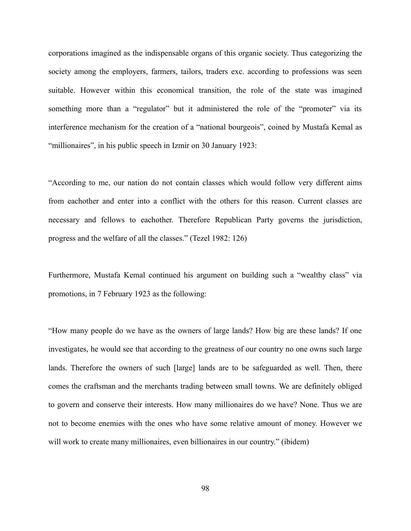corporations imagined as the indispensable organs of this organic society. Thus categorizing the society among the employers, farmers, tailors, traders exc. according to professions was seen suitable. However within this economical transition, the role of the state was imagined something more than a "regulator" but it administered the role of the "promoter" via its interference mechanism for the creation of a "national bourgeois", coined by Mustafa Kemal as "millionaires", in his public speech in Izmir on 30 January 1923:

"According to me, our nation do not contain classes which would follow very different aims from eachother and enter into a conflict with the others for this reason. Current classes are necessary and fellows to eachother. Therefore Republican Party governs the jurisdiction, progress and the welfare of all the classes." (Tezel 1982: 126)

Furthermore, Mustafa Kemal continued his argument on building such a "wealthy class" via promotions, in 7 February 1923 as the following:

"How many people do we have as the owners of large lands? How big are these lands? If one investigates, he would see that according to the greatness of our country no one owns such large lands. Therefore the owners of such [large] lands are to be safeguarded as well. Then, there comes the craftsman and the merchants trading between small towns. We are definitely obliged to govern and conserve their interests. How many millionaires do we have? None. Thus we are not to become enemies with the ones who have some relative amount of money. However we will work to create many millionaires, even billionaires in our country." (ibidem)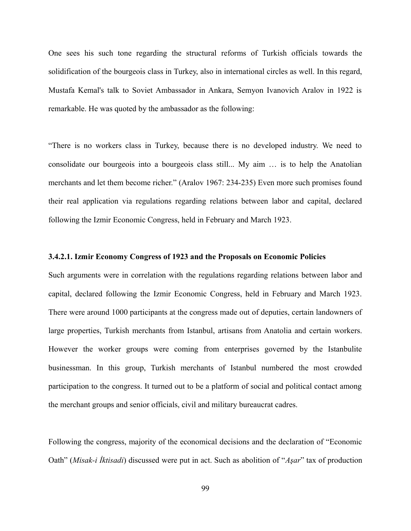One sees his such tone regarding the structural reforms of Turkish officials towards the solidification of the bourgeois class in Turkey, also in international circles as well. In this regard, Mustafa Kemal's talk to Soviet Ambassador in Ankara, Semyon Ivanovich Aralov in 1922 is remarkable. He was quoted by the ambassador as the following:

"There is no workers class in Turkey, because there is no developed industry. We need to consolidate our bourgeois into a bourgeois class still... My aim … is to help the Anatolian merchants and let them become richer." (Aralov 1967: 234-235) Even more such promises found their real application via regulations regarding relations between labor and capital, declared following the Izmir Economic Congress, held in February and March 1923.

### **3.4.2.1. Izmir Economy Congress of 1923 and the Proposals on Economic Policies**

Such arguments were in correlation with the regulations regarding relations between labor and capital, declared following the Izmir Economic Congress, held in February and March 1923. There were around 1000 participants at the congress made out of deputies, certain landowners of large properties, Turkish merchants from Istanbul, artisans from Anatolia and certain workers. However the worker groups were coming from enterprises governed by the Istanbulite businessman. In this group, Turkish merchants of Istanbul numbered the most crowded participation to the congress. It turned out to be a platform of social and political contact among the merchant groups and senior officials, civil and military bureaucrat cadres.

Following the congress, majority of the economical decisions and the declaration of "Economic Oath" (*Misak-i İktisadi*) discussed were put in act. Such as abolition of "*Aşar*" tax of production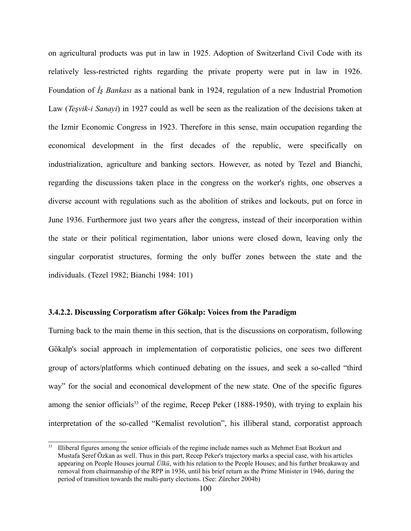on agricultural products was put in law in 1925. Adoption of Switzerland Civil Code with its relatively less-restricted rights regarding the private property were put in law in 1926. Foundation of *İş Bankası* as a national bank in 1924, regulation of a new Industrial Promotion Law (*Teşvik-i Sanayi*) in 1927 could as well be seen as the realization of the decisions taken at the Izmir Economic Congress in 1923. Therefore in this sense, main occupation regarding the economical development in the first decades of the republic, were specifically on industrialization, agriculture and banking sectors. However, as noted by Tezel and Bianchi, regarding the discussions taken place in the congress on the worker's rights, one observes a diverse account with regulations such as the abolition of strikes and lockouts, put on force in June 1936. Furthermore just two years after the congress, instead of their incorporation within the state or their political regimentation, labor unions were closed down, leaving only the singular corporatist structures, forming the only buffer zones between the state and the individuals. (Tezel 1982; Bianchi 1984: 101)

## **3.4.2.2. Discussing Corporatism after Gökalp: Voices from the Paradigm**

Turning back to the main theme in this section, that is the discussions on corporatism, following Gökalp's social approach in implementation of corporatistic policies, one sees two different group of actors/platforms which continued debating on the issues, and seek a so-called "third way" for the social and economical development of the new state. One of the specific figures among the senior officials<sup>[33](#page-99-0)</sup> of the regime, Recep Peker (1888-1950), with trying to explain his interpretation of the so-called "Kemalist revolution", his illiberal stand, corporatist approach

<span id="page-99-0"></span><sup>33</sup> Illiberal figures among the senior officials of the regime include names such as Mehmet Esat Bozkurt and Mustafa Şeref Özkan as well. Thus in this part, Recep Peker's trajectory marks a special case, with his articles appearing on People Houses journal *Ülkü*, with his relation to the People Houses; and his further breakaway and removal from chairmanship of the RPP in 1936, until his brief return as the Prime Minister in 1946, during the period of transition towards the multi-party elections. (See: Zürcher 2004b)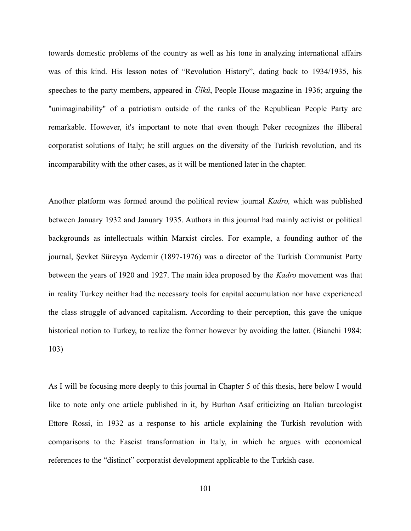towards domestic problems of the country as well as his tone in analyzing international affairs was of this kind. His lesson notes of "Revolution History", dating back to 1934/1935, his speeches to the party members, appeared in *Ülkü*, People House magazine in 1936; arguing the "unimaginability" of a patriotism outside of the ranks of the Republican People Party are remarkable. However, it's important to note that even though Peker recognizes the illiberal corporatist solutions of Italy; he still argues on the diversity of the Turkish revolution, and its incomparability with the other cases, as it will be mentioned later in the chapter.

Another platform was formed around the political review journal *Kadro,* which was published between January 1932 and January 1935. Authors in this journal had mainly activist or political backgrounds as intellectuals within Marxist circles. For example, a founding author of the journal, Şevket Süreyya Aydemir (1897-1976) was a director of the Turkish Communist Party between the years of 1920 and 1927. The main idea proposed by the *Kadro* movement was that in reality Turkey neither had the necessary tools for capital accumulation nor have experienced the class struggle of advanced capitalism. According to their perception, this gave the unique historical notion to Turkey, to realize the former however by avoiding the latter. (Bianchi 1984: 103)

As I will be focusing more deeply to this journal in Chapter 5 of this thesis, here below I would like to note only one article published in it, by Burhan Asaf criticizing an Italian turcologist Ettore Rossi, in 1932 as a response to his article explaining the Turkish revolution with comparisons to the Fascist transformation in Italy, in which he argues with economical references to the "distinct" corporatist development applicable to the Turkish case.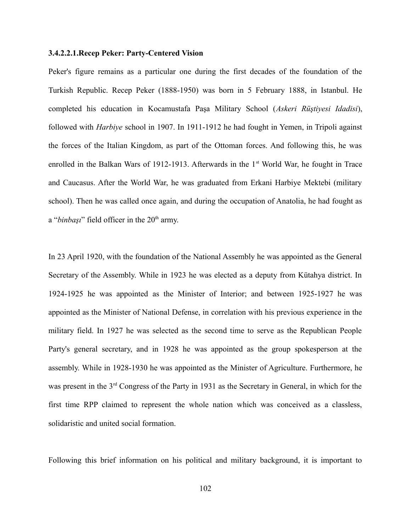## **3.4.2.2.1.Recep Peker: Party-Centered Vision**

Peker's figure remains as a particular one during the first decades of the foundation of the Turkish Republic. Recep Peker (1888-1950) was born in 5 February 1888, in Istanbul. He completed his education in Kocamustafa Paşa Military School (*Askeri Rüştiyesi Idadisi*), followed with *Harbiye* school in 1907. In 1911-1912 he had fought in Yemen, in Tripoli against the forces of the Italian Kingdom, as part of the Ottoman forces. And following this, he was enrolled in the Balkan Wars of 1912-1913. Afterwards in the  $1<sup>st</sup>$  World War, he fought in Trace and Caucasus. After the World War, he was graduated from Erkani Harbiye Mektebi (military school). Then he was called once again, and during the occupation of Anatolia, he had fought as a "*binbaşı*" field officer in the 20<sup>th</sup> army.

In 23 April 1920, with the foundation of the National Assembly he was appointed as the General Secretary of the Assembly. While in 1923 he was elected as a deputy from Kütahya district. In 1924-1925 he was appointed as the Minister of Interior; and between 1925-1927 he was appointed as the Minister of National Defense, in correlation with his previous experience in the military field. In 1927 he was selected as the second time to serve as the Republican People Party's general secretary, and in 1928 he was appointed as the group spokesperson at the assembly. While in 1928-1930 he was appointed as the Minister of Agriculture. Furthermore, he was present in the 3<sup>rd</sup> Congress of the Party in 1931 as the Secretary in General, in which for the first time RPP claimed to represent the whole nation which was conceived as a classless, solidaristic and united social formation.

Following this brief information on his political and military background, it is important to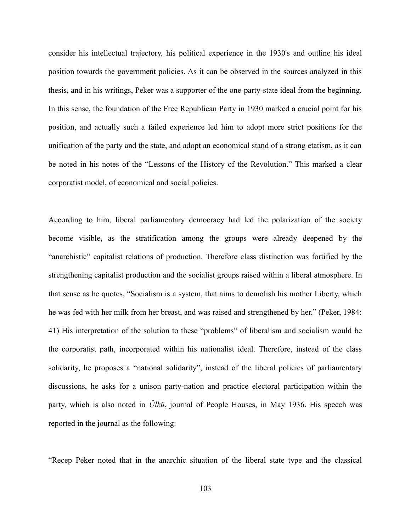consider his intellectual trajectory, his political experience in the 1930's and outline his ideal position towards the government policies. As it can be observed in the sources analyzed in this thesis, and in his writings, Peker was a supporter of the one-party-state ideal from the beginning. In this sense, the foundation of the Free Republican Party in 1930 marked a crucial point for his position, and actually such a failed experience led him to adopt more strict positions for the unification of the party and the state, and adopt an economical stand of a strong etatism, as it can be noted in his notes of the "Lessons of the History of the Revolution." This marked a clear corporatist model, of economical and social policies.

According to him, liberal parliamentary democracy had led the polarization of the society become visible, as the stratification among the groups were already deepened by the "anarchistic" capitalist relations of production. Therefore class distinction was fortified by the strengthening capitalist production and the socialist groups raised within a liberal atmosphere. In that sense as he quotes, "Socialism is a system, that aims to demolish his mother Liberty, which he was fed with her milk from her breast, and was raised and strengthened by her." (Peker, 1984: 41) His interpretation of the solution to these "problems" of liberalism and socialism would be the corporatist path, incorporated within his nationalist ideal. Therefore, instead of the class solidarity, he proposes a "national solidarity", instead of the liberal policies of parliamentary discussions, he asks for a unison party-nation and practice electoral participation within the party, which is also noted in *Ülkü*, journal of People Houses, in May 1936. His speech was reported in the journal as the following:

"Recep Peker noted that in the anarchic situation of the liberal state type and the classical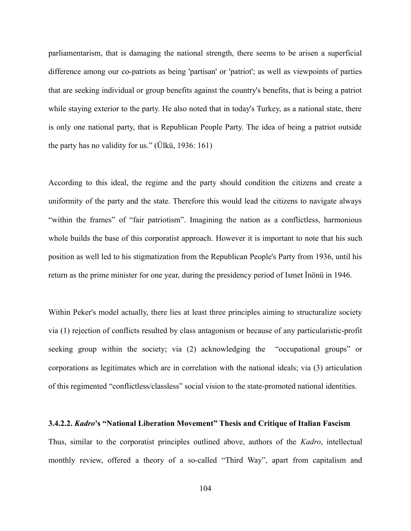parliamentarism, that is damaging the national strength, there seems to be arisen a superficial difference among our co-patriots as being 'partisan' or 'patriot'; as well as viewpoints of parties that are seeking individual or group benefits against the country's benefits, that is being a patriot while staying exterior to the party. He also noted that in today's Turkey, as a national state, there is only one national party, that is Republican People Party. The idea of being a patriot outside the party has no validity for us." (Ülkü, 1936: 161)

According to this ideal, the regime and the party should condition the citizens and create a uniformity of the party and the state. Therefore this would lead the citizens to navigate always "within the frames" of "fair patriotism". Imagining the nation as a conflictless, harmonious whole builds the base of this corporatist approach. However it is important to note that his such position as well led to his stigmatization from the Republican People's Party from 1936, until his return as the prime minister for one year, during the presidency period of Ismet İnönü in 1946.

Within Peker's model actually, there lies at least three principles aiming to structuralize society via (1) rejection of conflicts resulted by class antagonism or because of any particularistic-profit seeking group within the society; via (2) acknowledging the "occupational groups" or corporations as legitimates which are in correlation with the national ideals; via (3) articulation of this regimented "conflictless/classless" social vision to the state-promoted national identities.

#### **3.4.2.2.** *Kadro***'s "National Liberation Movement" Thesis and Critique of Italian Fascism**

Thus, similar to the corporatist principles outlined above, authors of the *Kadro*, intellectual monthly review, offered a theory of a so-called "Third Way", apart from capitalism and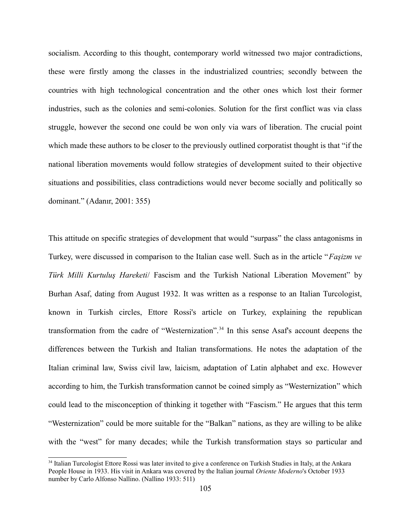socialism. According to this thought, contemporary world witnessed two major contradictions, these were firstly among the classes in the industrialized countries; secondly between the countries with high technological concentration and the other ones which lost their former industries, such as the colonies and semi-colonies. Solution for the first conflict was via class struggle, however the second one could be won only via wars of liberation. The crucial point which made these authors to be closer to the previously outlined corporatist thought is that "if the national liberation movements would follow strategies of development suited to their objective situations and possibilities, class contradictions would never become socially and politically so dominant." (Adanır, 2001: 355)

This attitude on specific strategies of development that would "surpass" the class antagonisms in Turkey, were discussed in comparison to the Italian case well. Such as in the article "*Faşizm ve Türk Milli Kurtuluş Hareketi*/ Fascism and the Turkish National Liberation Movement" by Burhan Asaf, dating from August 1932. It was written as a response to an Italian Turcologist, known in Turkish circles, Ettore Rossi's article on Turkey, explaining the republican transformation from the cadre of "Westernization".<sup>[34](#page-104-0)</sup> In this sense Asaf's account deepens the differences between the Turkish and Italian transformations. He notes the adaptation of the Italian criminal law, Swiss civil law, laicism, adaptation of Latin alphabet and exc. However according to him, the Turkish transformation cannot be coined simply as "Westernization" which could lead to the misconception of thinking it together with "Fascism." He argues that this term "Westernization" could be more suitable for the "Balkan" nations, as they are willing to be alike with the "west" for many decades; while the Turkish transformation stays so particular and

<span id="page-104-0"></span><sup>&</sup>lt;sup>34</sup> Italian Turcologist Ettore Rossi was later invited to give a conference on Turkish Studies in Italy, at the Ankara People House in 1933. His visit in Ankara was covered by the Italian journal *Oriente Moderno*'s October 1933 number by Carlo Alfonso Nallino. (Nallino 1933: 511)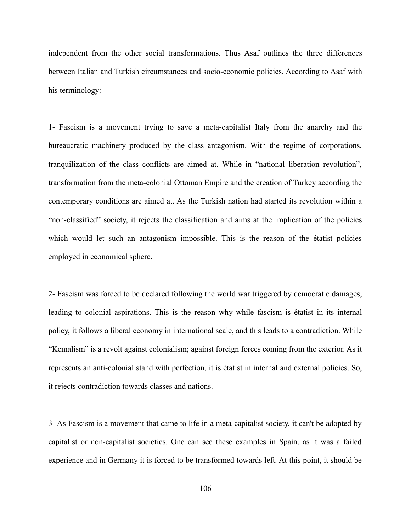independent from the other social transformations. Thus Asaf outlines the three differences between Italian and Turkish circumstances and socio-economic policies. According to Asaf with his terminology:

1- Fascism is a movement trying to save a meta-capitalist Italy from the anarchy and the bureaucratic machinery produced by the class antagonism. With the regime of corporations, tranquilization of the class conflicts are aimed at. While in "national liberation revolution", transformation from the meta-colonial Ottoman Empire and the creation of Turkey according the contemporary conditions are aimed at. As the Turkish nation had started its revolution within a "non-classified" society, it rejects the classification and aims at the implication of the policies which would let such an antagonism impossible. This is the reason of the étatist policies employed in economical sphere.

2- Fascism was forced to be declared following the world war triggered by democratic damages, leading to colonial aspirations. This is the reason why while fascism is étatist in its internal policy, it follows a liberal economy in international scale, and this leads to a contradiction. While "Kemalism" is a revolt against colonialism; against foreign forces coming from the exterior. As it represents an anti-colonial stand with perfection, it is étatist in internal and external policies. So, it rejects contradiction towards classes and nations.

3- As Fascism is a movement that came to life in a meta-capitalist society, it can't be adopted by capitalist or non-capitalist societies. One can see these examples in Spain, as it was a failed experience and in Germany it is forced to be transformed towards left. At this point, it should be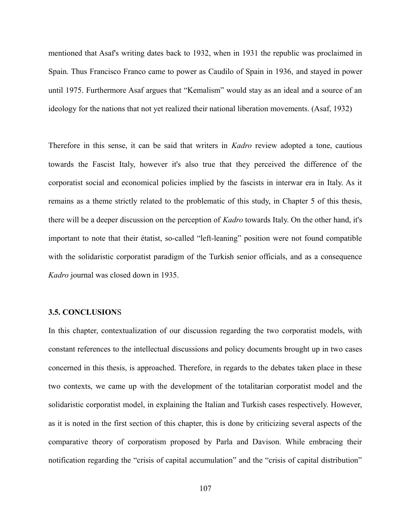mentioned that Asaf's writing dates back to 1932, when in 1931 the republic was proclaimed in Spain. Thus Francisco Franco came to power as Caudilo of Spain in 1936, and stayed in power until 1975. Furthermore Asaf argues that "Kemalism" would stay as an ideal and a source of an ideology for the nations that not yet realized their national liberation movements. (Asaf, 1932)

Therefore in this sense, it can be said that writers in *Kadro* review adopted a tone, cautious towards the Fascist Italy, however it's also true that they perceived the difference of the corporatist social and economical policies implied by the fascists in interwar era in Italy. As it remains as a theme strictly related to the problematic of this study, in Chapter 5 of this thesis, there will be a deeper discussion on the perception of *Kadro* towards Italy. On the other hand, it's important to note that their étatist, so-called "left-leaning" position were not found compatible with the solidaristic corporatist paradigm of the Turkish senior officials, and as a consequence *Kadro* journal was closed down in 1935.

## **3.5. CONCLUSION**S

In this chapter, contextualization of our discussion regarding the two corporatist models, with constant references to the intellectual discussions and policy documents brought up in two cases concerned in this thesis, is approached. Therefore, in regards to the debates taken place in these two contexts, we came up with the development of the totalitarian corporatist model and the solidaristic corporatist model, in explaining the Italian and Turkish cases respectively. However, as it is noted in the first section of this chapter, this is done by criticizing several aspects of the comparative theory of corporatism proposed by Parla and Davison. While embracing their notification regarding the "crisis of capital accumulation" and the "crisis of capital distribution"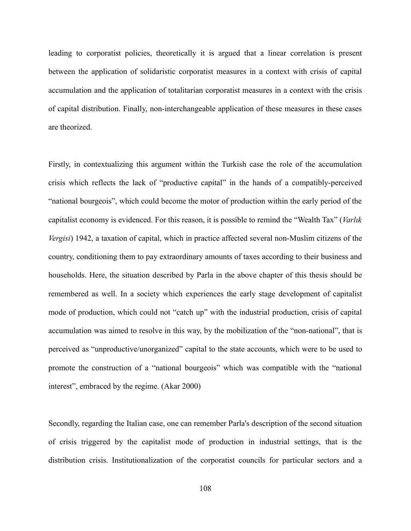leading to corporatist policies, theoretically it is argued that a linear correlation is present between the application of solidaristic corporatist measures in a context with crisis of capital accumulation and the application of totalitarian corporatist measures in a context with the crisis of capital distribution. Finally, non-interchangeable application of these measures in these cases are theorized.

Firstly, in contextualizing this argument within the Turkish case the role of the accumulation crisis which reflects the lack of "productive capital" in the hands of a compatibly-perceived "national bourgeois", which could become the motor of production within the early period of the capitalist economy is evidenced. For this reason, it is possible to remind the "Wealth Tax" (*Varlık Vergisi*) 1942, a taxation of capital, which in practice affected several non-Muslim citizens of the country, conditioning them to pay extraordinary amounts of taxes according to their business and households. Here, the situation described by Parla in the above chapter of this thesis should be remembered as well. In a society which experiences the early stage development of capitalist mode of production, which could not "catch up" with the industrial production, crisis of capital accumulation was aimed to resolve in this way, by the mobilization of the "non-national", that is perceived as "unproductive/unorganized" capital to the state accounts, which were to be used to promote the construction of a "national bourgeois" which was compatible with the "national interest", embraced by the regime. (Akar 2000)

Secondly, regarding the Italian case, one can remember Parla's description of the second situation of crisis triggered by the capitalist mode of production in industrial settings, that is the distribution crisis. Institutionalization of the corporatist councils for particular sectors and a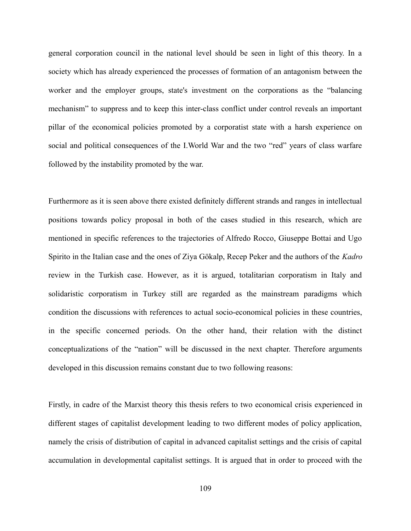general corporation council in the national level should be seen in light of this theory. In a society which has already experienced the processes of formation of an antagonism between the worker and the employer groups, state's investment on the corporations as the "balancing mechanism" to suppress and to keep this inter-class conflict under control reveals an important pillar of the economical policies promoted by a corporatist state with a harsh experience on social and political consequences of the I.World War and the two "red" years of class warfare followed by the instability promoted by the war.

Furthermore as it is seen above there existed definitely different strands and ranges in intellectual positions towards policy proposal in both of the cases studied in this research, which are mentioned in specific references to the trajectories of Alfredo Rocco, Giuseppe Bottai and Ugo Spirito in the Italian case and the ones of Ziya Gökalp, Recep Peker and the authors of the *Kadro* review in the Turkish case. However, as it is argued, totalitarian corporatism in Italy and solidaristic corporatism in Turkey still are regarded as the mainstream paradigms which condition the discussions with references to actual socio-economical policies in these countries, in the specific concerned periods. On the other hand, their relation with the distinct conceptualizations of the "nation" will be discussed in the next chapter. Therefore arguments developed in this discussion remains constant due to two following reasons:

Firstly, in cadre of the Marxist theory this thesis refers to two economical crisis experienced in different stages of capitalist development leading to two different modes of policy application, namely the crisis of distribution of capital in advanced capitalist settings and the crisis of capital accumulation in developmental capitalist settings. It is argued that in order to proceed with the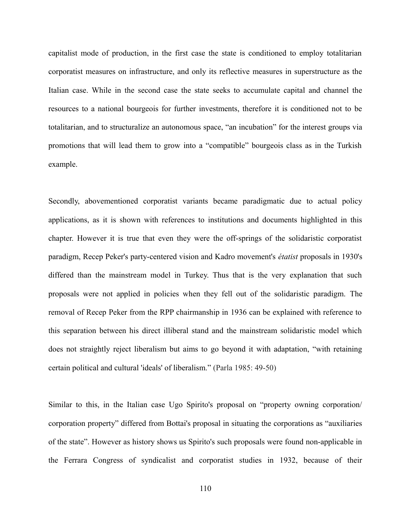capitalist mode of production, in the first case the state is conditioned to employ totalitarian corporatist measures on infrastructure, and only its reflective measures in superstructure as the Italian case. While in the second case the state seeks to accumulate capital and channel the resources to a national bourgeois for further investments, therefore it is conditioned not to be totalitarian, and to structuralize an autonomous space, "an incubation" for the interest groups via promotions that will lead them to grow into a "compatible" bourgeois class as in the Turkish example.

Secondly, abovementioned corporatist variants became paradigmatic due to actual policy applications, as it is shown with references to institutions and documents highlighted in this chapter. However it is true that even they were the off-springs of the solidaristic corporatist paradigm, Recep Peker's party-centered vision and Kadro movement's *étatist* proposals in 1930's differed than the mainstream model in Turkey. Thus that is the very explanation that such proposals were not applied in policies when they fell out of the solidaristic paradigm. The removal of Recep Peker from the RPP chairmanship in 1936 can be explained with reference to this separation between his direct illiberal stand and the mainstream solidaristic model which does not straightly reject liberalism but aims to go beyond it with adaptation, "with retaining certain political and cultural 'ideals' of liberalism." (Parla 1985: 49-50)

Similar to this, in the Italian case Ugo Spirito's proposal on "property owning corporation/ corporation property" differed from Bottai's proposal in situating the corporations as "auxiliaries of the state". However as history shows us Spirito's such proposals were found non-applicable in the Ferrara Congress of syndicalist and corporatist studies in 1932, because of their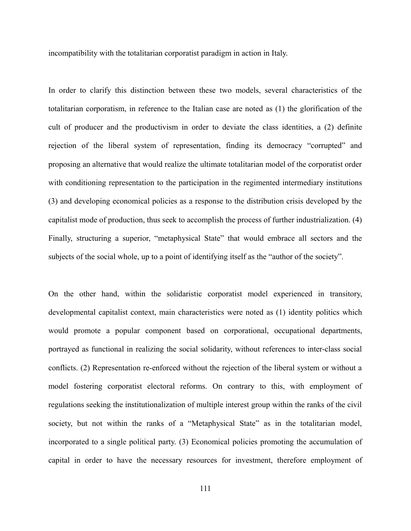incompatibility with the totalitarian corporatist paradigm in action in Italy.

In order to clarify this distinction between these two models, several characteristics of the totalitarian corporatism, in reference to the Italian case are noted as (1) the glorification of the cult of producer and the productivism in order to deviate the class identities, a (2) definite rejection of the liberal system of representation, finding its democracy "corrupted" and proposing an alternative that would realize the ultimate totalitarian model of the corporatist order with conditioning representation to the participation in the regimented intermediary institutions (3) and developing economical policies as a response to the distribution crisis developed by the capitalist mode of production, thus seek to accomplish the process of further industrialization. (4) Finally, structuring a superior, "metaphysical State" that would embrace all sectors and the subjects of the social whole, up to a point of identifying itself as the "author of the society".

On the other hand, within the solidaristic corporatist model experienced in transitory, developmental capitalist context, main characteristics were noted as (1) identity politics which would promote a popular component based on corporational, occupational departments, portrayed as functional in realizing the social solidarity, without references to inter-class social conflicts. (2) Representation re-enforced without the rejection of the liberal system or without a model fostering corporatist electoral reforms. On contrary to this, with employment of regulations seeking the institutionalization of multiple interest group within the ranks of the civil society, but not within the ranks of a "Metaphysical State" as in the totalitarian model, incorporated to a single political party. (3) Economical policies promoting the accumulation of capital in order to have the necessary resources for investment, therefore employment of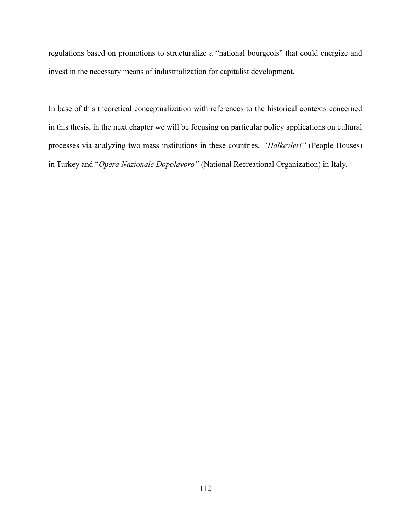regulations based on promotions to structuralize a "national bourgeois" that could energize and invest in the necessary means of industrialization for capitalist development.

In base of this theoretical conceptualization with references to the historical contexts concerned in this thesis, in the next chapter we will be focusing on particular policy applications on cultural processes via analyzing two mass institutions in these countries, *"Halkevleri"* (People Houses) in Turkey and "*Opera Nazionale Dopolavoro"* (National Recreational Organization) in Italy.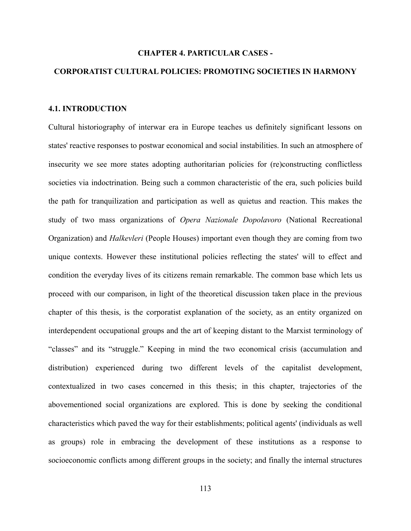# **CHAPTER 4. PARTICULAR CASES -**

# **CORPORATIST CULTURAL POLICIES: PROMOTING SOCIETIES IN HARMONY**

# **4.1. INTRODUCTION**

Cultural historiography of interwar era in Europe teaches us definitely significant lessons on states' reactive responses to postwar economical and social instabilities. In such an atmosphere of insecurity we see more states adopting authoritarian policies for (re)constructing conflictless societies via indoctrination. Being such a common characteristic of the era, such policies build the path for tranquilization and participation as well as quietus and reaction. This makes the study of two mass organizations of *Opera Nazionale Dopolavoro* (National Recreational Organization) and *Halkevleri* (People Houses) important even though they are coming from two unique contexts. However these institutional policies reflecting the states' will to effect and condition the everyday lives of its citizens remain remarkable. The common base which lets us proceed with our comparison, in light of the theoretical discussion taken place in the previous chapter of this thesis, is the corporatist explanation of the society, as an entity organized on interdependent occupational groups and the art of keeping distant to the Marxist terminology of "classes" and its "struggle." Keeping in mind the two economical crisis (accumulation and distribution) experienced during two different levels of the capitalist development, contextualized in two cases concerned in this thesis; in this chapter, trajectories of the abovementioned social organizations are explored. This is done by seeking the conditional characteristics which paved the way for their establishments; political agents' (individuals as well as groups) role in embracing the development of these institutions as a response to socioeconomic conflicts among different groups in the society; and finally the internal structures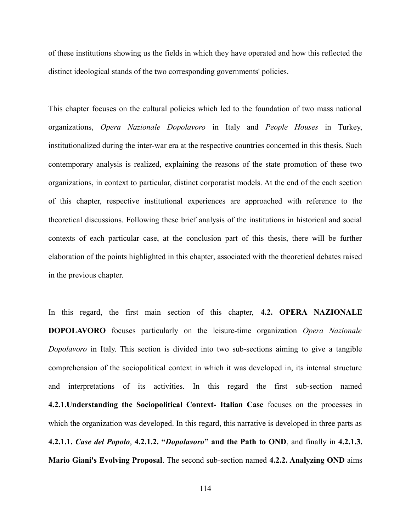of these institutions showing us the fields in which they have operated and how this reflected the distinct ideological stands of the two corresponding governments' policies.

This chapter focuses on the cultural policies which led to the foundation of two mass national organizations, *Opera Nazionale Dopolavoro* in Italy and *People Houses* in Turkey, institutionalized during the inter-war era at the respective countries concerned in this thesis. Such contemporary analysis is realized, explaining the reasons of the state promotion of these two organizations, in context to particular, distinct corporatist models. At the end of the each section of this chapter, respective institutional experiences are approached with reference to the theoretical discussions. Following these brief analysis of the institutions in historical and social contexts of each particular case, at the conclusion part of this thesis, there will be further elaboration of the points highlighted in this chapter, associated with the theoretical debates raised in the previous chapter.

In this regard, the first main section of this chapter, **4.2. OPERA NAZIONALE DOPOLAVORO** focuses particularly on the leisure-time organization *Opera Nazionale Dopolavoro* in Italy. This section is divided into two sub-sections aiming to give a tangible comprehension of the sociopolitical context in which it was developed in, its internal structure and interpretations of its activities. In this regard the first sub-section named **4.2.1.Understanding the Sociopolitical Context- Italian Case** focuses on the processes in which the organization was developed. In this regard, this narrative is developed in three parts as **4.2.1.1.** *Case del Popolo*, **4.2.1.2. "***Dopolavoro***" and the Path to OND**, and finally in **4.2.1.3. Mario Giani's Evolving Proposal**. The second sub-section named **4.2.2. Analyzing OND** aims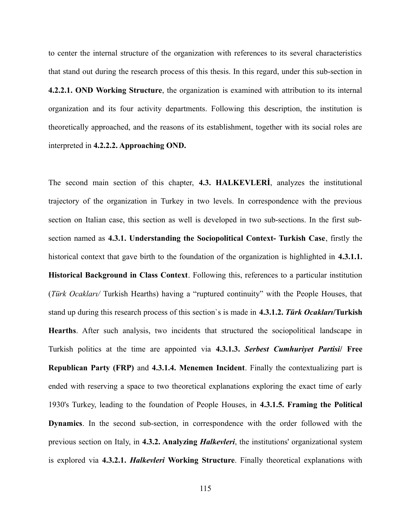to center the internal structure of the organization with references to its several characteristics that stand out during the research process of this thesis. In this regard, under this sub-section in **4.2.2.1. OND Working Structure**, the organization is examined with attribution to its internal organization and its four activity departments. Following this description, the institution is theoretically approached, and the reasons of its establishment, together with its social roles are interpreted in **4.2.2.2. Approaching OND.**

The second main section of this chapter, **4.3. HALKEVLERİ**, analyzes the institutional trajectory of the organization in Turkey in two levels. In correspondence with the previous section on Italian case, this section as well is developed in two sub-sections. In the first subsection named as **4.3.1. Understanding the Sociopolitical Context- Turkish Case**, firstly the historical context that gave birth to the foundation of the organization is highlighted in **4.3.1.1. Historical Background in Class Context**. Following this, references to a particular institution (*Türk Ocakları/* Turkish Hearths) having a "ruptured continuity" with the People Houses, that stand up during this research process of this section`s is made in **4.3.1.2.** *Türk Ocakları***/Turkish Hearths**. After such analysis, two incidents that structured the sociopolitical landscape in Turkish politics at the time are appointed via **4.3.1.3.** *Serbest Cumhuriyet Partisi***/ Free Republican Party (FRP)** and **4.3.1.4. Menemen Incident**. Finally the contextualizing part is ended with reserving a space to two theoretical explanations exploring the exact time of early 1930's Turkey, leading to the foundation of People Houses, in **4.3.1.5. Framing the Political Dynamics**. In the second sub-section, in correspondence with the order followed with the previous section on Italy, in **4.3.2. Analyzing** *Halkevleri*, the institutions' organizational system is explored via **4.3.2.1.** *Halkevleri* **Working Structure**. Finally theoretical explanations with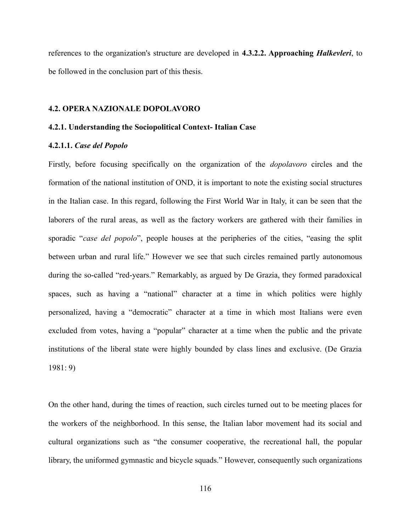references to the organization's structure are developed in **4.3.2.2. Approaching** *Halkevleri*, to be followed in the conclusion part of this thesis.

# **4.2. OPERA NAZIONALE DOPOLAVORO**

# **4.2.1. Understanding the Sociopolitical Context- Italian Case**

### **4.2.1.1.** *Case del Popolo*

Firstly, before focusing specifically on the organization of the *dopolavoro* circles and the formation of the national institution of OND, it is important to note the existing social structures in the Italian case. In this regard, following the First World War in Italy, it can be seen that the laborers of the rural areas, as well as the factory workers are gathered with their families in sporadic "*case del popolo*", people houses at the peripheries of the cities, "easing the split between urban and rural life." However we see that such circles remained partly autonomous during the so-called "red-years." Remarkably, as argued by De Grazia, they formed paradoxical spaces, such as having a "national" character at a time in which politics were highly personalized, having a "democratic" character at a time in which most Italians were even excluded from votes, having a "popular" character at a time when the public and the private institutions of the liberal state were highly bounded by class lines and exclusive. (De Grazia 1981: 9)

On the other hand, during the times of reaction, such circles turned out to be meeting places for the workers of the neighborhood. In this sense, the Italian labor movement had its social and cultural organizations such as "the consumer cooperative, the recreational hall, the popular library, the uniformed gymnastic and bicycle squads." However, consequently such organizations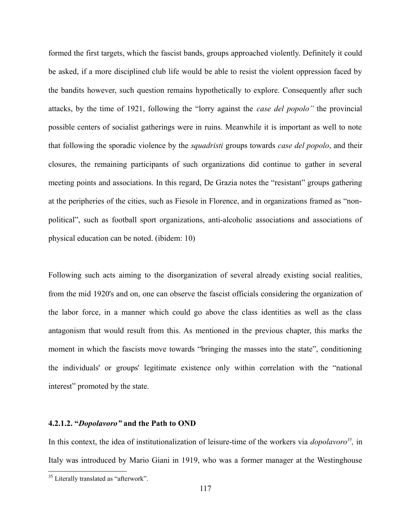formed the first targets, which the fascist bands, groups approached violently. Definitely it could be asked, if a more disciplined club life would be able to resist the violent oppression faced by the bandits however, such question remains hypothetically to explore. Consequently after such attacks, by the time of 1921, following the "lorry against the *case del popolo"* the provincial possible centers of socialist gatherings were in ruins. Meanwhile it is important as well to note that following the sporadic violence by the *squadristi* groups towards *case del popolo*, and their closures, the remaining participants of such organizations did continue to gather in several meeting points and associations. In this regard, De Grazia notes the "resistant" groups gathering at the peripheries of the cities, such as Fiesole in Florence, and in organizations framed as "nonpolitical", such as football sport organizations, anti-alcoholic associations and associations of physical education can be noted. (ibidem: 10)

Following such acts aiming to the disorganization of several already existing social realities, from the mid 1920's and on, one can observe the fascist officials considering the organization of the labor force, in a manner which could go above the class identities as well as the class antagonism that would result from this. As mentioned in the previous chapter, this marks the moment in which the fascists move towards "bringing the masses into the state", conditioning the individuals' or groups' legitimate existence only within correlation with the "national interest" promoted by the state.

# **4.2.1.2. "***Dopolavoro"* **and the Path to OND**

In this context, the idea of institutionalization of leisure-time of the workers via *dopolavoro[35](#page-116-0) ,* in Italy was introduced by Mario Giani in 1919, who was a former manager at the Westinghouse

<span id="page-116-0"></span><sup>&</sup>lt;sup>35</sup> Literally translated as "afterwork".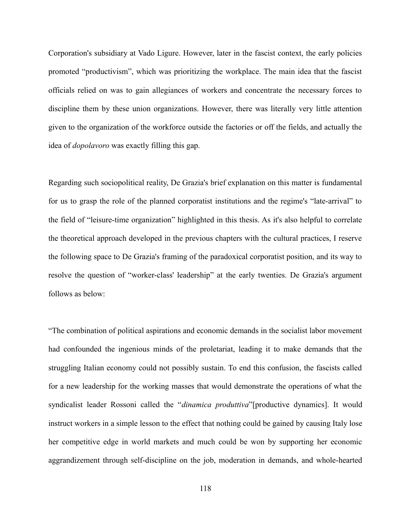Corporation's subsidiary at Vado Ligure. However, later in the fascist context, the early policies promoted "productivism", which was prioritizing the workplace. The main idea that the fascist officials relied on was to gain allegiances of workers and concentrate the necessary forces to discipline them by these union organizations. However, there was literally very little attention given to the organization of the workforce outside the factories or off the fields, and actually the idea of *dopolavoro* was exactly filling this gap.

Regarding such sociopolitical reality, De Grazia's brief explanation on this matter is fundamental for us to grasp the role of the planned corporatist institutions and the regime's "late-arrival" to the field of "leisure-time organization" highlighted in this thesis. As it's also helpful to correlate the theoretical approach developed in the previous chapters with the cultural practices, I reserve the following space to De Grazia's framing of the paradoxical corporatist position, and its way to resolve the question of "worker-class' leadership" at the early twenties. De Grazia's argument follows as below:

"The combination of political aspirations and economic demands in the socialist labor movement had confounded the ingenious minds of the proletariat, leading it to make demands that the struggling Italian economy could not possibly sustain. To end this confusion, the fascists called for a new leadership for the working masses that would demonstrate the operations of what the syndicalist leader Rossoni called the "*dinamica produttiva*"[productive dynamics]. It would instruct workers in a simple lesson to the effect that nothing could be gained by causing Italy lose her competitive edge in world markets and much could be won by supporting her economic aggrandizement through self-discipline on the job, moderation in demands, and whole-hearted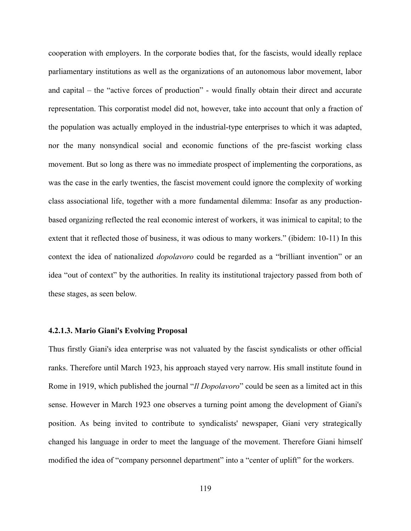cooperation with employers. In the corporate bodies that, for the fascists, would ideally replace parliamentary institutions as well as the organizations of an autonomous labor movement, labor and capital – the "active forces of production" - would finally obtain their direct and accurate representation. This corporatist model did not, however, take into account that only a fraction of the population was actually employed in the industrial-type enterprises to which it was adapted, nor the many nonsyndical social and economic functions of the pre-fascist working class movement. But so long as there was no immediate prospect of implementing the corporations, as was the case in the early twenties, the fascist movement could ignore the complexity of working class associational life, together with a more fundamental dilemma: Insofar as any productionbased organizing reflected the real economic interest of workers, it was inimical to capital; to the extent that it reflected those of business, it was odious to many workers." (ibidem: 10-11) In this context the idea of nationalized *dopolavoro* could be regarded as a "brilliant invention" or an idea "out of context" by the authorities. In reality its institutional trajectory passed from both of these stages, as seen below.

#### **4.2.1.3. Mario Giani's Evolving Proposal**

Thus firstly Giani's idea enterprise was not valuated by the fascist syndicalists or other official ranks. Therefore until March 1923, his approach stayed very narrow. His small institute found in Rome in 1919, which published the journal "*Il Dopolavoro*" could be seen as a limited act in this sense. However in March 1923 one observes a turning point among the development of Giani's position. As being invited to contribute to syndicalists' newspaper, Giani very strategically changed his language in order to meet the language of the movement. Therefore Giani himself modified the idea of "company personnel department" into a "center of uplift" for the workers.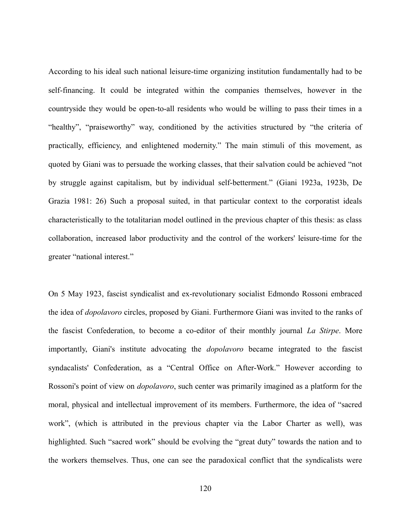According to his ideal such national leisure-time organizing institution fundamentally had to be self-financing. It could be integrated within the companies themselves, however in the countryside they would be open-to-all residents who would be willing to pass their times in a "healthy", "praiseworthy" way, conditioned by the activities structured by "the criteria of practically, efficiency, and enlightened modernity." The main stimuli of this movement, as quoted by Giani was to persuade the working classes, that their salvation could be achieved "not by struggle against capitalism, but by individual self-betterment." (Giani 1923a, 1923b, De Grazia 1981: 26) Such a proposal suited, in that particular context to the corporatist ideals characteristically to the totalitarian model outlined in the previous chapter of this thesis: as class collaboration, increased labor productivity and the control of the workers' leisure-time for the greater "national interest."

On 5 May 1923, fascist syndicalist and ex-revolutionary socialist Edmondo Rossoni embraced the idea of *dopolavoro* circles, proposed by Giani. Furthermore Giani was invited to the ranks of the fascist Confederation, to become a co-editor of their monthly journal *La Stirpe*. More importantly, Giani's institute advocating the *dopolavoro* became integrated to the fascist syndacalists' Confederation, as a "Central Office on After-Work." However according to Rossoni's point of view on *dopolavoro*, such center was primarily imagined as a platform for the moral, physical and intellectual improvement of its members. Furthermore, the idea of "sacred work", (which is attributed in the previous chapter via the Labor Charter as well), was highlighted. Such "sacred work" should be evolving the "great duty" towards the nation and to the workers themselves. Thus, one can see the paradoxical conflict that the syndicalists were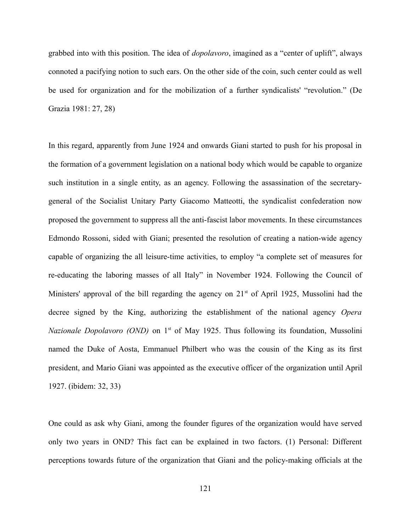grabbed into with this position. The idea of *dopolavoro*, imagined as a "center of uplift", always connoted a pacifying notion to such ears. On the other side of the coin, such center could as well be used for organization and for the mobilization of a further syndicalists' "revolution." (De Grazia 1981: 27, 28)

In this regard, apparently from June 1924 and onwards Giani started to push for his proposal in the formation of a government legislation on a national body which would be capable to organize such institution in a single entity, as an agency. Following the assassination of the secretarygeneral of the Socialist Unitary Party Giacomo Matteotti, the syndicalist confederation now proposed the government to suppress all the anti-fascist labor movements. In these circumstances Edmondo Rossoni, sided with Giani; presented the resolution of creating a nation-wide agency capable of organizing the all leisure-time activities, to employ "a complete set of measures for re-educating the laboring masses of all Italy" in November 1924. Following the Council of Ministers' approval of the bill regarding the agency on  $21<sup>st</sup>$  of April 1925, Mussolini had the decree signed by the King, authorizing the establishment of the national agency *Opera Nazionale Dopolavoro (OND)* on 1<sup>st</sup> of May 1925. Thus following its foundation, Mussolini named the Duke of Aosta, Emmanuel Philbert who was the cousin of the King as its first president, and Mario Giani was appointed as the executive officer of the organization until April 1927. (ibidem: 32, 33)

One could as ask why Giani, among the founder figures of the organization would have served only two years in OND? This fact can be explained in two factors. (1) Personal: Different perceptions towards future of the organization that Giani and the policy-making officials at the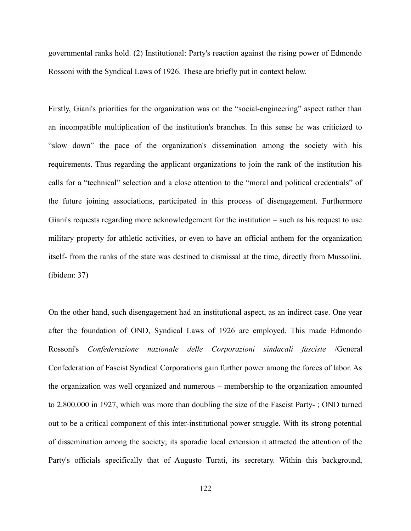governmental ranks hold. (2) Institutional: Party's reaction against the rising power of Edmondo Rossoni with the Syndical Laws of 1926. These are briefly put in context below.

Firstly, Giani's priorities for the organization was on the "social-engineering" aspect rather than an incompatible multiplication of the institution's branches. In this sense he was criticized to "slow down" the pace of the organization's dissemination among the society with his requirements. Thus regarding the applicant organizations to join the rank of the institution his calls for a "technical" selection and a close attention to the "moral and political credentials" of the future joining associations, participated in this process of disengagement. Furthermore Giani's requests regarding more acknowledgement for the institution – such as his request to use military property for athletic activities, or even to have an official anthem for the organization itself- from the ranks of the state was destined to dismissal at the time, directly from Mussolini. (ibidem: 37)

On the other hand, such disengagement had an institutional aspect, as an indirect case. One year after the foundation of OND, Syndical Laws of 1926 are employed. This made Edmondo Rossoni's *Confederazione nazionale delle Corporazioni sindacali fasciste* /General Confederation of Fascist Syndical Corporations gain further power among the forces of labor. As the organization was well organized and numerous – membership to the organization amounted to 2.800.000 in 1927, which was more than doubling the size of the Fascist Party- ; OND turned out to be a critical component of this inter-institutional power struggle. With its strong potential of dissemination among the society; its sporadic local extension it attracted the attention of the Party's officials specifically that of Augusto Turati, its secretary. Within this background,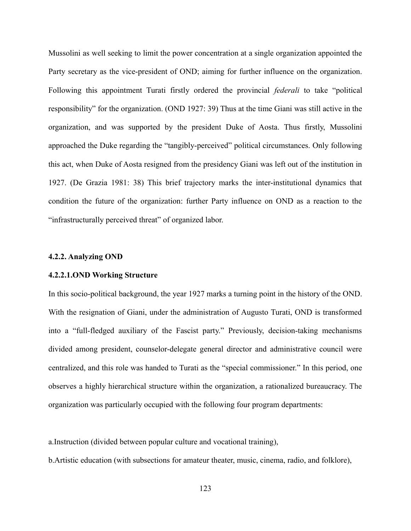Mussolini as well seeking to limit the power concentration at a single organization appointed the Party secretary as the vice-president of OND; aiming for further influence on the organization. Following this appointment Turati firstly ordered the provincial *federali* to take "political responsibility" for the organization. (OND 1927: 39) Thus at the time Giani was still active in the organization, and was supported by the president Duke of Aosta. Thus firstly, Mussolini approached the Duke regarding the "tangibly-perceived" political circumstances. Only following this act, when Duke of Aosta resigned from the presidency Giani was left out of the institution in 1927. (De Grazia 1981: 38) This brief trajectory marks the inter-institutional dynamics that condition the future of the organization: further Party influence on OND as a reaction to the "infrastructurally perceived threat" of organized labor.

# **4.2.2. Analyzing OND**

# **4.2.2.1.OND Working Structure**

In this socio-political background, the year 1927 marks a turning point in the history of the OND. With the resignation of Giani, under the administration of Augusto Turati, OND is transformed into a "full-fledged auxiliary of the Fascist party." Previously, decision-taking mechanisms divided among president, counselor-delegate general director and administrative council were centralized, and this role was handed to Turati as the "special commissioner." In this period, one observes a highly hierarchical structure within the organization, a rationalized bureaucracy. The organization was particularly occupied with the following four program departments:

a.Instruction (divided between popular culture and vocational training),

b.Artistic education (with subsections for amateur theater, music, cinema, radio, and folklore),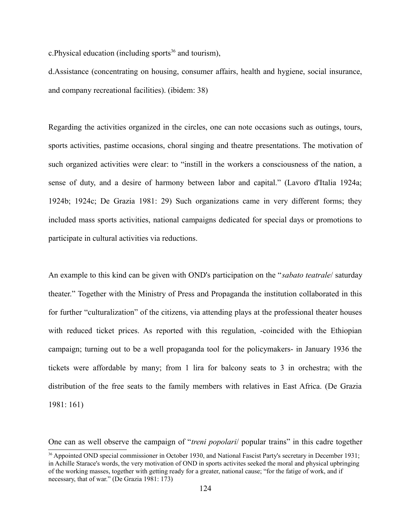c. Physical education (including sports $36$  and tourism),

d.Assistance (concentrating on housing, consumer affairs, health and hygiene, social insurance, and company recreational facilities). (ibidem: 38)

Regarding the activities organized in the circles, one can note occasions such as outings, tours, sports activities, pastime occasions, choral singing and theatre presentations. The motivation of such organized activities were clear: to "instill in the workers a consciousness of the nation, a sense of duty, and a desire of harmony between labor and capital." (Lavoro d'Italia 1924a; 1924b; 1924c; De Grazia 1981: 29) Such organizations came in very different forms; they included mass sports activities, national campaigns dedicated for special days or promotions to participate in cultural activities via reductions.

An example to this kind can be given with OND's participation on the "*sabato teatrale*/ saturday theater." Together with the Ministry of Press and Propaganda the institution collaborated in this for further "culturalization" of the citizens, via attending plays at the professional theater houses with reduced ticket prices. As reported with this regulation, -coincided with the Ethiopian campaign; turning out to be a well propaganda tool for the policymakers- in January 1936 the tickets were affordable by many; from 1 lira for balcony seats to 3 in orchestra; with the distribution of the free seats to the family members with relatives in East Africa. (De Grazia 1981: 161)

One can as well observe the campaign of "*treni popolari*/ popular trains" in this cadre together

<span id="page-123-0"></span><sup>&</sup>lt;sup>36</sup> Appointed OND special commissioner in October 1930, and National Fascist Party's secretary in December 1931; in Achille Starace's words, the very motivation of OND in sports activites seeked the moral and physical upbringing of the working masses, together with getting ready for a greater, national cause; "for the fatige of work, and if necessary, that of war." (De Grazia 1981: 173)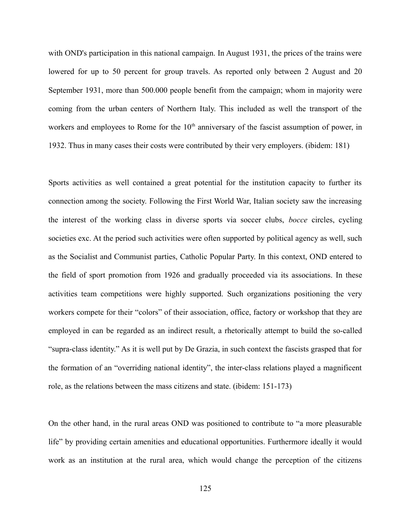with OND's participation in this national campaign. In August 1931, the prices of the trains were lowered for up to 50 percent for group travels. As reported only between 2 August and 20 September 1931, more than 500.000 people benefit from the campaign; whom in majority were coming from the urban centers of Northern Italy. This included as well the transport of the workers and employees to Rome for the  $10<sup>th</sup>$  anniversary of the fascist assumption of power, in 1932. Thus in many cases their costs were contributed by their very employers. (ibidem: 181)

Sports activities as well contained a great potential for the institution capacity to further its connection among the society. Following the First World War, Italian society saw the increasing the interest of the working class in diverse sports via soccer clubs, *bocce* circles, cycling societies exc. At the period such activities were often supported by political agency as well, such as the Socialist and Communist parties, Catholic Popular Party. In this context, OND entered to the field of sport promotion from 1926 and gradually proceeded via its associations. In these activities team competitions were highly supported. Such organizations positioning the very workers compete for their "colors" of their association, office, factory or workshop that they are employed in can be regarded as an indirect result, a rhetorically attempt to build the so-called "supra-class identity." As it is well put by De Grazia, in such context the fascists grasped that for the formation of an "overriding national identity", the inter-class relations played a magnificent role, as the relations between the mass citizens and state. (ibidem: 151-173)

On the other hand, in the rural areas OND was positioned to contribute to "a more pleasurable life" by providing certain amenities and educational opportunities. Furthermore ideally it would work as an institution at the rural area, which would change the perception of the citizens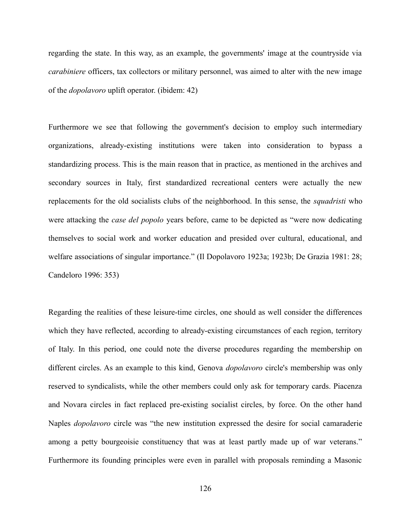regarding the state. In this way, as an example, the governments' image at the countryside via *carabiniere* officers, tax collectors or military personnel, was aimed to alter with the new image of the *dopolavoro* uplift operator. (ibidem: 42)

Furthermore we see that following the government's decision to employ such intermediary organizations, already-existing institutions were taken into consideration to bypass a standardizing process. This is the main reason that in practice, as mentioned in the archives and secondary sources in Italy, first standardized recreational centers were actually the new replacements for the old socialists clubs of the neighborhood. In this sense, the *squadristi* who were attacking the *case del popolo* years before, came to be depicted as "were now dedicating themselves to social work and worker education and presided over cultural, educational, and welfare associations of singular importance." (Il Dopolavoro 1923a; 1923b; De Grazia 1981: 28; Candeloro 1996: 353)

Regarding the realities of these leisure-time circles, one should as well consider the differences which they have reflected, according to already-existing circumstances of each region, territory of Italy. In this period, one could note the diverse procedures regarding the membership on different circles. As an example to this kind, Genova *dopolavoro* circle's membership was only reserved to syndicalists, while the other members could only ask for temporary cards. Piacenza and Novara circles in fact replaced pre-existing socialist circles, by force. On the other hand Naples *dopolavoro* circle was "the new institution expressed the desire for social camaraderie among a petty bourgeoisie constituency that was at least partly made up of war veterans." Furthermore its founding principles were even in parallel with proposals reminding a Masonic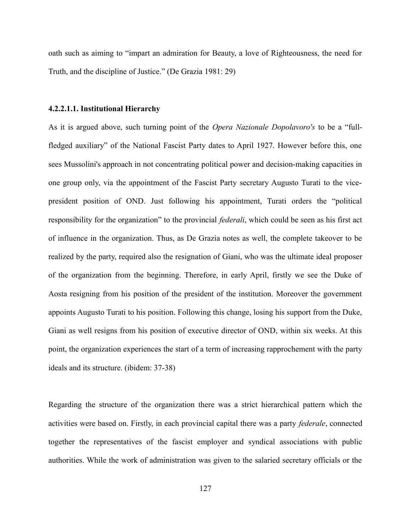oath such as aiming to "impart an admiration for Beauty, a love of Righteousness, the need for Truth, and the discipline of Justice." (De Grazia 1981: 29)

# **4.2.2.1.1. Institutional Hierarchy**

As it is argued above, such turning point of the *Opera Nazionale Dopolavoro's* to be a "fullfledged auxiliary" of the National Fascist Party dates to April 1927. However before this, one sees Mussolini's approach in not concentrating political power and decision-making capacities in one group only, via the appointment of the Fascist Party secretary Augusto Turati to the vicepresident position of OND. Just following his appointment, Turati orders the "political responsibility for the organization" to the provincial *federali*, which could be seen as his first act of influence in the organization. Thus, as De Grazia notes as well, the complete takeover to be realized by the party, required also the resignation of Giani, who was the ultimate ideal proposer of the organization from the beginning. Therefore, in early April, firstly we see the Duke of Aosta resigning from his position of the president of the institution. Moreover the government appoints Augusto Turati to his position. Following this change, losing his support from the Duke, Giani as well resigns from his position of executive director of OND, within six weeks. At this point, the organization experiences the start of a term of increasing rapprochement with the party ideals and its structure. (ibidem: 37-38)

Regarding the structure of the organization there was a strict hierarchical pattern which the activities were based on. Firstly, in each provincial capital there was a party *federale*, connected together the representatives of the fascist employer and syndical associations with public authorities. While the work of administration was given to the salaried secretary officials or the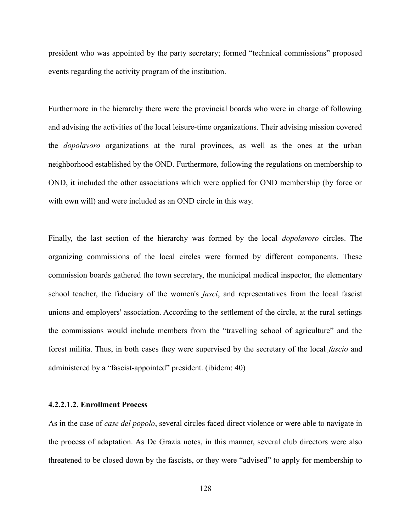president who was appointed by the party secretary; formed "technical commissions" proposed events regarding the activity program of the institution.

Furthermore in the hierarchy there were the provincial boards who were in charge of following and advising the activities of the local leisure-time organizations. Their advising mission covered the *dopolavoro* organizations at the rural provinces, as well as the ones at the urban neighborhood established by the OND. Furthermore, following the regulations on membership to OND, it included the other associations which were applied for OND membership (by force or with own will) and were included as an OND circle in this way.

Finally, the last section of the hierarchy was formed by the local *dopolavoro* circles. The organizing commissions of the local circles were formed by different components. These commission boards gathered the town secretary, the municipal medical inspector, the elementary school teacher, the fiduciary of the women's *fasci*, and representatives from the local fascist unions and employers' association. According to the settlement of the circle, at the rural settings the commissions would include members from the "travelling school of agriculture" and the forest militia. Thus, in both cases they were supervised by the secretary of the local *fascio* and administered by a "fascist-appointed" president. (ibidem: 40)

# **4.2.2.1.2. Enrollment Process**

As in the case of *case del popolo*, several circles faced direct violence or were able to navigate in the process of adaptation. As De Grazia notes, in this manner, several club directors were also threatened to be closed down by the fascists, or they were "advised" to apply for membership to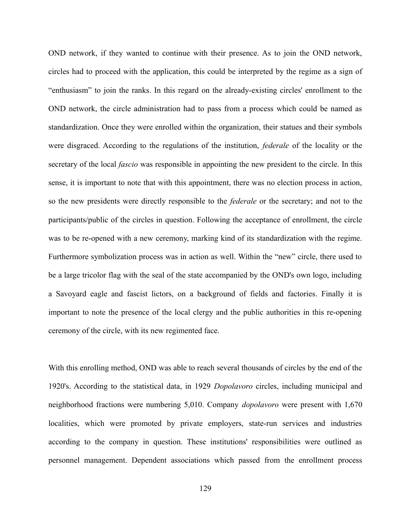OND network, if they wanted to continue with their presence. As to join the OND network, circles had to proceed with the application, this could be interpreted by the regime as a sign of "enthusiasm" to join the ranks. In this regard on the already-existing circles' enrollment to the OND network, the circle administration had to pass from a process which could be named as standardization. Once they were enrolled within the organization, their statues and their symbols were disgraced. According to the regulations of the institution, *federale* of the locality or the secretary of the local *fascio* was responsible in appointing the new president to the circle. In this sense, it is important to note that with this appointment, there was no election process in action, so the new presidents were directly responsible to the *federale* or the secretary; and not to the participants/public of the circles in question. Following the acceptance of enrollment, the circle was to be re-opened with a new ceremony, marking kind of its standardization with the regime. Furthermore symbolization process was in action as well. Within the "new" circle, there used to be a large tricolor flag with the seal of the state accompanied by the OND's own logo, including a Savoyard eagle and fascist lictors, on a background of fields and factories. Finally it is important to note the presence of the local clergy and the public authorities in this re-opening ceremony of the circle, with its new regimented face.

With this enrolling method, OND was able to reach several thousands of circles by the end of the 1920's. According to the statistical data, in 1929 *Dopolavoro* circles, including municipal and neighborhood fractions were numbering 5,010. Company *dopolavoro* were present with 1,670 localities, which were promoted by private employers, state-run services and industries according to the company in question. These institutions' responsibilities were outlined as personnel management. Dependent associations which passed from the enrollment process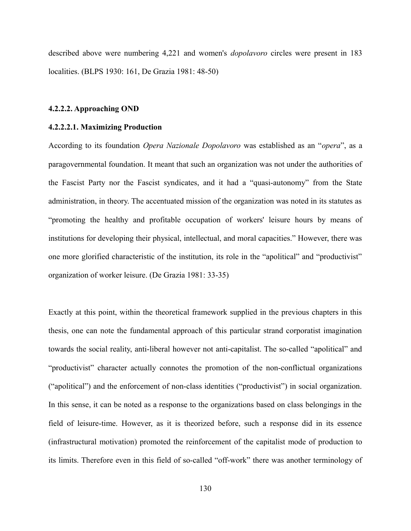described above were numbering 4,221 and women's *dopolavoro* circles were present in 183 localities. (BLPS 1930: 161, De Grazia 1981: 48-50)

# **4.2.2.2. Approaching OND**

# **4.2.2.2.1. Maximizing Production**

According to its foundation *Opera Nazionale Dopolavoro* was established as an "*opera*", as a paragovernmental foundation. It meant that such an organization was not under the authorities of the Fascist Party nor the Fascist syndicates, and it had a "quasi-autonomy" from the State administration, in theory. The accentuated mission of the organization was noted in its statutes as "promoting the healthy and profitable occupation of workers' leisure hours by means of institutions for developing their physical, intellectual, and moral capacities." However, there was one more glorified characteristic of the institution, its role in the "apolitical" and "productivist" organization of worker leisure. (De Grazia 1981: 33-35)

Exactly at this point, within the theoretical framework supplied in the previous chapters in this thesis, one can note the fundamental approach of this particular strand corporatist imagination towards the social reality, anti-liberal however not anti-capitalist. The so-called "apolitical" and "productivist" character actually connotes the promotion of the non-conflictual organizations ("apolitical") and the enforcement of non-class identities ("productivist") in social organization. In this sense, it can be noted as a response to the organizations based on class belongings in the field of leisure-time. However, as it is theorized before, such a response did in its essence (infrastructural motivation) promoted the reinforcement of the capitalist mode of production to its limits. Therefore even in this field of so-called "off-work" there was another terminology of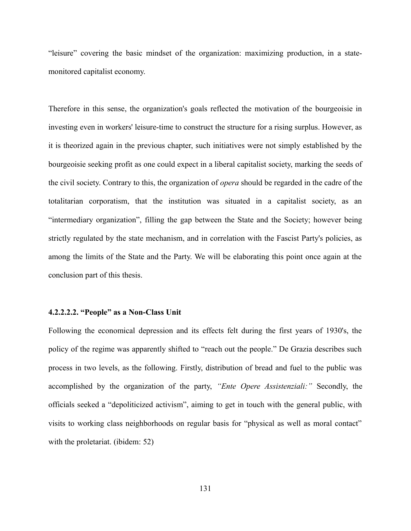"leisure" covering the basic mindset of the organization: maximizing production, in a statemonitored capitalist economy.

Therefore in this sense, the organization's goals reflected the motivation of the bourgeoisie in investing even in workers' leisure-time to construct the structure for a rising surplus. However, as it is theorized again in the previous chapter, such initiatives were not simply established by the bourgeoisie seeking profit as one could expect in a liberal capitalist society, marking the seeds of the civil society. Contrary to this, the organization of *opera* should be regarded in the cadre of the totalitarian corporatism, that the institution was situated in a capitalist society, as an "intermediary organization", filling the gap between the State and the Society; however being strictly regulated by the state mechanism, and in correlation with the Fascist Party's policies, as among the limits of the State and the Party. We will be elaborating this point once again at the conclusion part of this thesis.

# **4.2.2.2.2. "People" as a Non-Class Unit**

Following the economical depression and its effects felt during the first years of 1930's, the policy of the regime was apparently shifted to "reach out the people." De Grazia describes such process in two levels, as the following. Firstly, distribution of bread and fuel to the public was accomplished by the organization of the party, *"Ente Opere Assistenziali:"* Secondly, the officials seeked a "depoliticized activism", aiming to get in touch with the general public, with visits to working class neighborhoods on regular basis for "physical as well as moral contact" with the proletariat. (ibidem: 52)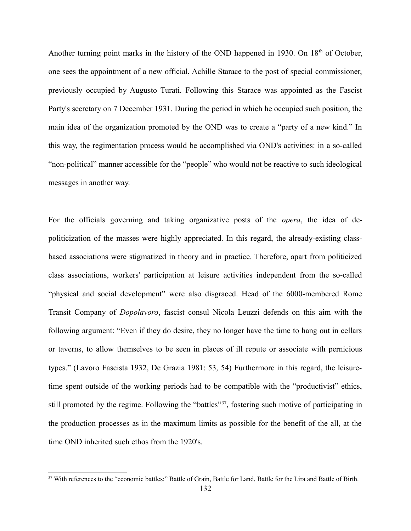Another turning point marks in the history of the OND happened in 1930. On  $18<sup>th</sup>$  of October, one sees the appointment of a new official, Achille Starace to the post of special commissioner, previously occupied by Augusto Turati. Following this Starace was appointed as the Fascist Party's secretary on 7 December 1931. During the period in which he occupied such position, the main idea of the organization promoted by the OND was to create a "party of a new kind." In this way, the regimentation process would be accomplished via OND's activities: in a so-called "non-political" manner accessible for the "people" who would not be reactive to such ideological messages in another way.

For the officials governing and taking organizative posts of the *opera*, the idea of depoliticization of the masses were highly appreciated. In this regard, the already-existing classbased associations were stigmatized in theory and in practice. Therefore, apart from politicized class associations, workers' participation at leisure activities independent from the so-called "physical and social development" were also disgraced. Head of the 6000-membered Rome Transit Company of *Dopolavoro*, fascist consul Nicola Leuzzi defends on this aim with the following argument: "Even if they do desire, they no longer have the time to hang out in cellars or taverns, to allow themselves to be seen in places of ill repute or associate with pernicious types." (Lavoro Fascista 1932, De Grazia 1981: 53, 54) Furthermore in this regard, the leisuretime spent outside of the working periods had to be compatible with the "productivist" ethics, still promoted by the regime. Following the "battles"<sup>[37](#page-131-0)</sup>, fostering such motive of participating in the production processes as in the maximum limits as possible for the benefit of the all, at the time OND inherited such ethos from the 1920's.

<span id="page-131-0"></span><sup>&</sup>lt;sup>37</sup> With references to the "economic battles:" Battle of Grain, Battle for Land, Battle for the Lira and Battle of Birth.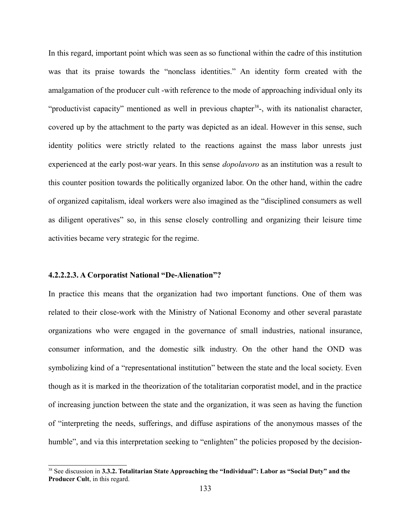In this regard, important point which was seen as so functional within the cadre of this institution was that its praise towards the "nonclass identities." An identity form created with the amalgamation of the producer cult -with reference to the mode of approaching individual only its "productivist capacity" mentioned as well in previous chapter<sup>[38](#page-132-0)</sup>-, with its nationalist character, covered up by the attachment to the party was depicted as an ideal. However in this sense, such identity politics were strictly related to the reactions against the mass labor unrests just experienced at the early post-war years. In this sense *dopolavoro* as an institution was a result to this counter position towards the politically organized labor. On the other hand, within the cadre of organized capitalism, ideal workers were also imagined as the "disciplined consumers as well as diligent operatives" so, in this sense closely controlling and organizing their leisure time activities became very strategic for the regime.

# **4.2.2.2.3. A Corporatist National "De-Alienation"?**

In practice this means that the organization had two important functions. One of them was related to their close-work with the Ministry of National Economy and other several parastate organizations who were engaged in the governance of small industries, national insurance, consumer information, and the domestic silk industry. On the other hand the OND was symbolizing kind of a "representational institution" between the state and the local society. Even though as it is marked in the theorization of the totalitarian corporatist model, and in the practice of increasing junction between the state and the organization, it was seen as having the function of "interpreting the needs, sufferings, and diffuse aspirations of the anonymous masses of the humble", and via this interpretation seeking to "enlighten" the policies proposed by the decision-

<span id="page-132-0"></span><sup>38</sup> See discussion in **3.3.2. Totalitarian State Approaching the "Individual": Labor as "Social Duty" and the Producer Cult**, in this regard.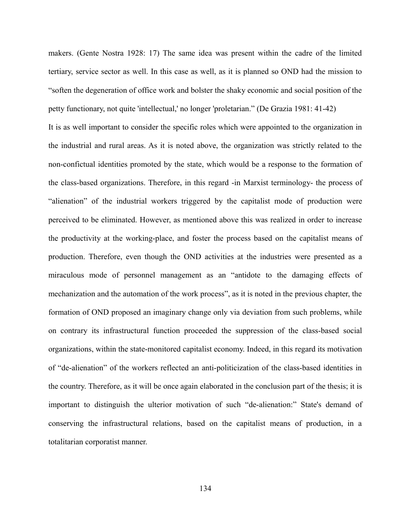makers. (Gente Nostra 1928: 17) The same idea was present within the cadre of the limited tertiary, service sector as well. In this case as well, as it is planned so OND had the mission to "soften the degeneration of office work and bolster the shaky economic and social position of the petty functionary, not quite 'intellectual,' no longer 'proletarian." (De Grazia 1981: 41-42) It is as well important to consider the specific roles which were appointed to the organization in the industrial and rural areas. As it is noted above, the organization was strictly related to the non-confictual identities promoted by the state, which would be a response to the formation of the class-based organizations. Therefore, in this regard -in Marxist terminology- the process of "alienation" of the industrial workers triggered by the capitalist mode of production were perceived to be eliminated. However, as mentioned above this was realized in order to increase the productivity at the working-place, and foster the process based on the capitalist means of production. Therefore, even though the OND activities at the industries were presented as a miraculous mode of personnel management as an "antidote to the damaging effects of mechanization and the automation of the work process", as it is noted in the previous chapter, the formation of OND proposed an imaginary change only via deviation from such problems, while on contrary its infrastructural function proceeded the suppression of the class-based social organizations, within the state-monitored capitalist economy. Indeed, in this regard its motivation of "de-alienation" of the workers reflected an anti-politicization of the class-based identities in the country. Therefore, as it will be once again elaborated in the conclusion part of the thesis; it is important to distinguish the ulterior motivation of such "de-alienation:" State's demand of conserving the infrastructural relations, based on the capitalist means of production, in a totalitarian corporatist manner.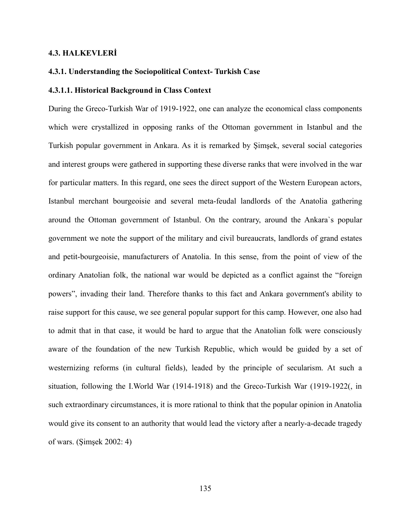# **4.3. HALKEVLERİ**

# **4.3.1. Understanding the Sociopolitical Context- Turkish Case**

#### **4.3.1.1. Historical Background in Class Context**

During the Greco-Turkish War of 1919-1922, one can analyze the economical class components which were crystallized in opposing ranks of the Ottoman government in Istanbul and the Turkish popular government in Ankara. As it is remarked by Şimşek, several social categories and interest groups were gathered in supporting these diverse ranks that were involved in the war for particular matters. In this regard, one sees the direct support of the Western European actors, Istanbul merchant bourgeoisie and several meta-feudal landlords of the Anatolia gathering around the Ottoman government of Istanbul. On the contrary, around the Ankara`s popular government we note the support of the military and civil bureaucrats, landlords of grand estates and petit-bourgeoisie, manufacturers of Anatolia. In this sense, from the point of view of the ordinary Anatolian folk, the national war would be depicted as a conflict against the "foreign powers", invading their land. Therefore thanks to this fact and Ankara government's ability to raise support for this cause, we see general popular support for this camp. However, one also had to admit that in that case, it would be hard to argue that the Anatolian folk were consciously aware of the foundation of the new Turkish Republic, which would be guided by a set of westernizing reforms (in cultural fields), leaded by the principle of secularism. At such a situation, following the I.World War (1914-1918) and the Greco-Turkish War (1919-1922(, in such extraordinary circumstances, it is more rational to think that the popular opinion in Anatolia would give its consent to an authority that would lead the victory after a nearly-a-decade tragedy of wars. (Şimşek 2002: 4)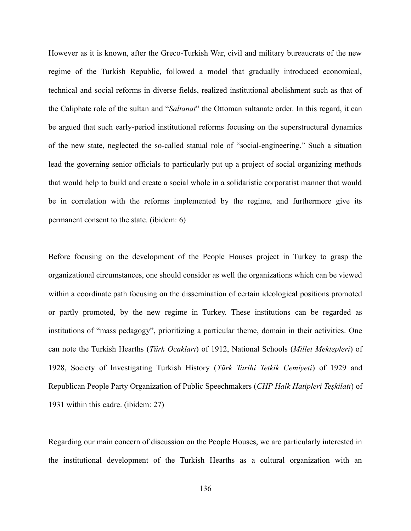However as it is known, after the Greco-Turkish War, civil and military bureaucrats of the new regime of the Turkish Republic, followed a model that gradually introduced economical, technical and social reforms in diverse fields, realized institutional abolishment such as that of the Caliphate role of the sultan and "*Saltanat*" the Ottoman sultanate order. In this regard, it can be argued that such early-period institutional reforms focusing on the superstructural dynamics of the new state, neglected the so-called statual role of "social-engineering." Such a situation lead the governing senior officials to particularly put up a project of social organizing methods that would help to build and create a social whole in a solidaristic corporatist manner that would be in correlation with the reforms implemented by the regime, and furthermore give its permanent consent to the state. (ibidem: 6)

Before focusing on the development of the People Houses project in Turkey to grasp the organizational circumstances, one should consider as well the organizations which can be viewed within a coordinate path focusing on the dissemination of certain ideological positions promoted or partly promoted, by the new regime in Turkey. These institutions can be regarded as institutions of "mass pedagogy", prioritizing a particular theme, domain in their activities. One can note the Turkish Hearths (*Türk Ocakları*) of 1912, National Schools (*Millet Mektepleri*) of 1928, Society of Investigating Turkish History (*Türk Tarihi Tetkik Cemiyeti*) of 1929 and Republican People Party Organization of Public Speechmakers (*CHP Halk Hatipleri Teşkilatı*) of 1931 within this cadre. (ibidem: 27)

Regarding our main concern of discussion on the People Houses, we are particularly interested in the institutional development of the Turkish Hearths as a cultural organization with an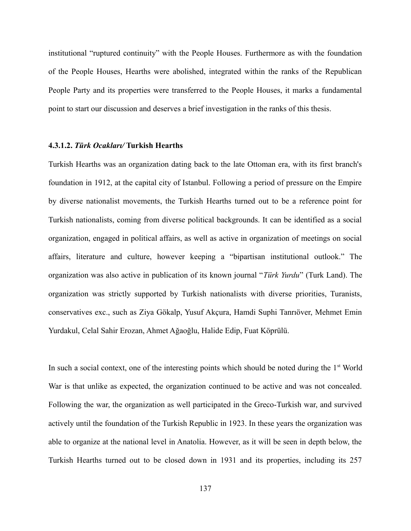institutional "ruptured continuity" with the People Houses. Furthermore as with the foundation of the People Houses, Hearths were abolished, integrated within the ranks of the Republican People Party and its properties were transferred to the People Houses, it marks a fundamental point to start our discussion and deserves a brief investigation in the ranks of this thesis.

# **4.3.1.2.** *Türk Ocakları/* **Turkish Hearths**

Turkish Hearths was an organization dating back to the late Ottoman era, with its first branch's foundation in 1912, at the capital city of Istanbul. Following a period of pressure on the Empire by diverse nationalist movements, the Turkish Hearths turned out to be a reference point for Turkish nationalists, coming from diverse political backgrounds. It can be identified as a social organization, engaged in political affairs, as well as active in organization of meetings on social affairs, literature and culture, however keeping a "bipartisan institutional outlook." The organization was also active in publication of its known journal "*Türk Yurdu*" (Turk Land). The organization was strictly supported by Turkish nationalists with diverse priorities, Turanists, conservatives exc., such as Ziya Gökalp, Yusuf Akçura, Hamdi Suphi Tanrıöver, Mehmet Emin Yurdakul, Celal Sahir Erozan, Ahmet Ağaoğlu, Halide Edip, Fuat Köprülü.

In such a social context, one of the interesting points which should be noted during the  $1<sup>st</sup>$  World War is that unlike as expected, the organization continued to be active and was not concealed. Following the war, the organization as well participated in the Greco-Turkish war, and survived actively until the foundation of the Turkish Republic in 1923. In these years the organization was able to organize at the national level in Anatolia. However, as it will be seen in depth below, the Turkish Hearths turned out to be closed down in 1931 and its properties, including its 257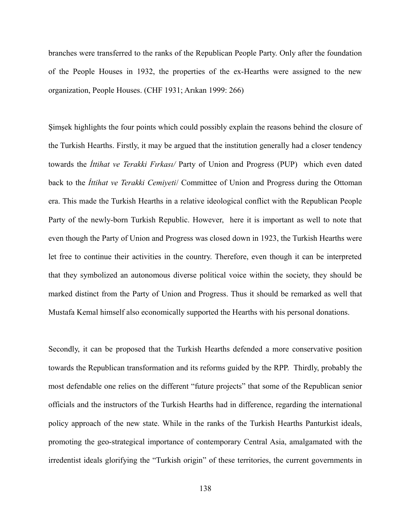branches were transferred to the ranks of the Republican People Party. Only after the foundation of the People Houses in 1932, the properties of the ex-Hearths were assigned to the new organization, People Houses. (CHF 1931; Arıkan 1999: 266)

Şimşek highlights the four points which could possibly explain the reasons behind the closure of the Turkish Hearths. Firstly, it may be argued that the institution generally had a closer tendency towards the *İttihat ve Terakki Fırkası/* Party of Union and Progress (PUP) which even dated back to the *İttihat ve Terakki Cemiyeti*/ Committee of Union and Progress during the Ottoman era. This made the Turkish Hearths in a relative ideological conflict with the Republican People Party of the newly-born Turkish Republic. However, here it is important as well to note that even though the Party of Union and Progress was closed down in 1923, the Turkish Hearths were let free to continue their activities in the country. Therefore, even though it can be interpreted that they symbolized an autonomous diverse political voice within the society, they should be marked distinct from the Party of Union and Progress. Thus it should be remarked as well that Mustafa Kemal himself also economically supported the Hearths with his personal donations.

Secondly, it can be proposed that the Turkish Hearths defended a more conservative position towards the Republican transformation and its reforms guided by the RPP. Thirdly, probably the most defendable one relies on the different "future projects" that some of the Republican senior officials and the instructors of the Turkish Hearths had in difference, regarding the international policy approach of the new state. While in the ranks of the Turkish Hearths Panturkist ideals, promoting the geo-strategical importance of contemporary Central Asia, amalgamated with the irredentist ideals glorifying the "Turkish origin" of these territories, the current governments in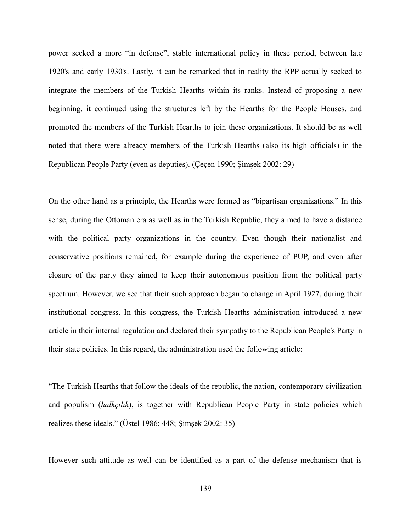power seeked a more "in defense", stable international policy in these period, between late 1920's and early 1930's. Lastly, it can be remarked that in reality the RPP actually seeked to integrate the members of the Turkish Hearths within its ranks. Instead of proposing a new beginning, it continued using the structures left by the Hearths for the People Houses, and promoted the members of the Turkish Hearths to join these organizations. It should be as well noted that there were already members of the Turkish Hearths (also its high officials) in the Republican People Party (even as deputies). (Çeçen 1990; Şimşek 2002: 29)

On the other hand as a principle, the Hearths were formed as "bipartisan organizations." In this sense, during the Ottoman era as well as in the Turkish Republic, they aimed to have a distance with the political party organizations in the country. Even though their nationalist and conservative positions remained, for example during the experience of PUP, and even after closure of the party they aimed to keep their autonomous position from the political party spectrum. However, we see that their such approach began to change in April 1927, during their institutional congress. In this congress, the Turkish Hearths administration introduced a new article in their internal regulation and declared their sympathy to the Republican People's Party in their state policies. In this regard, the administration used the following article:

"The Turkish Hearths that follow the ideals of the republic, the nation, contemporary civilization and populism (*halkçılık*), is together with Republican People Party in state policies which realizes these ideals." (Üstel 1986: 448; Şimşek 2002: 35)

However such attitude as well can be identified as a part of the defense mechanism that is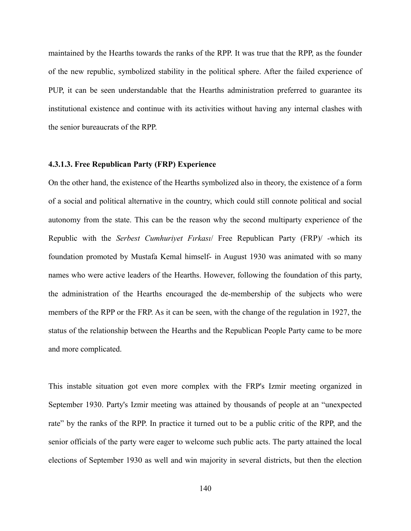maintained by the Hearths towards the ranks of the RPP. It was true that the RPP, as the founder of the new republic, symbolized stability in the political sphere. After the failed experience of PUP, it can be seen understandable that the Hearths administration preferred to guarantee its institutional existence and continue with its activities without having any internal clashes with the senior bureaucrats of the RPP.

#### **4.3.1.3. Free Republican Party (FRP) Experience**

On the other hand, the existence of the Hearths symbolized also in theory, the existence of a form of a social and political alternative in the country, which could still connote political and social autonomy from the state. This can be the reason why the second multiparty experience of the Republic with the *Serbest Cumhuriyet Fırkası*/ Free Republican Party (FRP)/ -which its foundation promoted by Mustafa Kemal himself- in August 1930 was animated with so many names who were active leaders of the Hearths. However, following the foundation of this party, the administration of the Hearths encouraged the de-membership of the subjects who were members of the RPP or the FRP. As it can be seen, with the change of the regulation in 1927, the status of the relationship between the Hearths and the Republican People Party came to be more and more complicated.

This instable situation got even more complex with the FRP's Izmir meeting organized in September 1930. Party's Izmir meeting was attained by thousands of people at an "unexpected rate" by the ranks of the RPP. In practice it turned out to be a public critic of the RPP, and the senior officials of the party were eager to welcome such public acts. The party attained the local elections of September 1930 as well and win majority in several districts, but then the election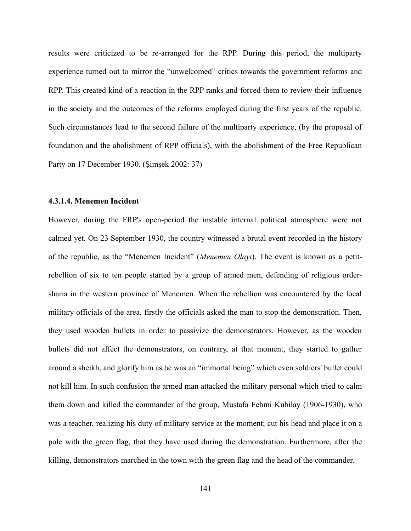results were criticized to be re-arranged for the RPP. During this period, the multiparty experience turned out to mirror the "unwelcomed" critics towards the government reforms and RPP. This created kind of a reaction in the RPP ranks and forced them to review their influence in the society and the outcomes of the reforms employed during the first years of the republic. Such circumstances lead to the second failure of the multiparty experience, (by the proposal of foundation and the abolishment of RPP officials), with the abolishment of the Free Republican Party on 17 December 1930. (Şimşek 2002: 37)

# **4.3.1.4. Menemen Incident**

However, during the FRP's open-period the instable internal political atmosphere were not calmed yet. On 23 September 1930, the country witnessed a brutal event recorded in the history of the republic, as the "Menemen Incident" (*Menemen Olayı*). The event is known as a petitrebellion of six to ten people started by a group of armed men, defending of religious ordersharia in the western province of Menemen. When the rebellion was encountered by the local military officials of the area, firstly the officials asked the man to stop the demonstration. Then, they used wooden bullets in order to passivize the demonstrators. However, as the wooden bullets did not affect the demonstrators, on contrary, at that moment, they started to gather around a sheikh, and glorify him as he was an "immortal being" which even soldiers' bullet could not kill him. In such confusion the armed man attacked the military personal which tried to calm them down and killed the commander of the group, Mustafa Fehmi Kubilay (1906-1930), who was a teacher, realizing his duty of military service at the moment; cut his head and place it on a pole with the green flag, that they have used during the demonstration. Furthermore, after the killing, demonstrators marched in the town with the green flag and the head of the commander.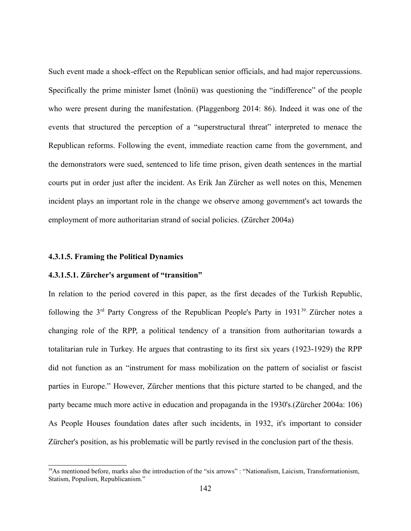Such event made a shock-effect on the Republican senior officials, and had major repercussions. Specifically the prime minister İsmet (İnönü) was questioning the "indifference" of the people who were present during the manifestation. (Plaggenborg 2014: 86). Indeed it was one of the events that structured the perception of a "superstructural threat" interpreted to menace the Republican reforms. Following the event, immediate reaction came from the government, and the demonstrators were sued, sentenced to life time prison, given death sentences in the martial courts put in order just after the incident. As Erik Jan Zürcher as well notes on this, Menemen incident plays an important role in the change we observe among government's act towards the employment of more authoritarian strand of social policies. (Zürcher 2004a)

# **4.3.1.5. Framing the Political Dynamics**

# **4.3.1.5.1. Zürcher's argument of "transition"**

In relation to the period covered in this paper, as the first decades of the Turkish Republic, following the  $3<sup>rd</sup>$  Party Congress of the Republican People's Party in 1931<sup>[39.](#page-141-0)</sup> Zürcher notes a changing role of the RPP, a political tendency of a transition from authoritarian towards a totalitarian rule in Turkey. He argues that contrasting to its first six years (1923-1929) the RPP did not function as an "instrument for mass mobilization on the pattern of socialist or fascist parties in Europe." However, Zürcher mentions that this picture started to be changed, and the party became much more active in education and propaganda in the 1930's.(Zürcher 2004a: 106) As People Houses foundation dates after such incidents, in 1932, it's important to consider Zürcher's position, as his problematic will be partly revised in the conclusion part of the thesis.

<span id="page-141-0"></span><sup>&</sup>lt;sup>39</sup>As mentioned before, marks also the introduction of the "six arrows" : "Nationalism, Laicism, Transformationism, Statism, Populism, Republicanism."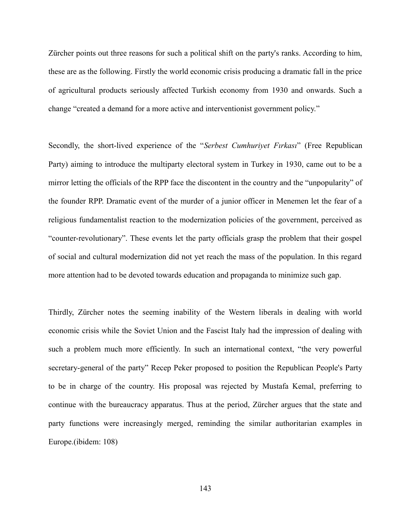Zürcher points out three reasons for such a political shift on the party's ranks. According to him, these are as the following. Firstly the world economic crisis producing a dramatic fall in the price of agricultural products seriously affected Turkish economy from 1930 and onwards. Such a change "created a demand for a more active and interventionist government policy."

Secondly, the short-lived experience of the "*Serbest Cumhuriyet Fırkası*" (Free Republican Party) aiming to introduce the multiparty electoral system in Turkey in 1930, came out to be a mirror letting the officials of the RPP face the discontent in the country and the "unpopularity" of the founder RPP. Dramatic event of the murder of a junior officer in Menemen let the fear of a religious fundamentalist reaction to the modernization policies of the government, perceived as "counter-revolutionary". These events let the party officials grasp the problem that their gospel of social and cultural modernization did not yet reach the mass of the population. In this regard more attention had to be devoted towards education and propaganda to minimize such gap.

Thirdly, Zürcher notes the seeming inability of the Western liberals in dealing with world economic crisis while the Soviet Union and the Fascist Italy had the impression of dealing with such a problem much more efficiently. In such an international context, "the very powerful secretary-general of the party" Recep Peker proposed to position the Republican People's Party to be in charge of the country. His proposal was rejected by Mustafa Kemal, preferring to continue with the bureaucracy apparatus. Thus at the period, Zürcher argues that the state and party functions were increasingly merged, reminding the similar authoritarian examples in Europe.(ibidem: 108)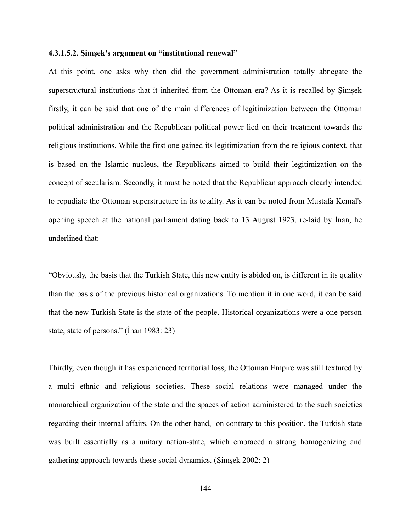# **4.3.1.5.2. Şimşek's argument on "institutional renewal"**

At this point, one asks why then did the government administration totally abnegate the superstructural institutions that it inherited from the Ottoman era? As it is recalled by Şimşek firstly, it can be said that one of the main differences of legitimization between the Ottoman political administration and the Republican political power lied on their treatment towards the religious institutions. While the first one gained its legitimization from the religious context, that is based on the Islamic nucleus, the Republicans aimed to build their legitimization on the concept of secularism. Secondly, it must be noted that the Republican approach clearly intended to repudiate the Ottoman superstructure in its totality. As it can be noted from Mustafa Kemal's opening speech at the national parliament dating back to 13 August 1923, re-laid by İnan, he underlined that:

"Obviously, the basis that the Turkish State, this new entity is abided on, is different in its quality than the basis of the previous historical organizations. To mention it in one word, it can be said that the new Turkish State is the state of the people. Historical organizations were a one-person state, state of persons." (İnan 1983: 23)

Thirdly, even though it has experienced territorial loss, the Ottoman Empire was still textured by a multi ethnic and religious societies. These social relations were managed under the monarchical organization of the state and the spaces of action administered to the such societies regarding their internal affairs. On the other hand, on contrary to this position, the Turkish state was built essentially as a unitary nation-state, which embraced a strong homogenizing and gathering approach towards these social dynamics. (Şimşek 2002: 2)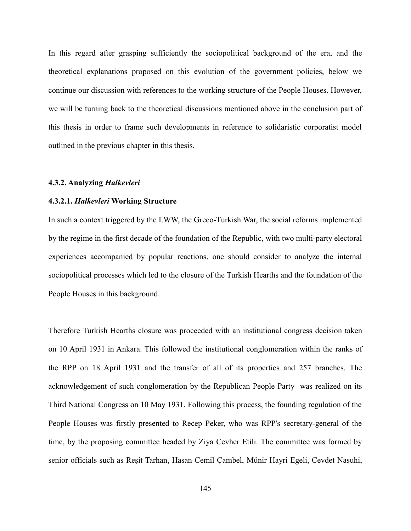In this regard after grasping sufficiently the sociopolitical background of the era, and the theoretical explanations proposed on this evolution of the government policies, below we continue our discussion with references to the working structure of the People Houses. However, we will be turning back to the theoretical discussions mentioned above in the conclusion part of this thesis in order to frame such developments in reference to solidaristic corporatist model outlined in the previous chapter in this thesis.

#### **4.3.2. Analyzing** *Halkevleri*

#### **4.3.2.1.** *Halkevleri* **Working Structure**

In such a context triggered by the I.WW, the Greco-Turkish War, the social reforms implemented by the regime in the first decade of the foundation of the Republic, with two multi-party electoral experiences accompanied by popular reactions, one should consider to analyze the internal sociopolitical processes which led to the closure of the Turkish Hearths and the foundation of the People Houses in this background.

Therefore Turkish Hearths closure was proceeded with an institutional congress decision taken on 10 April 1931 in Ankara. This followed the institutional conglomeration within the ranks of the RPP on 18 April 1931 and the transfer of all of its properties and 257 branches. The acknowledgement of such conglomeration by the Republican People Party was realized on its Third National Congress on 10 May 1931. Following this process, the founding regulation of the People Houses was firstly presented to Recep Peker, who was RPP's secretary-general of the time, by the proposing committee headed by Ziya Cevher Etili. The committee was formed by senior officials such as Reşit Tarhan, Hasan Cemil Çambel, Münir Hayri Egeli, Cevdet Nasuhi,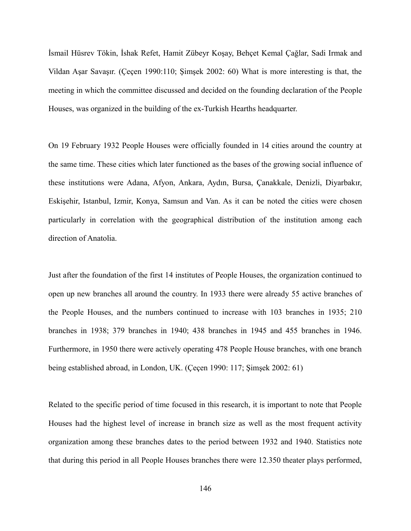İsmail Hüsrev Tökin, İshak Refet, Hamit Zübeyr Koşay, Behçet Kemal Çağlar, Sadi Irmak and Vildan Aşar Savaşır. (Çeçen 1990:110; Şimşek 2002: 60) What is more interesting is that, the meeting in which the committee discussed and decided on the founding declaration of the People Houses, was organized in the building of the ex-Turkish Hearths headquarter.

On 19 February 1932 People Houses were officially founded in 14 cities around the country at the same time. These cities which later functioned as the bases of the growing social influence of these institutions were Adana, Afyon, Ankara, Aydın, Bursa, Çanakkale, Denizli, Diyarbakır, Eskişehir, Istanbul, Izmir, Konya, Samsun and Van. As it can be noted the cities were chosen particularly in correlation with the geographical distribution of the institution among each direction of Anatolia.

Just after the foundation of the first 14 institutes of People Houses, the organization continued to open up new branches all around the country. In 1933 there were already 55 active branches of the People Houses, and the numbers continued to increase with 103 branches in 1935; 210 branches in 1938; 379 branches in 1940; 438 branches in 1945 and 455 branches in 1946. Furthermore, in 1950 there were actively operating 478 People House branches, with one branch being established abroad, in London, UK. (Çeçen 1990: 117; Şimşek 2002: 61)

Related to the specific period of time focused in this research, it is important to note that People Houses had the highest level of increase in branch size as well as the most frequent activity organization among these branches dates to the period between 1932 and 1940. Statistics note that during this period in all People Houses branches there were 12.350 theater plays performed,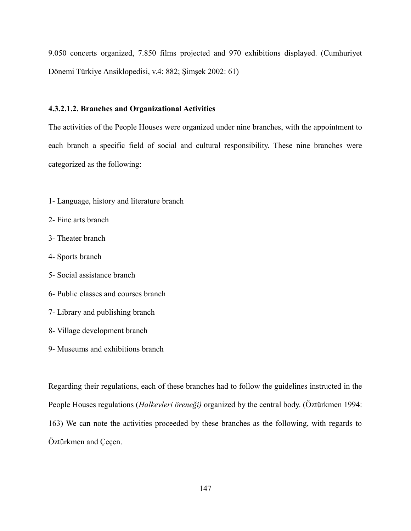9.050 concerts organized, 7.850 films projected and 970 exhibitions displayed. (Cumhuriyet Dönemi Türkiye Ansiklopedisi, v.4: 882; Şimşek 2002: 61)

# **4.3.2.1.2. Branches and Organizational Activities**

The activities of the People Houses were organized under nine branches, with the appointment to each branch a specific field of social and cultural responsibility. These nine branches were categorized as the following:

- 1- Language, history and literature branch
- 2- Fine arts branch
- 3- Theater branch
- 4- Sports branch
- 5- Social assistance branch
- 6- Public classes and courses branch
- 7- Library and publishing branch
- 8- Village development branch
- 9- Museums and exhibitions branch

Regarding their regulations, each of these branches had to follow the guidelines instructed in the People Houses regulations (*Halkevleri öreneği)* organized by the central body. (Öztürkmen 1994: 163) We can note the activities proceeded by these branches as the following, with regards to Öztürkmen and Çeçen.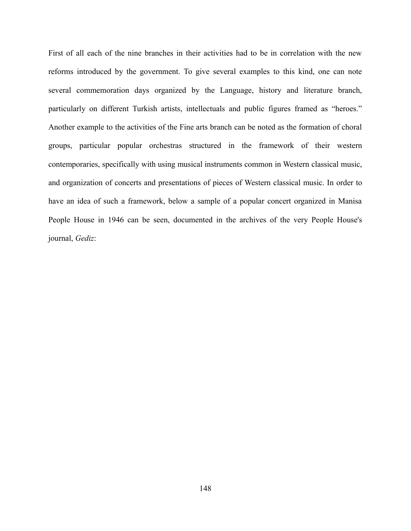First of all each of the nine branches in their activities had to be in correlation with the new reforms introduced by the government. To give several examples to this kind, one can note several commemoration days organized by the Language, history and literature branch, particularly on different Turkish artists, intellectuals and public figures framed as "heroes." Another example to the activities of the Fine arts branch can be noted as the formation of choral groups, particular popular orchestras structured in the framework of their western contemporaries, specifically with using musical instruments common in Western classical music, and organization of concerts and presentations of pieces of Western classical music. In order to have an idea of such a framework, below a sample of a popular concert organized in Manisa People House in 1946 can be seen, documented in the archives of the very People House's journal, *Gediz*: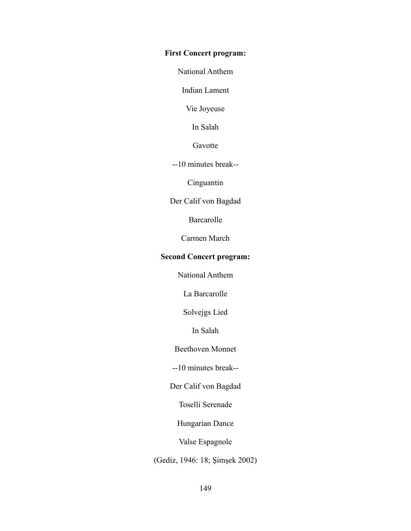# **First Concert program:**

National Anthem

Indian Lament

Vie Joyeuse

In Salah

Gavotte

--10 minutes break--

Cinguantin

Der Calif von Bagdad

Barcarolle

Carmen March

# **Second Concert program:**

National Anthem

La Barcarolle

Solvejgs Lied

In Salah

Beethoven Monnet

--10 minutes break--

Der Calif von Bagdad

Toselli Serenade

Hungarian Dance

Valse Espagnole

(Gediz, 1946: 18; Şimşek 2002)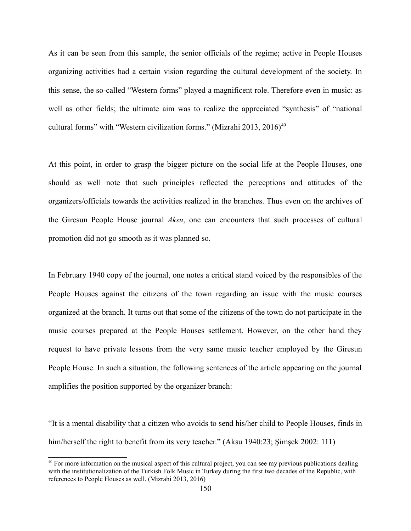As it can be seen from this sample, the senior officials of the regime; active in People Houses organizing activities had a certain vision regarding the cultural development of the society. In this sense, the so-called "Western forms" played a magnificent role. Therefore even in music: as well as other fields; the ultimate aim was to realize the appreciated "synthesis" of "national cultural forms" with "Western civilization forms." (Mizrahi 2013, 2016)<sup>[40](#page-149-0)</sup>

At this point, in order to grasp the bigger picture on the social life at the People Houses, one should as well note that such principles reflected the perceptions and attitudes of the organizers/officials towards the activities realized in the branches. Thus even on the archives of the Giresun People House journal *Aksu*, one can encounters that such processes of cultural promotion did not go smooth as it was planned so.

In February 1940 copy of the journal, one notes a critical stand voiced by the responsibles of the People Houses against the citizens of the town regarding an issue with the music courses organized at the branch. It turns out that some of the citizens of the town do not participate in the music courses prepared at the People Houses settlement. However, on the other hand they request to have private lessons from the very same music teacher employed by the Giresun People House. In such a situation, the following sentences of the article appearing on the journal amplifies the position supported by the organizer branch:

"It is a mental disability that a citizen who avoids to send his/her child to People Houses, finds in him/herself the right to benefit from its very teacher." (Aksu 1940:23; Şimşek 2002: 111)

<span id="page-149-0"></span> $40$  For more information on the musical aspect of this cultural project, you can see my previous publications dealing with the institutionalization of the Turkish Folk Music in Turkey during the first two decades of the Republic, with references to People Houses as well. (Mizrahi 2013, 2016)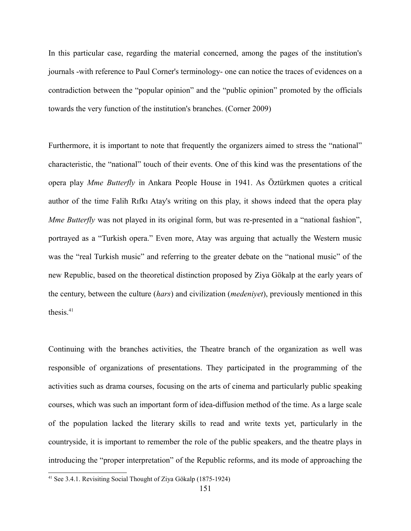In this particular case, regarding the material concerned, among the pages of the institution's journals -with reference to Paul Corner's terminology- one can notice the traces of evidences on a contradiction between the "popular opinion" and the "public opinion" promoted by the officials towards the very function of the institution's branches. (Corner 2009)

Furthermore, it is important to note that frequently the organizers aimed to stress the "national" characteristic, the "national" touch of their events. One of this kind was the presentations of the opera play *Mme Butterfly* in Ankara People House in 1941. As Öztürkmen quotes a critical author of the time Falih Rıfkı Atay's writing on this play, it shows indeed that the opera play *Mme Butterfly* was not played in its original form, but was re-presented in a "national fashion", portrayed as a "Turkish opera." Even more, Atay was arguing that actually the Western music was the "real Turkish music" and referring to the greater debate on the "national music" of the new Republic, based on the theoretical distinction proposed by Ziya Gökalp at the early years of the century, between the culture (*hars*) and civilization (*medeniyet*), previously mentioned in this thesis. $41$ 

Continuing with the branches activities, the Theatre branch of the organization as well was responsible of organizations of presentations. They participated in the programming of the activities such as drama courses, focusing on the arts of cinema and particularly public speaking courses, which was such an important form of idea-diffusion method of the time. As a large scale of the population lacked the literary skills to read and write texts yet, particularly in the countryside, it is important to remember the role of the public speakers, and the theatre plays in introducing the "proper interpretation" of the Republic reforms, and its mode of approaching the

<span id="page-150-0"></span><sup>41</sup> See 3.4.1. Revisiting Social Thought of Ziya Gökalp (1875-1924)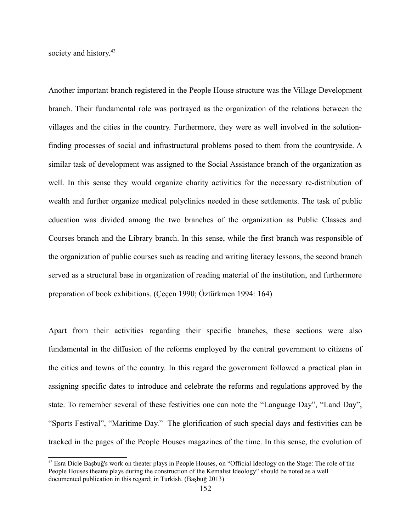society and history.<sup>[42](#page-151-0)</sup>

Another important branch registered in the People House structure was the Village Development branch. Their fundamental role was portrayed as the organization of the relations between the villages and the cities in the country. Furthermore, they were as well involved in the solutionfinding processes of social and infrastructural problems posed to them from the countryside. A similar task of development was assigned to the Social Assistance branch of the organization as well. In this sense they would organize charity activities for the necessary re-distribution of wealth and further organize medical polyclinics needed in these settlements. The task of public education was divided among the two branches of the organization as Public Classes and Courses branch and the Library branch. In this sense, while the first branch was responsible of the organization of public courses such as reading and writing literacy lessons, the second branch served as a structural base in organization of reading material of the institution, and furthermore preparation of book exhibitions. (Çeçen 1990; Öztürkmen 1994: 164)

Apart from their activities regarding their specific branches, these sections were also fundamental in the diffusion of the reforms employed by the central government to citizens of the cities and towns of the country. In this regard the government followed a practical plan in assigning specific dates to introduce and celebrate the reforms and regulations approved by the state. To remember several of these festivities one can note the "Language Day", "Land Day", "Sports Festival", "Maritime Day." The glorification of such special days and festivities can be tracked in the pages of the People Houses magazines of the time. In this sense, the evolution of

<span id="page-151-0"></span> $42$  Esra Dicle Basbuğ's work on theater plays in People Houses, on "Official Ideology on the Stage: The role of the People Houses theatre plays during the construction of the Kemalist Ideology" should be noted as a well documented publication in this regard; in Turkish. (Başbuğ 2013)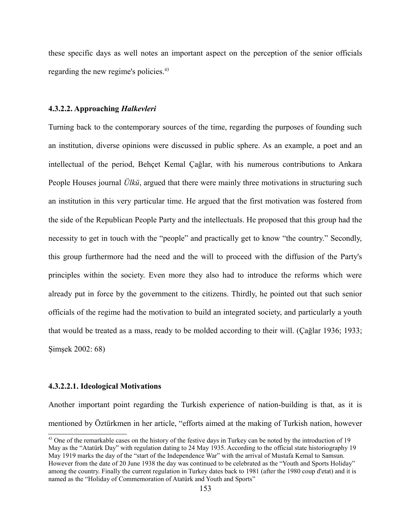these specific days as well notes an important aspect on the perception of the senior officials regarding the new regime's policies.<sup>[43](#page-152-0)</sup>

## **4.3.2.2. Approaching** *Halkevleri*

Turning back to the contemporary sources of the time, regarding the purposes of founding such an institution, diverse opinions were discussed in public sphere. As an example, a poet and an intellectual of the period, Behçet Kemal Çağlar, with his numerous contributions to Ankara People Houses journal *Ülkü*, argued that there were mainly three motivations in structuring such an institution in this very particular time. He argued that the first motivation was fostered from the side of the Republican People Party and the intellectuals. He proposed that this group had the necessity to get in touch with the "people" and practically get to know "the country." Secondly, this group furthermore had the need and the will to proceed with the diffusion of the Party's principles within the society. Even more they also had to introduce the reforms which were already put in force by the government to the citizens. Thirdly, he pointed out that such senior officials of the regime had the motivation to build an integrated society, and particularly a youth that would be treated as a mass, ready to be molded according to their will. (Çağlar 1936; 1933; Şimşek 2002: 68)

#### **4.3.2.2.1. Ideological Motivations**

Another important point regarding the Turkish experience of nation-building is that, as it is mentioned by Öztürkmen in her article, "efforts aimed at the making of Turkish nation, however

<span id="page-152-0"></span><sup>&</sup>lt;sup>43</sup> One of the remarkable cases on the history of the festive days in Turkey can be noted by the introduction of 19 May as the "Atatürk Day" with regulation dating to 24 May 1935. According to the official state historiography 19 May 1919 marks the day of the "start of the Independence War" with the arrival of Mustafa Kemal to Samsun. However from the date of 20 June 1938 the day was continued to be celebrated as the "Youth and Sports Holiday" among the country. Finally the current regulation in Turkey dates back to 1981 (after the 1980 coup d'etat) and it is named as the "Holiday of Commemoration of Atatürk and Youth and Sports"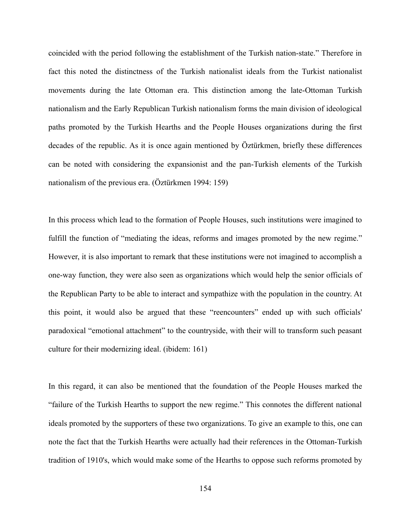coincided with the period following the establishment of the Turkish nation-state." Therefore in fact this noted the distinctness of the Turkish nationalist ideals from the Turkist nationalist movements during the late Ottoman era. This distinction among the late-Ottoman Turkish nationalism and the Early Republican Turkish nationalism forms the main division of ideological paths promoted by the Turkish Hearths and the People Houses organizations during the first decades of the republic. As it is once again mentioned by Öztürkmen, briefly these differences can be noted with considering the expansionist and the pan-Turkish elements of the Turkish nationalism of the previous era. (Öztürkmen 1994: 159)

In this process which lead to the formation of People Houses, such institutions were imagined to fulfill the function of "mediating the ideas, reforms and images promoted by the new regime." However, it is also important to remark that these institutions were not imagined to accomplish a one-way function, they were also seen as organizations which would help the senior officials of the Republican Party to be able to interact and sympathize with the population in the country. At this point, it would also be argued that these "reencounters" ended up with such officials' paradoxical "emotional attachment" to the countryside, with their will to transform such peasant culture for their modernizing ideal. (ibidem: 161)

In this regard, it can also be mentioned that the foundation of the People Houses marked the "failure of the Turkish Hearths to support the new regime." This connotes the different national ideals promoted by the supporters of these two organizations. To give an example to this, one can note the fact that the Turkish Hearths were actually had their references in the Ottoman-Turkish tradition of 1910's, which would make some of the Hearths to oppose such reforms promoted by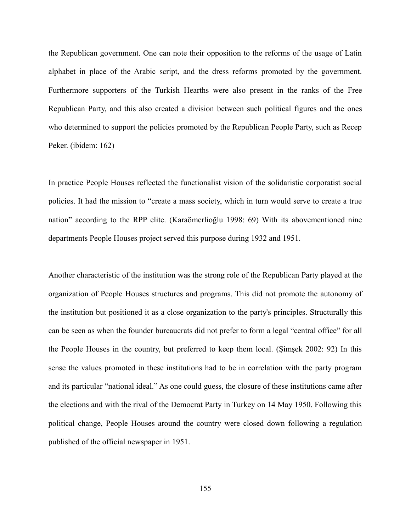the Republican government. One can note their opposition to the reforms of the usage of Latin alphabet in place of the Arabic script, and the dress reforms promoted by the government. Furthermore supporters of the Turkish Hearths were also present in the ranks of the Free Republican Party, and this also created a division between such political figures and the ones who determined to support the policies promoted by the Republican People Party, such as Recep Peker. (ibidem: 162)

In practice People Houses reflected the functionalist vision of the solidaristic corporatist social policies. It had the mission to "create a mass society, which in turn would serve to create a true nation" according to the RPP elite. (Karaömerlioğlu 1998: 69) With its abovementioned nine departments People Houses project served this purpose during 1932 and 1951.

Another characteristic of the institution was the strong role of the Republican Party played at the organization of People Houses structures and programs. This did not promote the autonomy of the institution but positioned it as a close organization to the party's principles. Structurally this can be seen as when the founder bureaucrats did not prefer to form a legal "central office" for all the People Houses in the country, but preferred to keep them local. (Şimşek 2002: 92) In this sense the values promoted in these institutions had to be in correlation with the party program and its particular "national ideal." As one could guess, the closure of these institutions came after the elections and with the rival of the Democrat Party in Turkey on 14 May 1950. Following this political change, People Houses around the country were closed down following a regulation published of the official newspaper in 1951.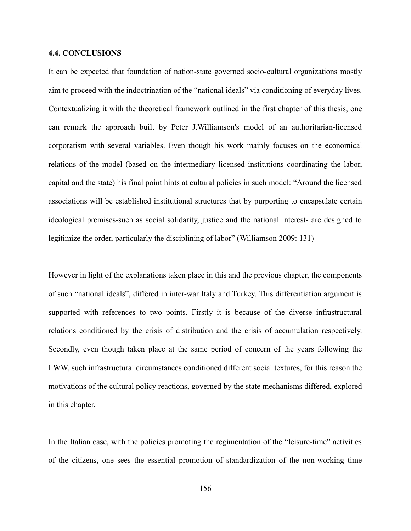# **4.4. CONCLUSIONS**

It can be expected that foundation of nation-state governed socio-cultural organizations mostly aim to proceed with the indoctrination of the "national ideals" via conditioning of everyday lives. Contextualizing it with the theoretical framework outlined in the first chapter of this thesis, one can remark the approach built by Peter J.Williamson's model of an authoritarian-licensed corporatism with several variables. Even though his work mainly focuses on the economical relations of the model (based on the intermediary licensed institutions coordinating the labor, capital and the state) his final point hints at cultural policies in such model: "Around the licensed associations will be established institutional structures that by purporting to encapsulate certain ideological premises-such as social solidarity, justice and the national interest- are designed to legitimize the order, particularly the disciplining of labor" (Williamson 2009: 131)

However in light of the explanations taken place in this and the previous chapter, the components of such "national ideals", differed in inter-war Italy and Turkey. This differentiation argument is supported with references to two points. Firstly it is because of the diverse infrastructural relations conditioned by the crisis of distribution and the crisis of accumulation respectively. Secondly, even though taken place at the same period of concern of the years following the I.WW, such infrastructural circumstances conditioned different social textures, for this reason the motivations of the cultural policy reactions, governed by the state mechanisms differed, explored in this chapter.

In the Italian case, with the policies promoting the regimentation of the "leisure-time" activities of the citizens, one sees the essential promotion of standardization of the non-working time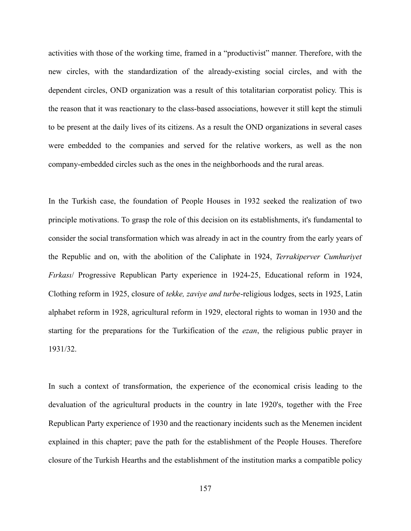activities with those of the working time, framed in a "productivist" manner. Therefore, with the new circles, with the standardization of the already-existing social circles, and with the dependent circles, OND organization was a result of this totalitarian corporatist policy. This is the reason that it was reactionary to the class-based associations, however it still kept the stimuli to be present at the daily lives of its citizens. As a result the OND organizations in several cases were embedded to the companies and served for the relative workers, as well as the non company-embedded circles such as the ones in the neighborhoods and the rural areas.

In the Turkish case, the foundation of People Houses in 1932 seeked the realization of two principle motivations. To grasp the role of this decision on its establishments, it's fundamental to consider the social transformation which was already in act in the country from the early years of the Republic and on, with the abolition of the Caliphate in 1924, *Terrakiperver Cumhuriyet Fırkası*/ Progressive Republican Party experience in 1924-25, Educational reform in 1924, Clothing reform in 1925, closure of *tekke, zaviye and turbe*-religious lodges, sects in 1925, Latin alphabet reform in 1928, agricultural reform in 1929, electoral rights to woman in 1930 and the starting for the preparations for the Turkification of the *ezan*, the religious public prayer in 1931/32.

In such a context of transformation, the experience of the economical crisis leading to the devaluation of the agricultural products in the country in late 1920's, together with the Free Republican Party experience of 1930 and the reactionary incidents such as the Menemen incident explained in this chapter; pave the path for the establishment of the People Houses. Therefore closure of the Turkish Hearths and the establishment of the institution marks a compatible policy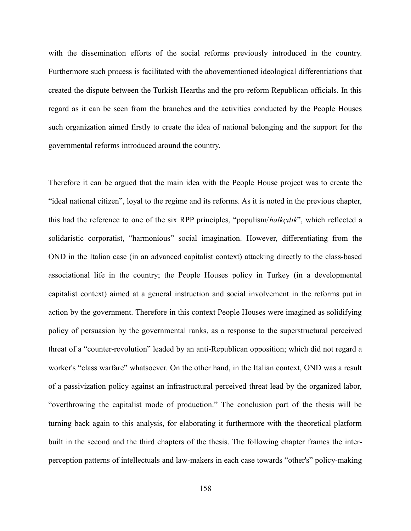with the dissemination efforts of the social reforms previously introduced in the country. Furthermore such process is facilitated with the abovementioned ideological differentiations that created the dispute between the Turkish Hearths and the pro-reform Republican officials. In this regard as it can be seen from the branches and the activities conducted by the People Houses such organization aimed firstly to create the idea of national belonging and the support for the governmental reforms introduced around the country.

Therefore it can be argued that the main idea with the People House project was to create the "ideal national citizen", loyal to the regime and its reforms. As it is noted in the previous chapter, this had the reference to one of the six RPP principles, "populism/*halkçılık*", which reflected a solidaristic corporatist, "harmonious" social imagination. However, differentiating from the OND in the Italian case (in an advanced capitalist context) attacking directly to the class-based associational life in the country; the People Houses policy in Turkey (in a developmental capitalist context) aimed at a general instruction and social involvement in the reforms put in action by the government. Therefore in this context People Houses were imagined as solidifying policy of persuasion by the governmental ranks, as a response to the superstructural perceived threat of a "counter-revolution" leaded by an anti-Republican opposition; which did not regard a worker's "class warfare" whatsoever. On the other hand, in the Italian context, OND was a result of a passivization policy against an infrastructural perceived threat lead by the organized labor, "overthrowing the capitalist mode of production." The conclusion part of the thesis will be turning back again to this analysis, for elaborating it furthermore with the theoretical platform built in the second and the third chapters of the thesis. The following chapter frames the interperception patterns of intellectuals and law-makers in each case towards "other's" policy-making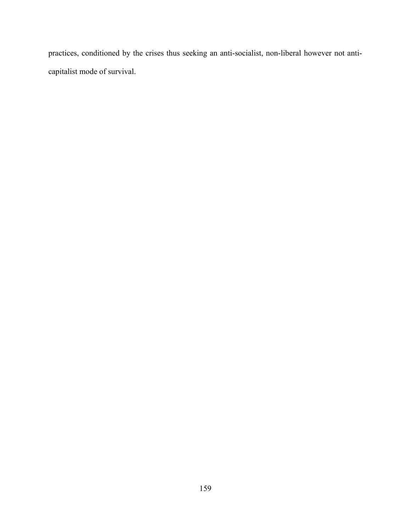practices, conditioned by the crises thus seeking an anti-socialist, non-liberal however not anticapitalist mode of survival.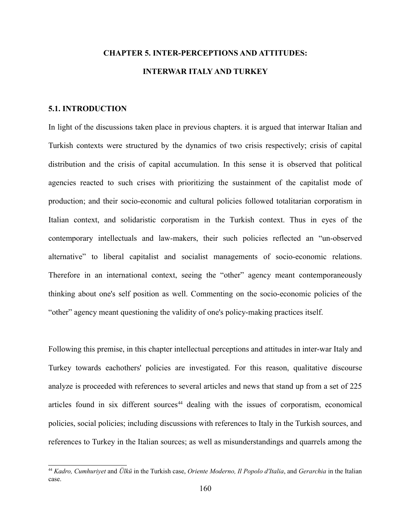# **CHAPTER 5. INTER-PERCEPTIONS AND ATTITUDES: INTERWAR ITALY AND TURKEY**

# **5.1. INTRODUCTION**

In light of the discussions taken place in previous chapters. it is argued that interwar Italian and Turkish contexts were structured by the dynamics of two crisis respectively; crisis of capital distribution and the crisis of capital accumulation. In this sense it is observed that political agencies reacted to such crises with prioritizing the sustainment of the capitalist mode of production; and their socio-economic and cultural policies followed totalitarian corporatism in Italian context, and solidaristic corporatism in the Turkish context. Thus in eyes of the contemporary intellectuals and law-makers, their such policies reflected an "un-observed alternative" to liberal capitalist and socialist managements of socio-economic relations. Therefore in an international context, seeing the "other" agency meant contemporaneously thinking about one's self position as well. Commenting on the socio-economic policies of the "other" agency meant questioning the validity of one's policy-making practices itself.

Following this premise, in this chapter intellectual perceptions and attitudes in inter-war Italy and Turkey towards eachothers' policies are investigated. For this reason, qualitative discourse analyze is proceeded with references to several articles and news that stand up from a set of 225 articles found in six different sources<sup>[44](#page-159-0)</sup> dealing with the issues of corporatism, economical policies, social policies; including discussions with references to Italy in the Turkish sources, and references to Turkey in the Italian sources; as well as misunderstandings and quarrels among the

<span id="page-159-0"></span><sup>44</sup> *Kadro, Cumhuriyet* and *Ülkü* in the Turkish case, *Oriente Moderno, Il Popolo d'Italia*, and *Gerarchia* in the Italian case.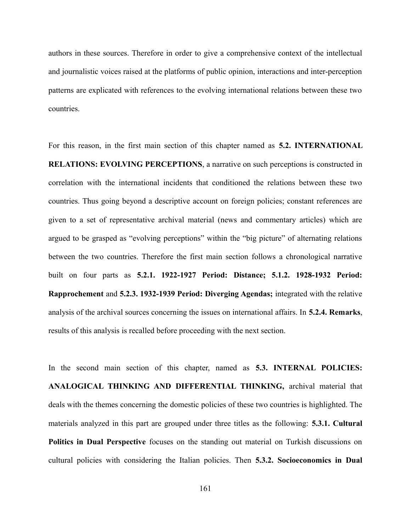authors in these sources. Therefore in order to give a comprehensive context of the intellectual and journalistic voices raised at the platforms of public opinion, interactions and inter-perception patterns are explicated with references to the evolving international relations between these two countries.

For this reason, in the first main section of this chapter named as **5.2. INTERNATIONAL RELATIONS: EVOLVING PERCEPTIONS**, a narrative on such perceptions is constructed in correlation with the international incidents that conditioned the relations between these two countries. Thus going beyond a descriptive account on foreign policies; constant references are given to a set of representative archival material (news and commentary articles) which are argued to be grasped as "evolving perceptions" within the "big picture" of alternating relations between the two countries. Therefore the first main section follows a chronological narrative built on four parts as **5.2.1. 1922-1927 Period: Distance; 5.1.2. 1928-1932 Period: Rapprochement** and **5.2.3. 1932-1939 Period: Diverging Agendas;** integrated with the relative analysis of the archival sources concerning the issues on international affairs. In **5.2.4. Remarks**, results of this analysis is recalled before proceeding with the next section.

In the second main section of this chapter, named as **5.3. INTERNAL POLICIES: ANALOGICAL THINKING AND DIFFERENTIAL THINKING,** archival material that deals with the themes concerning the domestic policies of these two countries is highlighted. The materials analyzed in this part are grouped under three titles as the following: **5.3.1. Cultural Politics in Dual Perspective** focuses on the standing out material on Turkish discussions on cultural policies with considering the Italian policies. Then **5.3.2. Socioeconomics in Dual**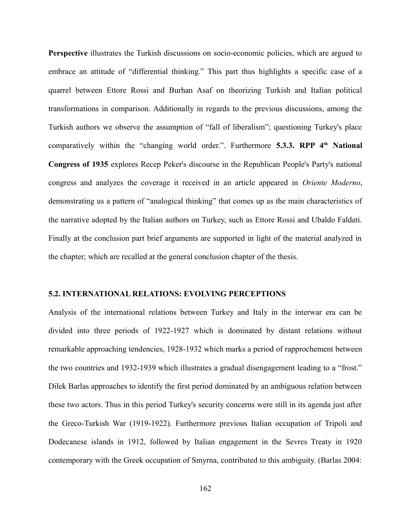Perspective illustrates the Turkish discussions on socio-economic policies, which are argued to embrace an attitude of "differential thinking." This part thus highlights a specific case of a quarrel between Ettore Rossi and Burhan Asaf on theorizing Turkish and Italian political transformations in comparison. Additionally in regards to the previous discussions, among the Turkish authors we observe the assumption of "fall of liberalism"; questioning Turkey's place comparatively within the "changing world order.". Furthermore **5.3.3. RPP 4th National Congress of 1935** explores Recep Peker's discourse in the Republican People's Party's national congress and analyzes the coverage it received in an article appeared in *Oriente Moderno*, demonstrating us a pattern of "analogical thinking" that comes up as the main characteristics of the narrative adopted by the Italian authors on Turkey, such as Ettore Rossi and Ubaldo Faldati. Finally at the conclusion part brief arguments are supported in light of the material analyzed in the chapter; which are recalled at the general conclusion chapter of the thesis.

#### **5.2. INTERNATIONAL RELATIONS: EVOLVING PERCEPTIONS**

Analysis of the international relations between Turkey and Italy in the interwar era can be divided into three periods of 1922-1927 which is dominated by distant relations without remarkable approaching tendencies, 1928-1932 which marks a period of rapprochement between the two countries and 1932-1939 which illustrates a gradual disengagement leading to a "frost." Dilek Barlas approaches to identify the first period dominated by an ambiguous relation between these two actors. Thus in this period Turkey's security concerns were still in its agenda just after the Greco-Turkish War (1919-1922). Furthermore previous Italian occupation of Tripoli and Dodecanese islands in 1912, followed by Italian engagement in the Sevres Treaty in 1920 contemporary with the Greek occupation of Smyrna, contributed to this ambiguity. (Barlas 2004: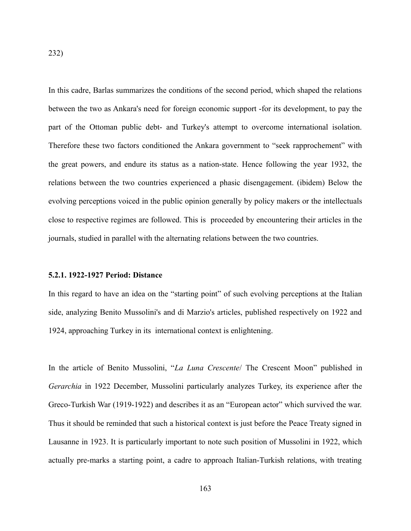In this cadre, Barlas summarizes the conditions of the second period, which shaped the relations between the two as Ankara's need for foreign economic support -for its development, to pay the part of the Ottoman public debt- and Turkey's attempt to overcome international isolation. Therefore these two factors conditioned the Ankara government to "seek rapprochement" with the great powers, and endure its status as a nation-state. Hence following the year 1932, the relations between the two countries experienced a phasic disengagement. (ibidem) Below the evolving perceptions voiced in the public opinion generally by policy makers or the intellectuals close to respective regimes are followed. This is proceeded by encountering their articles in the journals, studied in parallel with the alternating relations between the two countries.

### **5.2.1. 1922-1927 Period: Distance**

In this regard to have an idea on the "starting point" of such evolving perceptions at the Italian side, analyzing Benito Mussolini's and di Marzio's articles, published respectively on 1922 and 1924, approaching Turkey in its international context is enlightening.

In the article of Benito Mussolini, "*La Luna Crescente*/ The Crescent Moon" published in *Gerarchia* in 1922 December, Mussolini particularly analyzes Turkey, its experience after the Greco-Turkish War (1919-1922) and describes it as an "European actor" which survived the war. Thus it should be reminded that such a historical context is just before the Peace Treaty signed in Lausanne in 1923. It is particularly important to note such position of Mussolini in 1922, which actually pre-marks a starting point, a cadre to approach Italian-Turkish relations, with treating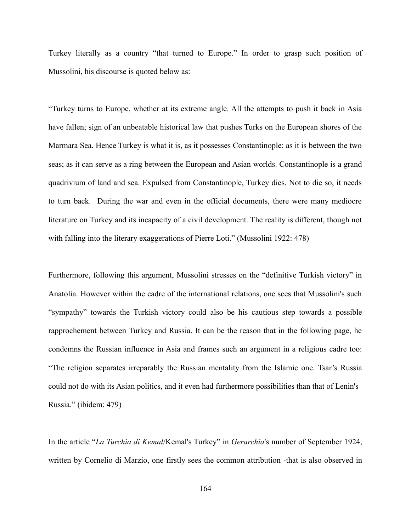Turkey literally as a country "that turned to Europe." In order to grasp such position of Mussolini, his discourse is quoted below as:

"Turkey turns to Europe, whether at its extreme angle. All the attempts to push it back in Asia have fallen; sign of an unbeatable historical law that pushes Turks on the European shores of the Marmara Sea. Hence Turkey is what it is, as it possesses Constantinople: as it is between the two seas; as it can serve as a ring between the European and Asian worlds. Constantinople is a grand quadrivium of land and sea. Expulsed from Constantinople, Turkey dies. Not to die so, it needs to turn back. During the war and even in the official documents, there were many mediocre literature on Turkey and its incapacity of a civil development. The reality is different, though not with falling into the literary exaggerations of Pierre Loti." (Mussolini 1922: 478)

Furthermore, following this argument, Mussolini stresses on the "definitive Turkish victory" in Anatolia. However within the cadre of the international relations, one sees that Mussolini's such "sympathy" towards the Turkish victory could also be his cautious step towards a possible rapprochement between Turkey and Russia. It can be the reason that in the following page, he condemns the Russian influence in Asia and frames such an argument in a religious cadre too: "The religion separates irreparably the Russian mentality from the Islamic one. Tsar's Russia could not do with its Asian politics, and it even had furthermore possibilities than that of Lenin's Russia." (ibidem: 479)

In the article "*La Turchia di Kemal*/Kemal's Turkey" in *Gerarchia*'s number of September 1924, written by Cornelio di Marzio, one firstly sees the common attribution -that is also observed in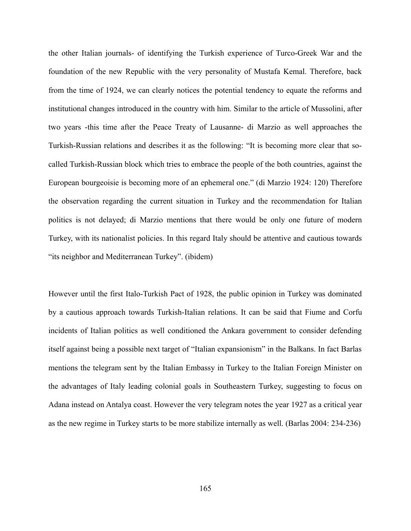the other Italian journals- of identifying the Turkish experience of Turco-Greek War and the foundation of the new Republic with the very personality of Mustafa Kemal. Therefore, back from the time of 1924, we can clearly notices the potential tendency to equate the reforms and institutional changes introduced in the country with him. Similar to the article of Mussolini, after two years -this time after the Peace Treaty of Lausanne- di Marzio as well approaches the Turkish-Russian relations and describes it as the following: "It is becoming more clear that socalled Turkish-Russian block which tries to embrace the people of the both countries, against the European bourgeoisie is becoming more of an ephemeral one." (di Marzio 1924: 120) Therefore the observation regarding the current situation in Turkey and the recommendation for Italian politics is not delayed; di Marzio mentions that there would be only one future of modern Turkey, with its nationalist policies. In this regard Italy should be attentive and cautious towards "its neighbor and Mediterranean Turkey". (ibidem)

However until the first Italo-Turkish Pact of 1928, the public opinion in Turkey was dominated by a cautious approach towards Turkish-Italian relations. It can be said that Fiume and Corfu incidents of Italian politics as well conditioned the Ankara government to consider defending itself against being a possible next target of "Italian expansionism" in the Balkans. In fact Barlas mentions the telegram sent by the Italian Embassy in Turkey to the Italian Foreign Minister on the advantages of Italy leading colonial goals in Southeastern Turkey, suggesting to focus on Adana instead on Antalya coast. However the very telegram notes the year 1927 as a critical year as the new regime in Turkey starts to be more stabilize internally as well. (Barlas 2004: 234-236)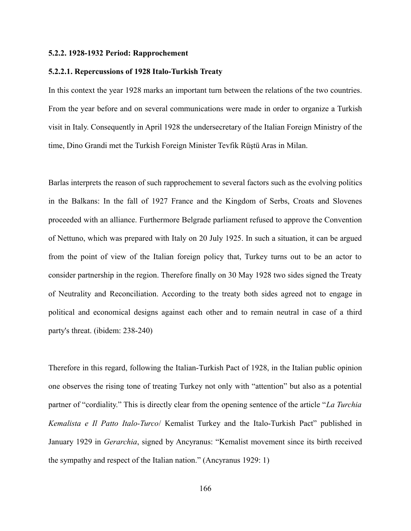#### **5.2.2. 1928-1932 Period: Rapprochement**

## **5.2.2.1. Repercussions of 1928 Italo-Turkish Treaty**

In this context the year 1928 marks an important turn between the relations of the two countries. From the year before and on several communications were made in order to organize a Turkish visit in Italy. Consequently in April 1928 the undersecretary of the Italian Foreign Ministry of the time, Dino Grandi met the Turkish Foreign Minister Tevfik Rüştü Aras in Milan.

Barlas interprets the reason of such rapprochement to several factors such as the evolving politics in the Balkans: In the fall of 1927 France and the Kingdom of Serbs, Croats and Slovenes proceeded with an alliance. Furthermore Belgrade parliament refused to approve the Convention of Nettuno, which was prepared with Italy on 20 July 1925. In such a situation, it can be argued from the point of view of the Italian foreign policy that, Turkey turns out to be an actor to consider partnership in the region. Therefore finally on 30 May 1928 two sides signed the Treaty of Neutrality and Reconciliation. According to the treaty both sides agreed not to engage in political and economical designs against each other and to remain neutral in case of a third party's threat. (ibidem: 238-240)

Therefore in this regard, following the Italian-Turkish Pact of 1928, in the Italian public opinion one observes the rising tone of treating Turkey not only with "attention" but also as a potential partner of "cordiality." This is directly clear from the opening sentence of the article "*La Turchia Kemalista e Il Patto Italo-Turco*/ Kemalist Turkey and the Italo-Turkish Pact" published in January 1929 in *Gerarchia*, signed by Ancyranus: "Kemalist movement since its birth received the sympathy and respect of the Italian nation." (Ancyranus 1929: 1)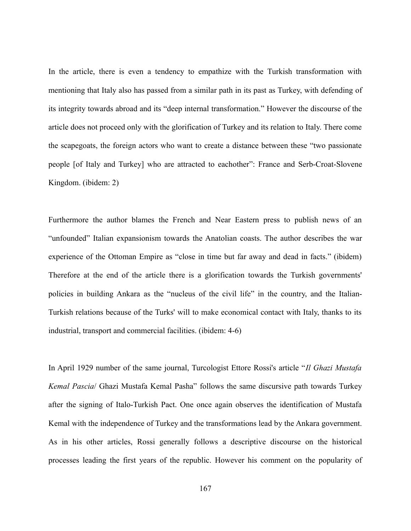In the article, there is even a tendency to empathize with the Turkish transformation with mentioning that Italy also has passed from a similar path in its past as Turkey, with defending of its integrity towards abroad and its "deep internal transformation." However the discourse of the article does not proceed only with the glorification of Turkey and its relation to Italy. There come the scapegoats, the foreign actors who want to create a distance between these "two passionate people [of Italy and Turkey] who are attracted to eachother": France and Serb-Croat-Slovene Kingdom. (ibidem: 2)

Furthermore the author blames the French and Near Eastern press to publish news of an "unfounded" Italian expansionism towards the Anatolian coasts. The author describes the war experience of the Ottoman Empire as "close in time but far away and dead in facts." (ibidem) Therefore at the end of the article there is a glorification towards the Turkish governments' policies in building Ankara as the "nucleus of the civil life" in the country, and the Italian-Turkish relations because of the Turks' will to make economical contact with Italy, thanks to its industrial, transport and commercial facilities. (ibidem: 4-6)

In April 1929 number of the same journal, Turcologist Ettore Rossi's article "*Il Ghazi Mustafa Kemal Pascia*/ Ghazi Mustafa Kemal Pasha" follows the same discursive path towards Turkey after the signing of Italo-Turkish Pact. One once again observes the identification of Mustafa Kemal with the independence of Turkey and the transformations lead by the Ankara government. As in his other articles, Rossi generally follows a descriptive discourse on the historical processes leading the first years of the republic. However his comment on the popularity of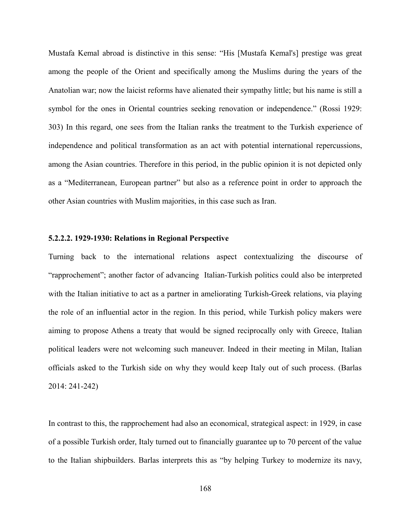Mustafa Kemal abroad is distinctive in this sense: "His [Mustafa Kemal's] prestige was great among the people of the Orient and specifically among the Muslims during the years of the Anatolian war; now the laicist reforms have alienated their sympathy little; but his name is still a symbol for the ones in Oriental countries seeking renovation or independence." (Rossi 1929: 303) In this regard, one sees from the Italian ranks the treatment to the Turkish experience of independence and political transformation as an act with potential international repercussions, among the Asian countries. Therefore in this period, in the public opinion it is not depicted only as a "Mediterranean, European partner" but also as a reference point in order to approach the other Asian countries with Muslim majorities, in this case such as Iran.

## **5.2.2.2. 1929-1930: Relations in Regional Perspective**

Turning back to the international relations aspect contextualizing the discourse of "rapprochement"; another factor of advancing Italian-Turkish politics could also be interpreted with the Italian initiative to act as a partner in ameliorating Turkish-Greek relations, via playing the role of an influential actor in the region. In this period, while Turkish policy makers were aiming to propose Athens a treaty that would be signed reciprocally only with Greece, Italian political leaders were not welcoming such maneuver. Indeed in their meeting in Milan, Italian officials asked to the Turkish side on why they would keep Italy out of such process. (Barlas 2014: 241-242)

In contrast to this, the rapprochement had also an economical, strategical aspect: in 1929, in case of a possible Turkish order, Italy turned out to financially guarantee up to 70 percent of the value to the Italian shipbuilders. Barlas interprets this as "by helping Turkey to modernize its navy,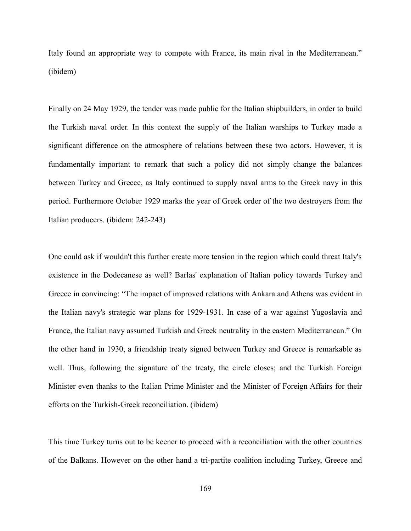Italy found an appropriate way to compete with France, its main rival in the Mediterranean." (ibidem)

Finally on 24 May 1929, the tender was made public for the Italian shipbuilders, in order to build the Turkish naval order. In this context the supply of the Italian warships to Turkey made a significant difference on the atmosphere of relations between these two actors. However, it is fundamentally important to remark that such a policy did not simply change the balances between Turkey and Greece, as Italy continued to supply naval arms to the Greek navy in this period. Furthermore October 1929 marks the year of Greek order of the two destroyers from the Italian producers. (ibidem: 242-243)

One could ask if wouldn't this further create more tension in the region which could threat Italy's existence in the Dodecanese as well? Barlas' explanation of Italian policy towards Turkey and Greece in convincing: "The impact of improved relations with Ankara and Athens was evident in the Italian navy's strategic war plans for 1929-1931. In case of a war against Yugoslavia and France, the Italian navy assumed Turkish and Greek neutrality in the eastern Mediterranean." On the other hand in 1930, a friendship treaty signed between Turkey and Greece is remarkable as well. Thus, following the signature of the treaty, the circle closes; and the Turkish Foreign Minister even thanks to the Italian Prime Minister and the Minister of Foreign Affairs for their efforts on the Turkish-Greek reconciliation. (ibidem)

This time Turkey turns out to be keener to proceed with a reconciliation with the other countries of the Balkans. However on the other hand a tri-partite coalition including Turkey, Greece and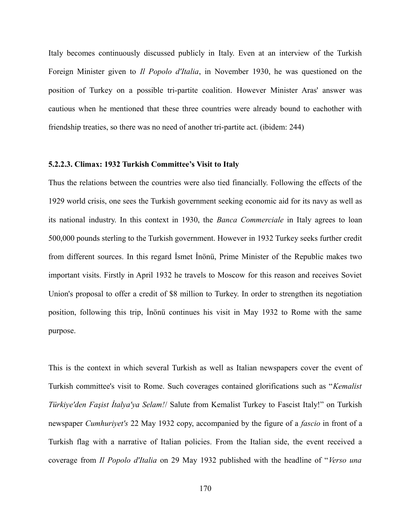Italy becomes continuously discussed publicly in Italy. Even at an interview of the Turkish Foreign Minister given to *Il Popolo d'Italia*, in November 1930, he was questioned on the position of Turkey on a possible tri-partite coalition. However Minister Aras' answer was cautious when he mentioned that these three countries were already bound to eachother with friendship treaties, so there was no need of another tri-partite act. (ibidem: 244)

# **5.2.2.3. Climax: 1932 Turkish Committee's Visit to Italy**

Thus the relations between the countries were also tied financially. Following the effects of the 1929 world crisis, one sees the Turkish government seeking economic aid for its navy as well as its national industry. In this context in 1930, the *Banca Commerciale* in Italy agrees to loan 500,000 pounds sterling to the Turkish government. However in 1932 Turkey seeks further credit from different sources. In this regard İsmet İnönü, Prime Minister of the Republic makes two important visits. Firstly in April 1932 he travels to Moscow for this reason and receives Soviet Union's proposal to offer a credit of \$8 million to Turkey. In order to strengthen its negotiation position, following this trip, İnönü continues his visit in May 1932 to Rome with the same purpose.

This is the context in which several Turkish as well as Italian newspapers cover the event of Turkish committee's visit to Rome. Such coverages contained glorifications such as "*Kemalist Türkiye'den Faşist İtalya'ya Selam!*/ Salute from Kemalist Turkey to Fascist Italy!" on Turkish newspaper *Cumhuriyet's* 22 May 1932 copy, accompanied by the figure of a *fascio* in front of a Turkish flag with a narrative of Italian policies. From the Italian side, the event received a coverage from *Il Popolo d'Italia* on 29 May 1932 published with the headline of "*Verso una*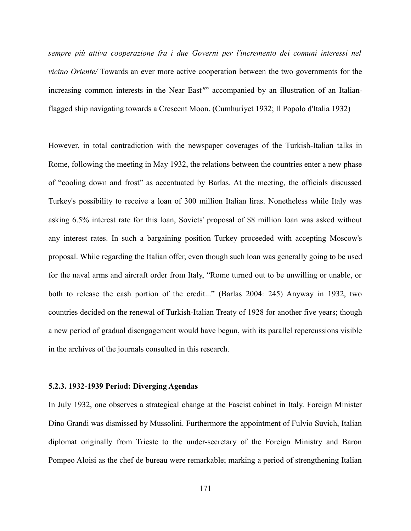*sempre più attiva cooperazione fra i due Governi per l'incremento dei comuni interessi nel vicino Oriente/* Towards an ever more active cooperation between the two governments for the increasing common interests in the Near East*"*" accompanied by an illustration of an Italianflagged ship navigating towards a Crescent Moon. (Cumhuriyet 1932; Il Popolo d'Italia 1932)

However, in total contradiction with the newspaper coverages of the Turkish-Italian talks in Rome, following the meeting in May 1932, the relations between the countries enter a new phase of "cooling down and frost" as accentuated by Barlas. At the meeting, the officials discussed Turkey's possibility to receive a loan of 300 million Italian liras. Nonetheless while Italy was asking 6.5% interest rate for this loan, Soviets' proposal of \$8 million loan was asked without any interest rates. In such a bargaining position Turkey proceeded with accepting Moscow's proposal. While regarding the Italian offer, even though such loan was generally going to be used for the naval arms and aircraft order from Italy, "Rome turned out to be unwilling or unable, or both to release the cash portion of the credit..." (Barlas 2004: 245) Anyway in 1932, two countries decided on the renewal of Turkish-Italian Treaty of 1928 for another five years; though a new period of gradual disengagement would have begun, with its parallel repercussions visible in the archives of the journals consulted in this research.

#### **5.2.3. 1932-1939 Period: Diverging Agendas**

In July 1932, one observes a strategical change at the Fascist cabinet in Italy. Foreign Minister Dino Grandi was dismissed by Mussolini. Furthermore the appointment of Fulvio Suvich, Italian diplomat originally from Trieste to the under-secretary of the Foreign Ministry and Baron Pompeo Aloisi as the chef de bureau were remarkable; marking a period of strengthening Italian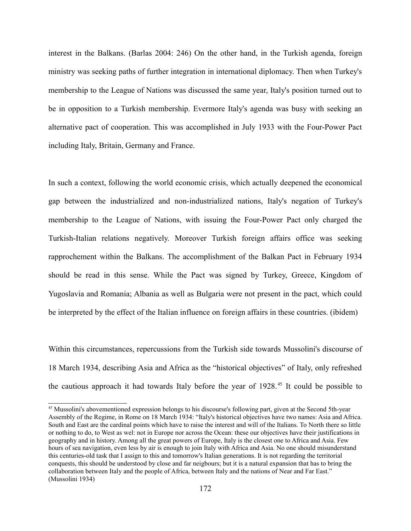interest in the Balkans. (Barlas 2004: 246) On the other hand, in the Turkish agenda, foreign ministry was seeking paths of further integration in international diplomacy. Then when Turkey's membership to the League of Nations was discussed the same year, Italy's position turned out to be in opposition to a Turkish membership. Evermore Italy's agenda was busy with seeking an alternative pact of cooperation. This was accomplished in July 1933 with the Four-Power Pact including Italy, Britain, Germany and France.

In such a context, following the world economic crisis, which actually deepened the economical gap between the industrialized and non-industrialized nations, Italy's negation of Turkey's membership to the League of Nations, with issuing the Four-Power Pact only charged the Turkish-Italian relations negatively. Moreover Turkish foreign affairs office was seeking rapprochement within the Balkans. The accomplishment of the Balkan Pact in February 1934 should be read in this sense. While the Pact was signed by Turkey, Greece, Kingdom of Yugoslavia and Romania; Albania as well as Bulgaria were not present in the pact, which could be interpreted by the effect of the Italian influence on foreign affairs in these countries. (ibidem)

Within this circumstances, repercussions from the Turkish side towards Mussolini's discourse of 18 March 1934, describing Asia and Africa as the "historical objectives" of Italy, only refreshed the cautious approach it had towards Italy before the year of  $1928<sup>45</sup>$  $1928<sup>45</sup>$  $1928<sup>45</sup>$  It could be possible to

<span id="page-171-0"></span><sup>&</sup>lt;sup>45</sup> Mussolini's abovementioned expression belongs to his discourse's following part, given at the Second 5th-year Assembly of the Regime, in Rome on 18 March 1934: "Italy's historical objectives have two names: Asia and Africa. South and East are the cardinal points which have to raise the interest and will of the Italians. To North there so little or nothing to do, to West as wel: not in Europe nor across the Ocean: these our objectives have their justifications in geography and in history. Among all the great powers of Europe, Italy is the closest one to Africa and Asia. Few hours of sea navigation, even less by air is enough to join Italy with Africa and Asia. No one should misunderstand this centuries-old task that I assign to this and tomorrow's Italian generations. It is not regarding the territorial conquests, this should be understood by close and far neigbours; but it is a natural expansion that has to bring the collaboration between Italy and the people of Africa, between Italy and the nations of Near and Far East." (Mussolini 1934)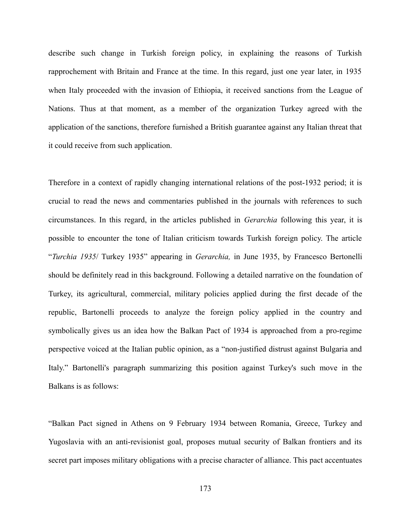describe such change in Turkish foreign policy, in explaining the reasons of Turkish rapprochement with Britain and France at the time. In this regard, just one year later, in 1935 when Italy proceeded with the invasion of Ethiopia, it received sanctions from the League of Nations. Thus at that moment, as a member of the organization Turkey agreed with the application of the sanctions, therefore furnished a British guarantee against any Italian threat that it could receive from such application.

Therefore in a context of rapidly changing international relations of the post-1932 period; it is crucial to read the news and commentaries published in the journals with references to such circumstances. In this regard, in the articles published in *Gerarchia* following this year, it is possible to encounter the tone of Italian criticism towards Turkish foreign policy. The article "*Turchia 1935*/ Turkey 1935" appearing in *Gerarchia,* in June 1935, by Francesco Bertonelli should be definitely read in this background. Following a detailed narrative on the foundation of Turkey, its agricultural, commercial, military policies applied during the first decade of the republic, Bartonelli proceeds to analyze the foreign policy applied in the country and symbolically gives us an idea how the Balkan Pact of 1934 is approached from a pro-regime perspective voiced at the Italian public opinion, as a "non-justified distrust against Bulgaria and Italy." Bartonelli's paragraph summarizing this position against Turkey's such move in the Balkans is as follows:

"Balkan Pact signed in Athens on 9 February 1934 between Romania, Greece, Turkey and Yugoslavia with an anti-revisionist goal, proposes mutual security of Balkan frontiers and its secret part imposes military obligations with a precise character of alliance. This pact accentuates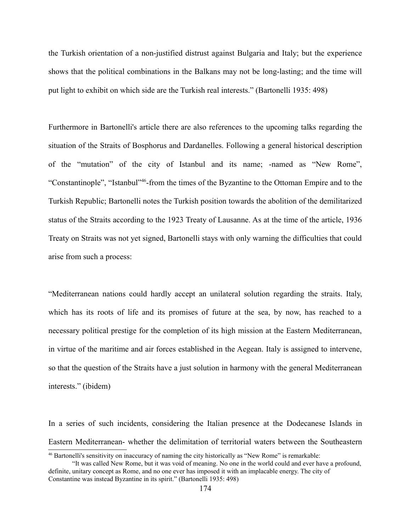the Turkish orientation of a non-justified distrust against Bulgaria and Italy; but the experience shows that the political combinations in the Balkans may not be long-lasting; and the time will put light to exhibit on which side are the Turkish real interests." (Bartonelli 1935: 498)

Furthermore in Bartonelli's article there are also references to the upcoming talks regarding the situation of the Straits of Bosphorus and Dardanelles. Following a general historical description of the "mutation" of the city of Istanbul and its name; -named as "New Rome", "Constantinople", "Istanbul"[46](#page-173-0)-from the times of the Byzantine to the Ottoman Empire and to the Turkish Republic; Bartonelli notes the Turkish position towards the abolition of the demilitarized status of the Straits according to the 1923 Treaty of Lausanne. As at the time of the article, 1936 Treaty on Straits was not yet signed, Bartonelli stays with only warning the difficulties that could arise from such a process:

"Mediterranean nations could hardly accept an unilateral solution regarding the straits. Italy, which has its roots of life and its promises of future at the sea, by now, has reached to a necessary political prestige for the completion of its high mission at the Eastern Mediterranean, in virtue of the maritime and air forces established in the Aegean. Italy is assigned to intervene, so that the question of the Straits have a just solution in harmony with the general Mediterranean interests." (ibidem)

In a series of such incidents, considering the Italian presence at the Dodecanese Islands in Eastern Mediterranean- whether the delimitation of territorial waters between the Southeastern

<span id="page-173-0"></span><sup>46</sup> Bartonelli's sensitivity on inaccuracy of naming the city historically as "New Rome" is remarkable:

<sup>&</sup>quot;It was called New Rome, but it was void of meaning. No one in the world could and ever have a profound, definite, unitary concept as Rome, and no one ever has imposed it with an implacable energy. The city of Constantine was instead Byzantine in its spirit." (Bartonelli 1935: 498)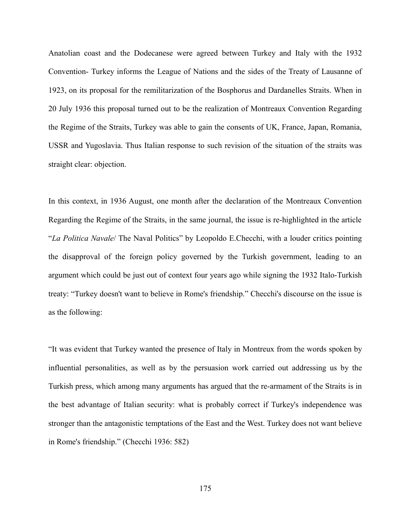Anatolian coast and the Dodecanese were agreed between Turkey and Italy with the 1932 Convention- Turkey informs the League of Nations and the sides of the Treaty of Lausanne of 1923, on its proposal for the remilitarization of the Bosphorus and Dardanelles Straits. When in 20 July 1936 this proposal turned out to be the realization of Montreaux Convention Regarding the Regime of the Straits, Turkey was able to gain the consents of UK, France, Japan, Romania, USSR and Yugoslavia. Thus Italian response to such revision of the situation of the straits was straight clear: objection.

In this context, in 1936 August, one month after the declaration of the Montreaux Convention Regarding the Regime of the Straits, in the same journal, the issue is re-highlighted in the article "*La Politica Navale*/ The Naval Politics" by Leopoldo E.Checchi, with a louder critics pointing the disapproval of the foreign policy governed by the Turkish government, leading to an argument which could be just out of context four years ago while signing the 1932 Italo-Turkish treaty: "Turkey doesn't want to believe in Rome's friendship." Checchi's discourse on the issue is as the following:

"It was evident that Turkey wanted the presence of Italy in Montreux from the words spoken by influential personalities, as well as by the persuasion work carried out addressing us by the Turkish press, which among many arguments has argued that the re-armament of the Straits is in the best advantage of Italian security: what is probably correct if Turkey's independence was stronger than the antagonistic temptations of the East and the West. Turkey does not want believe in Rome's friendship." (Checchi 1936: 582)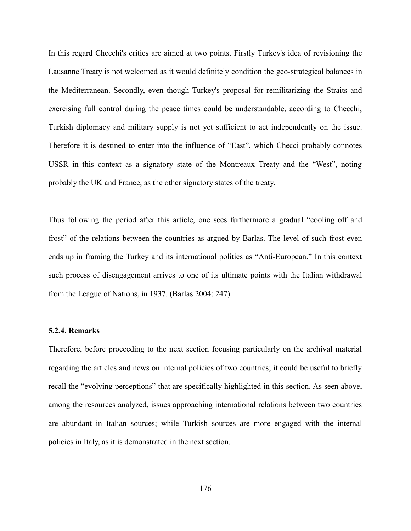In this regard Checchi's critics are aimed at two points. Firstly Turkey's idea of revisioning the Lausanne Treaty is not welcomed as it would definitely condition the geo-strategical balances in the Mediterranean. Secondly, even though Turkey's proposal for remilitarizing the Straits and exercising full control during the peace times could be understandable, according to Checchi, Turkish diplomacy and military supply is not yet sufficient to act independently on the issue. Therefore it is destined to enter into the influence of "East", which Checci probably connotes USSR in this context as a signatory state of the Montreaux Treaty and the "West", noting probably the UK and France, as the other signatory states of the treaty.

Thus following the period after this article, one sees furthermore a gradual "cooling off and frost" of the relations between the countries as argued by Barlas. The level of such frost even ends up in framing the Turkey and its international politics as "Anti-European." In this context such process of disengagement arrives to one of its ultimate points with the Italian withdrawal from the League of Nations, in 1937. (Barlas 2004: 247)

#### **5.2.4. Remarks**

Therefore, before proceeding to the next section focusing particularly on the archival material regarding the articles and news on internal policies of two countries; it could be useful to briefly recall the "evolving perceptions" that are specifically highlighted in this section. As seen above, among the resources analyzed, issues approaching international relations between two countries are abundant in Italian sources; while Turkish sources are more engaged with the internal policies in Italy, as it is demonstrated in the next section.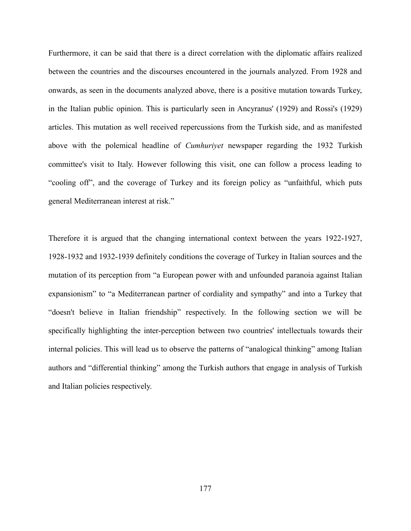Furthermore, it can be said that there is a direct correlation with the diplomatic affairs realized between the countries and the discourses encountered in the journals analyzed. From 1928 and onwards, as seen in the documents analyzed above, there is a positive mutation towards Turkey, in the Italian public opinion. This is particularly seen in Ancyranus' (1929) and Rossi's (1929) articles. This mutation as well received repercussions from the Turkish side, and as manifested above with the polemical headline of *Cumhuriyet* newspaper regarding the 1932 Turkish committee's visit to Italy. However following this visit, one can follow a process leading to "cooling off", and the coverage of Turkey and its foreign policy as "unfaithful, which puts general Mediterranean interest at risk."

Therefore it is argued that the changing international context between the years 1922-1927, 1928-1932 and 1932-1939 definitely conditions the coverage of Turkey in Italian sources and the mutation of its perception from "a European power with and unfounded paranoia against Italian expansionism" to "a Mediterranean partner of cordiality and sympathy" and into a Turkey that "doesn't believe in Italian friendship" respectively. In the following section we will be specifically highlighting the inter-perception between two countries' intellectuals towards their internal policies. This will lead us to observe the patterns of "analogical thinking" among Italian authors and "differential thinking" among the Turkish authors that engage in analysis of Turkish and Italian policies respectively.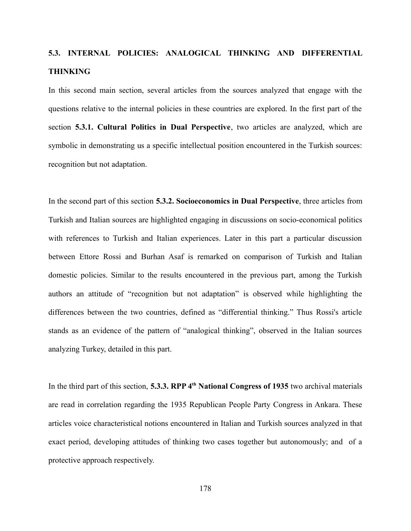# **5.3. INTERNAL POLICIES: ANALOGICAL THINKING AND DIFFERENTIAL THINKING**

In this second main section, several articles from the sources analyzed that engage with the questions relative to the internal policies in these countries are explored. In the first part of the section **5.3.1. Cultural Politics in Dual Perspective**, two articles are analyzed, which are symbolic in demonstrating us a specific intellectual position encountered in the Turkish sources: recognition but not adaptation.

In the second part of this section **5.3.2. Socioeconomics in Dual Perspective**, three articles from Turkish and Italian sources are highlighted engaging in discussions on socio-economical politics with references to Turkish and Italian experiences. Later in this part a particular discussion between Ettore Rossi and Burhan Asaf is remarked on comparison of Turkish and Italian domestic policies. Similar to the results encountered in the previous part, among the Turkish authors an attitude of "recognition but not adaptation" is observed while highlighting the differences between the two countries, defined as "differential thinking." Thus Rossi's article stands as an evidence of the pattern of "analogical thinking", observed in the Italian sources analyzing Turkey, detailed in this part.

In the third part of this section, **5.3.3. RPP 4th National Congress of 1935** two archival materials are read in correlation regarding the 1935 Republican People Party Congress in Ankara. These articles voice characteristical notions encountered in Italian and Turkish sources analyzed in that exact period, developing attitudes of thinking two cases together but autonomously; and of a protective approach respectively.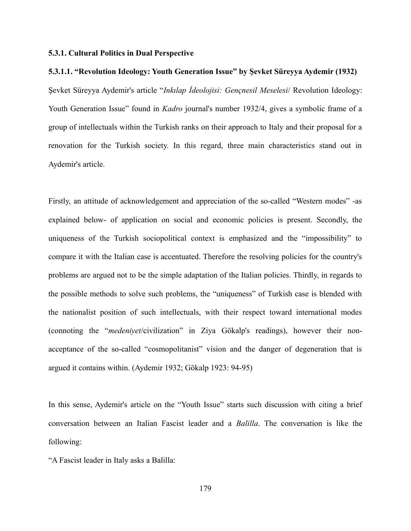# **5.3.1. Cultural Politics in Dual Perspective**

# **5.3.1.1. "Revolution Ideology: Youth Generation Issue" by Şevket Süreyya Aydemir (1932)**

Şevket Süreyya Aydemir's article "*Inkılap İdeolojisi: Gençnesil Meselesi*/ Revolution Ideology: Youth Generation Issue" found in *Kadro* journal's number 1932/4, gives a symbolic frame of a group of intellectuals within the Turkish ranks on their approach to Italy and their proposal for a renovation for the Turkish society. In this regard, three main characteristics stand out in Aydemir's article.

Firstly, an attitude of acknowledgement and appreciation of the so-called "Western modes" -as explained below- of application on social and economic policies is present. Secondly, the uniqueness of the Turkish sociopolitical context is emphasized and the "impossibility" to compare it with the Italian case is accentuated. Therefore the resolving policies for the country's problems are argued not to be the simple adaptation of the Italian policies. Thirdly, in regards to the possible methods to solve such problems, the "uniqueness" of Turkish case is blended with the nationalist position of such intellectuals, with their respect toward international modes (connoting the "*medeniyet*/civilization" in Ziya Gökalp's readings), however their nonacceptance of the so-called "cosmopolitanist" vision and the danger of degeneration that is argued it contains within. (Aydemir 1932; Gökalp 1923: 94-95)

In this sense, Aydemir's article on the "Youth Issue" starts such discussion with citing a brief conversation between an Italian Fascist leader and a *Balilla*. The conversation is like the following:

"A Fascist leader in Italy asks a Balilla: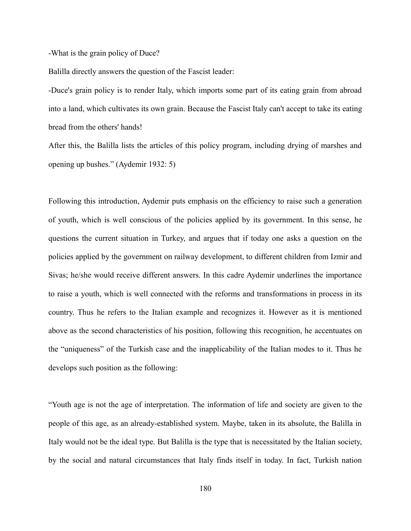-What is the grain policy of Duce?

Balilla directly answers the question of the Fascist leader:

-Duce's grain policy is to render Italy, which imports some part of its eating grain from abroad into a land, which cultivates its own grain. Because the Fascist Italy can't accept to take its eating bread from the others' hands!

After this, the Balilla lists the articles of this policy program, including drying of marshes and opening up bushes." (Aydemir 1932: 5)

Following this introduction, Aydemir puts emphasis on the efficiency to raise such a generation of youth, which is well conscious of the policies applied by its government. In this sense, he questions the current situation in Turkey, and argues that if today one asks a question on the policies applied by the government on railway development, to different children from Izmir and Sivas; he/she would receive different answers. In this cadre Aydemir underlines the importance to raise a youth, which is well connected with the reforms and transformations in process in its country. Thus he refers to the Italian example and recognizes it. However as it is mentioned above as the second characteristics of his position, following this recognition, he accentuates on the "uniqueness" of the Turkish case and the inapplicability of the Italian modes to it. Thus he develops such position as the following:

"Youth age is not the age of interpretation. The information of life and society are given to the people of this age, as an already-established system. Maybe, taken in its absolute, the Balilla in Italy would not be the ideal type. But Balilla is the type that is necessitated by the Italian society, by the social and natural circumstances that Italy finds itself in today. In fact, Turkish nation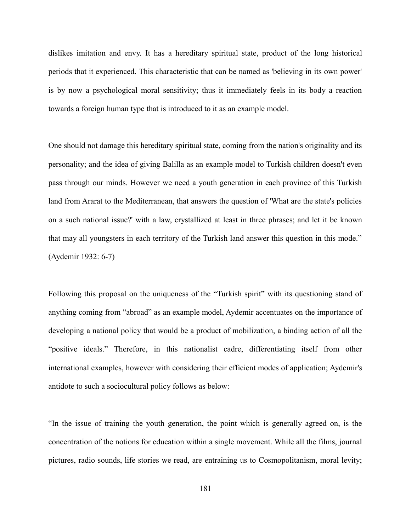dislikes imitation and envy. It has a hereditary spiritual state, product of the long historical periods that it experienced. This characteristic that can be named as 'believing in its own power' is by now a psychological moral sensitivity; thus it immediately feels in its body a reaction towards a foreign human type that is introduced to it as an example model.

One should not damage this hereditary spiritual state, coming from the nation's originality and its personality; and the idea of giving Balilla as an example model to Turkish children doesn't even pass through our minds. However we need a youth generation in each province of this Turkish land from Ararat to the Mediterranean, that answers the question of 'What are the state's policies on a such national issue?' with a law, crystallized at least in three phrases; and let it be known that may all youngsters in each territory of the Turkish land answer this question in this mode." (Aydemir 1932: 6-7)

Following this proposal on the uniqueness of the "Turkish spirit" with its questioning stand of anything coming from "abroad" as an example model, Aydemir accentuates on the importance of developing a national policy that would be a product of mobilization, a binding action of all the "positive ideals." Therefore, in this nationalist cadre, differentiating itself from other international examples, however with considering their efficient modes of application; Aydemir's antidote to such a sociocultural policy follows as below:

"In the issue of training the youth generation, the point which is generally agreed on, is the concentration of the notions for education within a single movement. While all the films, journal pictures, radio sounds, life stories we read, are entraining us to Cosmopolitanism, moral levity;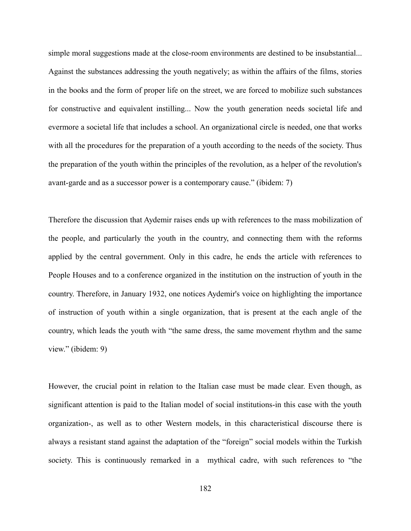simple moral suggestions made at the close-room environments are destined to be insubstantial... Against the substances addressing the youth negatively; as within the affairs of the films, stories in the books and the form of proper life on the street, we are forced to mobilize such substances for constructive and equivalent instilling... Now the youth generation needs societal life and evermore a societal life that includes a school. An organizational circle is needed, one that works with all the procedures for the preparation of a youth according to the needs of the society. Thus the preparation of the youth within the principles of the revolution, as a helper of the revolution's avant-garde and as a successor power is a contemporary cause." (ibidem: 7)

Therefore the discussion that Aydemir raises ends up with references to the mass mobilization of the people, and particularly the youth in the country, and connecting them with the reforms applied by the central government. Only in this cadre, he ends the article with references to People Houses and to a conference organized in the institution on the instruction of youth in the country. Therefore, in January 1932, one notices Aydemir's voice on highlighting the importance of instruction of youth within a single organization, that is present at the each angle of the country, which leads the youth with "the same dress, the same movement rhythm and the same view." (ibidem: 9)

However, the crucial point in relation to the Italian case must be made clear. Even though, as significant attention is paid to the Italian model of social institutions-in this case with the youth organization-, as well as to other Western models, in this characteristical discourse there is always a resistant stand against the adaptation of the "foreign" social models within the Turkish society. This is continuously remarked in a mythical cadre, with such references to "the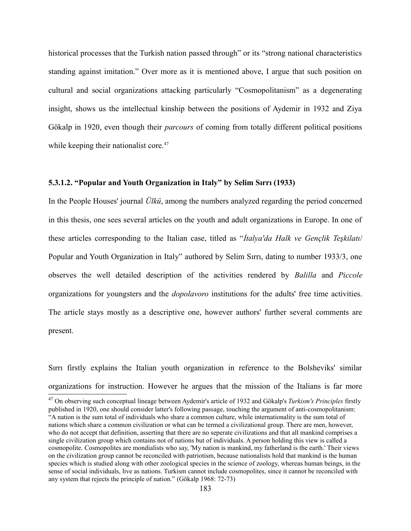historical processes that the Turkish nation passed through" or its "strong national characteristics standing against imitation." Over more as it is mentioned above, I argue that such position on cultural and social organizations attacking particularly "Cosmopolitanism" as a degenerating insight, shows us the intellectual kinship between the positions of Aydemir in 1932 and Ziya Gökalp in 1920, even though their *parcours* of coming from totally different political positions while keeping their nationalist core.<sup>[47](#page-182-0)</sup>

## **5.3.1.2. "Popular and Youth Organization in Italy" by Selim Sırrı (1933)**

In the People Houses' journal *Ülkü*, among the numbers analyzed regarding the period concerned in this thesis, one sees several articles on the youth and adult organizations in Europe. In one of these articles corresponding to the Italian case, titled as "*İtalya'da Halk ve Gençlik Teşkilatı*/ Popular and Youth Organization in Italy" authored by Selim Sırrı, dating to number 1933/3, one observes the well detailed description of the activities rendered by *Balilla* and *Piccole* organizations for youngsters and the *dopolavoro* institutions for the adults' free time activities. The article stays mostly as a descriptive one, however authors' further several comments are present.

Sırrı firstly explains the Italian youth organization in reference to the Bolsheviks' similar organizations for instruction. However he argues that the mission of the Italians is far more

<span id="page-182-0"></span><sup>47</sup> On observing such conceptual lineage between Aydemir's article of 1932 and Gökalp's *Turkism's Principles* firstly published in 1920, one should consider latter's following passage, touching the argument of anti-cosmopolitanism: "A nation is the sum total of individuals who share a common culture, while internationality is the sum total of nations which share a common civilization or what can be termed a civilizational group. There are men, however, who do not accept that definition, asserting that there are no seperate civilizations and that all mankind comprises a single civilization group which contains not of nations but of individuals. A person holding this view is called a cosmopolite. Cosmopolites are mondialists who say, 'My nation is mankind, my fatherland is the earth.' Their views on the civilization group cannot be reconciled with patriotism, because nationalists hold that mankind is the human species which is studied along with other zoological species in the science of zoology, whereas human beings, in the sense of social individuals, live as nations. Turkism cannot include cosmopolites, since it cannot be reconciled with any system that rejects the principle of nation." (Gökalp 1968: 72-73)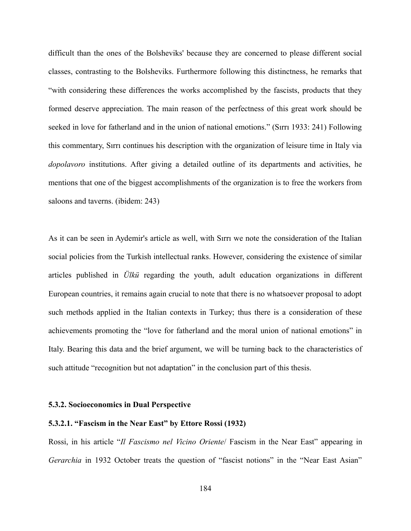difficult than the ones of the Bolsheviks' because they are concerned to please different social classes, contrasting to the Bolsheviks. Furthermore following this distinctness, he remarks that "with considering these differences the works accomplished by the fascists, products that they formed deserve appreciation. The main reason of the perfectness of this great work should be seeked in love for fatherland and in the union of national emotions." (Sırrı 1933: 241) Following this commentary, Sırrı continues his description with the organization of leisure time in Italy via *dopolavoro* institutions. After giving a detailed outline of its departments and activities, he mentions that one of the biggest accomplishments of the organization is to free the workers from saloons and taverns. (ibidem: 243)

As it can be seen in Aydemir's article as well, with Sırrı we note the consideration of the Italian social policies from the Turkish intellectual ranks. However, considering the existence of similar articles published in *Ülkü* regarding the youth, adult education organizations in different European countries, it remains again crucial to note that there is no whatsoever proposal to adopt such methods applied in the Italian contexts in Turkey; thus there is a consideration of these achievements promoting the "love for fatherland and the moral union of national emotions" in Italy. Bearing this data and the brief argument, we will be turning back to the characteristics of such attitude "recognition but not adaptation" in the conclusion part of this thesis.

### **5.3.2. Socioeconomics in Dual Perspective**

### **5.3.2.1. "Fascism in the Near East" by Ettore Rossi (1932)**

Rossi, in his article "*Il Fascismo nel Vicino Oriente*/ Fascism in the Near East" appearing in *Gerarchia* in 1932 October treats the question of "fascist notions" in the "Near East Asian"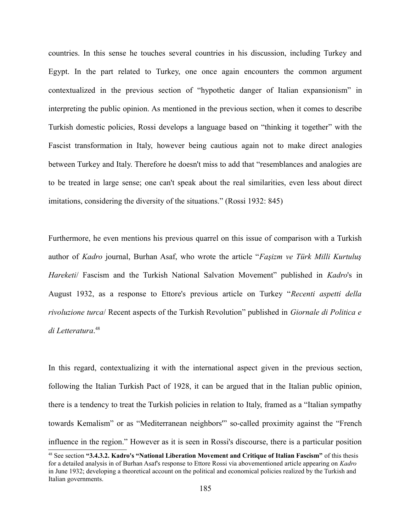countries. In this sense he touches several countries in his discussion, including Turkey and Egypt. In the part related to Turkey, one once again encounters the common argument contextualized in the previous section of "hypothetic danger of Italian expansionism" in interpreting the public opinion. As mentioned in the previous section, when it comes to describe Turkish domestic policies, Rossi develops a language based on "thinking it together" with the Fascist transformation in Italy, however being cautious again not to make direct analogies between Turkey and Italy. Therefore he doesn't miss to add that "resemblances and analogies are to be treated in large sense; one can't speak about the real similarities, even less about direct imitations, considering the diversity of the situations." (Rossi 1932: 845)

Furthermore, he even mentions his previous quarrel on this issue of comparison with a Turkish author of *Kadro* journal, Burhan Asaf, who wrote the article "*Faşizm ve Türk Milli Kurtuluş Hareketi*/ Fascism and the Turkish National Salvation Movement" published in *Kadro*'s in August 1932, as a response to Ettore's previous article on Turkey "*Recenti aspetti della rivoluzione turca*/ Recent aspects of the Turkish Revolution" published in *Giornale di Politica e di Letteratura*. [48](#page-184-0)

In this regard, contextualizing it with the international aspect given in the previous section, following the Italian Turkish Pact of 1928, it can be argued that in the Italian public opinion, there is a tendency to treat the Turkish policies in relation to Italy, framed as a "Italian sympathy towards Kemalism" or as "Mediterranean neighbors'" so-called proximity against the "French influence in the region." However as it is seen in Rossi's discourse, there is a particular position

<span id="page-184-0"></span><sup>48</sup> See section **"3.4.3.2. Kadro's "National Liberation Movement and Critique of Italian Fascism"** of this thesis for a detailed analysis in of Burhan Asaf's response to Ettore Rossi via abovementioned article appearing on *Kadro* in June 1932; developing a theoretical account on the political and economical policies realized by the Turkish and Italian governments.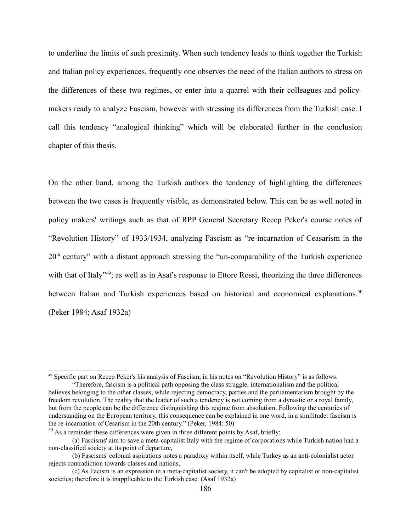to underline the limits of such proximity. When such tendency leads to think together the Turkish and Italian policy experiences, frequently one observes the need of the Italian authors to stress on the differences of these two regimes, or enter into a quarrel with their colleagues and policymakers ready to analyze Fascism, however with stressing its differences from the Turkish case. I call this tendency "analogical thinking" which will be elaborated further in the conclusion chapter of this thesis.

On the other hand, among the Turkish authors the tendency of highlighting the differences between the two cases is frequently visible, as demonstrated below. This can be as well noted in policy makers' writings such as that of RPP General Secretary Recep Peker's course notes of "Revolution History" of 1933/1934, analyzing Fascism as "re-incarnation of Ceasarism in the  $20<sup>th</sup>$  century" with a distant approach stressing the "un-comparability of the Turkish experience with that of Italy<sup>1[49](#page-185-0)</sup>; as well as in Asaf's response to Ettore Rossi, theorizing the three differences between Italian and Turkish experiences based on historical and economical explanations.<sup>[50](#page-185-1)</sup> (Peker 1984; Asaf 1932a)

<span id="page-185-0"></span><sup>49</sup> Specific part on Recep Peker's his analysis of Fascism, in his notes on "Revolution History" is as follows:

<sup>&</sup>quot;Therefore, fascism is a political path opposing the class struggle, internationalism and the political believes belonging to the other classes, while rejecting democracy, parties and the parliamentarism brought by the freedom revolution. The reality that the leader of such a tendency is not coming from a dynastic or a royal family, but from the people can be the difference distinguishing this regime from absolutism. Following the centuries of understanding on the European territory, this consequence can be explained in one word, in a similitude: fascism is the re-incarnation of Cesarism in the 20th century." (Peker, 1984: 50)

<span id="page-185-1"></span> $50$  As a reminder these differences were given in three different points by Asaf, briefly:

<sup>(</sup>a) Fascisms' aim to save a meta-capitalist Italy with the regime of corporations while Turkish nation had a non-classified society at its point of departure,

<sup>(</sup>b) Fascisms' colonial aspirations notes a paradoxy within itself, while Turkey as an anti-colonialist actor rejects contradiction towards classes and nations,

<sup>(</sup>c) As Facism is an expression in a meta-capitalist society, it can't be adopted by capitalist or non-capitalist societies; therefore it is inapplicable to the Turkish case. (Asaf 1932a)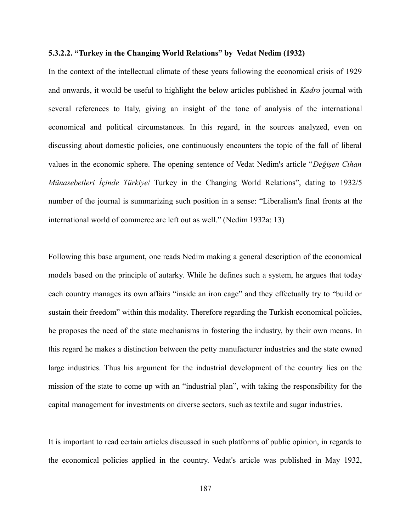## **5.3.2.2. "Turkey in the Changing World Relations" by Vedat Nedim (1932)**

In the context of the intellectual climate of these years following the economical crisis of 1929 and onwards, it would be useful to highlight the below articles published in *Kadro* journal with several references to Italy, giving an insight of the tone of analysis of the international economical and political circumstances. In this regard, in the sources analyzed, even on discussing about domestic policies, one continuously encounters the topic of the fall of liberal values in the economic sphere. The opening sentence of Vedat Nedim's article "*Değişen Cihan Münasebetleri İçinde Türkiye*/ Turkey in the Changing World Relations", dating to 1932/5 number of the journal is summarizing such position in a sense: "Liberalism's final fronts at the international world of commerce are left out as well." (Nedim 1932a: 13)

Following this base argument, one reads Nedim making a general description of the economical models based on the principle of autarky. While he defines such a system, he argues that today each country manages its own affairs "inside an iron cage" and they effectually try to "build or sustain their freedom" within this modality. Therefore regarding the Turkish economical policies, he proposes the need of the state mechanisms in fostering the industry, by their own means. In this regard he makes a distinction between the petty manufacturer industries and the state owned large industries. Thus his argument for the industrial development of the country lies on the mission of the state to come up with an "industrial plan", with taking the responsibility for the capital management for investments on diverse sectors, such as textile and sugar industries.

It is important to read certain articles discussed in such platforms of public opinion, in regards to the economical policies applied in the country. Vedat's article was published in May 1932,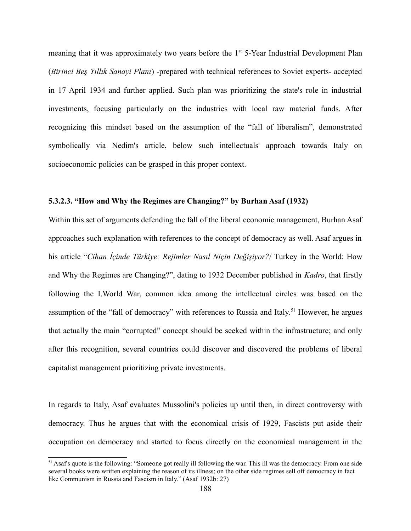meaning that it was approximately two years before the 1<sup>st</sup> 5-Year Industrial Development Plan (*Birinci Beş Yıllık Sanayi Planı*) -prepared with technical references to Soviet experts- accepted in 17 April 1934 and further applied. Such plan was prioritizing the state's role in industrial investments, focusing particularly on the industries with local raw material funds. After recognizing this mindset based on the assumption of the "fall of liberalism", demonstrated symbolically via Nedim's article, below such intellectuals' approach towards Italy on socioeconomic policies can be grasped in this proper context.

# **5.3.2.3. "How and Why the Regimes are Changing?" by Burhan Asaf (1932)**

Within this set of arguments defending the fall of the liberal economic management, Burhan Asaf approaches such explanation with references to the concept of democracy as well. Asaf argues in his article "*Cihan İçinde Türkiye: Rejimler Nasıl Niçin Değişiyor?*/ Turkey in the World: How and Why the Regimes are Changing?", dating to 1932 December published in *Kadro*, that firstly following the I.World War, common idea among the intellectual circles was based on the assumption of the "fall of democracy" with references to Russia and Italy.<sup>[51](#page-187-0)</sup> However, he argues that actually the main "corrupted" concept should be seeked within the infrastructure; and only after this recognition, several countries could discover and discovered the problems of liberal capitalist management prioritizing private investments.

In regards to Italy, Asaf evaluates Mussolini's policies up until then, in direct controversy with democracy. Thus he argues that with the economical crisis of 1929, Fascists put aside their occupation on democracy and started to focus directly on the economical management in the

<span id="page-187-0"></span> $<sup>51</sup>$  Asaf's quote is the following: "Someone got really ill following the war. This ill was the democracy. From one side</sup> several books were written explaining the reason of its illness; on the other side regimes sell off democracy in fact like Communism in Russia and Fascism in Italy." (Asaf 1932b: 27)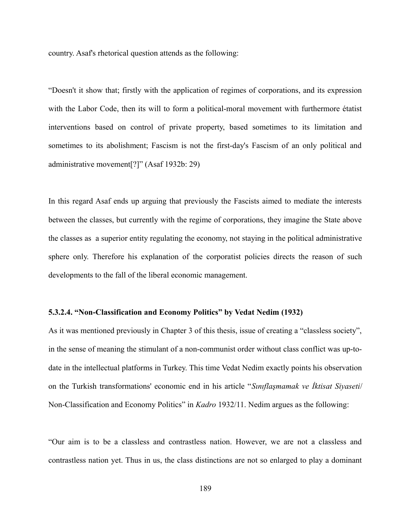country. Asaf's rhetorical question attends as the following:

"Doesn't it show that; firstly with the application of regimes of corporations, and its expression with the Labor Code, then its will to form a political-moral movement with furthermore étatist interventions based on control of private property, based sometimes to its limitation and sometimes to its abolishment; Fascism is not the first-day's Fascism of an only political and administrative movement[?]" (Asaf 1932b: 29)

In this regard Asaf ends up arguing that previously the Fascists aimed to mediate the interests between the classes, but currently with the regime of corporations, they imagine the State above the classes as a superior entity regulating the economy, not staying in the political administrative sphere only. Therefore his explanation of the corporatist policies directs the reason of such developments to the fall of the liberal economic management.

## **5.3.2.4. "Non-Classification and Economy Politics" by Vedat Nedim (1932)**

As it was mentioned previously in Chapter 3 of this thesis, issue of creating a "classless society", in the sense of meaning the stimulant of a non-communist order without class conflict was up-todate in the intellectual platforms in Turkey. This time Vedat Nedim exactly points his observation on the Turkish transformations' economic end in his article "*Sınıflaşmamak ve İktisat Siyaseti*/ Non-Classification and Economy Politics" in *Kadro* 1932/11. Nedim argues as the following:

"Our aim is to be a classless and contrastless nation. However, we are not a classless and contrastless nation yet. Thus in us, the class distinctions are not so enlarged to play a dominant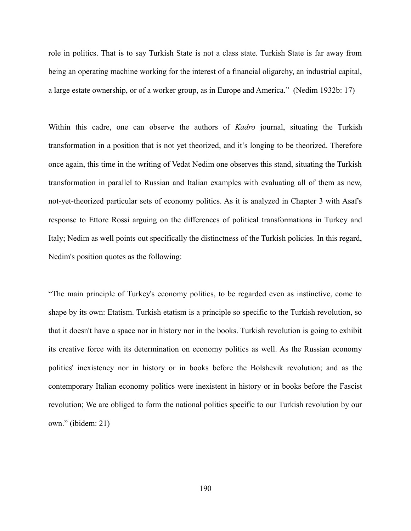role in politics. That is to say Turkish State is not a class state. Turkish State is far away from being an operating machine working for the interest of a financial oligarchy, an industrial capital, a large estate ownership, or of a worker group, as in Europe and America." (Nedim 1932b: 17)

Within this cadre, one can observe the authors of *Kadro* journal, situating the Turkish transformation in a position that is not yet theorized, and it's longing to be theorized. Therefore once again, this time in the writing of Vedat Nedim one observes this stand, situating the Turkish transformation in parallel to Russian and Italian examples with evaluating all of them as new, not-yet-theorized particular sets of economy politics. As it is analyzed in Chapter 3 with Asaf's response to Ettore Rossi arguing on the differences of political transformations in Turkey and Italy; Nedim as well points out specifically the distinctness of the Turkish policies. In this regard, Nedim's position quotes as the following:

"The main principle of Turkey's economy politics, to be regarded even as instinctive, come to shape by its own: Etatism. Turkish etatism is a principle so specific to the Turkish revolution, so that it doesn't have a space nor in history nor in the books. Turkish revolution is going to exhibit its creative force with its determination on economy politics as well. As the Russian economy politics' inexistency nor in history or in books before the Bolshevik revolution; and as the contemporary Italian economy politics were inexistent in history or in books before the Fascist revolution; We are obliged to form the national politics specific to our Turkish revolution by our own." (ibidem: 21)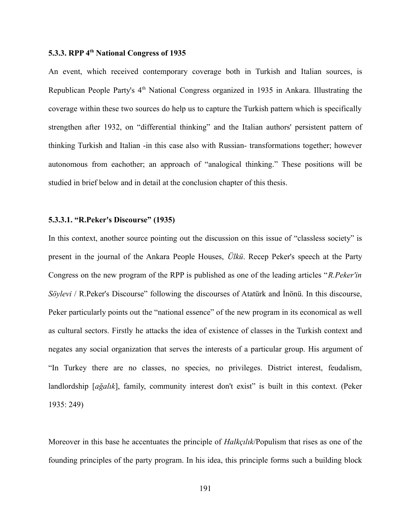# **5.3.3. RPP 4th National Congress of 1935**

An event, which received contemporary coverage both in Turkish and Italian sources, is Republican People Party's 4<sup>th</sup> National Congress organized in 1935 in Ankara. Illustrating the coverage within these two sources do help us to capture the Turkish pattern which is specifically strengthen after 1932, on "differential thinking" and the Italian authors' persistent pattern of thinking Turkish and Italian -in this case also with Russian- transformations together; however autonomous from eachother; an approach of "analogical thinking." These positions will be studied in brief below and in detail at the conclusion chapter of this thesis.

## **5.3.3.1. "R.Peker's Discourse" (1935)**

In this context, another source pointing out the discussion on this issue of "classless society" is present in the journal of the Ankara People Houses, *Ülkü*. Recep Peker's speech at the Party Congress on the new program of the RPP is published as one of the leading articles "*R.Peker'in Söylevi* / R.Peker's Discourse" following the discourses of Atatürk and İnönü. In this discourse, Peker particularly points out the "national essence" of the new program in its economical as well as cultural sectors. Firstly he attacks the idea of existence of classes in the Turkish context and negates any social organization that serves the interests of a particular group. His argument of "In Turkey there are no classes, no species, no privileges. District interest, feudalism, landlordship [*ağalık*], family, community interest don't exist" is built in this context. (Peker 1935: 249)

Moreover in this base he accentuates the principle of *Halkçılık*/Populism that rises as one of the founding principles of the party program. In his idea, this principle forms such a building block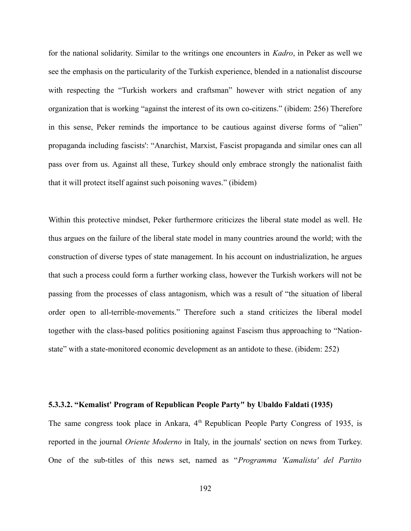for the national solidarity. Similar to the writings one encounters in *Kadro*, in Peker as well we see the emphasis on the particularity of the Turkish experience, blended in a nationalist discourse with respecting the "Turkish workers and craftsman" however with strict negation of any organization that is working "against the interest of its own co-citizens." (ibidem: 256) Therefore in this sense, Peker reminds the importance to be cautious against diverse forms of "alien" propaganda including fascists': "Anarchist, Marxist, Fascist propaganda and similar ones can all pass over from us. Against all these, Turkey should only embrace strongly the nationalist faith that it will protect itself against such poisoning waves." (ibidem)

Within this protective mindset, Peker furthermore criticizes the liberal state model as well. He thus argues on the failure of the liberal state model in many countries around the world; with the construction of diverse types of state management. In his account on industrialization, he argues that such a process could form a further working class, however the Turkish workers will not be passing from the processes of class antagonism, which was a result of "the situation of liberal order open to all-terrible-movements." Therefore such a stand criticizes the liberal model together with the class-based politics positioning against Fascism thus approaching to "Nationstate" with a state-monitored economic development as an antidote to these. (ibidem: 252)

## **5.3.3.2. "Kemalist' Program of Republican People Party" by Ubaldo Faldati (1935)**

The same congress took place in Ankara, 4<sup>th</sup> Republican People Party Congress of 1935, is reported in the journal *Oriente Moderno* in Italy, in the journals' section on news from Turkey. One of the sub-titles of this news set, named as "*Programma 'Kamalista' del Partito*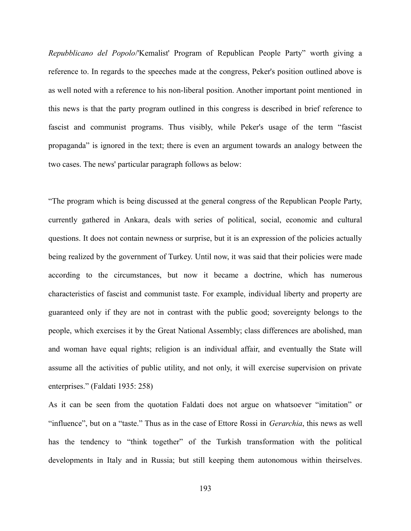*Repubblicano del Popolo*/'Kemalist' Program of Republican People Party" worth giving a reference to. In regards to the speeches made at the congress, Peker's position outlined above is as well noted with a reference to his non-liberal position. Another important point mentioned in this news is that the party program outlined in this congress is described in brief reference to fascist and communist programs. Thus visibly, while Peker's usage of the term "fascist propaganda" is ignored in the text; there is even an argument towards an analogy between the two cases. The news' particular paragraph follows as below:

"The program which is being discussed at the general congress of the Republican People Party, currently gathered in Ankara, deals with series of political, social, economic and cultural questions. It does not contain newness or surprise, but it is an expression of the policies actually being realized by the government of Turkey. Until now, it was said that their policies were made according to the circumstances, but now it became a doctrine, which has numerous characteristics of fascist and communist taste. For example, individual liberty and property are guaranteed only if they are not in contrast with the public good; sovereignty belongs to the people, which exercises it by the Great National Assembly; class differences are abolished, man and woman have equal rights; religion is an individual affair, and eventually the State will assume all the activities of public utility, and not only, it will exercise supervision on private enterprises." (Faldati 1935: 258)

As it can be seen from the quotation Faldati does not argue on whatsoever "imitation" or "influence", but on a "taste." Thus as in the case of Ettore Rossi in *Gerarchia*, this news as well has the tendency to "think together" of the Turkish transformation with the political developments in Italy and in Russia; but still keeping them autonomous within theirselves.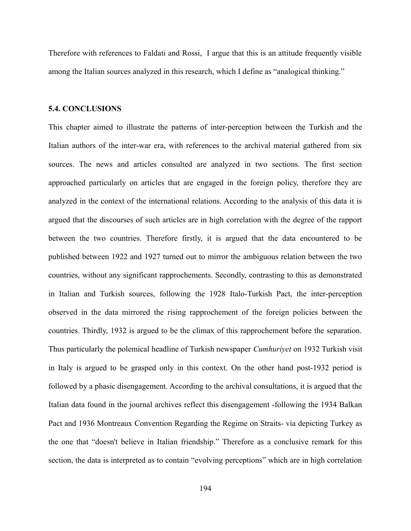Therefore with references to Faldati and Rossi, I argue that this is an attitude frequently visible among the Italian sources analyzed in this research, which I define as "analogical thinking."

### **5.4. CONCLUSIONS**

This chapter aimed to illustrate the patterns of inter-perception between the Turkish and the Italian authors of the inter-war era, with references to the archival material gathered from six sources. The news and articles consulted are analyzed in two sections. The first section approached particularly on articles that are engaged in the foreign policy, therefore they are analyzed in the context of the international relations. According to the analysis of this data it is argued that the discourses of such articles are in high correlation with the degree of the rapport between the two countries. Therefore firstly, it is argued that the data encountered to be published between 1922 and 1927 turned out to mirror the ambiguous relation between the two countries, without any significant rapprochements. Secondly, contrasting to this as demonstrated in Italian and Turkish sources, following the 1928 Italo-Turkish Pact, the inter-perception observed in the data mirrored the rising rapprochement of the foreign policies between the countries. Thirdly, 1932 is argued to be the climax of this rapprochement before the separation. Thus particularly the polemical headline of Turkish newspaper *Cumhuriyet* on 1932 Turkish visit in Italy is argued to be grasped only in this context. On the other hand post-1932 period is followed by a phasic disengagement. According to the archival consultations, it is argued that the Italian data found in the journal archives reflect this disengagement -following the 1934 Balkan Pact and 1936 Montreaux Convention Regarding the Regime on Straits- via depicting Turkey as the one that "doesn't believe in Italian friendship." Therefore as a conclusive remark for this section, the data is interpreted as to contain "evolving perceptions" which are in high correlation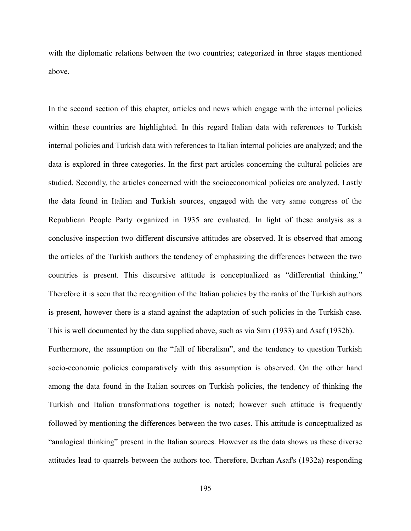with the diplomatic relations between the two countries; categorized in three stages mentioned above.

In the second section of this chapter, articles and news which engage with the internal policies within these countries are highlighted. In this regard Italian data with references to Turkish internal policies and Turkish data with references to Italian internal policies are analyzed; and the data is explored in three categories. In the first part articles concerning the cultural policies are studied. Secondly, the articles concerned with the socioeconomical policies are analyzed. Lastly the data found in Italian and Turkish sources, engaged with the very same congress of the Republican People Party organized in 1935 are evaluated. In light of these analysis as a conclusive inspection two different discursive attitudes are observed. It is observed that among the articles of the Turkish authors the tendency of emphasizing the differences between the two countries is present. This discursive attitude is conceptualized as "differential thinking." Therefore it is seen that the recognition of the Italian policies by the ranks of the Turkish authors is present, however there is a stand against the adaptation of such policies in the Turkish case. This is well documented by the data supplied above, such as via Sırrı (1933) and Asaf (1932b). Furthermore, the assumption on the "fall of liberalism", and the tendency to question Turkish socio-economic policies comparatively with this assumption is observed. On the other hand among the data found in the Italian sources on Turkish policies, the tendency of thinking the Turkish and Italian transformations together is noted; however such attitude is frequently followed by mentioning the differences between the two cases. This attitude is conceptualized as "analogical thinking" present in the Italian sources. However as the data shows us these diverse

attitudes lead to quarrels between the authors too. Therefore, Burhan Asaf's (1932a) responding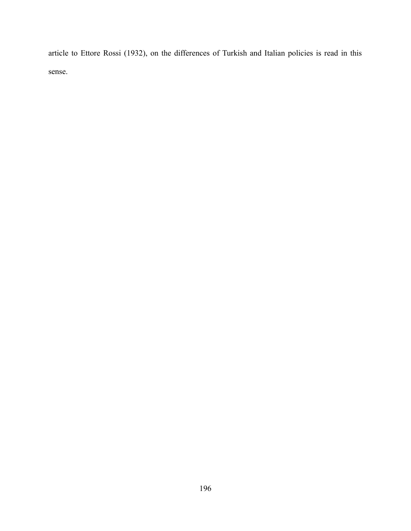article to Ettore Rossi (1932), on the differences of Turkish and Italian policies is read in this sense.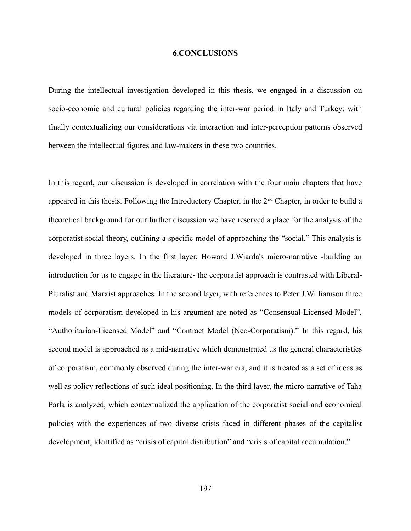## **6.CONCLUSIONS**

During the intellectual investigation developed in this thesis, we engaged in a discussion on socio-economic and cultural policies regarding the inter-war period in Italy and Turkey; with finally contextualizing our considerations via interaction and inter-perception patterns observed between the intellectual figures and law-makers in these two countries.

In this regard, our discussion is developed in correlation with the four main chapters that have appeared in this thesis. Following the Introductory Chapter, in the  $2<sup>nd</sup>$  Chapter, in order to build a theoretical background for our further discussion we have reserved a place for the analysis of the corporatist social theory, outlining a specific model of approaching the "social." This analysis is developed in three layers. In the first layer, Howard J.Wiarda's micro-narrative -building an introduction for us to engage in the literature- the corporatist approach is contrasted with Liberal-Pluralist and Marxist approaches. In the second layer, with references to Peter J.Williamson three models of corporatism developed in his argument are noted as "Consensual-Licensed Model", "Authoritarian-Licensed Model" and "Contract Model (Neo-Corporatism)." In this regard, his second model is approached as a mid-narrative which demonstrated us the general characteristics of corporatism, commonly observed during the inter-war era, and it is treated as a set of ideas as well as policy reflections of such ideal positioning. In the third layer, the micro-narrative of Taha Parla is analyzed, which contextualized the application of the corporatist social and economical policies with the experiences of two diverse crisis faced in different phases of the capitalist development, identified as "crisis of capital distribution" and "crisis of capital accumulation."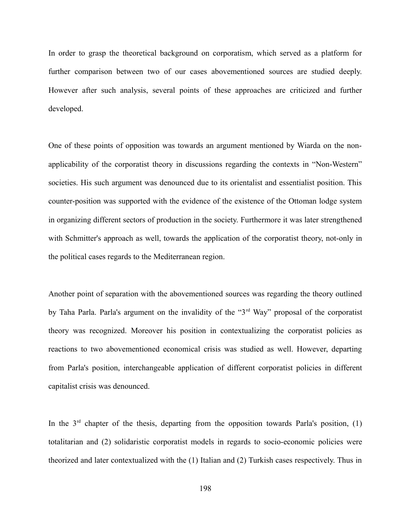In order to grasp the theoretical background on corporatism, which served as a platform for further comparison between two of our cases abovementioned sources are studied deeply. However after such analysis, several points of these approaches are criticized and further developed.

One of these points of opposition was towards an argument mentioned by Wiarda on the nonapplicability of the corporatist theory in discussions regarding the contexts in "Non-Western" societies. His such argument was denounced due to its orientalist and essentialist position. This counter-position was supported with the evidence of the existence of the Ottoman lodge system in organizing different sectors of production in the society. Furthermore it was later strengthened with Schmitter's approach as well, towards the application of the corporatist theory, not-only in the political cases regards to the Mediterranean region.

Another point of separation with the abovementioned sources was regarding the theory outlined by Taha Parla. Parla's argument on the invalidity of the "3<sup>rd</sup> Way" proposal of the corporatist theory was recognized. Moreover his position in contextualizing the corporatist policies as reactions to two abovementioned economical crisis was studied as well. However, departing from Parla's position, interchangeable application of different corporatist policies in different capitalist crisis was denounced.

In the  $3<sup>rd</sup>$  chapter of the thesis, departing from the opposition towards Parla's position, (1) totalitarian and (2) solidaristic corporatist models in regards to socio-economic policies were theorized and later contextualized with the (1) Italian and (2) Turkish cases respectively. Thus in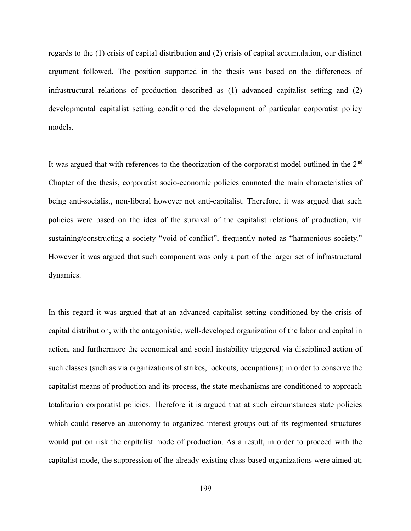regards to the (1) crisis of capital distribution and (2) crisis of capital accumulation, our distinct argument followed. The position supported in the thesis was based on the differences of infrastructural relations of production described as (1) advanced capitalist setting and (2) developmental capitalist setting conditioned the development of particular corporatist policy models.

It was argued that with references to the theorization of the corporatist model outlined in the 2<sup>nd</sup> Chapter of the thesis, corporatist socio-economic policies connoted the main characteristics of being anti-socialist, non-liberal however not anti-capitalist. Therefore, it was argued that such policies were based on the idea of the survival of the capitalist relations of production, via sustaining/constructing a society "void-of-conflict", frequently noted as "harmonious society." However it was argued that such component was only a part of the larger set of infrastructural dynamics.

In this regard it was argued that at an advanced capitalist setting conditioned by the crisis of capital distribution, with the antagonistic, well-developed organization of the labor and capital in action, and furthermore the economical and social instability triggered via disciplined action of such classes (such as via organizations of strikes, lockouts, occupations); in order to conserve the capitalist means of production and its process, the state mechanisms are conditioned to approach totalitarian corporatist policies. Therefore it is argued that at such circumstances state policies which could reserve an autonomy to organized interest groups out of its regimented structures would put on risk the capitalist mode of production. As a result, in order to proceed with the capitalist mode, the suppression of the already-existing class-based organizations were aimed at;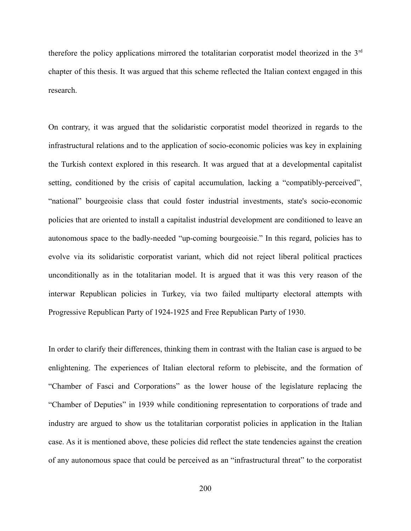therefore the policy applications mirrored the totalitarian corporatist model theorized in the  $3<sup>rd</sup>$ chapter of this thesis. It was argued that this scheme reflected the Italian context engaged in this research.

On contrary, it was argued that the solidaristic corporatist model theorized in regards to the infrastructural relations and to the application of socio-economic policies was key in explaining the Turkish context explored in this research. It was argued that at a developmental capitalist setting, conditioned by the crisis of capital accumulation, lacking a "compatibly-perceived", "national" bourgeoisie class that could foster industrial investments, state's socio-economic policies that are oriented to install a capitalist industrial development are conditioned to leave an autonomous space to the badly-needed "up-coming bourgeoisie." In this regard, policies has to evolve via its solidaristic corporatist variant, which did not reject liberal political practices unconditionally as in the totalitarian model. It is argued that it was this very reason of the interwar Republican policies in Turkey, via two failed multiparty electoral attempts with Progressive Republican Party of 1924-1925 and Free Republican Party of 1930.

In order to clarify their differences, thinking them in contrast with the Italian case is argued to be enlightening. The experiences of Italian electoral reform to plebiscite, and the formation of "Chamber of Fasci and Corporations" as the lower house of the legislature replacing the "Chamber of Deputies" in 1939 while conditioning representation to corporations of trade and industry are argued to show us the totalitarian corporatist policies in application in the Italian case. As it is mentioned above, these policies did reflect the state tendencies against the creation of any autonomous space that could be perceived as an "infrastructural threat" to the corporatist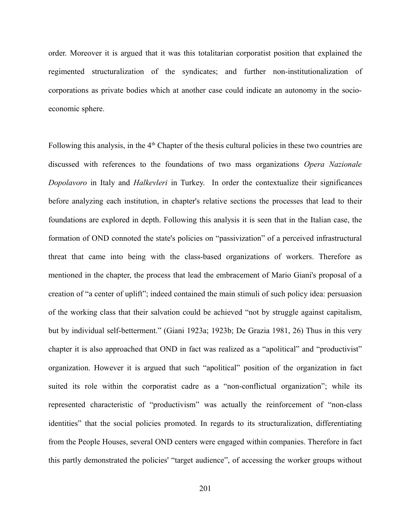order. Moreover it is argued that it was this totalitarian corporatist position that explained the regimented structuralization of the syndicates; and further non-institutionalization of corporations as private bodies which at another case could indicate an autonomy in the socioeconomic sphere.

Following this analysis, in the  $4<sup>th</sup>$  Chapter of the thesis cultural policies in these two countries are discussed with references to the foundations of two mass organizations *Opera Nazionale Dopolavoro* in Italy and *Halkevleri* in Turkey. In order the contextualize their significances before analyzing each institution, in chapter's relative sections the processes that lead to their foundations are explored in depth. Following this analysis it is seen that in the Italian case, the formation of OND connoted the state's policies on "passivization" of a perceived infrastructural threat that came into being with the class-based organizations of workers. Therefore as mentioned in the chapter, the process that lead the embracement of Mario Giani's proposal of a creation of "a center of uplift"; indeed contained the main stimuli of such policy idea: persuasion of the working class that their salvation could be achieved "not by struggle against capitalism, but by individual self-betterment." (Giani 1923a; 1923b; De Grazia 1981, 26) Thus in this very chapter it is also approached that OND in fact was realized as a "apolitical" and "productivist" organization. However it is argued that such "apolitical" position of the organization in fact suited its role within the corporatist cadre as a "non-conflictual organization"; while its represented characteristic of "productivism" was actually the reinforcement of "non-class identities" that the social policies promoted. In regards to its structuralization, differentiating from the People Houses, several OND centers were engaged within companies. Therefore in fact this partly demonstrated the policies' "target audience", of accessing the worker groups without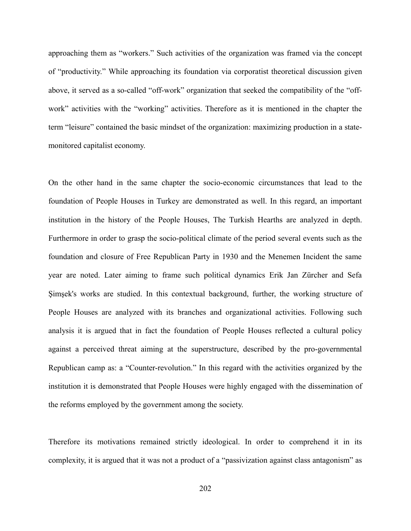approaching them as "workers." Such activities of the organization was framed via the concept of "productivity." While approaching its foundation via corporatist theoretical discussion given above, it served as a so-called "off-work" organization that seeked the compatibility of the "offwork" activities with the "working" activities. Therefore as it is mentioned in the chapter the term "leisure" contained the basic mindset of the organization: maximizing production in a statemonitored capitalist economy.

On the other hand in the same chapter the socio-economic circumstances that lead to the foundation of People Houses in Turkey are demonstrated as well. In this regard, an important institution in the history of the People Houses, The Turkish Hearths are analyzed in depth. Furthermore in order to grasp the socio-political climate of the period several events such as the foundation and closure of Free Republican Party in 1930 and the Menemen Incident the same year are noted. Later aiming to frame such political dynamics Erik Jan Zürcher and Sefa Şimşek's works are studied. In this contextual background, further, the working structure of People Houses are analyzed with its branches and organizational activities. Following such analysis it is argued that in fact the foundation of People Houses reflected a cultural policy against a perceived threat aiming at the superstructure, described by the pro-governmental Republican camp as: a "Counter-revolution." In this regard with the activities organized by the institution it is demonstrated that People Houses were highly engaged with the dissemination of the reforms employed by the government among the society.

Therefore its motivations remained strictly ideological. In order to comprehend it in its complexity, it is argued that it was not a product of a "passivization against class antagonism" as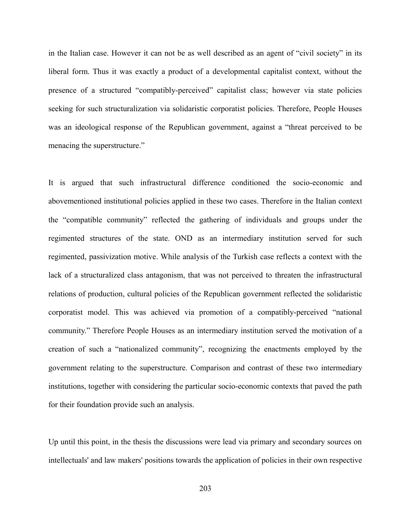in the Italian case. However it can not be as well described as an agent of "civil society" in its liberal form. Thus it was exactly a product of a developmental capitalist context, without the presence of a structured "compatibly-perceived" capitalist class; however via state policies seeking for such structuralization via solidaristic corporatist policies. Therefore, People Houses was an ideological response of the Republican government, against a "threat perceived to be menacing the superstructure."

It is argued that such infrastructural difference conditioned the socio-economic and abovementioned institutional policies applied in these two cases. Therefore in the Italian context the "compatible community" reflected the gathering of individuals and groups under the regimented structures of the state. OND as an intermediary institution served for such regimented, passivization motive. While analysis of the Turkish case reflects a context with the lack of a structuralized class antagonism, that was not perceived to threaten the infrastructural relations of production, cultural policies of the Republican government reflected the solidaristic corporatist model. This was achieved via promotion of a compatibly-perceived "national community." Therefore People Houses as an intermediary institution served the motivation of a creation of such a "nationalized community", recognizing the enactments employed by the government relating to the superstructure. Comparison and contrast of these two intermediary institutions, together with considering the particular socio-economic contexts that paved the path for their foundation provide such an analysis.

Up until this point, in the thesis the discussions were lead via primary and secondary sources on intellectuals' and law makers' positions towards the application of policies in their own respective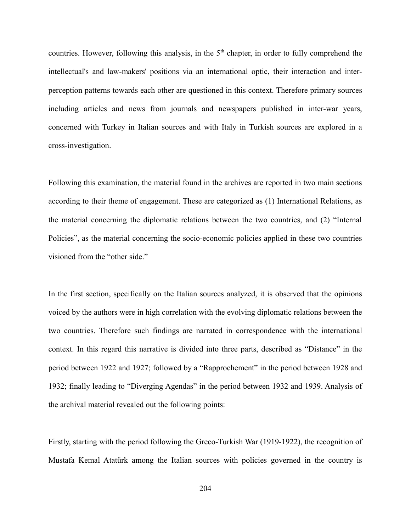countries. However, following this analysis, in the 5<sup>th</sup> chapter, in order to fully comprehend the intellectual's and law-makers' positions via an international optic, their interaction and interperception patterns towards each other are questioned in this context. Therefore primary sources including articles and news from journals and newspapers published in inter-war years, concerned with Turkey in Italian sources and with Italy in Turkish sources are explored in a cross-investigation.

Following this examination, the material found in the archives are reported in two main sections according to their theme of engagement. These are categorized as (1) International Relations, as the material concerning the diplomatic relations between the two countries, and (2) "Internal Policies", as the material concerning the socio-economic policies applied in these two countries visioned from the "other side."

In the first section, specifically on the Italian sources analyzed, it is observed that the opinions voiced by the authors were in high correlation with the evolving diplomatic relations between the two countries. Therefore such findings are narrated in correspondence with the international context. In this regard this narrative is divided into three parts, described as "Distance" in the period between 1922 and 1927; followed by a "Rapprochement" in the period between 1928 and 1932; finally leading to "Diverging Agendas" in the period between 1932 and 1939. Analysis of the archival material revealed out the following points:

Firstly, starting with the period following the Greco-Turkish War (1919-1922), the recognition of Mustafa Kemal Atatürk among the Italian sources with policies governed in the country is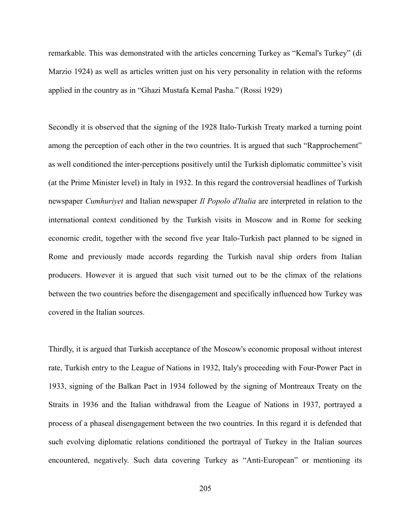remarkable. This was demonstrated with the articles concerning Turkey as "Kemal's Turkey" (di Marzio 1924) as well as articles written just on his very personality in relation with the reforms applied in the country as in "Ghazi Mustafa Kemal Pasha." (Rossi 1929)

Secondly it is observed that the signing of the 1928 Italo-Turkish Treaty marked a turning point among the perception of each other in the two countries. It is argued that such "Rapprochement" as well conditioned the inter-perceptions positively until the Turkish diplomatic committee's visit (at the Prime Minister level) in Italy in 1932. In this regard the controversial headlines of Turkish newspaper *Cumhuriyet* and Italian newspaper *Il Popolo d'Italia* are interpreted in relation to the international context conditioned by the Turkish visits in Moscow and in Rome for seeking economic credit, together with the second five year Italo-Turkish pact planned to be signed in Rome and previously made accords regarding the Turkish naval ship orders from Italian producers. However it is argued that such visit turned out to be the climax of the relations between the two countries before the disengagement and specifically influenced how Turkey was covered in the Italian sources.

Thirdly, it is argued that Turkish acceptance of the Moscow's economic proposal without interest rate, Turkish entry to the League of Nations in 1932, Italy's proceeding with Four-Power Pact in 1933, signing of the Balkan Pact in 1934 followed by the signing of Montreaux Treaty on the Straits in 1936 and the Italian withdrawal from the League of Nations in 1937, portrayed a process of a phaseal disengagement between the two countries. In this regard it is defended that such evolving diplomatic relations conditioned the portrayal of Turkey in the Italian sources encountered, negatively. Such data covering Turkey as "Anti-European" or mentioning its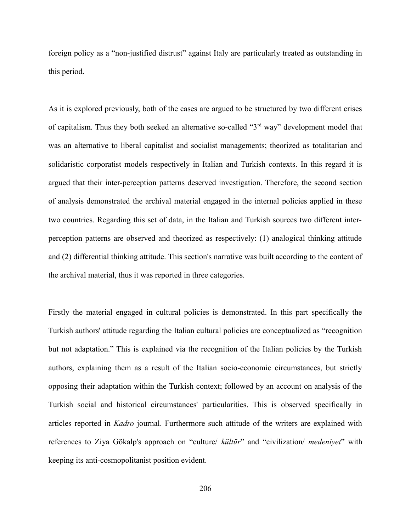foreign policy as a "non-justified distrust" against Italy are particularly treated as outstanding in this period.

As it is explored previously, both of the cases are argued to be structured by two different crises of capitalism. Thus they both seeked an alternative so-called "3rd way" development model that was an alternative to liberal capitalist and socialist managements; theorized as totalitarian and solidaristic corporatist models respectively in Italian and Turkish contexts. In this regard it is argued that their inter-perception patterns deserved investigation. Therefore, the second section of analysis demonstrated the archival material engaged in the internal policies applied in these two countries. Regarding this set of data, in the Italian and Turkish sources two different interperception patterns are observed and theorized as respectively: (1) analogical thinking attitude and (2) differential thinking attitude. This section's narrative was built according to the content of the archival material, thus it was reported in three categories.

Firstly the material engaged in cultural policies is demonstrated. In this part specifically the Turkish authors' attitude regarding the Italian cultural policies are conceptualized as "recognition but not adaptation." This is explained via the recognition of the Italian policies by the Turkish authors, explaining them as a result of the Italian socio-economic circumstances, but strictly opposing their adaptation within the Turkish context; followed by an account on analysis of the Turkish social and historical circumstances' particularities. This is observed specifically in articles reported in *Kadro* journal. Furthermore such attitude of the writers are explained with references to Ziya Gökalp's approach on "culture/ *kültür*" and "civilization/ *medeniyet*" with keeping its anti-cosmopolitanist position evident.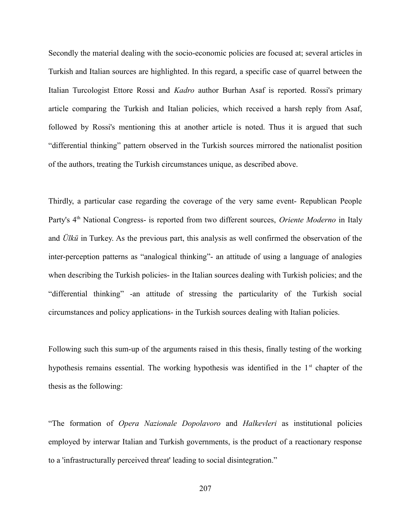Secondly the material dealing with the socio-economic policies are focused at; several articles in Turkish and Italian sources are highlighted. In this regard, a specific case of quarrel between the Italian Turcologist Ettore Rossi and *Kadro* author Burhan Asaf is reported. Rossi's primary article comparing the Turkish and Italian policies, which received a harsh reply from Asaf, followed by Rossi's mentioning this at another article is noted. Thus it is argued that such "differential thinking" pattern observed in the Turkish sources mirrored the nationalist position of the authors, treating the Turkish circumstances unique, as described above.

Thirdly, a particular case regarding the coverage of the very same event- Republican People Party's 4<sup>th</sup> National Congress- is reported from two different sources, *Oriente Moderno* in Italy and *Ülkü* in Turkey. As the previous part, this analysis as well confirmed the observation of the inter-perception patterns as "analogical thinking"- an attitude of using a language of analogies when describing the Turkish policies- in the Italian sources dealing with Turkish policies; and the "differential thinking" -an attitude of stressing the particularity of the Turkish social circumstances and policy applications- in the Turkish sources dealing with Italian policies.

Following such this sum-up of the arguments raised in this thesis, finally testing of the working hypothesis remains essential. The working hypothesis was identified in the  $1<sup>st</sup>$  chapter of the thesis as the following:

"The formation of *Opera Nazionale Dopolavoro* and *Halkevleri* as institutional policies employed by interwar Italian and Turkish governments, is the product of a reactionary response to a 'infrastructurally perceived threat' leading to social disintegration."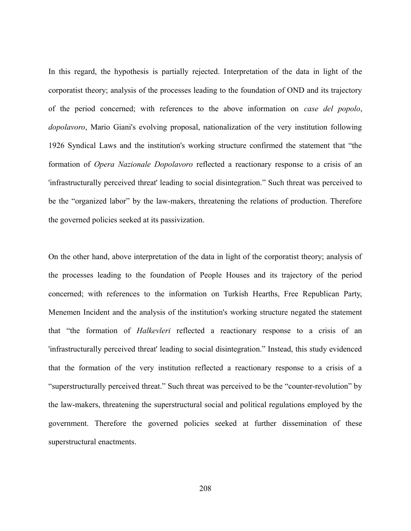In this regard, the hypothesis is partially rejected. Interpretation of the data in light of the corporatist theory; analysis of the processes leading to the foundation of OND and its trajectory of the period concerned; with references to the above information on *case del popolo*, *dopolavoro*, Mario Giani's evolving proposal, nationalization of the very institution following 1926 Syndical Laws and the institution's working structure confirmed the statement that "the formation of *Opera Nazionale Dopolavoro* reflected a reactionary response to a crisis of an 'infrastructurally perceived threat' leading to social disintegration." Such threat was perceived to be the "organized labor" by the law-makers, threatening the relations of production. Therefore the governed policies seeked at its passivization.

On the other hand, above interpretation of the data in light of the corporatist theory; analysis of the processes leading to the foundation of People Houses and its trajectory of the period concerned; with references to the information on Turkish Hearths, Free Republican Party, Menemen Incident and the analysis of the institution's working structure negated the statement that "the formation of *Halkevleri* reflected a reactionary response to a crisis of an 'infrastructurally perceived threat' leading to social disintegration." Instead, this study evidenced that the formation of the very institution reflected a reactionary response to a crisis of a "superstructurally perceived threat." Such threat was perceived to be the "counter-revolution" by the law-makers, threatening the superstructural social and political regulations employed by the government. Therefore the governed policies seeked at further dissemination of these superstructural enactments.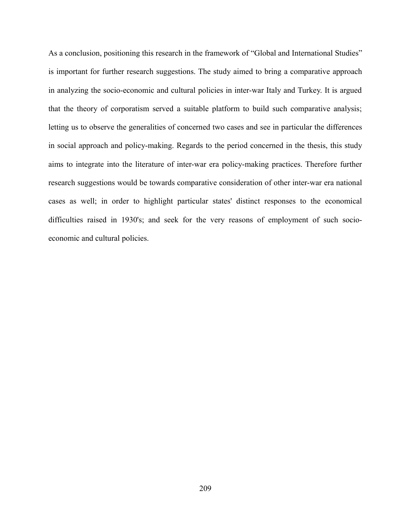As a conclusion, positioning this research in the framework of "Global and International Studies" is important for further research suggestions. The study aimed to bring a comparative approach in analyzing the socio-economic and cultural policies in inter-war Italy and Turkey. It is argued that the theory of corporatism served a suitable platform to build such comparative analysis; letting us to observe the generalities of concerned two cases and see in particular the differences in social approach and policy-making. Regards to the period concerned in the thesis, this study aims to integrate into the literature of inter-war era policy-making practices. Therefore further research suggestions would be towards comparative consideration of other inter-war era national cases as well; in order to highlight particular states' distinct responses to the economical difficulties raised in 1930's; and seek for the very reasons of employment of such socioeconomic and cultural policies.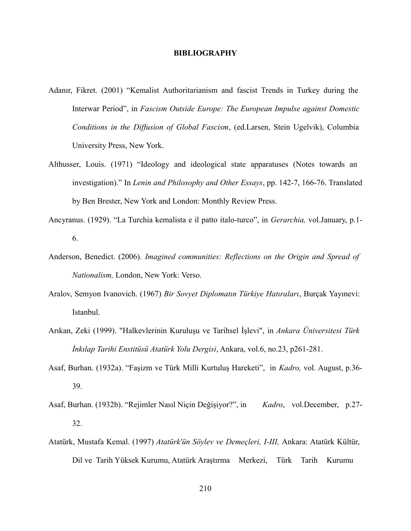#### **BIBLIOGRAPHY**

- Adanır, Fikret. (2001) "Kemalist Authoritarianism and fascist Trends in Turkey during the Interwar Period", in *Fascism Outside Europe: The European Impulse against Domestic Conditions in the Diffusion of Global Fascism*, (ed.Larsen, Stein Ugelvik), Columbia University Press, New York.
- Althusser, Louis. (1971) "Ideology and ideological state apparatuses (Notes towards an investigation)." In *Lenin and Philosophy and Other Essays*, pp. 142-7, 166-76. Translated by Ben Brester, New York and London: Monthly Review Press.
- Ancyranus. (1929). "La Turchia kemalista e il patto italo-turco", in *Gerarchia,* vol.January, p.1- 6.
- Anderson, Benedict. (2006). *Imagined communities: Reflections on the Origin and Spread of Nationalism,* London, New York: Verso.
- Aralov, Semyon Ivanovich. (1967) *Bir Sovyet Diplomatın Türkiye Hatıraları*, Burçak Yayınevi: Istanbul.
- Arıkan, Zeki (1999). "Halkevlerinin Kuruluşu ve Tarihsel İşlevi", in *Ankara Üniversitesi Türk İnkılap Tarihi Enstitüsü Atatürk Yolu Dergisi*, Ankara, vol.6, no.23, p261-281.
- Asaf, Burhan. (1932a). "Faşizm ve Türk Milli Kurtuluş Hareketi", in *Kadro,* vol. August, p.36- 39.
- Asaf, Burhan. (1932b). "Rejimler Nasıl Niçin Değişiyor?", in *Kadro*, vol.December, p.27- 32.
- Atatürk, Mustafa Kemal. (1997) *Atatürk'ün Söylev ve Demeçleri, I-III,* Ankara: Atatürk Kültür, Dil ve Tarih Yüksek Kurumu, Atatürk Araştırma Merkezi, Türk Tarih Kurumu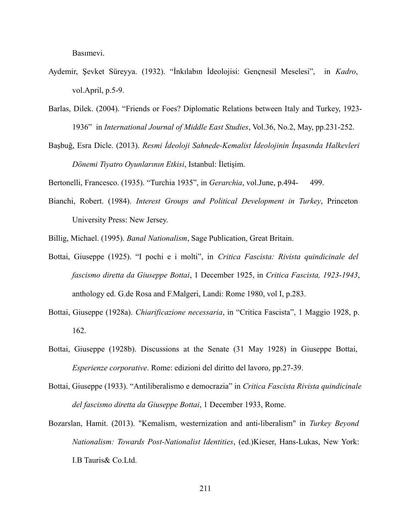Basımevi.

- Aydemir, Şevket Süreyya. (1932). "İnkılabın İdeolojisi: Gençnesil Meselesi", in *Kadro*, vol.April, p.5-9.
- Barlas, Dilek. (2004). "Friends or Foes? Diplomatic Relations between Italy and Turkey, 1923- 1936" in *International Journal of Middle East Studies*, Vol.36, No.2, May, pp.231-252.
- Başbuğ, Esra Dicle. (2013). *Resmi İdeoloji Sahnede-Kemalist İdeolojinin İnşasında Halkevleri Dönemi Tiyatro Oyunlarının Etkisi*, Istanbul: İletişim.

Bertonelli, Francesco. (1935). "Turchia 1935", in *Gerarchia*, vol.June, p.494- 499.

Bianchi, Robert. (1984). *Interest Groups and Political Development in Turkey*, Princeton University Press: New Jersey.

Billig, Michael. (1995). *Banal Nationalism*, Sage Publication, Great Britain.

- Bottai, Giuseppe (1925). "I pochi e i molti", in *Critica Fascista: Rivista quindicinale del fascismo diretta da Giuseppe Bottai*, 1 December 1925, in *Critica Fascista, 1923-1943*, anthology ed. G.de Rosa and F.Malgeri, Landi: Rome 1980, vol I, p.283.
- Bottai, Giuseppe (1928a). *Chiarificazione necessaria*, in "Critica Fascista", 1 Maggio 1928, p. 162.
- Bottai, Giuseppe (1928b). Discussions at the Senate (31 May 1928) in Giuseppe Bottai, *Esperienze corporative*. Rome: edizioni del diritto del lavoro, pp.27-39.
- Bottai, Giuseppe (1933). "Antiliberalismo e democrazia" in *Critica Fascista Rivista quindicinale del fascismo diretta da Giuseppe Bottai*, 1 December 1933, Rome.
- Bozarslan, Hamit. (2013). "Kemalism, westernization and anti-liberalism" in *Turkey Beyond Nationalism: Towards Post-Nationalist Identities*, (ed.)Kieser, Hans-Lukas, New York: I.B Tauris& Co.Ltd.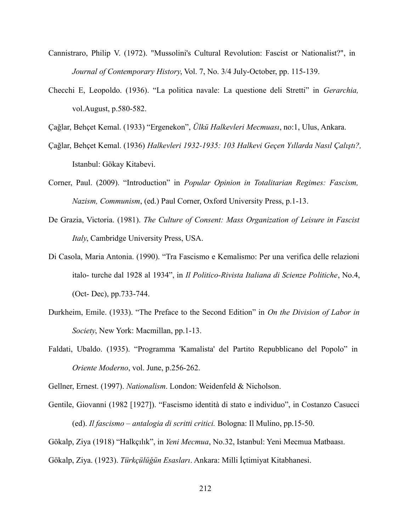- Cannistraro, Philip V. (1972). "Mussolini's Cultural Revolution: Fascist or Nationalist?", in *Journal of Contemporary History*, Vol. 7, No. 3/4 July-October, pp. 115-139.
- Checchi E, Leopoldo. (1936). "La politica navale: La questione deli Stretti" in *Gerarchia,*  vol.August, p.580-582.

Çağlar, Behçet Kemal. (1933) "Ergenekon", *Ülkü Halkevleri Mecmuası*, no:1, Ulus, Ankara.

- Çağlar, Behçet Kemal. (1936) *Halkevleri 1932-1935: 103 Halkevi Geçen Yıllarda Nasıl Çalıştı?,* Istanbul: Gökay Kitabevi.
- Corner, Paul. (2009). "Introduction" in *Popular Opinion in Totalitarian Regimes: Fascism, Nazism, Communism*, (ed.) Paul Corner, Oxford University Press, p.1-13.
- De Grazia, Victoria. (1981). *The Culture of Consent: Mass Organization of Leisure in Fascist Italy*, Cambridge University Press, USA.
- Di Casola, Maria Antonia. (1990). "Tra Fascismo e Kemalismo: Per una verifica delle relazioni italo- turche dal 1928 al 1934", in *Il Politico-Rivista Italiana di Scienze Politiche*, No.4, (Oct- Dec), pp.733-744.
- Durkheim, Emile. (1933). "The Preface to the Second Edition" in *On the Division of Labor in Society*, New York: Macmillan, pp.1-13.
- Faldati, Ubaldo. (1935). "Programma 'Kamalista' del Partito Repubblicano del Popolo" in *Oriente Moderno*, vol. June, p.256-262.

Gellner, Ernest. (1997). *Nationalism*. London: Weidenfeld & Nicholson.

Gentile, Giovanni (1982 [1927]). "Fascismo identità di stato e individuo", in Costanzo Casucci (ed). *Il fascismo – antalogia di scritti critici.* Bologna: Il Mulino, pp.15-50.

Gökalp, Ziya (1918) "Halkçılık", in *Yeni Mecmua*, No.32, Istanbul: Yeni Mecmua Matbaası. Gökalp, Ziya. (1923). *Türkçülüğün Esasları*. Ankara: Milli İçtimiyat Kitabhanesi.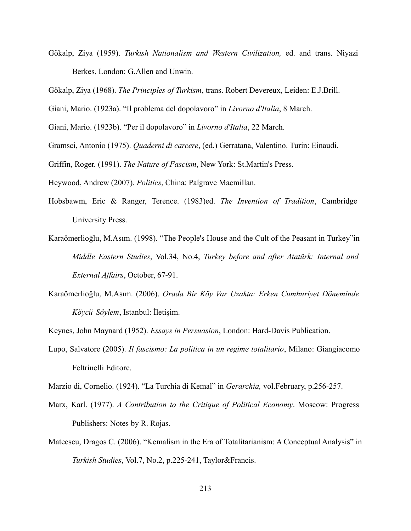- Gökalp, Ziya (1959). *Turkish Nationalism and Western Civilization,* ed. and trans. Niyazi Berkes, London: G.Allen and Unwin.
- Gökalp, Ziya (1968). *The Principles of Turkism*, trans. Robert Devereux, Leiden: E.J.Brill.
- Giani, Mario. (1923a). "Il problema del dopolavoro" in *Livorno d'Italia*, 8 March.
- Giani, Mario. (1923b). "Per il dopolavoro" in *Livorno d'Italia*, 22 March.
- Gramsci, Antonio (1975). *Quaderni di carcere*, (ed.) Gerratana, Valentino. Turin: Einaudi.
- Griffin, Roger. (1991). *The Nature of Fascism*, New York: St.Martin's Press.

Heywood, Andrew (2007). *Politics*, China: Palgrave Macmillan.

- Hobsbawm, Eric & Ranger, Terence. (1983)ed. *The Invention of Tradition*, Cambridge University Press.
- Karaömerlioğlu, M.Asım. (1998). "The People's House and the Cult of the Peasant in Turkey"in *Middle Eastern Studies*, Vol.34, No.4, *Turkey before and after Atatürk: Internal and External Affairs*, October, 67-91.
- Karaömerlioğlu, M.Asım. (2006). *Orada Bir Köy Var Uzakta: Erken Cumhuriyet Döneminde Köycü Söylem*, Istanbul: İletişim.
- Keynes, John Maynard (1952). *Essays in Persuasion*, London: Hard-Davis Publication.
- Lupo, Salvatore (2005). *Il fascismo: La politica in un regime totalitario*, Milano: Giangiacomo Feltrinelli Editore.

Marzio di, Cornelio. (1924). "La Turchia di Kemal" in *Gerarchia,* vol.February, p.256-257.

- Marx, Karl. (1977). *A Contribution to the Critique of Political Economy*. Moscow: Progress Publishers: Notes by R. Rojas.
- Mateescu, Dragos C. (2006). "Kemalism in the Era of Totalitarianism: A Conceptual Analysis" in *Turkish Studies*, Vol.7, No.2, p.225-241, Taylor&Francis.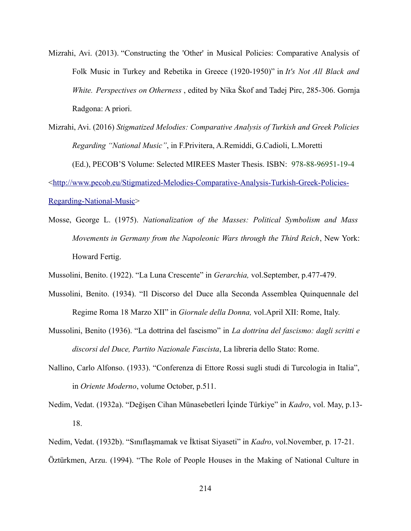- Mizrahi, Avi. (2013). "Constructing the 'Other' in Musical Policies: Comparative Analysis of Folk Music in Turkey and Rebetika in Greece (1920-1950)" in *It's Not All Black and White. Perspectives on Otherness* , edited by Nika Škof and Tadej Pirc, 285-306. Gornja Radgona: A priori.
- Mizrahi, Avi. (2016) *Stigmatized Melodies: Comparative Analysis of Turkish and Greek Policies Regarding "National Music"*, in F.Privitera, A.Remiddi, G.Cadioli, L.Moretti (Ed.), PECOB'S Volume: Selected MIREES Master Thesis. ISBN: 978-88-96951-19-4 [< http://www.pecob.eu/Stigmatized-Melodies-Comparative-Analysis-Turkish-Greek-](http://www.pecob.eu/Stigmatized-Melodies-Comparative-Analysis-Turkish-Greek-)[Policies-](http://www.pecob.eu/Stigmatized-Melodies-Comparative-Analysis-Turkish-Greek-Policies-Regarding-National-Music)[Regarding-National-Music>](http://www.pecob.eu/Stigmatized-Melodies-Comparative-Analysis-Turkish-Greek-Policies-Regarding-National-Music)
- Mosse, George L. (1975). *Nationalization of the Masses: Political Symbolism and Mass Movements in Germany from the Napoleonic Wars through the Third Reich*, New York: Howard Fertig.
- Mussolini, Benito. (1922). "La Luna Crescente" in *Gerarchia,* vol.September, p.477-479.
- Mussolini, Benito. (1934). "Il Discorso del Duce alla Seconda Assemblea Quinquennale del Regime Roma 18 Marzo XII" in *Giornale della Donna,* vol.April XII: Rome, Italy.
- Mussolini, Benito (1936). "La dottrina del fascismo" in *La dottrina del fascismo: dagli scritti e discorsi del Duce, Partito Nazionale Fascista*, La libreria dello Stato: Rome.
- Nallino, Carlo Alfonso. (1933). "Conferenza di Ettore Rossi sugli studi di Turcologia in Italia", in *Oriente Moderno*, volume October, p.511.
- Nedim, Vedat. (1932a). "Değişen Cihan Münasebetleri İçinde Türkiye" in *Kadro*, vol. May, p.13- 18.

Nedim, Vedat. (1932b). "Sınıflaşmamak ve İktisat Siyaseti" in *Kadro*, vol.November, p. 17-21. Öztürkmen, Arzu. (1994). "The Role of People Houses in the Making of National Culture in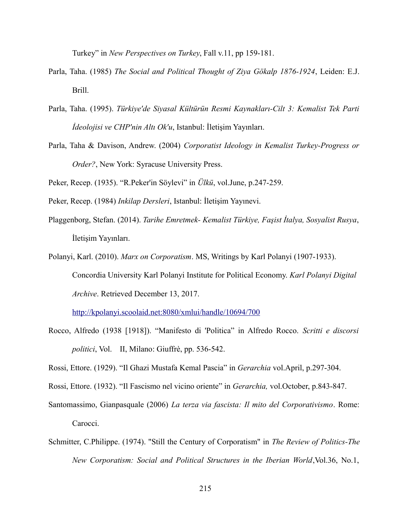Turkey" in *New Perspectives on Turkey*, Fall v.11, pp 159-181.

- Parla, Taha. (1985) *The Social and Political Thought of Ziya Gökalp 1876-1924*, Leiden: E.J. Brill.
- Parla, Taha. (1995). *Türkiye'de Siyasal Kültürün Resmi Kaynakları-Cilt 3: Kemalist Tek Parti İdeolojisi ve CHP'nin Altı Ok'u*, Istanbul: İletişim Yayınları.
- Parla, Taha & Davison, Andrew. (2004) *Corporatist Ideology in Kemalist Turkey-Progress or Order?*, New York: Syracuse University Press.

Peker, Recep. (1935). "R.Peker'in Söylevi" in *Ülkü*, vol.June, p.247-259.

- Peker, Recep. (1984) *Inkilap Dersleri*, Istanbul: İletişim Yayınevi.
- Plaggenborg, Stefan. (2014). *Tarihe Emretmek- Kemalist Türkiye, Faşist İtalya, Sosyalist Rusya*, İletişim Yayınları.
- Polanyi, Karl. (2010). *Marx on Corporatism*. MS, Writings by Karl Polanyi (1907-1933). Concordia University Karl Polanyi Institute for Political Economy. *Karl Polanyi Digital Archive*. Retrieved December 13, 2017.

<http://kpolanyi.scoolaid.net:8080/xmlui/handle/10694/700>

Rocco, Alfredo (1938 [1918]). "Manifesto di 'Politica" in Alfredo Rocco. *Scritti e discorsi politici*, Vol. II, Milano: Giuffrè, pp. 536-542.

Rossi, Ettore. (1929). "Il Ghazi Mustafa Kemal Pascia" in *Gerarchia* vol.April, p.297-304.

Rossi, Ettore. (1932). "Il Fascismo nel vicino oriente" in *Gerarchia,* vol.October, p.843-847.

- Santomassimo, Gianpasquale (2006) *La terza via fascista: Il mito del Corporativismo*. Rome: Carocci.
- Schmitter, C.Philippe. (1974). "Still the Century of Corporatism" in *The Review of Politics-The New Corporatism: Social and Political Structures in the Iberian World, Vol.36, No.1,*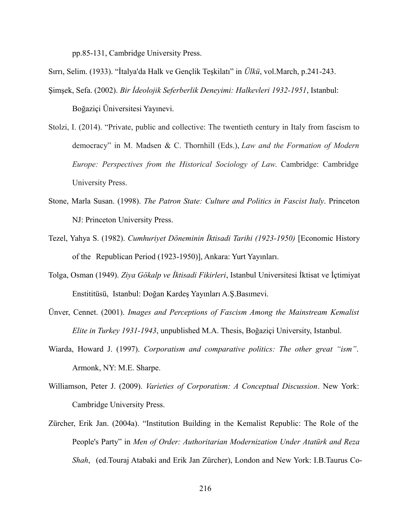pp.85-131, Cambridge University Press.

Sırrı, Selim. (1933). "İtalya'da Halk ve Gençlik Teşkilatı" in *Ülkü*, vol.March, p.241-243.

- Şimşek, Sefa. (2002). *Bir İdeolojik Seferberlik Deneyimi: Halkevleri 1932-1951*, Istanbul: Boğaziçi Üniversitesi Yayınevi.
- Stolzi, I. (2014). "Private, public and collective: The twentieth century in Italy from fascism to democracy" in M. Madsen & C. Thornhill (Eds.), *Law and the Formation of Modern Europe: Perspectives from the Historical Sociology of Law*. Cambridge: Cambridge University Press.
- Stone, Marla Susan. (1998). *The Patron State: Culture and Politics in Fascist Italy*. Princeton NJ: Princeton University Press.
- Tezel, Yahya S. (1982). *Cumhuriyet Döneminin İktisadi Tarihi (1923-1950)* [Economic History of the Republican Period (1923-1950)], Ankara: Yurt Yayınları.
- Tolga, Osman (1949). *Ziya Gökalp ve İktisadi Fikirleri*, Istanbul Universitesi İktisat ve İçtimiyat Enstititüsü, Istanbul: Doğan Kardeş Yayınları A.Ş.Basımevi.
- Ünver, Cennet. (2001). *Images and Perceptions of Fascism Among the Mainstream Kemalist Elite in Turkey 1931-1943*, unpublished M.A. Thesis, Boğaziçi University, Istanbul.
- Wiarda, Howard J. (1997). *Corporatism and comparative politics: The other great "ism"*. Armonk, NY: M.E. Sharpe.
- Williamson, Peter J. (2009). *Varieties of Corporatism: A Conceptual Discussion*. New York: Cambridge University Press.
- Zürcher, Erik Jan. (2004a). "Institution Building in the Kemalist Republic: The Role of the People's Party" in *Men of Order: Authoritarian Modernization Under Atatürk and Reza Shah*, (ed.Touraj Atabaki and Erik Jan Zürcher), London and New York: I.B.Taurus Co-